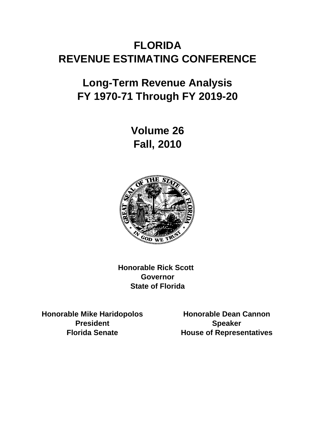# **FLORIDA REVENUE ESTIMATING CONFERENCE**

# **Long-Term Revenue Analysis FY 1970-71 Through FY 2019-20**

**Fall, 2010 Volume 26**



**Honorable Rick Scott Governor State of Florida**

**Honorable Mike Haridopolos Honorable Dean Cannon President Speaker**

**Florida Senate House of Representatives**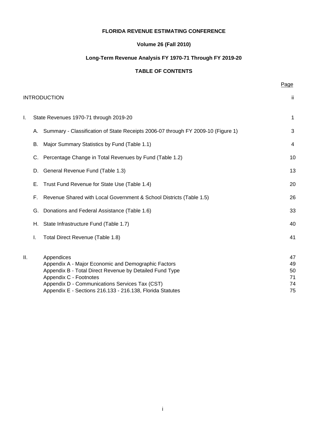#### **FLORIDA REVENUE ESTIMATING CONFERENCE**

#### **Volume 26 (Fall 2010)**

## **Long-Term Revenue Analysis FY 1970-71 Through FY 2019-20**

#### **TABLE OF CONTENTS**

**Page 2012 Page 2013** 

|    |    | <b>INTRODUCTION</b>                                                                                                                                                                                                                                                   | -ii                              |
|----|----|-----------------------------------------------------------------------------------------------------------------------------------------------------------------------------------------------------------------------------------------------------------------------|----------------------------------|
| Τ. |    | State Revenues 1970-71 through 2019-20                                                                                                                                                                                                                                | 1                                |
|    |    | A. Summary - Classification of State Receipts 2006-07 through FY 2009-10 (Figure 1)                                                                                                                                                                                   | 3                                |
|    | В. | Major Summary Statistics by Fund (Table 1.1)                                                                                                                                                                                                                          | 4                                |
|    | C. | Percentage Change in Total Revenues by Fund (Table 1.2)                                                                                                                                                                                                               | 10                               |
|    | D. | General Revenue Fund (Table 1.3)                                                                                                                                                                                                                                      | 13                               |
|    | Е. | Trust Fund Revenue for State Use (Table 1.4)                                                                                                                                                                                                                          | 20                               |
|    | F. | Revenue Shared with Local Government & School Districts (Table 1.5)                                                                                                                                                                                                   | 26                               |
|    | G. | Donations and Federal Assistance (Table 1.6)                                                                                                                                                                                                                          | 33                               |
|    | Н. | State Infrastructure Fund (Table 1.7)                                                                                                                                                                                                                                 | 40                               |
|    | I. | Total Direct Revenue (Table 1.8)                                                                                                                                                                                                                                      | 41                               |
| Ш. |    | Appendices<br>Appendix A - Major Economic and Demographic Factors<br>Appendix B - Total Direct Revenue by Detailed Fund Type<br>Appendix C - Footnotes<br>Appendix D - Communications Services Tax (CST)<br>Appendix E - Sections 216.133 - 216.138, Florida Statutes | 47<br>49<br>50<br>71<br>74<br>75 |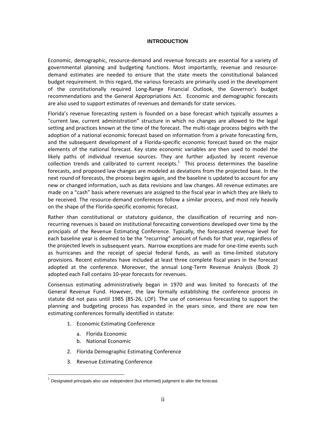#### **INTRODUCTION**

Economic, demographic, resource‐demand and revenue forecasts are essential for a variety of governmental planning and budgeting functions. Most importantly, revenue and resource‐ demand estimates are needed to ensure that the state meets the constitutional balanced budget requirement. In this regard, the various forecasts are primarily used in the development of the constitutionally required Long‐Range Financial Outlook, the Governor's budget recommendations and the General Appropriations Act. Economic and demographic forecasts are also used to support estimates of revenues and demands for state services.

Florida's revenue forecasting system is founded on a base forecast which typically assumes a "current law, current administration" structure in which no changes are allowed to the legal setting and practices known at the time of the forecast. The multi‐stage process begins with the adoption of a national economic forecast based on information from a private forecasting firm, and the subsequent development of a Florida‐specific economic forecast based on the major elements of the national forecast. Key state economic variables are then used to model the likely paths of individual revenue sources. They are further adjusted by recent revenue collection trends and calibrated to current receipts. $1$  This process determines the baseline forecasts, and proposed law changes are modeled as deviations from the projected base. In the next round of forecasts, the process begins again, and the baseline is updated to account for any new or changed information, such as data revisions and law changes. All revenue estimates are made on a "cash" basis where revenues are assigned to the fiscal year in which they are likely to be received. The resource-demand conferences follow a similar process, and most rely heavily on the shape of the Florida‐specific economic forecast.

Rather than constitutional or statutory guidance, the classification of recurring and non‐ recurring revenues is based on institutional forecasting conventions developed over time by the principals of the Revenue Estimating Conference. Typically, the forecasted revenue level for each baseline year is deemed to be the "recurring" amount of funds for that year, regardless of the projected levels in subsequent years. Narrow exceptions are made for one-time events such as hurricanes and the receipt of special federal funds, as well as time‐limited statutory provisions. Recent estimates have included at least three complete fiscal years in the forecast adopted at the conference. Moreover, the annual Long‐Term Revenue Analysis (Book 2) adopted each Fall contains 10‐year forecasts for revenues.

Consensus estimating administratively began in 1970 and was limited to forecasts of the General Revenue Fund. However, the law formally establishing the conference process in statute did not pass until 1985 (85‐26, LOF). The use of consensus forecasting to support the planning and budgeting process has expanded in the years since, and there are now ten estimating conferences formally identified in statute:

- 1. Economic Estimating Conference
	- a. Florida Economic
	- b. National Economic

 $\overline{a}$ 

- 2. Florida Demographic Estimating Conference
- 3. Revenue Estimating Conference

Designated principals also use independent (but informed) judgment to alter the forecast.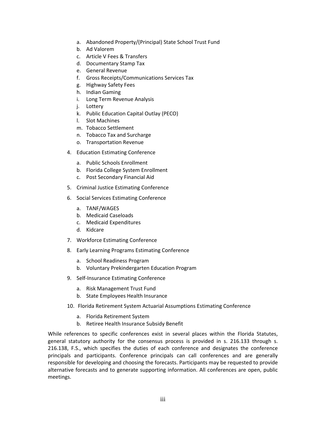- a. Abandoned Property/(Principal) State School Trust Fund
- b. Ad Valorem
- c. Article V Fees & Transfers
- d. Documentary Stamp Tax
- e. General Revenue
- f. Gross Receipts/Communications Services Tax
- g. Highway Safety Fees
- h. Indian Gaming
- i. Long Term Revenue Analysis
- j. Lottery
- k. Public Education Capital Outlay (PECO)
- l. Slot Machines
- m. Tobacco Settlement
- n. Tobacco Tax and Surcharge
- o. Transportation Revenue
- 4. Education Estimating Conference
	- a. Public Schools Enrollment
	- b. Florida College System Enrollment
	- c. Post Secondary Financial Aid
- 5. Criminal Justice Estimating Conference
- 6. Social Services Estimating Conference
	- a. TANF/WAGES
	- b. Medicaid Caseloads
	- c. Medicaid Expenditures
	- d. Kidcare
- 7. Workforce Estimating Conference
- 8. Early Learning Programs Estimating Conference
	- a. School Readiness Program
	- b. Voluntary Prekindergarten Education Program
- 9. Self-Insurance Estimating Conference
	- a. Risk Management Trust Fund
	- b. State Employees Health Insurance
- 10. Florida Retirement System Actuarial Assumptions Estimating Conference
	- a. Florida Retirement System
	- b. Retiree Health Insurance Subsidy Benefit

While references to specific conferences exist in several places within the Florida Statutes, general statutory authority for the consensus process is provided in s. 216.133 through s. 216.138, F.S., which specifies the duties of each conference and designates the conference principals and participants. Conference principals can call conferences and are generally responsible for developing and choosing the forecasts. Participants may be requested to provide alternative forecasts and to generate supporting information. All conferences are open, public meetings.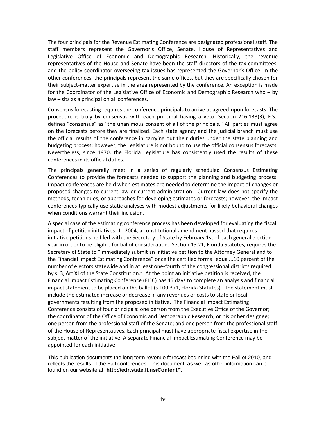The four principals for the Revenue Estimating Conference are designated professional staff. The staff members represent the Governor's Office, Senate, House of Representatives and Legislative Office of Economic and Demographic Research. Historically, the revenue representatives of the House and Senate have been the staff directors of the tax committees, and the policy coordinator overseeing tax issues has represented the Governor's Office. In the other conferences, the principals represent the same offices, but they are specifically chosen for their subject‐matter expertise in the area represented by the conference. An exception is made for the Coordinator of the Legislative Office of Economic and Demographic Research who – by law – sits as a principal on all conferences.

Consensus forecasting requires the conference principals to arrive at agreed‐upon forecasts. The procedure is truly by consensus with each principal having a veto. Section 216.133(3), F.S., defines "consensus" as "the unanimous consent of all of the principals." All parties must agree on the forecasts before they are finalized. Each state agency and the judicial branch must use the official results of the conference in carrying out their duties under the state planning and budgeting process; however, the Legislature is not bound to use the official consensus forecasts. Nevertheless, since 1970, the Florida Legislature has consistently used the results of these conferences in its official duties.

The principals generally meet in a series of regularly scheduled Consensus Estimating Conferences to provide the forecasts needed to support the planning and budgeting process. Impact conferences are held when estimates are needed to determine the impact of changes or proposed changes to current law or current administration. Current law does not specify the methods, techniques, or approaches for developing estimates or forecasts; however, the impact conferences typically use static analyses with modest adjustments for likely behavioral changes when conditions warrant their inclusion.

A special case of the estimating conference process has been developed for evaluating the fiscal impact of petition initiatives. In 2004, a constitutional amendment passed that requires initiative petitions be filed with the Secretary of State by February 1st of each general election year in order to be eligible for ballot consideration. Section 15.21, Florida Statutes, requires the Secretary of State to "immediately submit an initiative petition to the Attorney General and to the Financial Impact Estimating Conference" once the certified forms "equal...10 percent of the number of electors statewide and in at least one‐fourth of the congressional districts required by s. 3, Art XI of the State Constitution." At the point an initiative petition is received, the Financial Impact Estimating Conference (FIEC) has 45 days to complete an analysis and financial impact statement to be placed on the ballot (s.100.371, Florida Statutes). The statement must include the estimated increase or decrease in any revenues or costs to state or local governments resulting from the proposed initiative. The Financial Impact Estimating Conference consists of four principals: one person from the Executive Office of the Governor; the coordinator of the Office of Economic and Demographic Research, or his or her designee; one person from the professional staff of the Senate; and one person from the professional staff of the House of Representatives. Each principal must have appropriate fiscal expertise in the subject matter of the initiative. A separate Financial Impact Estimating Conference may be appointed for each initiative.

This publication documents the long term revenue forecast beginning with the Fall of 2010, and reflects the results of the Fall conferences. This document, as well as other information can be found on our website at "**http://edr.state.fl.us/Content/**".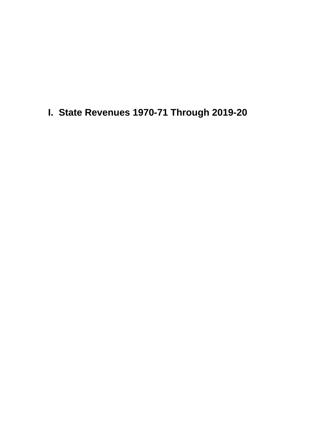**I. State Revenues 1970-71 Through 2019-20**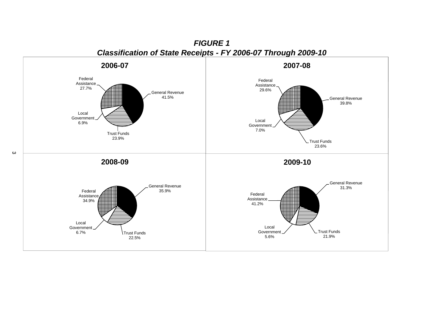

*FIGURE 1*

 $\boldsymbol{\omega}$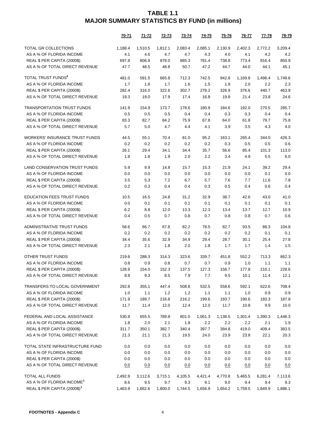|                                          | <u>70-71</u> | <u>71-72</u> | <u>72-73</u> | 73-74   | <u>74-75</u> | <u>75-76</u> | <u>76-77</u> | <u>77-78</u> | <u>78-79</u> |
|------------------------------------------|--------------|--------------|--------------|---------|--------------|--------------|--------------|--------------|--------------|
| TOTAL GR COLLECTIONS                     | 1,188.4      | 1,510.5      | 1,812.1      | 2,083.4 | 2,085.1      | 2,130.9      | 2,402.3      | 2,772.2      | 3,209.4      |
| AS A % OF FLORIDA INCOME                 | 4.1          | 4.6          | 4.7          | 4.7     | 4.3          | 4.0          | 4.1          | 4.2          | 4.2          |
| REAL \$ PER CAPITA (2000\$)              | 697.8        | 806.8        | 878.0        | 885.3   | 781.4        | 738.8        | 773.4        | 816.4        | 850.9        |
| AS A % OF TOTAL DIRECT REVENUE           | 47.7         | 48.5         | 48.8         | 50.7    | 47.2         | 44.7         | 44.0         | 44.1         | 45.1         |
| TOTAL TRUST FUNDS <sup>2</sup>           | 481.0        | 591.5        | 665.8        | 712.3   | 742.5        | 942.8        | 1,169.8      | 1,496.4      | 1,749.6      |
| AS A % OF FLORIDA INCOME                 | 1.7          | 1.8          | 1.7          | 1.6     | 1.5          | 1.8          | 2.0          | 2.2          | 2.3          |
| REAL \$ PER CAPITA (2000\$)              | 282.4        | 316.0        | 322.6        | 302.7   | 278.2        | 326.9        | 376.6        | 440.7        | 463.9        |
| AS A % OF TOTAL DIRECT REVENUE           | 19.3         | 19.0         | 17.9         | 17.4    | 16.8         | 19.8         | 21.4         | 23.8         | 24.6         |
| <b>TRANSPORTATION TRUST FUNDS</b>        | 141.9        | 154.9        | 173.7        | 178.6   | 180.9        | 184.6        | 192.0        | 270.5        | 285.7        |
| AS A % OF FLORIDA INCOME                 | 0.5          | 0.5          | 0.5          | 0.4     | 0.4          | 0.3          | 0.3          | 0.4          | 0.4          |
| REAL \$ PER CAPITA (2000\$)              | 83.3         | 82.7         | 84.2         | 75.9    | 67.8         | 64.0         | 61.8         | 79.7         | 75.8         |
| AS A % OF TOTAL DIRECT REVENUE           | 5.7          | 5.0          | 4.7          | 4.4     | 4.1          | 3.9          | 3.5          | 4.3          | 4.0          |
| <b>WORKERS' INSURANCE TRUST FUNDS</b>    | 44.5         | 55.1         | 70.4         | 81.0    | 95.2         | 163.1        | 265.4        | 344.0        | 426.3        |
| AS A % OF FLORIDA INCOME                 | 0.2          | 0.2          | 0.2          | 0.2     | 0.2          | 0.3          | 0.5          | 0.5          | 0.6          |
| REAL \$ PER CAPITA (2000\$)              | 26.1         | 29.4         | 34.1         | 34.4    | 35.7         | 56.6         | 85.4         | 101.3        | 113.0        |
| AS A % OF TOTAL DIRECT REVENUE           | 1.8          | 1.8          | 1.9          | 2.0     | 2.2          | 3.4          | 4.9          | 5.5          | 6.0          |
| <b>LAND CONSERVATION TRUST FUNDS</b>     | 5.9          | 9.9          | 14.8         | 15.7    | 15.3         | 21.9         | 24.1         | 39.2         | 29.4         |
| AS A % OF FLORIDA INCOME                 | 0.0          | 0.0          | 0.0          | 0.0     | 0.0          | 0.0          | 0.0          | 0.1          | 0.0          |
| REAL \$ PER CAPITA (2000\$)              | 3.5          | 5.3          | 7.2          | 6.7     | 5.7          | 7.6          | 7.7          | 11.6         | 7.8          |
| AS A % OF TOTAL DIRECT REVENUE           | 0.2          | 0.3          | 0.4          | 0.4     | 0.3          | 0.5          | 0.4          | 0.6          | 0.4          |
| <b>EDUCATION FEES TRUST FUNDS</b>        | 10.5         | 16.5         | 24.8         | 31.2    | 32.9         | 38.7         | 42.6         | 43.0         | 41.0         |
| AS A % OF FLORIDA INCOME                 | 0.0          | 0.1          | 0.1          | 0.1     | 0.1          | 0.1          | 0.1          | 0.1          | 0.1          |
| REAL \$ PER CAPITA (2000\$)              | 6.2          | 8.8          | 12.0         | 13.3    | 12.3         | 13.4         | 13.7         | 12.7         | 10.9         |
| AS A % OF TOTAL DIRECT REVENUE           | 0.4          | 0.5          | 0.7          | 0.8     | 0.7          | 0.8          | 0.8          | 0.7          | 0.6          |
| ADMINISTRATIVE TRUST FUNDS               | 58.6         | 66.7         | 67.8         | 82.2    | 78.5         | 82.7         | 93.5         | 86.3         | 104.8        |
| AS A % OF FLORIDA INCOME                 | 0.2          | 0.2          | 0.2          | 0.2     | 0.2          | 0.2          | 0.2          | 0.1          | 0.1          |
| REAL \$ PER CAPITA (2000\$)              | 34.4         | 35.6         | 32.9         | 34.9    | 29.4         | 28.7         | 30.1         | 25.4         | 27.8         |
| AS A % OF TOTAL DIRECT REVENUE           | 2.3          | 2.1          | 1.8          | 2.0     | 1.8          | 1.7          | 1.7          | 1.4          | 1.5          |
| OTHER TRUST FUNDS                        | 219.6        | 288.3        | 314.3        | 323.6   | 339.7        | 451.8        | 552.2        | 713.3        | 862.3        |
| AS A % OF FLORIDA INCOME                 | 0.8          | 0.9          | 0.8          | 0.7     | 0.7          | 0.9          | 1.0          | 1.1          | 1.1          |
| REAL \$ PER CAPITA (2000\$)              | 128.9        | 154.0        | 152.3        | 137.5   | 127.3        | 156.7        | 177.8        | 210.1        | 228.6        |
| AS A % OF TOTAL DIRECT REVENUE           | 8.8          | 9.3          | 8.5          | 7.9     | 7.7          | 9.5          | 10.1         | 11.4         | 12.1         |
| TRANSFERS TO LOCAL GOVERNMENT            | 292.8        | 355.1        | 447.4        | 508.8   | 532.5        | 558.6        | 592.1        | 622.6        | 708.4        |
| AS A % OF FLORIDA INCOME                 | 1.0          | 1.1          | 1.2          | $1.2$   | 1.1          | 1.1          | 1.0          | 0.9          | 0.9          |
| REAL \$ PER CAPITA (2000\$)              | 171.9        | 189.7        | 216.8        | 216.2   | 199.6        | 193.7        | 190.6        | 183.3        | 187.8        |
| AS A % OF TOTAL DIRECT REVENUE           | 11.7         | 11.4         | 12.0         | 12.4    | 12.0         | 11.7         | 10.8         | 9.9          | 10.0         |
| FEDERAL AND LOCAL ASSISTANCE             | 530.8        | 655.5        | 789.9        | 801.0   | 1,061.3      | 1,138.5      | 1,301.4      | 1,390.3      | 1,446.3      |
| AS A % OF FLORIDA INCOME                 | 1.8          | 2.0          | 2.1          | 1.8     | 2.2          | 2.2          | 2.2          | 2.1          | 1.9          |
| REAL \$ PER CAPITA (2000\$)              | 311.7        | 350.1        | 382.7        | 340.4   | 397.7        | 394.8        | 419.0        | 409.4        | 383.5        |
| AS A % OF TOTAL DIRECT REVENUE           | 21.3         | 21.1         | 21.3         | 19.5    | 24.0         | 23.9         | 23.8         | 22.1         | 20.3         |
| TOTAL STATE INFRASTRUCTURE FUND          | 0.0          | 0.0          | 0.0          | 0.0     | 0.0          | 0.0          | 0.0          | 0.0          | 0.0          |
| AS A % OF FLORIDA INCOME                 | 0.0          | 0.0          | 0.0          | 0.0     | 0.0          | 0.0          | 0.0          | 0.0          | 0.0          |
| REAL \$ PER CAPITA (2000\$)              | 0.0          | 0.0          | 0.0          | 0.0     | 0.0          | 0.0          | 0.0          | 0.0          | 0.0          |
| AS A % OF TOTAL DIRECT REVENUE           | 0.0          | 0.0          | 0.0          | 0.0     | 0.0          | 0.0          | 0.0          | 0.0          | 0.0          |
| TOTAL ALL FUNDS                          | 2,492.9      | 3,112.6      | 3,715.1      | 4,105.5 | 4,421.4      | 4,770.8      | 5,465.5      | 6,281.4      | 7,113.6      |
| AS A % OF FLORIDA INCOME <sup>1</sup>    | 8.6          | 9.5          | 9.7          | 9.3     | 9.1          | 9.0          | 9.4          | 9.4          | 9.3          |
| REAL \$ PER CAPITA (2000\$) <sup>1</sup> | 1,463.9      | 1,662.6      | 1,800.0      | 1,744.5 | 1,656.9      | 1,654.2      | 1,759.5      | 1,849.9      | 1,886.1      |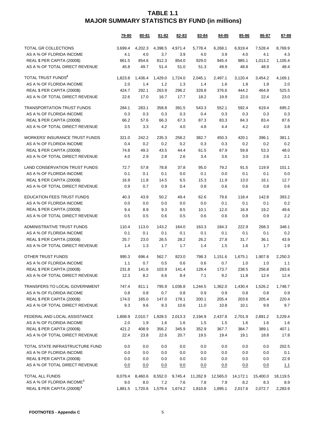|                                          | 79-80   | 80-81   | 81-82   | 82-83   | 83-84    | 84-85    | 85-86    | <u>86-87</u> | 87-88    |
|------------------------------------------|---------|---------|---------|---------|----------|----------|----------|--------------|----------|
| TOTAL GR COLLECTIONS                     | 3,699.4 | 4,202.3 | 4,398.5 | 4,971.4 | 5.778.4  | 6,268.1  | 6,919.4  | 7,528.4      | 8,769.9  |
| AS A % OF FLORIDA INCOME                 | 4.1     | 4.0     | 3.7     | 3.9     | 4.0      | 3.9      | 4.0      | 4.1          | 4.3      |
| REAL \$ PER CAPITA (2000\$)              | 861.5   | 854.6   | 812.3   | 854.0   | 929.0    | 945.4    | 985.1    | 1,013.2      | 1,105.4  |
| AS A % OF TOTAL DIRECT REVENUE           | 45.8    | 49.7    | 51.4    | 51.0    | 51.3     | 49.9     | 48.8     | 48.9         | 48.4     |
| TOTAL TRUST FUNDS <sup>2</sup>           | 1,823.8 | 1,436.4 | 1,429.0 | 1,724.0 | 2,045.1  | 2,497.1  | 3,120.4  | 3,454.2      | 4,169.1  |
| AS A % OF FLORIDA INCOME                 | 2.0     | 1.4     | 1.2     | 1.3     | 1.4      | 1.6      | 1.8      | 1.9          | 2.0      |
| REAL \$ PER CAPITA (2000\$)              | 424.7   | 292.1   | 263.9   | 296.2   | 328.8    | 376.6    | 444.2    | 464.9        | 525.5    |
| AS A % OF TOTAL DIRECT REVENUE           | 22.6    | 17.0    | 16.7    | 17.7    | 18.2     | 19.9     | 22.0     | 22.4         | 23.0     |
| <b>TRANSPORTATION TRUST FUNDS</b>        | 284.1   | 283.1   | 358.8   | 391.5   | 543.3    | 552.1    | 592.4    | 619.4        | 695.2    |
| AS A % OF FLORIDA INCOME                 | 0.3     | 0.3     | 0.3     | 0.3     | 0.4      | 0.3      | 0.3      | 0.3          | 0.3      |
| REAL \$ PER CAPITA (2000\$)              | 66.2    | 57.6    | 66.3    | 67.3    | 87.3     | 83.3     | 84.3     | 83.4         | 87.6     |
| AS A % OF TOTAL DIRECT REVENUE           | 3.5     | 3.3     | 4.2     | 4.0     | 4.8      | 4.4      | 4.2      | 4.0          | 3.8      |
| <b>WORKERS' INSURANCE TRUST FUNDS</b>    | 321.0   | 242.2   | 235.3   | 258.2   | 382.7    | 450.3    | 420.1    | 396.1        | 381.1    |
| AS A % OF FLORIDA INCOME                 | 0.4     | 0.2     | 0.2     | 0.2     | 0.3      | 0.3      | 0.2      | 0.2          | 0.2      |
| REAL \$ PER CAPITA (2000\$)              | 74.8    | 49.3    | 43.5    | 44.4    | 61.5     | 67.9     | 59.8     | 53.3         | 48.0     |
| AS A % OF TOTAL DIRECT REVENUE           | 4.0     | 2.9     | 2.8     | 2.6     | 3.4      | 3.6      | 3.0      | 2.6          | 2.1      |
| <b>LAND CONSERVATION TRUST FUNDS</b>     | 72.7    | 57.8    | 78.8    | 37.8    | 95.0     | 79.2     | 91.5     | 119.9        | 101.1    |
| AS A % OF FLORIDA INCOME                 | 0.1     | 0.1     | 0.1     | 0.0     | 0.1      | 0.0      | 0.1      | 0.1          | 0.0      |
| REAL \$ PER CAPITA (2000\$)              | 16.9    | 11.8    | 14.5    | 6.5     | 15.3     | 11.9     | 13.0     | 16.1         | 12.7     |
| AS A % OF TOTAL DIRECT REVENUE           | 0.9     | 0.7     | 0.9     | 0.4     | 0.8      | 0.6      | 0.6      | 0.8          | 0.6      |
| <b>EDUCATION FEES TRUST FUNDS</b>        | 40.3    | 43.9    | 50.2    | 49.4    | 62.6     | 79.6     | 118.4    | 142.8        | 393.2    |
| AS A % OF FLORIDA INCOME                 | 0.0     | 0.0     | 0.0     | 0.0     | 0.0      | 0.1      | 0.1      | 0.1          | 0.2      |
| REAL \$ PER CAPITA (2000\$)              | 9.4     | 8.9     | 9.3     | 8.5     | 10.1     | 12.0     | 16.9     | 19.2         | 49.6     |
| AS A % OF TOTAL DIRECT REVENUE           | 0.5     | 0.5     | 0.6     | 0.5     | 0.6      | 0.6      | 0.8      | 0.9          | 2.2      |
| ADMINISTRATIVE TRUST FUNDS               | 110.4   | 113.0   | 143.2   | 164.0   | 163.3    | 184.3    | 222.9    | 268.3        | 348.1    |
| AS A % OF FLORIDA INCOME                 | 0.1     | 0.1     | 0.1     | 0.1     | 0.1      | 0.1      | 0.1      | 0.1          | 0.2      |
| REAL \$ PER CAPITA (2000\$)              | 25.7    | 23.0    | 26.5    | 28.2    | 26.2     | 27.8     | 31.7     | 36.1         | 43.9     |
| AS A % OF TOTAL DIRECT REVENUE           | 1.4     | 1.3     | 1.7     | 1.7     | 1.4      | 1.5      | 1.6      | 1.7          | 1.9      |
| OTHER TRUST FUNDS                        | 995.3   | 696.4   | 562.7   | 823.0   | 798.3    | 1,151.6  | 1,675.1  | 1,907.8      | 2,250.3  |
| AS A % OF FLORIDA INCOME                 | 1.1     | 0.7     | 0.5     | 0.6     | 0.6      | 0.7      | 1.0      | 1.0          | 1.1      |
| REAL \$ PER CAPITA (2000\$)              | 231.8   | 141.6   | 103.9   | 141.4   | 128.4    | 173.7    | 238.5    | 256.8        | 283.6    |
| AS A % OF TOTAL DIRECT REVENUE           | 12.3    | 8.2     | 6.6     | 8.4     | 7.1      | 9.2      | 11.8     | 12.4         | 12.4     |
| TRANSFERS TO LOCAL GOVERNMENT            | 747.4   | 811.1   | 795.9   | 1,036.8 | 1,244.5  | 1,362.0  | 1,430.4  | 1,526.2      | 1,748.7  |
| AS A % OF FLORIDA INCOME                 | 0.8     | 0.8     | 0.7     | 0.8     | 0.9      | 0.9      | 0.8      | 0.8          | 0.9      |
| REAL \$ PER CAPITA (2000\$)              | 174.0   | 165.0   | 147.0   | 178.1   | 200.1    | 205.4    | 203.6    | 205.4        | 220.4    |
| AS A % OF TOTAL DIRECT REVENUE           | 9.3     | 9.6     | 9.3     | 10.6    | 11.0     | 10.8     | 10.1     | 9.9          | 9.7      |
| FEDERAL AND LOCAL ASSISTANCE             | 1,808.9 | 2,010.7 | 1,928.5 | 2,013.3 | 2,194.9  | 2,437.8  | 2,701.9  | 2,891.2      | 3,229.4  |
| AS A % OF FLORIDA INCOME                 | 2.0     | 1.9     | 1.6     | 1.6     | 1.5      | 1.5      | 1.6      | 1.6          | 1.6      |
| REAL \$ PER CAPITA (2000\$)              | 421.2   | 408.9   | 356.2   | 345.9   | 352.9    | 367.7    | 384.7    | 389.1        | 407.1    |
| AS A % OF TOTAL DIRECT REVENUE           | 22.4    | 23.8    | 22.6    | 20.7    | 19.5     | 19.4     | 19.1     | 18.8         | 17.8     |
| TOTAL STATE INFRASTRUCTURE FUND          | 0.0     | 0.0     | 0.0     | 0.0     | 0.0      | 0.0      | 0.0      | 0.0          | 202.5    |
| AS A % OF FLORIDA INCOME                 | 0.0     | 0.0     | 0.0     | 0.0     | 0.0      | 0.0      | 0.0      | 0.0          | 0.1      |
| REAL \$ PER CAPITA (2000\$)              | 0.0     | 0.0     | 0.0     | 0.0     | 0.0      | 0.0      | 0.0      | 0.0          | 22.9     |
| AS A % OF TOTAL DIRECT REVENUE           | 0.0     | 0.0     | 0.0     | 0.0     | 0.0      | 0.0      | 0.0      | 0.0          | 1.1      |
| TOTAL ALL FUNDS                          | 8,079.4 | 8,460.6 | 8,552.0 | 9,745.4 | 11,262.9 | 12,565.0 | 14,172.1 | 15,400.0     | 18,119.5 |
| AS A % OF FLORIDA INCOME <sup>1</sup>    | 9.0     | 8.0     | 7.2     | 7.6     | 7.8      | 7.9      | 8.2      | 8.3          | 8.9      |
| REAL \$ PER CAPITA (2000\$) <sup>1</sup> | 1,881.5 | 1,720.6 | 1,579.4 | 1,674.2 | 1,810.8  | 1,895.1  | 2,017.6  | 2,072.7      | 2,283.9  |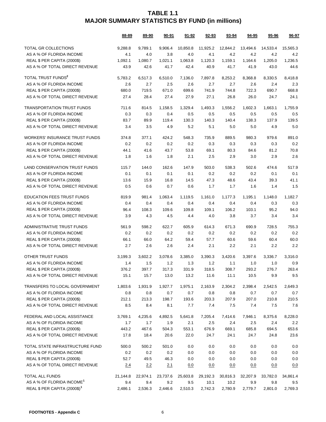|                                          | 88-89    | 89-90    | $90 - 91$ | <u>91-92</u> | 92-93    | 93-94    | 94-95    | $95 - 96$ | 96-97    |
|------------------------------------------|----------|----------|-----------|--------------|----------|----------|----------|-----------|----------|
| TOTAL GR COLLECTIONS                     | 9,288.8  | 9.789.1  | 9,906.4   | 10.850.8     | 11,925.2 | 12,844.2 | 13,494.6 | 14,533.4  | 15,565.3 |
| AS A % OF FLORIDA INCOME                 | 4.1      | 4.0      | 3.8       | 4.0          | 4.1      | 4.2      | 4.2      | 4.2       | 4.2      |
| REAL \$ PER CAPITA (2000\$)              | 1,092.1  | 1,080.7  | 1,021.1   | 1,063.8      | 1,120.3  | 1,159.1  | 1,164.6  | 1,205.0   | 1,236.5  |
| AS A % OF TOTAL DIRECT REVENUE           | 43.9     | 42.6     | 41.7      | 42.4         | 40.9     | 41.7     | 41.9     | 43.0      | 44.6     |
| TOTAL TRUST FUNDS <sup>2</sup>           | 5,783.2  | 6,517.3  | 6,510.0   | 7,136.0      | 7,897.8  | 8,253.2  | 8,368.8  | 8,330.5   | 8,418.8  |
| AS A % OF FLORIDA INCOME                 | 2.6      | 2.7      | 2.5       | 2.6          | 2.7      | 2.7      | 2.6      | 2.4       | 2.3      |
| REAL \$ PER CAPITA (2000\$)              | 680.0    | 719.5    | 671.0     | 699.6        | 741.9    | 744.8    | 722.3    | 690.7     | 668.8    |
| AS A % OF TOTAL DIRECT REVENUE           | 27.4     | 28.4     | 27.4      | 27.9         | 27.1     | 26.8     | 26.0     | 24.7      | 24.1     |
| TRANSPORTATION TRUST FUNDS               | 711.6    | 814.5    | 1,158.5   | 1,329.4      | 1,493.3  | 1,556.2  | 1,602.3  | 1,663.1   | 1,755.9  |
| AS A % OF FLORIDA INCOME                 | 0.3      | 0.3      | 0.4       | 0.5          | 0.5      | 0.5      | 0.5      | 0.5       | 0.5      |
| REAL \$ PER CAPITA (2000\$)              | 83.7     | 89.9     | 119.4     | 130.3        | 140.3    | 140.4    | 138.3    | 137.9     | 139.5    |
| AS A % OF TOTAL DIRECT REVENUE           | 3.4      | 3.5      | 4.9       | 5.2          | 5.1      | 5.0      | 5.0      | 4.9       | 5.0      |
| <b>WORKERS' INSURANCE TRUST FUNDS</b>    | 374.8    | 377.1    | 424.2     | 548.3        | 735.9    | 889.5    | 980.3    | 979.6     | 891.0    |
| AS A % OF FLORIDA INCOME                 | 0.2      | 0.2      | 0.2       | 0.2          | 0.3      | 0.3      | 0.3      | 0.3       | 0.2      |
| REAL \$ PER CAPITA (2000\$)              | 44.1     | 41.6     | 43.7      | 53.8         | 69.1     | 80.3     | 84.6     | 81.2      | 70.8     |
| AS A % OF TOTAL DIRECT REVENUE           | 1.8      | 1.6      | 1.8       | 2.1          | 2.5      | 2.9      | 3.0      | 2.9       | 2.6      |
| <b>LAND CONSERVATION TRUST FUNDS</b>     | 115.7    | 144.0    | 162.6     | 147.9        | 503.0    | 538.3    | 502.6    | 474.6     | 517.9    |
| AS A % OF FLORIDA INCOME                 | 0.1      | 0.1      | 0.1       | 0.1          | 0.2      | 0.2      | 0.2      | 0.1       | 0.1      |
| REAL \$ PER CAPITA (2000\$)              | 13.6     | 15.9     | 16.8      | 14.5         | 47.3     | 48.6     | 43.4     | 39.3      | 41.1     |
| AS A % OF TOTAL DIRECT REVENUE           | 0.5      | 0.6      | 0.7       | 0.6          | 1.7      | 1.7      | 1.6      | 1.4       | 1.5      |
| <b>EDUCATION FEES TRUST FUNDS</b>        | 819.9    | 981.4    | 1,063.4   | 1,119.5      | 1,161.0  | 1,177.3  | 1,195.1  | 1,148.0   | 1,182.7  |
| AS A % OF FLORIDA INCOME                 | 0.4      | 0.4      | 0.4       | 0.4          | 0.4      | 0.4      | 0.4      | 0.3       | 0.3      |
| REAL \$ PER CAPITA (2000\$)              | 96.4     | 108.3    | 109.6     | 109.8        | 109.1    | 106.2    | 103.1    | 95.2      | 94.0     |
| AS A % OF TOTAL DIRECT REVENUE           | 3.9      | 4.3      | 4.5       | 4.4          | 4.0      | 3.8      | 3.7      | 3.4       | 3.4      |
| ADMINISTRATIVE TRUST FUNDS               | 561.9    | 598.2    | 622.7     | 605.9        | 614.3    | 671.3    | 690.9    | 728.5     | 755.3    |
| AS A % OF FLORIDA INCOME                 | 0.2      | 0.2      | 0.2       | 0.2          | 0.2      | 0.2      | 0.2      | 0.2       | 0.2      |
| REAL \$ PER CAPITA (2000\$)              | 66.1     | 66.0     | 64.2      | 59.4         | 57.7     | 60.6     | 59.6     | 60.4      | 60.0     |
| AS A % OF TOTAL DIRECT REVENUE           | 2.7      | 2.6      | 2.6       | 2.4          | 2.1      | 2.2      | 2.1      | 2.2       | 2.2      |
| OTHER TRUST FUNDS                        | 3,199.3  | 3,602.2  | 3,078.6   | 3,385.0      | 3,390.3  | 3,420.6  | 3,397.6  | 3,336.7   | 3,316.0  |
| AS A % OF FLORIDA INCOME                 | 1.4      | 1.5      | 1.2       | 1.3          | 1.2      | 1.1      | 1.0      | 1.0       | 0.9      |
| REAL \$ PER CAPITA (2000\$)              | 376.2    | 397.7    | 317.3     | 331.9        | 318.5    | 308.7    | 293.2    | 276.7     | 263.4    |
| AS A % OF TOTAL DIRECT REVENUE           | 15.1     | 15.7     | 13.0      | 13.2         | 11.6     | 11.1     | 10.5     | 9.9       | 9.5      |
| TRANSFERS TO LOCAL GOVERNMENT            | 1,803.6  | 1,931.9  | 1,927.7   | 1,975.1      | 2,163.9  | 2,304.2  | 2,398.4  | 2,542.5   | 2,649.3  |
| AS A % OF FLORIDA INCOME                 | 0.8      | 0.8      | 0.7       | 0.7          | 0.8      | 0.8      | 0.7      | 0.7       | 0.7      |
| REAL \$ PER CAPITA (2000\$)              | 212.1    | 213.3    | 198.7     | 193.6        | 203.3    | 207.9    | 207.0    | 210.8     | 210.5    |
| AS A % OF TOTAL DIRECT REVENUE           | 8.5      | 8.4      | 8.1       | 7.7          | 7.4      | 7.5      | 7.4      | 7.5       | 7.6      |
| FEDERAL AND LOCAL ASSISTANCE             | 3,769.1  | 4,235.6  | 4,892.5   | 5,641.8      | 7,205.4  | 7,414.6  | 7,946.1  | 8,375.6   | 8,228.0  |
| AS A % OF FLORIDA INCOME                 | 1.7      | 1.7      | 1.9       | 2.1          | 2.5      | 2.4      | 2.5      | 2.4       | 2.2      |
| REAL \$ PER CAPITA (2000\$)              | 443.2    | 467.6    | 504.3     | 553.1        | 676.9    | 669.1    | 685.8    | 694.5     | 653.6    |
| AS A % OF TOTAL DIRECT REVENUE           | 17.8     | 18.4     | 20.6      | 22.0         | 24.7     | 24.1     | 24.7     | 24.8      | 23.6     |
| TOTAL STATE INFRASTRUCTURE FUND          | 500.0    | 500.2    | 501.0     | 0.0          | 0.0      | 0.0      | 0.0      | 0.0       | 0.0      |
| AS A % OF FLORIDA INCOME                 | 0.2      | 0.2      | 0.2       | 0.0          | 0.0      | 0.0      | 0.0      | 0.0       | 0.0      |
| REAL \$ PER CAPITA (2000\$)              | 52.7     | 49.5     | 46.3      | 0.0          | 0.0      | 0.0      | 0.0      | 0.0       | 0.0      |
| AS A % OF TOTAL DIRECT REVENUE           | 2.4      | 2.2      | 2.1       | 0.0          | 0.0      | 0.0      | 0.0      | 0.0       | 0.0      |
| TOTAL ALL FUNDS                          | 21,144.8 | 22,974.1 | 23,737.6  | 25,603.8     | 29,192.3 | 30,816.3 | 32,207.9 | 33,782.0  | 34,861.4 |
| AS A % OF FLORIDA INCOME <sup>1</sup>    | 9.4      | 9.4      | 9.2       | 9.5          | 10.1     | 10.2     | 9.9      | 9.8       | 9.5      |
| REAL \$ PER CAPITA (2000\$) <sup>1</sup> | 2,486.1  | 2,536.3  | 2,446.6   | 2,510.3      | 2,742.3  | 2,780.9  | 2,779.7  | 2,801.0   | 2,769.3  |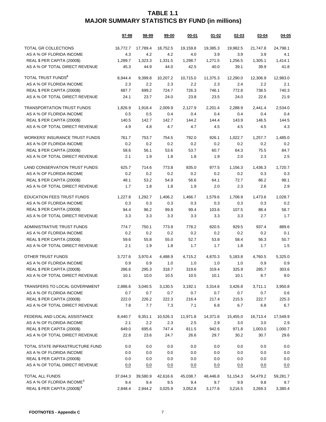|                                          | 97-98    | 98-99    | 99-00    | 00-01    | 01-02    | 02-03    | 03-04    | 04-05    |
|------------------------------------------|----------|----------|----------|----------|----------|----------|----------|----------|
| TOTAL GR COLLECTIONS                     | 16.772.7 | 17,789.4 | 18,752.5 | 19,159.8 | 19,385.3 | 19,982.5 | 21,747.8 | 24,798.1 |
| AS A % OF FLORIDA INCOME                 | 4.3      | 4.2      | 4.2      | 4.0      | 3.9      | 3.9      | 3.9      | 4.1      |
| REAL \$ PER CAPITA (2000\$)              | 1.289.7  | 1.323.3  | 1,331.5  | 1,298.7  | 1.271.5  | 1,256.5  | 1,305.1  | 1.414.1  |
| AS A % OF TOTAL DIRECT REVENUE           | 45.3     | 44.9     | 44.0     | 42.5     | 40.0     | 39.1     | 39.9     | 41.8     |
| TOTAL TRUST FUNDS <sup>2</sup>           | 8,944.4  | 9,399.8  | 10,207.2 | 10,715.0 | 11,375.3 | 12,290.0 | 12,306.9 | 12,983.0 |
| AS A % OF FLORIDA INCOME                 | 2.3      | 2.2      | 2.3      | 2.2      | 2.3      | 2.4      | 2.2      | 2.1      |
| REAL \$ PER CAPITA (2000\$)              | 687.7    | 699.2    | 724.7    | 726.3    | 746.1    | 772.8    | 738.5    | 740.3    |
| AS A % OF TOTAL DIRECT REVENUE           | 24.1     | 23.7     | 24.0     | 23.8     | 23.5     | 24.0     | 22.6     | 21.9     |
| <b>TRANSPORTATION TRUST FUNDS</b>        | 1,826.9  | 1.918.4  | 2.009.9  | 2,127.9  | 2,201.4  | 2,288.9  | 2,441.4  | 2.534.0  |
| AS A % OF FLORIDA INCOME                 | 0.5      | 0.5      | 0.4      | 0.4      | 0.4      | 0.4      | 0.4      | 0.4      |
| REAL \$ PER CAPITA (2000\$)              | 140.5    | 142.7    | 142.7    | 144.2    | 144.4    | 143.9    | 146.5    | 144.5    |
| AS A % OF TOTAL DIRECT REVENUE           | 4.9      | 4.8      | 4.7      | 4.7      | 4.5      | 4.5      | 4.5      | 4.3      |
| <b>WORKERS' INSURANCE TRUST FUNDS</b>    | 761.7    | 753.7    | 754.5    | 792.0    | 926.1    | 1,022.7  | 1,257.7  | 1,485.0  |
| AS A % OF FLORIDA INCOME                 | 0.2      | 0.2      | 0.2      | 0.2      | 0.2      | 0.2      | 0.2      | 0.2      |
| REAL \$ PER CAPITA (2000\$)              | 58.6     | 56.1     | 53.6     | 53.7     | 60.7     | 64.3     | 75.5     | 84.7     |
| AS A % OF TOTAL DIRECT REVENUE           | 2.1      | 1.9      | 1.8      | 1.8      | 1.9      | 2.0      | 2.3      | 2.5      |
| <b>LAND CONSERVATION TRUST FUNDS</b>     | 625.7    | 714.6    | 773.8    | 835.0    | 977.5    | 1,156.3  | 1,436.3  | 1,720.7  |
| AS A % OF FLORIDA INCOME                 | 0.2      | 0.2      | 0.2      | 0.2      | 0.2      | 0.2      | 0.3      | 0.3      |
| REAL \$ PER CAPITA (2000\$)              | 48.1     | 53.2     | 54.9     | 56.6     | 64.1     | 72.7     | 86.2     | 98.1     |
| AS A % OF TOTAL DIRECT REVENUE           | 1.7      | 1.8      | 1.8      | 1.9      | 2.0      | 2.3      | 2.6      | 2.9      |
| <b>EDUCATION FEES TRUST FUNDS</b>        | 1,227.8  | 1,292.7  | 1,406.2  | 1,466.7  | 1,579.6  | 1,708.9  | 1,473.6  | 1,028.7  |
| AS A % OF FLORIDA INCOME                 | 0.3      | 0.3      | 0.3      | 0.3      | 0.3      | 0.3      | 0.3      | 0.2      |
| REAL \$ PER CAPITA (2000\$)              | 94.4     | 96.2     | 99.8     | 99.4     | 103.6    | 107.5    | 88.4     | 58.7     |
| AS A % OF TOTAL DIRECT REVENUE           | 3.3      | 3.3      | 3.3      | 3.3      | 3.3      | 3.3      | 2.7      | 1.7      |
| ADMINISTRATIVE TRUST FUNDS               | 774.7    | 750.1    | 773.9    | 778.2    | 820.5    | 929.5    | 937.4    | 889.6    |
| AS A % OF FLORIDA INCOME                 | 0.2      | 0.2      | 0.2      | 0.2      | 0.2      | 0.2      | 0.2      | 0.1      |
| REAL \$ PER CAPITA (2000\$)              | 59.6     | 55.8     | 55.0     | 52.7     | 53.8     | 58.4     | 56.3     | 50.7     |
| AS A % OF TOTAL DIRECT REVENUE           | 2.1      | 1.9      | 1.8      | 1.7      | 1.7      | 1.8      | 1.7      | 1.5      |
| OTHER TRUST FUNDS                        | 3,727.6  | 3,970.4  | 4,488.9  | 4,715.2  | 4,870.3  | 5,183.8  | 4,760.5  | 5,325.0  |
| AS A % OF FLORIDA INCOME                 | 0.9      | 0.9      | 1.0      | 1.0      | 1.0      | 1.0      | 0.9      | 0.9      |
| REAL \$ PER CAPITA (2000\$)              | 286.6    | 295.3    | 318.7    | 319.6    | 319.4    | 325.9    | 285.7    | 303.6    |
| AS A % OF TOTAL DIRECT REVENUE           | 10.1     | 10.0     | 10.5     | 10.5     | 10.1     | 10.1     | 8.7      | 9.0      |
| TRANSFERS TO LOCAL GOVERNMENT            | 2,886.6  | 3,040.5  | 3,130.5  | 3,192.1  | 3,314.6  | 3,426.8  | 3,711.1  | 3,950.8  |
| AS A % OF FLORIDA INCOME                 | 0.7      | 0.7      | 0.7      | 0.7      | 0.7      | 0.7      | 0.7      | 0.6      |
| REAL \$ PER CAPITA (2000\$)              | 222.0    | 226.2    | 222.3    | 216.4    | 217.4    | 215.5    | 222.7    | 225.3    |
| AS A % OF TOTAL DIRECT REVENUE           | 7.8      | 7.7      | 7.3      | 7.1      | 6.8      | 6.7      | 6.8      | 6.7      |
| FEDERAL AND LOCAL ASSISTANCE             | 8,440.7  | 9,351.1  | 10,526.3 | 11,971.8 | 14,371.6 | 15,455.0 | 16,713.4 | 17,549.9 |
| AS A % OF FLORIDA INCOME                 | 2.1      | 2.2      | 2.3      | 2.5      | 2.9      | 3.0      | 3.0      | 2.9      |
| REAL \$ PER CAPITA (2000\$)              | 649.0    | 695.6    | 747.4    | 811.5    | 942.6    | 971.8    | 1,003.0  | 1,000.7  |
| AS A % OF TOTAL DIRECT REVENUE           | 22.8     | 23.6     | 24.7     | 26.6     | 29.7     | 30.2     | 30.7     | 29.6     |
| TOTAL STATE INFRASTRUCTURE FUND          | 0.0      | 0.0      | 0.0      | 0.0      | 0.0      | 0.0      | 0.0      | 0.0      |
| AS A % OF FLORIDA INCOME                 | 0.0      | 0.0      | 0.0      | 0.0      | $0.0\,$  | 0.0      | 0.0      | $0.0\,$  |
| REAL \$ PER CAPITA (2000\$)              | 0.0      | 0.0      | 0.0      | 0.0      | 0.0      | 0.0      | 0.0      | 0.0      |
| AS A % OF TOTAL DIRECT REVENUE           | 0.0      | 0.0      | 0.0      | 0.0      | 0.0      | 0.0      | 0.0      | 0.0      |
| TOTAL ALL FUNDS                          | 37,044.3 | 39,580.9 | 42,616.6 | 45,038.7 | 48,446.8 | 51,154.3 | 54,479.2 | 59,281.7 |
| AS A % OF FLORIDA INCOME <sup>1</sup>    | 9.4      | 9.4      | 9.5      | 9.4      | 9.7      | 9.9      | 9.8      | 9.7      |
| REAL \$ PER CAPITA (2000\$) <sup>1</sup> | 2,848.4  | 2,944.2  | 3,025.9  | 3,052.8  | 3,177.6  | 3,216.5  | 3,269.3  | 3,380.4  |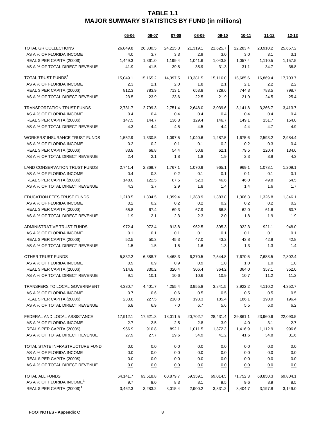|                                          | 05-06    | 06-07    | $07 - 08$ | $08 - 09$ | 09-10    | 10-11    | $11 - 12$ | $12 - 13$ |
|------------------------------------------|----------|----------|-----------|-----------|----------|----------|-----------|-----------|
| TOTAL GR COLLECTIONS                     | 26,849.8 | 26,330.5 | 24,215.3  | 21,319.1  | 21,625.7 | 22,283.4 | 23,910.2  | 25,657.2  |
| AS A % OF FLORIDA INCOME                 | 4.0      | 3.7      | 3.3       | 2.9       | 3.0      | 3.0      | 3.1       | 3.1       |
| REAL \$ PER CAPITA (2000\$)              | 1,449.3  | 1,361.0  | 1,199.4   | 1,041.6   | 1,043.8  | 1,057.4  | 1,110.5   | 1,157.5   |
| AS A % OF TOTAL DIRECT REVENUE           | 41.9     | 41.5     | 39.8      | 35.9      | 31.3     | 31.1     | 34.7      | 36.8      |
| TOTAL TRUST FUNDS <sup>2</sup>           | 15,049.1 | 15,165.2 | 14,397.5  | 13,381.5  | 15,116.0 | 15,685.6 | 16,869.4  | 17,703.7  |
| AS A % OF FLORIDA INCOME                 | 2.3      | 2.1      | 2.0       | 1.8       | 2.1      | 2.1      | 2.2       | 2.2       |
| REAL \$ PER CAPITA (2000\$)              | 812.3    | 783.9    | 713.1     | 653.8     | 729.6    | 744.3    | 783.5     | 798.7     |
| AS A % OF TOTAL DIRECT REVENUE           | 23.5     | 23.9     | 23.6      | 22.5      | 21.9     | 21.9     | 24.5      | 25.4      |
| <b>TRANSPORTATION TRUST FUNDS</b>        | 2,731.7  | 2,799.3  | 2,751.4   | 2,648.0   | 3,039.6  | 3,141.8  | 3,266.7   | 3,413.7   |
| AS A % OF FLORIDA INCOME                 | 0.4      | 0.4      | 0.4       | 0.4       | 0.4      | 0.4      | 0.4       | 0.4       |
| REAL \$ PER CAPITA (2000\$)              | 147.5    | 144.7    | 136.3     | 129.4     | 146.7    | 149.1    | 151.7     | 154.0     |
| AS A % OF TOTAL DIRECT REVENUE           | 4.3      | 4.4      | 4.5       | 4.5       | 4.4      | 4.4      | 4.7       | 4.9       |
| <b>WORKERS' INSURANCE TRUST FUNDS</b>    | 1,552.9  | 1,330.5  | 1,097.5   | 1,040.6   | 1,287.5  | 1,675.6  | 2,593.2   | 2,984.4   |
| AS A % OF FLORIDA INCOME                 | 0.2      | 0.2      | 0.1       | 0.1       | 0.2      | 0.2      | 0.3       | 0.4       |
| REAL \$ PER CAPITA (2000\$)              | 83.8     | 68.8     | 54.4      | 50.8      | 62.1     | 79.5     | 120.4     | 134.6     |
| AS A % OF TOTAL DIRECT REVENUE           | 2.4      | 2.1      | 1.8       | 1.8       | 1.9      | 2.3      | 3.8       | 4.3       |
| LAND CONSERVATION TRUST FUNDS            | 2,741.4  | 2,369.7  | 1.767.1   | 1,070.9   | 965.1    | 969.1    | 1.073.1   | 1,209.1   |
| AS A % OF FLORIDA INCOME                 | 0.4      | 0.3      | 0.2       | 0.1       | 0.1      | 0.1      | 0.1       | 0.1       |
| REAL \$ PER CAPITA (2000\$)              | 148.0    | 122.5    | 87.5      | 52.3      | 46.6     | 46.0     | 49.8      | 54.5      |
| AS A % OF TOTAL DIRECT REVENUE           | 4.3      | 3.7      | 2.9       | 1.8       | 1.4      | 1.4      | 1.6       | 1.7       |
| <b>EDUCATION FEES TRUST FUNDS</b>        | 1,218.5  | 1,304.5  | 1,399.4   | 1,388.9   | 1,383.8  | 1,306.3  | 1,326.8   | 1,346.1   |
| AS A % OF FLORIDA INCOME                 | 0.2      | 0.2      | 0.2       | 0.2       | 0.2      | 0.2      | 0.2       | 0.2       |
| REAL \$ PER CAPITA (2000\$)              | 65.8     | 67.4     | 69.3      | 67.9      | 66.8     | 62.0     | 61.6      | 60.7      |
| AS A % OF TOTAL DIRECT REVENUE           | 1.9      | 2.1      | 2.3       | 2.3       | 2.0      | 1.8      | 1.9       | 1.9       |
| ADMINISTRATIVE TRUST FUNDS               | 972.4    | 972.4    | 913.8     | 962.5     | 895.3    | 922.3    | 921.1     | 948.0     |
| AS A % OF FLORIDA INCOME                 | 0.1      | 0.1      | 0.1       | 0.1       | 0.1      | 0.1      | 0.1       | 0.1       |
| REAL \$ PER CAPITA (2000\$)              | 52.5     | 50.3     | 45.3      | 47.0      | 43.2     | 43.8     | 42.8      | 42.8      |
| AS A % OF TOTAL DIRECT REVENUE           | 1.5      | 1.5      | 1.5       | 1.6       | 1.3      | 1.3      | 1.3       | 1.4       |
| OTHER TRUST FUNDS                        | 5,832.2  | 6,388.7  | 6,468.3   | 6,270.5   | 7,544.8  | 7,670.5  | 7,688.5   | 7,802.4   |
| AS A % OF FLORIDA INCOME                 | 0.9      | 0.9      | 0.9       | 0.9       | 1.0      | 1.0      | 1.0       | 1.0       |
| REAL \$ PER CAPITA (2000\$)              | 314.8    | 330.2    | 320.4     | 306.4     | 364.2    | 364.0    | 357.1     | 352.0     |
| AS A % OF TOTAL DIRECT REVENUE           | 9.1      | 10.1     | 10.6      | 10.6      | 10.9     | 10.7     | 11.2      | 11.2      |
| TRANSFERS TO LOCAL GOVERNMENT            | 4,330.7  | 4,401.7  | 4,255.4   | 3,955.8   | 3,841.5  | 3,922.2  | 4,110.2   | 4,352.7   |
| AS A % OF FLORIDA INCOME                 | 0.7      | 0.6      | 0.6       | 0.5       | 0.5      | 0.5      | 0.5       | 0.5       |
| REAL \$ PER CAPITA (2000\$)              | 233.8    | 227.5    | 210.8     | 193.3     | 185.4    | 186.1    | 190.9     | 196.4     |
| AS A % OF TOTAL DIRECT REVENUE           | 6.8      | 6.9      | 7.0       | 6.7       | 5.6      | 5.5      | 6.0       | 6.2       |
| FEDERAL AND LOCAL ASSISTANCE             | 17,912.1 | 17,621.3 | 18,011.5  | 20,702.7  | 28,431.4 | 29,861.1 | 23,960.6  | 22,090.5  |
| AS A % OF FLORIDA INCOME                 | 2.7      | 2.5      | $2.5\,$   | 2.8       | 3.9      | 4.0      | 3.1       | 2.7       |
| REAL \$ PER CAPITA (2000\$)              | 966.9    | 910.8    | 892.1     | 1,011.5   | 1,372.3  | 1,416.9  | 1,112.9   | 996.6     |
| AS A % OF TOTAL DIRECT REVENUE           | 27.9     | 27.7     | 29.6      | 34.9      | 41.2     | 41.6     | 34.8      | 31.6      |
| TOTAL STATE INFRASTRUCTURE FUND          | 0.0      | 0.0      | $0.0\,$   | 0.0       | 0.0      | 0.0      | 0.0       | 0.0       |
| AS A % OF FLORIDA INCOME                 | 0.0      | 0.0      | $0.0\,$   | 0.0       | 0.0      | 0.0      | 0.0       | 0.0       |
| REAL \$ PER CAPITA (2000\$)              | 0.0      | 0.0      | 0.0       | 0.0       | 0.0      | 0.0      | 0.0       | 0.0       |
| AS A % OF TOTAL DIRECT REVENUE           | 0.0      | 0.0      | 0.0       | 0.0       | 0.0      | 0.0      | 0.0       | 0.0       |
| TOTAL ALL FUNDS                          | 64,141.7 | 63,518.8 | 60,879.7  | 59,359.1  | 69,014.5 | 71,752.3 | 68,850.3  | 69,804.1  |
| AS A % OF FLORIDA INCOME <sup>1</sup>    | 9.7      | 9.0      | 8.3       | 8.1       | 9.5      | 9.6      | 8.9       | 8.5       |
| REAL \$ PER CAPITA (2000\$) <sup>1</sup> | 3,462.3  | 3,283.2  | 3,015.4   | 2,900.2   | 3,331.2  | 3,404.7  | 3,197.8   | 3,149.0   |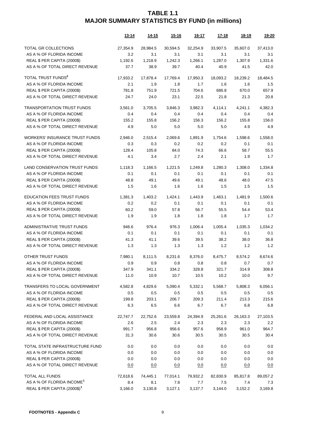|                                          | <u>13-14</u> | <u>14-15</u> | $15 - 16$ | <u>16-17</u> | <u>17-18</u> | 18-19      | 19-20    |
|------------------------------------------|--------------|--------------|-----------|--------------|--------------|------------|----------|
| TOTAL GR COLLECTIONS                     | 27,354.9     | 28,984.5     | 30,594.5  | 32,254.9     | 33,907.5     | 35,607.0   | 37,413.0 |
| AS A % OF FLORIDA INCOME                 | 3.2          | 3.1          | 3.1       | 3.1          | 3.1          | 3.1        | 3.1      |
| REAL \$ PER CAPITA (2000\$)              | 1,192.6      | 1,218.9      | 1,242.3   | 1,266.1      | 1,287.0      | 1,307.9    | 1,331.6  |
| AS A % OF TOTAL DIRECT REVENUE           | 37.7         | 38.9         | 39.7      | 40.4         | 40.9         | 41.5       | 42.0     |
| TOTAL TRUST FUNDS <sup>2</sup>           | 17,933.2     | 17,878.4     | 17,769.4  | 17,950.3     | 18,093.2     | 18,239.2   | 18,484.5 |
| AS A % OF FLORIDA INCOME                 | 2.1          | 1.9          | 1.8       | 1.7          | 1.6          | 1.6        | 1.5      |
| REAL \$ PER CAPITA (2000\$)              | 781.8        | 751.9        | 721.5     | 704.6        | 686.8        | 670.0      | 657.9    |
| AS A % OF TOTAL DIRECT REVENUE           | 24.7         | 24.0         | 23.1      | 22.5         | 21.8         | 21.3       | 20.8     |
| <b>TRANSPORTATION TRUST FUNDS</b>        | 3,561.0      | 3,705.5      | 3,846.3   | 3,982.3      | 4,114.1      | 4,241.1    | 4,382.3  |
| AS A % OF FLORIDA INCOME                 | 0.4          | 0.4          | 0.4       | 0.4          | 0.4          | 0.4        | 0.4      |
| REAL \$ PER CAPITA (2000\$)              | 155.2        | 155.8        | 156.2     | 156.3        | 156.2        | 155.8      | 156.0    |
| AS A % OF TOTAL DIRECT REVENUE           | 4.9          | 5.0          | 5.0       | 5.0          | 5.0          | 4.9        | 4.9      |
| WORKERS' INSURANCE TRUST FUNDS           | 2,946.0      | 2,515.4      | 2,069.6   | 1,891.9      | 1,754.6      | 1,598.6    | 1,558.0  |
| AS A % OF FLORIDA INCOME                 | 0.3          | 0.3          | 0.2       | 0.2          | 0.2          | 0.1        | 0.1      |
| REAL \$ PER CAPITA (2000\$)              | 128.4        | 105.8        | 84.0      | 74.3         | 66.6         | 58.7       | 55.5     |
| AS A % OF TOTAL DIRECT REVENUE           | 4.1          | 3.4          | 2.7       | 2.4          | 2.1          | 1.9        | 1.7      |
| <b>LAND CONSERVATION TRUST FUNDS</b>     | 1,118.3      | 1,166.5      | 1,221.5   | 1,249.8      | 1,280.3      | 1,308.0    | 1,334.8  |
| AS A % OF FLORIDA INCOME                 | 0.1          | 0.1          | 0.1       | 0.1          | 0.1          | 0.1        | 0.1      |
| REAL \$ PER CAPITA (2000\$)              | 48.8         | 49.1         | 49.6      | 49.1         | 48.6         | 48.0       | 47.5     |
| AS A % OF TOTAL DIRECT REVENUE           | 1.5          | 1.6          | 1.6       | 1.6          | 1.5          | 1.5        | 1.5      |
| <b>EDUCATION FEES TRUST FUNDS</b>        | 1,381.3      | 1,403.2      | 1,424.1   | 1,443.9      | 1,463.1      | 1,481.9    | 1,500.6  |
| AS A % OF FLORIDA INCOME                 | 0.2          | 0.2          | 0.1       | 0.1          | 0.1          | 0.1        | 0.1      |
| REAL \$ PER CAPITA (2000\$)              | 60.2         | 59.0         | 57.8      | 56.7         | 55.5         | 54.4       | 53.4     |
| AS A % OF TOTAL DIRECT REVENUE           | 1.9          | 1.9          | 1.8       | 1.8          | 1.8          | 1.7        | 1.7      |
| ADMINISTRATIVE TRUST FUNDS               | 946.6        | 976.4        | 976.3     | 1,006.4      | 1,005.4      | 1,035.3    | 1,034.2  |
| AS A % OF FLORIDA INCOME                 | 0.1          | 0.1          | 0.1       | 0.1          | 0.1          | 0.1        | 0.1      |
| REAL \$ PER CAPITA (2000\$)              | 41.3         | 41.1         | 39.6      | 39.5         | 38.2         | 38.0       | 36.8     |
| AS A % OF TOTAL DIRECT REVENUE           | 1.3          | 1.3          | 1.3       | 1.3          | 1.2          | 1.2        | 1.2      |
| OTHER TRUST FUNDS                        | 7,980.1      | 8,111.5      | 8,231.6   | 8,376.0      | 8,475.7      | 8,574.2    | 8,674.6  |
| AS A % OF FLORIDA INCOME                 | 0.9          | 0.9          | 0.8       | 0.8          | 0.8          | 0.7        | 0.7      |
| REAL \$ PER CAPITA (2000\$)              | 347.9        | 341.1        | 334.2     | 328.8        | 321.7        | 314.9      | 308.8    |
| AS A % OF TOTAL DIRECT REVENUE           | 11.0         | 10.9         | 10.7      | 10.5         | 10.2         | 10.0       | 9.7      |
| TRANSFERS TO LOCAL GOVERNMENT            | 4,582.8      | 4,829.6      | 5,090.4   | 5,332.1      | 5,568.7      | 5,808.3    | 6,056.1  |
| AS A % OF FLORIDA INCOME                 | $0.5\,$      | 0.5          | 0.5       | 0.5          | 0.5          | 0.5        | 0.5      |
| REAL \$ PER CAPITA (2000\$)              | 199.8        | 203.1        | 206.7     | 209.3        | 211.4        | 213.3      | 215.6    |
| AS A % OF TOTAL DIRECT REVENUE           | 6.3          | 6.5          | 6.6       | 6.7          | 6.7          | 6.8        | 6.8      |
| FEDERAL AND LOCAL ASSISTANCE             | 22,747.7     | 22,752.6     | 23,559.8  | 24,394.9     | 25,261.6     | 26,163.3   | 27,103.5 |
| AS A % OF FLORIDA INCOME                 | 2.6          | 2.5          | 2.4       | 2.3          | 2.3          | 2.3        | 2.2      |
| REAL \$ PER CAPITA (2000\$)              | 991.7        | 956.8        | 956.6     | 957.6        | 958.9        | 961.0      | 964.7    |
| AS A % OF TOTAL DIRECT REVENUE           | 31.3         | 30.6         | 30.6      | 30.5         | 30.5         | 30.5       | 30.4     |
| TOTAL STATE INFRASTRUCTURE FUND          | 0.0          | 0.0          | 0.0       | 0.0          | 0.0          | 0.0        | 0.0      |
| AS A % OF FLORIDA INCOME                 | 0.0          | 0.0          | 0.0       | 0.0          | 0.0          | 0.0        | 0.0      |
| REAL \$ PER CAPITA (2000\$)              | 0.0          | 0.0          | 0.0       | 0.0          | 0.0          | 0.0        | 0.0      |
| AS A % OF TOTAL DIRECT REVENUE           | 0.0          | <u>0.0</u>   | 0.0       | 0.0          | <u>0.0</u>   | <u>0.0</u> | 0.0      |
| TOTAL ALL FUNDS                          | 72,618.6     | 74,445.1     | 77,014.1  | 79,932.2     | 82,830.9     | 85,817.8   | 89,057.2 |
| AS A % OF FLORIDA INCOME <sup>1</sup>    | 8.4          | 8.1          | 7.8       | 7.7          | 7.5          | 7.4        | 7.3      |
| REAL \$ PER CAPITA (2000\$) <sup>1</sup> | 3,166.0      | 3,130.8      | 3,127.1   | 3,137.7      | 3,144.0      | 3,152.2    | 3,169.8  |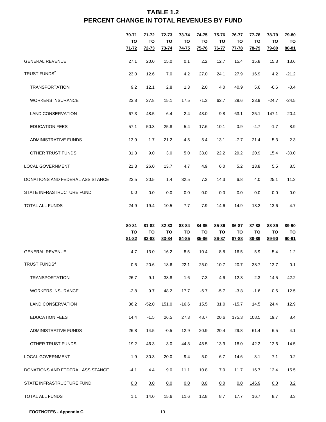## **TABLE 1.2 PERCENT CHANGE IN TOTAL REVENUES BY FUND**

|                                  | 70-71<br><b>TO</b><br>$71 - 72$ | 71-72<br><b>TO</b><br>$72 - 73$ | 72-73<br><b>TO</b><br>73-74 | 73-74<br>TO<br>$74 - 75$    | 74-75<br>TO<br>$75 - 76$    | 75-76<br>TO<br><b>76-77</b> | 76-77<br>TO<br><u>77-78</u> | 77-78<br>TO<br>78-79 | 78-79<br><b>TO</b><br>79-80 | 79-80<br>TO<br>$80 - 81$ |
|----------------------------------|---------------------------------|---------------------------------|-----------------------------|-----------------------------|-----------------------------|-----------------------------|-----------------------------|----------------------|-----------------------------|--------------------------|
| <b>GENERAL REVENUE</b>           | 27.1                            | 20.0                            | 15.0                        | 0.1                         | 2.2                         | 12.7                        | 15.4                        | 15.8                 | 15.3                        | 13.6                     |
| TRUST FUNDS <sup>2</sup>         | 23.0                            | 12.6                            | 7.0                         | 4.2                         | 27.0                        | 24.1                        | 27.9                        | 16.9                 | 4.2                         | $-21.2$                  |
| <b>TRANSPORTATION</b>            | 9.2                             | 12.1                            | 2.8                         | 1.3                         | 2.0                         | 4.0                         | 40.9                        | 5.6                  | $-0.6$                      | $-0.4$                   |
| <b>WORKERS INSURANCE</b>         | 23.8                            | 27.8                            | 15.1                        | 17.5                        | 71.3                        | 62.7                        | 29.6                        | 23.9                 | $-24.7$                     | $-24.5$                  |
| <b>LAND CONSERVATION</b>         | 67.3                            | 48.5                            | 6.4                         | $-2.4$                      | 43.0                        | 9.8                         | 63.1                        | $-25.1$              | 147.1                       | $-20.4$                  |
| <b>EDUCATION FEES</b>            | 57.1                            | 50.3                            | 25.8                        | 5.4                         | 17.6                        | 10.1                        | 0.9                         | $-4.7$               | $-1.7$                      | 8.9                      |
| <b>ADMINISTRATIVE FUNDS</b>      | 13.9                            | 1.7                             | 21.2                        | $-4.5$                      | 5.4                         | 13.1                        | $-7.7$                      | 21.4                 | 5.3                         | 2.3                      |
| OTHER TRUST FUNDS                | 31.3                            | 9.0                             | 3.0                         | 5.0                         | 33.0                        | 22.2                        | 29.2                        | 20.9                 | 15.4                        | $-30.0$                  |
| <b>LOCAL GOVERNMENT</b>          | 21.3                            | 26.0                            | 13.7                        | 4.7                         | 4.9                         | 6.0                         | 5.2                         | 13.8                 | 5.5                         | 8.5                      |
| DONATIONS AND FEDERAL ASSISTANCE | 23.5                            | 20.5                            | 1.4                         | 32.5                        | 7.3                         | 14.3                        | 6.8                         | 4.0                  | 25.1                        | 11.2                     |
| STATE INFRASTRUCTURE FUND        | 0.0                             | 0.0                             | 0.0                         | 0.0                         | 0.0                         | 0.0                         | 0.0                         | 0.0                  | 0.0                         | 0.0                      |
| TOTAL ALL FUNDS                  | 24.9                            | 19.4                            | 10.5                        | 7.7                         | 7.9                         | 14.6                        | 14.9                        | 13.2                 | 13.6                        | 4.7                      |
|                                  |                                 |                                 |                             |                             |                             |                             |                             |                      |                             |                          |
|                                  | 80-81<br>TO<br>$81 - 82$        | 81-82<br>TO<br>82-83            | 82-83<br><b>TO</b><br>83-84 | 83-84<br><b>TO</b><br>84-85 | 84-85<br><b>TO</b><br>85-86 | 85-86<br><b>TO</b><br>86-87 | 86-87<br>TO<br>87-88        | 87-88<br>TO<br>88-89 | 88-89<br><b>TO</b><br>89-90 | 89-90<br>TO<br>90-91     |
| <b>GENERAL REVENUE</b>           | 4.7                             | 13.0                            | 16.2                        | 8.5                         | 10.4                        | 8.8                         | 16.5                        | 5.9                  | 5.4                         | 1.2                      |
| TRUST FUNDS <sup>2</sup>         | $-0.5$                          | 20.6                            | 18.6                        | 22.1                        | 25.0                        | 10.7                        | 20.7                        | 38.7                 | 12.7                        | $-0.1$                   |
| <b>TRANSPORTATION</b>            | 26.7                            | 9.1                             | 38.8                        | 1.6                         | 7.3                         | 4.6                         | 12.3                        | 2.3                  | 14.5                        | 42.2                     |
| <b>WORKERS INSURANCE</b>         | $-2.8$                          | 9.7                             | 48.2                        | 17.7                        | $-6.7$                      | $-5.7$                      | $-3.8$                      | $-1.6$               | 0.6                         | 12.5                     |
| <b>LAND CONSERVATION</b>         | 36.2                            | $-52.0$                         | 151.0                       | $-16.6$                     | 15.5                        | 31.0                        | $-15.7$                     | 14.5                 | 24.4                        | 12.9                     |
| <b>EDUCATION FEES</b>            | 14.4                            | $-1.5$                          | 26.5                        | 27.3                        | 48.7                        | 20.6                        | 175.3                       | 108.5                | 19.7                        | 8.4                      |
| ADMINISTRATIVE FUNDS             | 26.8                            | 14.5                            | $-0.5$                      | 12.9                        | 20.9                        | 20.4                        | 29.8                        | 61.4                 | 6.5                         | 4.1                      |
| OTHER TRUST FUNDS                | $-19.2$                         | 46.3                            | $-3.0$                      | 44.3                        | 45.5                        | 13.9                        | 18.0                        | 42.2                 | 12.6                        | $-14.5$                  |
| <b>LOCAL GOVERNMENT</b>          | $-1.9$                          | 30.3                            | 20.0                        | 9.4                         | 5.0                         | 6.7                         | 14.6                        | 3.1                  | 7.1                         | $-0.2$                   |
| DONATIONS AND FEDERAL ASSISTANCE | $-4.1$                          | 4.4                             | 9.0                         | 11.1                        | 10.8                        | 7.0                         | 11.7                        | 16.7                 | 12.4                        | 15.5                     |
| STATE INFRASTRUCTURE FUND        | 0.0                             | 0.0                             | 0.0                         | 0.0                         | 0.0                         | 0.0                         | 0.0                         | 146.9                | 0.0                         | 0.2                      |

**FOOTNOTES - Appendix C** 10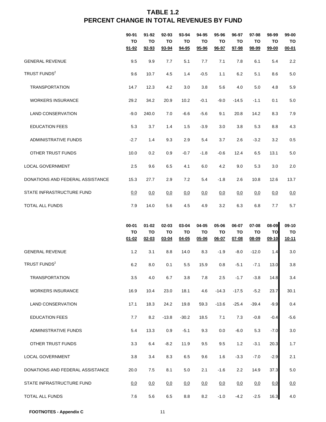## **TABLE 1.2 PERCENT CHANGE IN TOTAL REVENUES BY FUND**

|                                  | 90-91<br>TO<br>$91 - 92$     | 91-92<br>TO<br>92-93         | 92-93<br><b>TO</b><br>93-94 | 93-94<br>TO<br>94-95     | 94-95<br>TO<br>95-96 | 95-96<br><b>TO</b><br>96-97     | 96-97<br>TO<br>97-98     | 97-98<br>TO<br>98-99 | 98-99<br><b>TO</b><br>$99 - 00$ | 99-00<br>TO<br>$00 - 01$ |
|----------------------------------|------------------------------|------------------------------|-----------------------------|--------------------------|----------------------|---------------------------------|--------------------------|----------------------|---------------------------------|--------------------------|
| <b>GENERAL REVENUE</b>           | 9.5                          | 9.9                          | 7.7                         | 5.1                      | 7.7                  | 7.1                             | 7.8                      | 6.1                  | 5.4                             | 2.2                      |
| TRUST FUNDS <sup>2</sup>         | 9.6                          | 10.7                         | 4.5                         | 1.4                      | $-0.5$               | 1.1                             | 6.2                      | 5.1                  | 8.6                             | 5.0                      |
| TRANSPORTATION                   | 14.7                         | 12.3                         | 4.2                         | 3.0                      | 3.8                  | 5.6                             | 4.0                      | 5.0                  | 4.8                             | 5.9                      |
| <b>WORKERS INSURANCE</b>         | 29.2                         | 34.2                         | 20.9                        | 10.2                     | $-0.1$               | $-9.0$                          | $-14.5$                  | $-1.1$               | 0.1                             | 5.0                      |
| <b>LAND CONSERVATION</b>         | $-9.0$                       | 240.0                        | 7.0                         | $-6.6$                   | $-5.6$               | 9.1                             | 20.8                     | 14.2                 | 8.3                             | 7.9                      |
| <b>EDUCATION FEES</b>            | 5.3                          | 3.7                          | 1.4                         | 1.5                      | $-3.9$               | 3.0                             | 3.8                      | 5.3                  | 8.8                             | 4.3                      |
| <b>ADMINISTRATIVE FUNDS</b>      | $-2.7$                       | 1.4                          | 9.3                         | 2.9                      | 5.4                  | 3.7                             | 2.6                      | $-3.2$               | 3.2                             | 0.5                      |
| OTHER TRUST FUNDS                | 10.0                         | 0.2                          | 0.9                         | $-0.7$                   | $-1.8$               | $-0.6$                          | 12.4                     | 6.5                  | 13.1                            | 5.0                      |
| <b>LOCAL GOVERNMENT</b>          | 2.5                          | 9.6                          | 6.5                         | 4.1                      | 6.0                  | 4.2                             | 9.0                      | 5.3                  | 3.0                             | 2.0                      |
| DONATIONS AND FEDERAL ASSISTANCE | 15.3                         | 27.7                         | 2.9                         | 7.2                      | 5.4                  | $-1.8$                          | 2.6                      | 10.8                 | 12.6                            | 13.7                     |
| STATE INFRASTRUCTURE FUND        | 0.0                          | 0.0                          | 0.0                         | 0.0                      | 0.0                  | 0.0                             | 0.0                      | 0.0                  | 0.0                             | 0.0                      |
| TOTAL ALL FUNDS                  | 7.9                          | 14.0                         | 5.6                         | 4.5                      | 4.9                  | 3.2                             | 6.3                      | 6.8                  | 7.7                             | 5.7                      |
|                                  |                              |                              |                             |                          |                      |                                 |                          |                      |                                 |                          |
|                                  | $00 - 01$<br>TO<br>$01 - 02$ | $01 - 02$<br>TO<br>$02 - 03$ | 02-03<br>TO<br>03-04        | 03-04<br>TO<br>$04 - 05$ | 04-05<br>то<br>05-06 | 05-06<br><b>TO</b><br>$06 - 07$ | 06-07<br>TO<br>$07 - 08$ | 07-08<br>TO<br>08-09 | 08-09<br>TO<br>$09-10$          | 09-10<br>TO<br>$10 - 11$ |
| <b>GENERAL REVENUE</b>           | 1.2                          | 3.1                          | 8.8                         | 14.0                     | 8.3                  | $-1.9$                          | $-8.0$                   | $-12.0$              | 1.4                             | 3.0                      |
| TRUST FUNDS <sup>2</sup>         | 6.2                          | 8.0                          | 0.1                         | 5.5                      | 15.9                 | 0.8                             | $-5.1$                   | $-7.1$               | 13.0                            | 3.8                      |
| <b>TRANSPORTATION</b>            | 3.5                          | 4.0                          | 6.7                         | 3.8                      | 7.8                  | 2.5                             | $-1.7$                   | $-3.8$               | 14.8                            | 3.4                      |
| <b>WORKERS INSURANCE</b>         | 16.9                         | 10.4                         | 23.0                        | 18.1                     | 4.6                  | $-14.3$                         | $-17.5$                  | $-5.2$               | 23.7                            | 30.1                     |
| <b>LAND CONSERVATION</b>         | 17.1                         | 18.3                         | 24.2                        | 19.8                     | 59.3                 | $-13.6$                         | $-25.4$                  | $-39.4$              | $-9.9$                          | 0.4                      |
| <b>EDUCATION FEES</b>            | 7.7                          | 8.2                          | $-13.8$                     | $-30.2$                  | 18.5                 | 7.1                             | 7.3                      | $-0.8$               | $-0.4$                          | $-5.6$                   |
| <b>ADMINISTRATIVE FUNDS</b>      | 5.4                          | 13.3                         | 0.9                         | $-5.1$                   | 9.3                  | 0.0                             | $-6.0$                   | 5.3                  | $-7.0$                          | 3.0                      |
| OTHER TRUST FUNDS                | 3.3                          | 6.4                          | $-8.2$                      | 11.9                     | 9.5                  | 9.5                             | 1.2                      | $-3.1$               | 20.3                            | 1.7                      |
| LOCAL GOVERNMENT                 | 3.8                          | 3.4                          | 8.3                         | 6.5                      | 9.6                  | 1.6                             | $-3.3$                   | $-7.0$               | $-2.9$                          | 2.1                      |
| DONATIONS AND FEDERAL ASSISTANCE | 20.0                         | 7.5                          | 8.1                         | $5.0\,$                  | 2.1                  | $-1.6$                          | 2.2                      | 14.9                 | 37.3                            | 5.0                      |
| STATE INFRASTRUCTURE FUND        | 0.0                          | 0.0                          | 0.0                         | 0.0                      | 0.0                  | 0.0                             | 0.0                      | 0.0                  | 0.0                             | 0.0                      |

**FOOTNOTES - Appendix C** 11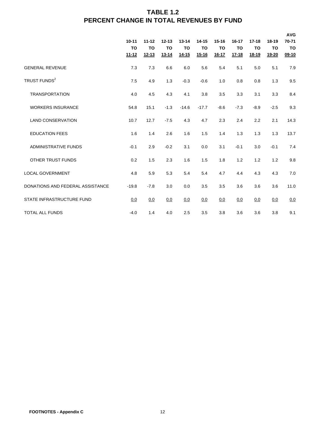## **TABLE 1.2 PERCENT CHANGE IN TOTAL REVENUES BY FUND**

|                                  | $10 - 11$<br><b>TO</b><br>$11 - 12$ | $11 - 12$<br><b>TO</b><br><u>12-13</u> | $12 - 13$<br><b>TO</b><br>$13 - 14$ | $13 - 14$<br>TO<br><u>14-15</u> | $14 - 15$<br>TO<br>$15 - 16$ | $15 - 16$<br><b>TO</b><br>$16 - 17$ | $16 - 17$<br>TO<br><u>17-18</u> | $17 - 18$<br><b>TO</b><br><u>18-19</u> | $18 - 19$<br><b>TO</b><br><u>19-20</u> | <b>AVG</b><br>70-71<br>TO<br>$09-10$ |
|----------------------------------|-------------------------------------|----------------------------------------|-------------------------------------|---------------------------------|------------------------------|-------------------------------------|---------------------------------|----------------------------------------|----------------------------------------|--------------------------------------|
| <b>GENERAL REVENUE</b>           | 7.3                                 | 7.3                                    | 6.6                                 | 6.0                             | 5.6                          | 5.4                                 | 5.1                             | 5.0                                    | 5.1                                    | 7.9                                  |
| TRUST FUNDS <sup>2</sup>         | 7.5                                 | 4.9                                    | 1.3                                 | $-0.3$                          | $-0.6$                       | 1.0                                 | 0.8                             | 0.8                                    | 1.3                                    | 9.5                                  |
| <b>TRANSPORTATION</b>            | 4.0                                 | 4.5                                    | 4.3                                 | 4.1                             | 3.8                          | 3.5                                 | 3.3                             | 3.1                                    | 3.3                                    | 8.4                                  |
| <b>WORKERS INSURANCE</b>         | 54.8                                | 15.1                                   | $-1.3$                              | $-14.6$                         | $-17.7$                      | $-8.6$                              | $-7.3$                          | $-8.9$                                 | $-2.5$                                 | 9.3                                  |
| <b>LAND CONSERVATION</b>         | 10.7                                | 12.7                                   | $-7.5$                              | 4.3                             | 4.7                          | 2.3                                 | 2.4                             | 2.2                                    | 2.1                                    | 14.3                                 |
| <b>EDUCATION FEES</b>            | 1.6                                 | 1.4                                    | 2.6                                 | 1.6                             | 1.5                          | 1.4                                 | 1.3                             | 1.3                                    | 1.3                                    | 13.7                                 |
| <b>ADMINISTRATIVE FUNDS</b>      | $-0.1$                              | 2.9                                    | $-0.2$                              | 3.1                             | 0.0                          | 3.1                                 | $-0.1$                          | 3.0                                    | $-0.1$                                 | 7.4                                  |
| <b>OTHER TRUST FUNDS</b>         | 0.2                                 | 1.5                                    | 2.3                                 | 1.6                             | 1.5                          | 1.8                                 | 1.2                             | 1.2                                    | 1.2                                    | 9.8                                  |
| <b>LOCAL GOVERNMENT</b>          | 4.8                                 | 5.9                                    | 5.3                                 | 5.4                             | 5.4                          | 4.7                                 | 4.4                             | 4.3                                    | 4.3                                    | 7.0                                  |
| DONATIONS AND FEDERAL ASSISTANCE | $-19.8$                             | $-7.8$                                 | 3.0                                 | 0.0                             | 3.5                          | 3.5                                 | 3.6                             | 3.6                                    | 3.6                                    | 11.0                                 |
| STATE INFRASTRUCTURE FUND        | 0.0                                 | 0.0                                    | 0.0                                 | 0.0                             | 0.0                          | 0.0                                 | 0.0                             | 0.0                                    | 0.0                                    | 0.0                                  |
| <b>TOTAL ALL FUNDS</b>           | $-4.0$                              | 1.4                                    | 4.0                                 | 2.5                             | 3.5                          | 3.8                                 | 3.6                             | 3.6                                    | 3.8                                    | 9.1                                  |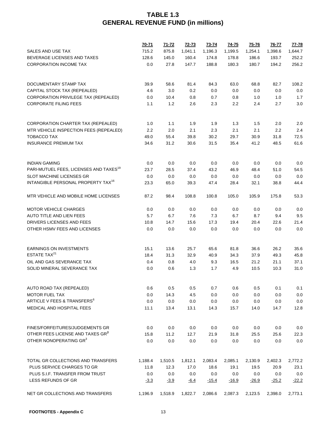|                                                    | $70 - 71$ | $71 - 72$ | $72 - 73$ | $73 - 74$ | $74 - 75$ | $75 - 76$ | 76-77   | $77 - 78$ |
|----------------------------------------------------|-----------|-----------|-----------|-----------|-----------|-----------|---------|-----------|
| SALES AND USE TAX                                  | 715.2     | 875.8     | 1,041.1   | 1,196.3   | 1,199.5   | 1,254.1   | 1,398.6 | 1,644.7   |
| BEVERAGE LICENSES AND TAXES                        | 128.6     | 145.0     | 160.4     | 174.8     | 178.8     | 186.6     | 193.7   | 252.2     |
| <b>CORPORATION INCOME TAX</b>                      | 0.0       | 27.8      | 147.7     | 188.8     | 180.3     | 180.7     | 194.2   | 256.2     |
|                                                    |           |           |           |           |           |           |         |           |
| DOCUMENTARY STAMP TAX                              | 39.9      | 58.6      | 81.4      | 84.3      | 63.0      | 68.8      | 82.7    | 108.2     |
| CAPITAL STOCK TAX (REPEALED)                       | 4.6       | 3.0       | 0.2       | 0.0       | 0.0       | 0.0       | 0.0     | 0.0       |
| CORPORATION PRIVILEGE TAX (REPEALED)               | 0.0       | 10.4      | 0.8       | 0.7       | 0.8       | 1.0       | 1.0     | 1.7       |
| <b>CORPORATE FILING FEES</b>                       | 1.1       | 1.2       | 2.6       | 2.3       | 2.2       | 2.4       | 2.7     | 3.0       |
| CORPORATION CHARTER TAX (REPEALED)                 | 1.0       | 1.1       | 1.9       | 1.9       | 1.3       | 1.5       | 2.0     | 2.0       |
| MTR VEHICLE INSPECTION FEES (REPEALED)             | 2.2       | 2.0       | 2.1       | 2.3       | 2.1       | 2.1       | 2.2     | 2.4       |
|                                                    |           |           |           |           |           | 30.9      |         |           |
| TOBACCO TAX                                        | 49.0      | 55.4      | 39.8      | 30.2      | 29.7      |           | 31.8    | 72.5      |
| <b>INSURANCE PREMIUM TAX</b>                       | 34.6      | 31.2      | 30.6      | 31.5      | 35.4      | 41.2      | 48.5    | 61.6      |
| <b>INDIAN GAMING</b>                               | 0.0       | 0.0       | 0.0       | 0.0       | 0.0       | 0.0       | 0.0     | 0.0       |
| PARI-MUTUEL FEES, LICENSES AND TAXES <sup>19</sup> | 23.7      | 28.5      | 37.4      | 43.2      | 46.9      | 48.4      | 51.0    | 54.5      |
| SLOT MACHINE LICENSES GR                           | 0.0       | 0.0       | 0.0       | 0.0       | 0.0       | 0.0       | 0.0     | 0.0       |
| INTANGIBLE PERSONAL PROPERTY TAX <sup>16</sup>     | 23.3      | 65.0      | 39.3      | 47.4      | 28.4      | 32.1      | 38.8    | 44.4      |
| MTR VEHICLE AND MOBILE HOME LICENSES               | 87.2      | 98.4      | 108.8     | 100.8     | 105.0     | 105.9     | 175.8   | 53.3      |
| <b>MOTOR VEHICLE CHARGES</b>                       | 0.0       | 0.0       | 0.0       | 0.0       | 0.0       | 0.0       | 0.0     | 0.0       |
| AUTO TITLE AND LIEN FEES                           | 5.7       | 6.7       | 7.6       | 7.3       | 6.7       | 8.7       | 9.4     | 9.5       |
| DRIVERS LICENSES AND FEES                          | 10.8      | 14.7      | 15.6      | 17.3      | 19.4      | 20.4      | 22.6    | 21.4      |
| OTHER HSMV FEES AND LICENSES                       | 0.0       | 0.0       | 0.0       | 0.0       | 0.0       | 0.0       | 0.0     | 0.0       |
| <b>EARNINGS ON INVESTMENTS</b>                     | 15.1      | 13.6      | 25.7      | 65.6      | 81.8      | 36.6      | 26.2    | 35.6      |
| ESTATE TAX <sup>21</sup>                           | 18.4      | 31.3      | 32.9      | 40.9      | 34.3      | 37.9      | 49.3    | 45.8      |
| OIL AND GAS SEVERANCE TAX                          | 0.4       | 0.8       | 4.0       | 9.3       | 16.5      | 21.2      | 21.1    | 37.1      |
| SOLID MINERAL SEVERANCE TAX                        | 0.0       | 0.6       | 1.3       | 1.7       | 4.9       | 10.5      | 10.3    | 31.0      |
|                                                    |           |           |           |           |           |           |         |           |
| AUTO ROAD TAX (REPEALED)                           | 0.6       | 0.5       | 0.5       | 0.7       | 0.6       | 0.5       | 0.1     | 0.1       |
| <b>MOTOR FUEL TAX</b>                              | 0.0       | 14.3      | 4.5       | 0.0       | 0.0       | 0.0       | 0.0     | 0.0       |
| ARTICLE V FEES & TRANSFERS <sup>6</sup>            | 0.0       | 0.0       | 0.0       | 0.0       | 0.0       | 0.0       | 0.0     | 0.0       |
| MEDICAL AND HOSPITAL FEES                          | 11.1      | 13.4      | 13.1      | 14.3      | 15.7      | 14.0      | 14.7    | 12.8      |
| FINES/FORFEITURES/JUDGEMENTS GR                    | 0.0       | 0.0       | 0.0       | 0.0       | 0.0       | 0.0       | 0.0     | 0.0       |
| OTHER FEES LICENSE AND TAXES GR <sup>3</sup>       | 15.8      | 11.2      | 12.7      | 21.9      | 31.8      | 25.5      | 25.6    | 22.3      |
| OTHER NONOPERATING GR3                             | 0.0       | 0.0       | 0.0       | 0.0       | 0.0       | 0.0       | 0.0     | 0.0       |
|                                                    |           |           |           |           |           |           |         |           |
| TOTAL GR COLLECTIONS AND TRANSFERS                 | 1,188.4   | 1,510.5   | 1,812.1   | 2,083.4   | 2,085.1   | 2,130.9   | 2,402.3 | 2,772.2   |
| PLUS SERVICE CHARGES TO GR                         | 11.8      | 12.3      | 17.0      | 18.6      | 19.1      | 19.5      | 20.9    | 23.1      |
| PLUS S.I.F. TRANSFER FROM TRUST                    | 0.0       | 0.0       | 0.0       | 0.0       | 0.0       | 0.0       | 0.0     | 0.0       |
| LESS REFUNDS OF GR                                 | $-3.3$    | $-3.9$    | $-6.4$    | $-15.4$   | $-16.9$   | $-26.9$   | $-25.2$ | $-22.2$   |
| NET GR COLLECTIONS AND TRANSFERS                   | 1,196.9   | 1,518.9   | 1,822.7   | 2,086.6   | 2,087.3   | 2,123.5   | 2,398.0 | 2,773.1   |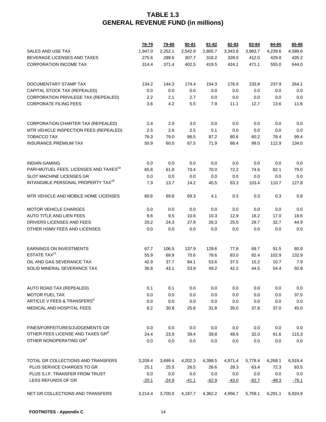|                                                    | 78-79   | 79-80   | $80 - 81$ | $81 - 82$ | 82-83   | 83-84   | 84-85   | 85-86   |
|----------------------------------------------------|---------|---------|-----------|-----------|---------|---------|---------|---------|
| SALES AND USE TAX                                  | 1,947.0 | 2,252.1 | 2,542.9   | 2,805.7   | 3,343.8 | 3,983.7 | 4,239.6 | 4,589.6 |
| BEVERAGE LICENSES AND TAXES                        | 275.6   | 289.6   | 307.7     | 318.2     | 328.0   | 412.0   | 429.8   | 435.2   |
| <b>CORPORATION INCOME TAX</b>                      | 314.4   | 371.4   | 402.5     | 419.5     | 424.1   | 471.1   | 555.0   | 644.0   |
|                                                    |         |         |           |           |         |         |         |         |
| DOCUMENTARY STAMP TAX                              | 134.2   | 144.3   | 174.4     | 154.3     | 176.9   | 233.8   | 237.9   | 264.1   |
| CAPITAL STOCK TAX (REPEALED)                       | 0.0     | 0.0     | 0.0       | 0.0       | 0.0     | 0.0     | 0.0     | 0.0     |
| CORPORATION PRIVILEGE TAX (REPEALED)               | 2.2     | 2.1     | 2.7       | 0.0       | 0.0     | 0.0     | 0.0     | 0.0     |
| <b>CORPORATE FILING FEES</b>                       | 3.6     | 4.2     | 5.5       | 7.9       | 11.1    | 12.7    | 13.6    | 11.6    |
| CORPORATION CHARTER TAX (REPEALED)                 | 2.4     | 2.9     | 3.0       | 0.0       | 0.0     | 0.0     | 0.0     | 0.0     |
| MTR VEHICLE INSPECTION FEES (REPEALED)             | 2.5     | 2.6     | 2.5       | 0.1       | 0.0     | 0.0     | 0.0     | 0.0     |
| TOBACCO TAX                                        | 76.3    | 79.0    | 86.5      | 87.2      | 80.6    | 60.2    | 78.4    | 99.4    |
| <b>INSURANCE PREMIUM TAX</b>                       | 50.9    | 60.0    | 67.5      | 71.9      | 88.4    | 99.0    | 112.9   | 134.0   |
| <b>INDIAN GAMING</b>                               | 0.0     | 0.0     | 0.0       | 0.0       | 0.0     | 0.0     | 0.0     | 0.0     |
| PARI-MUTUEL FEES, LICENSES AND TAXES <sup>19</sup> | 65.8    | 61.8    | 73.4      | 70.0      | 72.2    | 74.6    | 82.1    | 79.0    |
| <b>SLOT MACHINE LICENSES GR</b>                    | 0.0     | 0.0     | 0.0       | 0.0       | 0.0     | 0.0     | 0.0     | 0.0     |
| INTANGIBLE PERSONAL PROPERTY TAX <sup>16</sup>     | 7.9     | 13.7    | 14.2      | 40.5      | 83.3    | 103.4   | 110.7   | 127.8   |
| MTR VEHICLE AND MOBILE HOME LICENSES               | 60.6    | 69.8    | 69.3      | 4.1       | 0.3     | 0.3     | 0.3     | 0.8     |
| <b>MOTOR VEHICLE CHARGES</b>                       | 0.0     | 0.0     | 0.0       | 0.0       | 0.0     | 0.0     | 0.0     | 0.0     |
| <b>AUTO TITLE AND LIEN FEES</b>                    | 9.6     | 9.5     | 10.6      | 10.3      | 12.9    | 16.2    | 17.0    | 18.6    |
| DRIVERS LICENSES AND FEES                          | 20.2    | 24.3    | 27.9      | 26.3      | 25.5    | 29.7    | 32.7    | 44.9    |
| OTHER HSMV FEES AND LICENSES                       | 0.0     | 0.0     | 0.0       | 0.0       | 0.0     | 0.0     | 0.0     | 0.0     |
| <b>EARNINGS ON INVESTMENTS</b>                     | 67.7    | 106.5   | 137.9     | 129.6     | 77.8    | 69.7    | 91.5    | 80.9    |
| ESTATE TAX <sup>21</sup>                           | 55.9    | 69.9    | 70.6      | 78.6      | 83.0    | 82.4    | 102.9   | 132.9   |
| OIL AND GAS SEVERANCE TAX                          | 42.9    | 37.7    | 84.1      | 53.6      | 37.5    | 15.2    | 10.7    | 7.9     |
| SOLID MINERAL SEVERANCE TAX                        | 36.8    | 43.1    | 53.9      | 49.2      | 42.2    | 44.5    | 54.4    | 50.9    |
| AUTO ROAD TAX (REPEALED)                           | 0.1     | 0.1     | 0.0       | 0.0       | 0.0     | 0.0     | 0.0     | 0.0     |
| <b>MOTOR FUEL TAX</b>                              | 0.0     | 0.0     | 0.0       | 0.0       | 0.0     | 0.0     | 0.0     | 37.5    |
| ARTICLE V FEES & TRANSFERS <sup>6</sup>            | 0.0     | 0.0     | 0.0       | 0.0       | 0.0     | 0.0     | 0.0     | 0.0     |
| <b>MEDICAL AND HOSPITAL FEES</b>                   | 8.2     | 30.8    | 25.8      | 31.8      | 35.0    | 37.8    | 37.0    | 45.0    |
| FINES/FORFEITURES/JUDGEMENTS GR                    | 0.0     | 0.0     | 0.0       | 0.0       | 0.0     | 0.0     | 0.0     | 0.0     |
| OTHER FEES LICENSE AND TAXES GR <sup>3</sup>       | 24.4    | 23.9    | 39.4      | 39.8      | 48.9    | 32.0    | 61.6    | 115.3   |
| OTHER NONOPERATING GR3                             | 0.0     | 0.0     | 0.0       | 0.0       | 0.0     | 0.0     | 0.0     | 0.0     |
|                                                    |         |         |           |           |         |         |         |         |
| TOTAL GR COLLECTIONS AND TRANSFERS                 | 3,209.4 | 3,699.4 | 4,202.3   | 4,398.5   | 4,971.4 | 5,778.4 | 6,268.1 | 6,919.4 |
| PLUS SERVICE CHARGES TO GR                         | 25.1    | 25.5    | 26.5      | 26.6      | 28.3    | 63.4    | 72.3    | 83.5    |
| PLUS S.I.F. TRANSFER FROM TRUST                    | 0.0     | 0.0     | 0.0       | 0.0       | 0.0     | 0.0     | 0.0     | 0.0     |
| LESS REFUNDS OF GR                                 | $-20.1$ | $-24.9$ | $-41.1$   | $-62.9$   | $-43.0$ | $-82.7$ | $-49.3$ | $-78.1$ |
| NET GR COLLECTIONS AND TRANSFERS                   | 3,214.4 | 3,700.0 | 4,187.7   | 4,362.2   | 4,956.7 | 5,759.1 | 6,291.1 | 6,924.9 |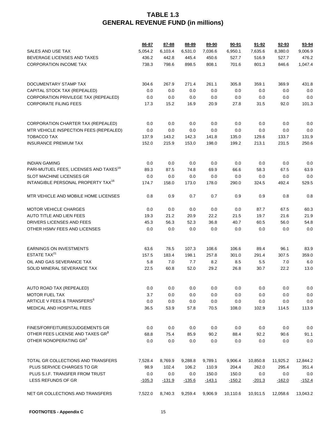|                                                    | 86-87    | 87-88    | 88-89    | 89-90    | $90 - 91$ | $91 - 92$ | $92 - 93$ | 93-94    |
|----------------------------------------------------|----------|----------|----------|----------|-----------|-----------|-----------|----------|
| SALES AND USE TAX                                  | 5,054.2  | 6,103.4  | 6,531.0  | 7,036.6  | 6,950.1   | 7,635.6   | 8,380.0   | 9,006.9  |
| BEVERAGE LICENSES AND TAXES                        | 436.2    | 442.8    | 445.4    | 450.6    | 527.7     | 516.9     | 527.7     | 476.2    |
| <b>CORPORATION INCOME TAX</b>                      | 738.3    | 798.6    | 898.5    | 808.1    | 701.6     | 801.3     | 846.6     | 1,047.4  |
|                                                    |          |          |          |          |           |           |           |          |
| DOCUMENTARY STAMP TAX                              | 304.6    | 267.9    | 271.4    | 261.1    | 305.8     | 359.1     | 369.9     | 431.8    |
| CAPITAL STOCK TAX (REPEALED)                       | 0.0      | 0.0      | 0.0      | 0.0      | 0.0       | 0.0       | 0.0       | 0.0      |
| CORPORATION PRIVILEGE TAX (REPEALED)               | 0.0      | 0.0      | 0.0      | 0.0      | 0.0       | 0.0       | 0.0       | 0.0      |
| <b>CORPORATE FILING FEES</b>                       | 17.3     | 15.2     | 16.9     | 20.9     | 27.8      | 31.5      | 92.0      | 101.3    |
|                                                    |          |          |          |          |           |           |           |          |
| CORPORATION CHARTER TAX (REPEALED)                 | 0.0      | 0.0      | 0.0      | 0.0      | 0.0       | 0.0       | 0.0       | 0.0      |
| MTR VEHICLE INSPECTION FEES (REPEALED)             | 0.0      | 0.0      | 0.0      | 0.0      | 0.0       | 0.0       | 0.0       | 0.0      |
| <b>TOBACCO TAX</b>                                 | 137.9    | 143.2    | 142.3    | 141.8    | 135.0     | 129.6     | 133.7     | 131.9    |
| <b>INSURANCE PREMIUM TAX</b>                       | 152.0    | 215.9    | 153.0    | 198.0    | 199.2     | 213.1     | 231.5     | 250.6    |
| <b>INDIAN GAMING</b>                               | 0.0      | 0.0      | 0.0      | 0.0      | 0.0       | 0.0       | 0.0       | 0.0      |
| PARI-MUTUEL FEES, LICENSES AND TAXES <sup>19</sup> | 89.3     | 87.5     | 74.8     | 69.9     | 66.6      | 58.3      | 67.5      | 63.9     |
| <b>SLOT MACHINE LICENSES GR</b>                    | 0.0      | 0.0      | 0.0      | 0.0      | 0.0       | 0.0       | 0.0       | 0.0      |
| INTANGIBLE PERSONAL PROPERTY TAX <sup>16</sup>     | 174.7    | 158.0    | 173.0    | 178.0    | 290.0     | 324.5     | 492.4     | 529.5    |
| MTR VEHICLE AND MOBILE HOME LICENSES               | 0.8      | 0.9      | 0.7      | 0.7      | 0.9       | 0.9       | 0.8       | 0.8      |
| <b>MOTOR VEHICLE CHARGES</b>                       | 0.0      | 0.0      | 0.0      | 0.0      | 0.0       | 87.7      | 67.5      | 60.3     |
| AUTO TITLE AND LIEN FEES                           | 19.3     | 21.2     | 20.9     | 22.2     | 21.5      | 19.7      | 21.6      | 21.9     |
| DRIVERS LICENSES AND FEES                          | 45.3     | 56.3     | 52.3     | 36.8     | 40.7      | 60.5      | 56.0      | 54.8     |
| OTHER HSMV FEES AND LICENSES                       | 0.0      | 0.0      | 0.0      | 0.0      | 0.0       | 0.0       | 0.0       | 0.0      |
|                                                    |          |          |          |          |           |           |           |          |
| <b>EARNINGS ON INVESTMENTS</b>                     | 63.6     | 78.5     | 107.3    | 108.6    | 106.6     | 89.4      | 96.1      | 83.9     |
| ESTATE TAX <sup>21</sup>                           | 157.5    | 183.4    | 198.1    | 257.8    | 301.0     | 291.4     | 307.5     | 359.0    |
| OIL AND GAS SEVERANCE TAX                          | 5.8      | 7.0      | 7.7      | 8.2      | 8.5       | 5.5       | 7.0       | 6.0      |
| SOLID MINERAL SEVERANCE TAX                        | 22.5     | 60.8     | 52.0     | 29.2     | 26.8      | 30.7      | 22.2      | 13.0     |
| AUTO ROAD TAX (REPEALED)                           | 0.0      | 0.0      | 0.0      | 0.0      | 0.0       | 0.0       | 0.0       | 0.0      |
| <b>MOTOR FUEL TAX</b>                              | 3.7      | 0.0      | 0.0      | 0.0      | 0.0       | 0.0       | 0.0       | 0.0      |
| ARTICLE V FEES & TRANSFERS <sup>6</sup>            | 0.0      | 0.0      | 0.0      | 0.0      | 0.0       | 0.0       | 0.0       | 0.0      |
| MEDICAL AND HOSPITAL FEES                          | 36.5     | 53.9     | 57.8     | 70.5     | 108.0     | 102.9     | 114.5     | 113.9    |
|                                                    |          |          |          |          |           |           |           |          |
| FINES/FORFEITURES/JUDGEMENTS GR                    | 0.0      | 0.0      | 0.0      | 0.0      | 0.0       | 0.0       | 0.0       | 0.0      |
| OTHER FEES LICENSE AND TAXES GR <sup>3</sup>       | 68.8     | 75.4     | 85.9     | 90.2     | 88.4      | 92.2      | 90.6      | 91.1     |
| OTHER NONOPERATING GR3                             | 0.0      | 0.0      | 0.0      | 0.0      | 0.0       | 0.0       | 0.0       | 0.0      |
| TOTAL GR COLLECTIONS AND TRANSFERS                 | 7,528.4  | 8,769.9  | 9,288.8  | 9,789.1  | 9,906.4   | 10,850.8  | 11,925.2  | 12,844.2 |
| PLUS SERVICE CHARGES TO GR                         | 98.9     | 102.4    | 106.2    | 110.9    | 204.4     | 262.0     | 295.4     | 351.4    |
| PLUS S.I.F. TRANSFER FROM TRUST                    | 0.0      | 0.0      | 0.0      | 150.0    | 150.0     | 0.0       | 0.0       | 0.0      |
| LESS REFUNDS OF GR                                 | $-105.3$ | $-131.9$ | $-135.6$ | $-143.1$ | $-150.2$  | $-201.3$  | $-162.0$  | $-152.4$ |
| NET GR COLLECTIONS AND TRANSFERS                   | 7,522.0  | 8,740.3  | 9,259.4  | 9,906.9  | 10,110.6  | 10,911.5  | 12,058.6  | 13,043.2 |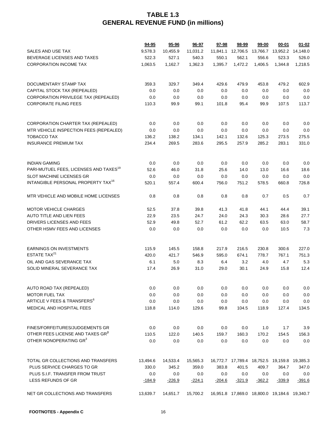|                                                               | $94 - 95$       | 95-96           | 96-97           | 97-98           | 98-99           | 99-00                                        | $00 - 01$       | $01 - 02$       |
|---------------------------------------------------------------|-----------------|-----------------|-----------------|-----------------|-----------------|----------------------------------------------|-----------------|-----------------|
| SALES AND USE TAX                                             | 9,578.3         | 10,455.9        | 11,031.2        | 11,841.1        | 12,706.5        | 13,766.7 13,952.2                            |                 | 14,148.0        |
| BEVERAGE LICENSES AND TAXES                                   | 522.3           | 527.1           | 540.3           | 550.1           | 562.1           | 556.6                                        | 523.3           | 526.0           |
| <b>CORPORATION INCOME TAX</b>                                 | 1,063.5         | 1,162.7         | 1,362.3         | 1,395.7         | 1,472.2         | 1,406.5                                      | 1,344.8         | 1,218.5         |
|                                                               |                 |                 |                 |                 |                 |                                              |                 |                 |
| DOCUMENTARY STAMP TAX                                         | 359.3           | 329.7           | 349.4           | 429.6           | 479.9           | 453.8                                        | 479.2           | 602.9           |
| CAPITAL STOCK TAX (REPEALED)                                  | 0.0             | 0.0             | 0.0             | 0.0             | 0.0             | 0.0                                          | 0.0             | 0.0             |
| CORPORATION PRIVILEGE TAX (REPEALED)                          | 0.0             | 0.0             | 0.0             | 0.0             | 0.0             | 0.0                                          | 0.0             | 0.0             |
| <b>CORPORATE FILING FEES</b>                                  | 110.3           | 99.9            | 99.1            | 101.8           | 95.4            | 99.9                                         | 107.5           | 113.7           |
| CORPORATION CHARTER TAX (REPEALED)                            | 0.0             | 0.0             | 0.0             | 0.0             | 0.0             | 0.0                                          | 0.0             | 0.0             |
| MTR VEHICLE INSPECTION FEES (REPEALED)                        | 0.0             | 0.0             | 0.0             | 0.0             | 0.0             | 0.0                                          | 0.0             | 0.0             |
| <b>TOBACCO TAX</b>                                            | 136.2           | 138.2           | 134.1           | 142.1           | 132.6           | 125.3                                        | 273.5           | 275.5           |
| <b>INSURANCE PREMIUM TAX</b>                                  | 234.4           | 269.5           | 283.6           | 295.5           | 257.9           | 285.2                                        | 283.1           | 331.0           |
| <b>INDIAN GAMING</b>                                          | 0.0             | 0.0             | 0.0             | 0.0             | 0.0             | 0.0                                          | 0.0             | 0.0             |
| PARI-MUTUEL FEES, LICENSES AND TAXES <sup>19</sup>            | 52.6            | 46.0            | 31.8            | 25.6            | 14.0            | 13.0                                         | 16.6            | 18.6            |
| <b>SLOT MACHINE LICENSES GR</b>                               | 0.0             | 0.0             | 0.0             | 0.0             | 0.0             | 0.0                                          | 0.0             | 0.0             |
| INTANGIBLE PERSONAL PROPERTY TAX <sup>16</sup>                | 520.1           | 557.4           | 600.4           | 756.0           | 751.2           | 578.5                                        | 660.8           | 726.8           |
| MTR VEHICLE AND MOBILE HOME LICENSES                          | 0.8             | 0.8             | 0.8             | 0.8             | 0.8             | 0.7                                          | 0.5             | 0.7             |
| <b>MOTOR VEHICLE CHARGES</b>                                  | 52.5            | 37.8            | 39.8            | 41.3            | 41.8            | 44.1                                         | 44.4            | 39.1            |
| AUTO TITLE AND LIEN FEES                                      | 22.9            | 23.5            | 24.7            | 24.0            | 24.3            | 30.3                                         | 28.6            | 27.7            |
| DRIVERS LICENSES AND FEES                                     | 52.9            | 49.8            | 52.7            | 61.2            | 62.2            | 63.5                                         | 63.0            | 58.7            |
| OTHER HSMV FEES AND LICENSES                                  | 0.0             | 0.0             | 0.0             | 0.0             | 0.0             | 0.0                                          | 10.5            | 7.3             |
| <b>EARNINGS ON INVESTMENTS</b>                                | 115.9           | 145.5           | 158.8           | 217.9           | 216.5           | 230.8                                        | 300.6           | 227.0           |
| ESTATE TAX <sup>21</sup>                                      | 420.0           | 421.7           | 546.9           | 595.0           | 674.1           | 778.7                                        | 767.1           | 751.3           |
| OIL AND GAS SEVERANCE TAX                                     | 6.1             | $5.0\,$         | 8.3             | 6.4             | 3.2             | 4.0                                          | 4.7             | 5.3             |
| SOLID MINERAL SEVERANCE TAX                                   | 17.4            | 26.9            | 31.0            | 29.0            | 30.1            | 24.9                                         | 15.8            | 12.4            |
| AUTO ROAD TAX (REPEALED)                                      | 0.0             | 0.0             | 0.0             | 0.0             | 0.0             | 0.0                                          | 0.0             | 0.0             |
| <b>MOTOR FUEL TAX</b>                                         | 0.0             | 0.0             | 0.0             | 0.0             | 0.0             | 0.0                                          | 0.0             | 0.0             |
| ARTICLE V FEES & TRANSFERS <sup>6</sup>                       | 0.0             | 0.0             | 0.0             | 0.0             | 0.0             | 0.0                                          | 0.0             | 0.0             |
| MEDICAL AND HOSPITAL FEES                                     | 118.8           | 114.0           | 129.6           | 99.8            | 104.5           | 118.9                                        | 127.4           | 134.5           |
| FINES/FORFEITURES/JUDGEMENTS GR                               | 0.0             | 0.0             | 0.0             | 0.0             | 0.0             | 1.0                                          | 1.7             | 3.9             |
| OTHER FEES LICENSE AND TAXES GR <sup>3</sup>                  | 110.5           | 122.0           | 140.5           | 159.7           | 160.3           | 170.2                                        | 154.5           | 156.3           |
| OTHER NONOPERATING GR3                                        | 0.0             | 0.0             | 0.0             | 0.0             | 0.0             | 0.0                                          | 0.0             | 0.0             |
|                                                               |                 |                 |                 |                 |                 |                                              |                 |                 |
| TOTAL GR COLLECTIONS AND TRANSFERS                            | 13,494.6        | 14,533.4        | 15,565.3        |                 |                 | 16,772.7 17,789.4 18,752.5 19,159.8 19,385.3 |                 |                 |
| PLUS SERVICE CHARGES TO GR<br>PLUS S.I.F. TRANSFER FROM TRUST | 330.0           | 345.2           | 359.0           | 383.8           | 401.5           | 409.7                                        | 364.7           | 347.0           |
| LESS REFUNDS OF GR                                            | 0.0<br>$-184.9$ | 0.0<br>$-226.9$ | 0.0<br>$-224.1$ | 0.0<br>$-204.6$ | 0.0<br>$-321.9$ | 0.0<br>$-362.2$                              | 0.0<br>$-339.9$ | 0.0<br>$-391.6$ |
|                                                               |                 |                 |                 |                 |                 |                                              |                 |                 |
| NET GR COLLECTIONS AND TRANSFERS                              | 13,639.7        | 14,651.7        | 15,700.2        |                 |                 | 16,951.8 17,869.0 18,800.0 19,184.6 19,340.7 |                 |                 |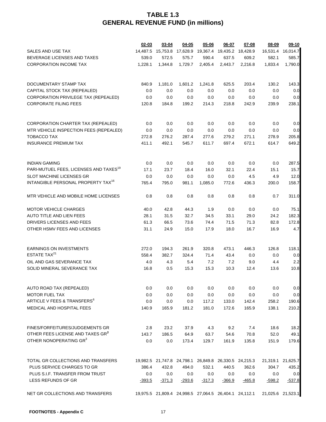|                                                    | 02-03    | 03-04             | 04-05    | 05-06                                                 | 06-07    | 07-08                                                 | 08-09             | 09-10    |
|----------------------------------------------------|----------|-------------------|----------|-------------------------------------------------------|----------|-------------------------------------------------------|-------------------|----------|
| <b>SALES AND USE TAX</b>                           |          | 14,487.5 15,753.8 |          | 17,628.9  19,367.4  19,435.2                          |          | 18,428.9                                              | 16,531.4          | 16,014.7 |
| BEVERAGE LICENSES AND TAXES                        | 539.0    | 572.5             | 575.7    | 590.4                                                 | 637.5    | 609.2                                                 | 582.1             | 585.7    |
| <b>CORPORATION INCOME TAX</b>                      | 1,228.1  | 1,344.8           | 1,729.7  | 2,405.4                                               | 2,443.7  | 2,216.8                                               | 1,833.4           | 1,790.0  |
|                                                    |          |                   |          |                                                       |          |                                                       |                   |          |
| DOCUMENTARY STAMP TAX                              | 840.9    | 1,181.0           | 1,601.2  | 1,241.8                                               | 625.5    | 203.4                                                 | 130.2             | 143.3    |
| CAPITAL STOCK TAX (REPEALED)                       | 0.0      | 0.0               | 0.0      | 0.0                                                   | 0.0      | 0.0                                                   | 0.0               | 0.0      |
| CORPORATION PRIVILEGE TAX (REPEALED)               | 0.0      | 0.0               | 0.0      | 0.0                                                   | 0.0      | 0.0                                                   | 0.0               | 0.0      |
| <b>CORPORATE FILING FEES</b>                       | 120.8    | 184.8             | 199.2    | 214.3                                                 | 218.8    | 242.9                                                 | 239.9             | 238.1    |
| CORPORATION CHARTER TAX (REPEALED)                 | 0.0      | 0.0               | 0.0      | 0.0                                                   | 0.0      | 0.0                                                   | 0.0               | 0.0      |
| MTR VEHICLE INSPECTION FEES (REPEALED)             | 0.0      | 0.0               | 0.0      | 0.0                                                   | 0.0      | 0.0                                                   | 0.0               | 0.0      |
| TOBACCO TAX                                        | 272.8    | 276.2             | 287.4    | 277.6                                                 | 279.2    | 271.1                                                 | 278.9             | 205.8    |
| <b>INSURANCE PREMIUM TAX</b>                       | 411.1    | 492.1             | 545.7    | 611.7                                                 | 697.4    | 672.1                                                 | 614.7             | 649.2    |
| <b>INDIAN GAMING</b>                               | 0.0      | 0.0               | 0.0      | 0.0                                                   | 0.0      | 0.0                                                   | 0.0               | 287.5    |
| PARI-MUTUEL FEES, LICENSES AND TAXES <sup>19</sup> | 17.1     | 23.7              | 18.4     | 16.0                                                  | 32.1     | 22.4                                                  | 15.1              | 15.7     |
| SLOT MACHINE LICENSES GR                           | 0.0      | 0.0               | 0.0      | 0.0                                                   | 0.0      | 4.5                                                   | 4.9               | 12.0     |
| INTANGIBLE PERSONAL PROPERTY TAX <sup>16</sup>     | 765.4    | 795.0             | 981.1    | 1,085.0                                               | 772.6    | 436.3                                                 | 200.0             | 158.7    |
| MTR VEHICLE AND MOBILE HOME LICENSES               | 0.8      | 0.8               | 0.8      | 0.8                                                   | 0.8      | 0.8                                                   | 0.7               | 311.0    |
| <b>MOTOR VEHICLE CHARGES</b>                       | 40.0     | 42.8              | 44.3     | 1.9                                                   | 0.0      | 0.0                                                   | 0.0               | 75.1     |
| AUTO TITLE AND LIEN FEES                           | 28.1     | 31.5              | 32.7     | 34.5                                                  | 33.1     | 29.0                                                  | 24.2              | 182.3    |
| DRIVERS LICENSES AND FEES                          | 61.3     | 66.5              | 73.6     | 74.4                                                  | 71.5     | 71.3                                                  | 82.8              | 172.8    |
| OTHER HSMV FEES AND LICENSES                       | 31.1     | 24.9              | 15.0     | 17.9                                                  | 18.0     | 16.7                                                  | 16.9              | 4.7      |
| <b>EARNINGS ON INVESTMENTS</b>                     | 272.0    | 194.3             | 261.9    | 320.8                                                 | 473.1    | 446.3                                                 | 126.8             | 118.1    |
| ESTATE TAX <sup>21</sup>                           | 558.4    | 382.7             | 324.4    | 71.4                                                  | 43.4     | 0.0                                                   | 0.0               | 0.0      |
| OIL AND GAS SEVERANCE TAX                          | 4.0      | 4.3               | 5.4      | 7.2                                                   | 7.2      | 9.0                                                   | 4.4               | 2.2      |
| SOLID MINERAL SEVERANCE TAX                        | 16.8     | 0.5               | 15.3     | 15.3                                                  | 10.3     | 12.4                                                  | 13.6              | 10.8     |
| AUTO ROAD TAX (REPEALED)                           | 0.0      | 0.0               | 0.0      | 0.0                                                   | 0.0      | 0.0                                                   | 0.0               | 0.0      |
| <b>MOTOR FUEL TAX</b>                              | 0.0      | 0.0               | 0.0      | 0.0                                                   | 0.0      | 0.0                                                   | 0.0               | 0.0      |
| ARTICLE V FEES & TRANSFERS <sup>6</sup>            | 0.0      | 0.0               | 0.0      | 117.2                                                 | 133.0    | 142.4                                                 | 258.2             | 190.6    |
| MEDICAL AND HOSPITAL FEES                          | 140.9    | 165.9             | 181.2    | 181.0                                                 | 172.6    | 165.9                                                 | 138.1             | 210.2    |
| FINES/FORFEITURES/JUDGEMENTS GR                    | 2.8      | 23.2              | 37.9     | 4.3                                                   | 9.2      | 7.4                                                   | 18.6              | 18.2     |
| OTHER FEES LICENSE AND TAXES GR <sup>3</sup>       | 143.7    | 186.5             | 64.9     | 63.7                                                  | 54.6     | 70.8                                                  | 52.0              | 49.1     |
| OTHER NONOPERATING GR3                             | 0.0      | 0.0               | 173.4    | 129.7                                                 | 161.9    | 135.8                                                 | 151.9             | 179.6    |
| TOTAL GR COLLECTIONS AND TRANSFERS                 |          |                   |          | 19,982.5 21,747.8 24,798.1 26,849.8 26,330.5 24,215.3 |          |                                                       | 21,319.1          | 21,625.7 |
| PLUS SERVICE CHARGES TO GR                         | 386.4    | 432.8             | 494.0    | 532.1                                                 | 440.5    | 362.6                                                 | 304.7             | 435.2    |
| PLUS S.I.F. TRANSFER FROM TRUST                    | 0.0      | 0.0               | 0.0      | 0.0                                                   | 0.0      | 0.0                                                   | 0.0               | 0.0      |
| LESS REFUNDS OF GR                                 | $-393.5$ | $-371.3$          | $-293.6$ | <u>-317.3</u>                                         | $-366.9$ | $-465.8$                                              | $-598.2$          | $-537.8$ |
| NET GR COLLECTIONS AND TRANSFERS                   |          |                   |          |                                                       |          | 19,975.5 21,809.4 24,998.5 27,064.5 26,404.1 24,112.1 | 21,025.6 21,523.1 |          |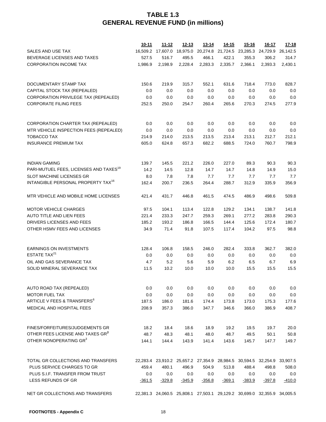|                                                    | $10 - 11$ | $11 - 12$                                                               | $12 - 13$     | $13 - 14$                                    | $14 - 15$ | $15 - 16$ | <u>16-17</u> | $17 - 18$ |
|----------------------------------------------------|-----------|-------------------------------------------------------------------------|---------------|----------------------------------------------|-----------|-----------|--------------|-----------|
| SALES AND USE TAX                                  | 16,509.2  |                                                                         |               | 17,607.0 18,975.0 20,274.8 21,724.5 23,285.3 |           |           | 24,729.9     | 26,142.5  |
| BEVERAGE LICENSES AND TAXES                        | 527.5     | 516.7                                                                   | 495.5         | 466.1                                        | 422.1     | 355.3     | 306.2        | 314.7     |
| <b>CORPORATION INCOME TAX</b>                      | 1,986.9   | 2,198.9                                                                 | 2,228.4       | 2,283.3                                      | 2,335.7   | 2,366.1   | 2,393.3      | 2,430.1   |
|                                                    |           |                                                                         |               |                                              |           |           |              |           |
| DOCUMENTARY STAMP TAX                              | 150.6     | 219.9                                                                   | 315.7         | 552.1                                        | 631.6     | 718.4     | 773.0        | 828.7     |
| CAPITAL STOCK TAX (REPEALED)                       | 0.0       | 0.0                                                                     | 0.0           | 0.0                                          | 0.0       | 0.0       | 0.0          | 0.0       |
| CORPORATION PRIVILEGE TAX (REPEALED)               | 0.0       | 0.0                                                                     | 0.0           | 0.0                                          | 0.0       | 0.0       | 0.0          | 0.0       |
| <b>CORPORATE FILING FEES</b>                       | 252.5     | 250.0                                                                   | 254.7         | 260.4                                        | 265.6     | 270.3     | 274.5        | 277.9     |
|                                                    |           |                                                                         |               |                                              |           |           |              |           |
| CORPORATION CHARTER TAX (REPEALED)                 | 0.0       | 0.0                                                                     | 0.0           | 0.0                                          | 0.0       | 0.0       | 0.0          | 0.0       |
| MTR VEHICLE INSPECTION FEES (REPEALED)             | 0.0       | 0.0                                                                     | 0.0           | 0.0                                          | 0.0       | 0.0       | 0.0          | 0.0       |
| TOBACCO TAX                                        | 214.9     | 214.0                                                                   | 213.5         | 213.5                                        | 213.4     | 213.1     | 212.7        | 212.1     |
| <b>INSURANCE PREMIUM TAX</b>                       | 605.0     | 624.8                                                                   | 657.3         | 682.2                                        | 688.5     | 724.0     | 760.7        | 798.9     |
| <b>INDIAN GAMING</b>                               | 139.7     | 145.5                                                                   | 221.2         | 226.0                                        | 227.0     | 89.3      | 90.3         | 90.3      |
| PARI-MUTUEL FEES, LICENSES AND TAXES <sup>19</sup> | 14.2      | 14.5                                                                    | 12.8          | 14.7                                         | 14.7      | 14.8      | 14.9         | 15.0      |
| SLOT MACHINE LICENSES GR                           | 8.0       | 7.8                                                                     | 7.8           | 7.7                                          | 7.7       | 7.7       | 7.7          | 7.7       |
| INTANGIBLE PERSONAL PROPERTY TAX <sup>16</sup>     | 162.4     | 200.7                                                                   | 236.5         | 264.4                                        | 288.7     | 312.9     | 335.9        | 356.9     |
| MTR VEHICLE AND MOBILE HOME LICENSES               | 421.4     | 431.7                                                                   | 446.8         | 461.5                                        | 474.5     | 486.9     | 498.6        | 509.8     |
| <b>MOTOR VEHICLE CHARGES</b>                       | 97.5      | 104.1                                                                   | 113.4         | 122.8                                        | 129.2     | 134.1     | 138.7        | 141.8     |
| AUTO TITLE AND LIEN FEES                           | 221.4     | 233.3                                                                   | 247.7         | 259.3                                        | 269.1     | 277.2     | 283.8        | 290.3     |
| DRIVERS LICENSES AND FEES                          | 185.2     | 193.2                                                                   | 186.8         | 166.5                                        | 144.4     | 125.6     | 172.4        | 180.7     |
| OTHER HSMV FEES AND LICENSES                       | 34.9      | 71.4                                                                    | 91.8          | 107.5                                        | 117.4     | 104.2     | 97.5         | 98.8      |
| <b>EARNINGS ON INVESTMENTS</b>                     | 128.4     | 106.8                                                                   | 158.5         | 246.0                                        | 282.4     | 333.8     | 362.7        | 382.0     |
| ESTATE TAX <sup>21</sup>                           | 0.0       | 0.0                                                                     | 0.0           | 0.0                                          | 0.0       | 0.0       | 0.0          | 0.0       |
| OIL AND GAS SEVERANCE TAX                          | 4.7       | 5.2                                                                     | 5.6           | 5.9                                          | 6.2       | 6.5       | 6.7          | 6.9       |
| SOLID MINERAL SEVERANCE TAX                        | 11.5      | 10.2                                                                    | 10.0          | 10.0                                         | 10.0      | 15.5      | 15.5         | 15.5      |
|                                                    |           |                                                                         |               |                                              |           |           |              |           |
| AUTO ROAD TAX (REPEALED)                           | 0.0       | 0.0                                                                     | 0.0           | 0.0                                          | 0.0       | 0.0       | 0.0          | 0.0       |
| <b>MOTOR FUEL TAX</b>                              | 0.0       | 0.0                                                                     | 0.0           | 0.0                                          | 0.0       | 0.0       | 0.0          | 0.0       |
| ARTICLE V FEES & TRANSFERS <sup>6</sup>            | 187.5     | 186.0                                                                   | 181.6         | 174.4                                        | 173.8     | 173.0     | 175.3        | 177.6     |
| MEDICAL AND HOSPITAL FEES                          | 208.9     | 357.3                                                                   | 386.0         | 347.7                                        | 346.6     | 366.0     | 386.9        | 408.7     |
| <b>FINES/FORFEITURES/JUDGEMENTS GR</b>             | 18.2      | 18.4                                                                    | 18.6          | 18.9                                         | 19.2      | 19.5      | 19.7         | 20.0      |
| OTHER FEES LICENSE AND TAXES GR <sup>3</sup>       | 48.7      | 48.3                                                                    | 48.1          | 48.0                                         | 48.7      | 49.5      | 50.1         | 50.8      |
| OTHER NONOPERATING GR3                             |           |                                                                         |               |                                              |           |           |              |           |
|                                                    | 144.1     | 144.4                                                                   | 143.9         | 141.4                                        | 143.6     | 145.7     | 147.7        | 149.7     |
| TOTAL GR COLLECTIONS AND TRANSFERS                 |           | 22,283.4 23,910.2 25,657.2 27,354.9 28,984.5 30,594.5 32,254.9 33,907.5 |               |                                              |           |           |              |           |
| PLUS SERVICE CHARGES TO GR                         | 459.4     | 480.1                                                                   | 496.9         | 504.9                                        | 513.8     | 488.4     | 498.8        | 508.0     |
| PLUS S.I.F. TRANSFER FROM TRUST                    | 0.0       | 0.0                                                                     | 0.0           | 0.0                                          | 0.0       | 0.0       | 0.0          | 0.0       |
| LESS REFUNDS OF GR                                 | $-361.5$  | $-329.8$                                                                | <u>-345.9</u> | $-356.8$                                     | $-369.1$  | $-383.9$  | $-397.8$     | $-410.0$  |
| NET GR COLLECTIONS AND TRANSFERS                   |           | 22,381.3 24,060.5 25,808.1 27,503.1 29,129.2 30,699.0 32,355.9 34,005.5 |               |                                              |           |           |              |           |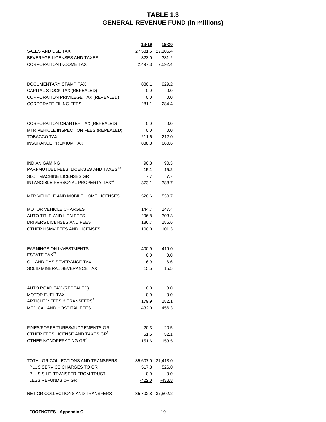|                                                    | 18-19   | 19-20             |
|----------------------------------------------------|---------|-------------------|
| SALES AND USE TAX                                  |         | 27,581.5 29,106.4 |
| BEVERAGE LICENSES AND TAXES                        | 323.0   | 331.2             |
| <b>CORPORATION INCOME TAX</b>                      | 2,497.3 | 2,592.4           |
|                                                    |         |                   |
| DOCUMENTARY STAMP TAX                              | 880.1   | 929.2             |
| CAPITAL STOCK TAX (REPEALED)                       | 0.0     | 0.0               |
| CORPORATION PRIVILEGE TAX (REPEALED)               | 0.0     | 0.0               |
| <b>CORPORATE FILING FEES</b>                       | 281.1   | 284.4             |
| CORPORATION CHARTER TAX (REPEALED)                 | 0.0     | 0.0               |
| MTR VEHICLE INSPECTION FEES (REPEALED)             | 0.0     | 0.0               |
| TOBACCO TAX                                        | 211.6   | 212.0             |
| <b>INSURANCE PREMIUM TAX</b>                       | 838.8   | 880.6             |
|                                                    |         |                   |
| <b>INDIAN GAMING</b>                               | 90.3    | 90.3              |
| PARI-MUTUEL FEES, LICENSES AND TAXES <sup>19</sup> | 15.1    | 15.2              |
| <b>SLOT MACHINE LICENSES GR</b>                    | 7.7     | 7.7               |
| INTANGIBLE PERSONAL PROPERTY TAX <sup>16</sup>     | 373.1   | 388.7             |
| MTR VEHICLE AND MOBILE HOME LICENSES               | 520.6   | 530.7             |
| <b>MOTOR VEHICLE CHARGES</b>                       | 144.7   | 147.4             |
| <b>AUTO TITLE AND LIEN FEES</b>                    | 296.8   | 303.3             |
| DRIVERS LICENSES AND FEES                          | 186.7   | 186.6             |
| OTHER HSMV FEES AND LICENSES                       | 100.0   | 101.3             |
| <b>EARNINGS ON INVESTMENTS</b>                     | 400.9   | 419.0             |
| ESTATE TAX <sup>21</sup>                           | 0.0     | 0.0               |
| OIL AND GAS SEVERANCE TAX                          | 6.9     | 6.6               |
| SOLID MINERAL SEVERANCE TAX                        | 15.5    | 15.5              |
|                                                    |         |                   |
| AUTO ROAD TAX (REPEALED)                           | 0.0     | 0.0               |
| <b>MOTOR FUEL TAX</b>                              | 0.0     | 0.0               |
| ARTICLE V FEES & TRANSFERS <sup>6</sup>            | 179.9   | 182.1             |
| <b>MEDICAL AND HOSPITAL FEES</b>                   | 432.0   | 456.3             |
| FINES/FORFEITURES/JUDGEMENTS GR                    | 20.3    | 20.5              |
| OTHER FEES LICENSE AND TAXES GR <sup>3</sup>       | 51.5    | 52.1              |
| OTHER NONOPERATING GR <sup>3</sup>                 | 151.6   | 153.5             |
|                                                    |         |                   |
| TOTAL GR COLLECTIONS AND TRANSFERS                 |         | 35,607.0 37,413.0 |
| PLUS SERVICE CHARGES TO GR                         | 517.8   | 526.0             |
| PLUS S.I.F. TRANSFER FROM TRUST                    | 0.0     | 0.0               |
| LESS REFUNDS OF GR                                 | -422.0  | -436.8            |
| NET GR COLLECTIONS AND TRANSFERS                   |         | 35,702.8 37,502.2 |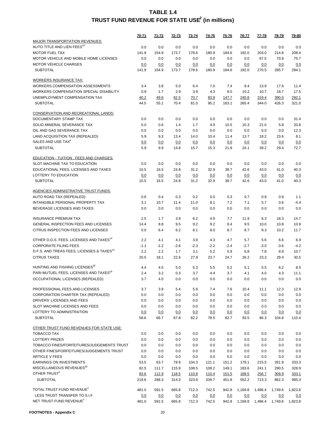|                                                                                                  | 70-71  | <u>71-72</u> | <u>72-73</u> | <u>73-74</u> | 74-75  | <u>75-76</u> | 76-77   | 77-78   | <u>78-79</u> | <u>79-80</u> |
|--------------------------------------------------------------------------------------------------|--------|--------------|--------------|--------------|--------|--------------|---------|---------|--------------|--------------|
| MAJOR TRANSPORTATION REVENUES:                                                                   |        |              |              |              |        |              |         |         |              |              |
| AUTO TITLE AND LIEN FEES <sup>10</sup>                                                           | 0.0    | 0.0          | 0.0          | 0.0          | 0.0    | 0.0          | 0.0     | 0.0     | 0.0          | 0.0          |
| <b>MOTOR FUEL TAX</b>                                                                            | 141.9  | 154.9        | 173.7        | 178.6        | 180.9  | 184.6        | 192.0   | 203.0   | 214.8        | 208.4        |
| MOTOR VEHICLE AND MOBILE HOME LICENSES                                                           | 0.0    | 0.0          | 0.0          | 0.0          | 0.0    | 0.0          | 0.0     | 67.5    | 70.9         | 75.7         |
| <b>MOTOR VEHICLE CHARGES</b>                                                                     | 0.0    | 0.0          | 0.0          | 0.0          | 0.0    | 0.0          | 0.0     | 0.0     | 0.0          | 0.0          |
| <b>SUBTOTAL</b>                                                                                  | 141.9  | 154.9        | 173.7        | 178.6        | 180.9  | 184.6        | 192.0   | 270.5   | 285.7        | 284.1        |
| <b>WORKERS INSURANCE TAX:</b>                                                                    |        |              |              |              |        |              |         |         |              |              |
| WORKERS COMPENSATION ASSESSMENTS                                                                 | 3.4    | 3.8          | 5.0          | 6.4          | 7.0    | 7.4          | 9.4     | 13.9    | 17.6         | 11.4         |
| WORKERS COMPENSATION SPECIAL DISABILITY                                                          | 0.9    | 1.7          | 2.9          | 3.9          | 4.3    | 8.0          | 10.2    | 10.7    | 18.7         | 17.5         |
| UNEMPLOYMENT COMPENSATION TAX                                                                    | 40.2   | 49.6         | 62.5         | 70.7         | 83.9   | 147.7        | 245.8   | 319.4   | 390.0        | 292.1        |
| <b>SUBTOTAL</b>                                                                                  | 44.5   | 55.1         | 70.4         | 81.0         | 95.2   | 163.1        | 265.4   | 344.0   | 426.3        | 321.0        |
| <b>CONSERVATION AND RECREATIONAL LANDS:</b>                                                      |        |              |              |              |        |              |         |         |              |              |
| DOCUMENTARY STAMP TAX                                                                            | 0.0    | 0.0          | 0.0          | 0.0          | 0.0    | 0.0          | 0.0     | 0.0     | 0.0          | 31.4         |
| SOLID MINERAL SEVERANCE TAX                                                                      | 0.0    | 0.6          | 1.4          | 1.7          | 4.9    | 10.5         | 10.3    | 21.0    | 5.8          | 20.8         |
| OIL AND GAS SEVERANCE TAX                                                                        | 0.0    | 0.0          | 0.0          | 0.0          | 0.0    | 0.0          | 0.0     | 0.0     | 0.0          | 12.3         |
| LAND ACQUISITION TAX (REPEALED)                                                                  | 5.9    | 9.3          | 13.4         | 14.0         | 10.4   | 11.4         | 13.7    | 18.2    | 23.6         | 8.1          |
| SALES AND USE TAX <sup>4</sup>                                                                   | 0.0    | 0.0          | 0.0          | 0.0          | 0.0    | 0.0          | 0.0     | 0.0     | 0.0          | 0.0          |
| <b>SUBTOTAL</b>                                                                                  | 5.9    | 9.9          | 14.8         | 15.7         | 15.3   | 21.9         | 24.1    | 39.2    | 29.4         | 72.7         |
|                                                                                                  |        |              |              |              |        |              |         |         |              |              |
| <b>EDUCATION - TUITION, FEES AND CHARGES:</b>                                                    |        |              |              |              |        |              |         |         |              |              |
| SLOT MACHINE TAX TO EDUCATION                                                                    | 0.0    | 0.0          | 0.0          | 0.0          | 0.0    | 0.0          | 0.0     | 0.0     | 0.0          | 0.0          |
| EDUCATIONAL FEES, LICENSES AND TAXES                                                             | 10.5   | 16.5         | 24.8         | 31.2         | 32.9   | 38.7         | 42.6    | 43.0    | 41.0         | 40.3         |
| LOTTERY TO EDUCATION<br><b>SUBTOTAL</b>                                                          | 0.0    | 0.0          | 0.0          | 0.0          | 0.0    | 0.0          | 0.0     | 0.0     | 0.0          | 0.0          |
|                                                                                                  | 10.5   | 16.5         | 24.8         | 31.2         | 32.9   | 38.7         | 42.6    | 43.0    | 41.0         | 40.3         |
| <b>AGENCIES ADMINISTRATIVE TRUST FUNDS:</b>                                                      |        |              |              |              |        |              |         |         |              |              |
| AUTO ROAD TAX (REPEALED)                                                                         | 0.6    | 0.4          | 0.3          | 0.2          | 0.0    | 0.3          | 0.7     | 0.8     | 0.9          | 1.1          |
| INTANGIBLE PERSONAL PROPERTY TAX                                                                 | 3.1    | 10.7         | 11.4         | 11.0         | 8.1    | 7.2          | 7.1     | 5.7     | 0.6          | $-4.4$       |
| BEVERAGE LICENSES AND TAXES                                                                      | 0.0    | 0.0          | 0.0          | 0.0          | 0.0    | 0.0          | 0.0     | 0.0     | 0.0          | 0.0          |
| <b>INSURANCE PREMIUM TAX</b>                                                                     | 2.5    | 1.7          | 3.9          | 6.2          | 4.9    | 7.7          | 11.9    | 6.3     | 18.3         | 14.7         |
| GENERAL INSPECTION FEES AND LICENSES                                                             | 14.4   | 8.8          | 9.5          | 9.2          | 9.2    | 9.4          | 9.5     | 10.0    | 10.8         | 10.9         |
| CITRUS INSPECTION FEES AND LICENSES                                                              | 0.0    | 6.4          | 6.2          | 8.1          | 8.0    | 8.7          | 8.7     | 9.3     | 10.2         | 11.7         |
| OTHER D.O.S. FEES, LICENSES AND TAXES <sup>14</sup>                                              | 2.2    | 4.1          | 4.1          | 3.9          | 4.3    | 4.7          | 5.7     | 5.6     | 6.6          | 6.9          |
| <b>CORPORATE FILING FEES</b>                                                                     | $-1.1$ | $-1.2$       | $-2.6$       | $-2.3$       | $-2.2$ | $-2.4$       | $-2.7$  | $-3.0$  | $-3.6$       | $-4.2$       |
| D.F.S. AND TREAS FEES, LICENSES & TAXES <sup>13</sup>                                            | 2.2    | 2.2          | 1.7          | 3.1          | 5.2    | 5.9          | 6.8     | 7.8     | 8.9          | 10.7         |
| <b>CITRUS TAXES</b>                                                                              | 20.5   | 18.1         | 22.6         | 27.9         | 23.7   | 24.7         | 26.2    | 23.3    | 29.4         | 30.5         |
|                                                                                                  |        |              |              |              |        |              |         |         |              |              |
| HUNTING AND FISHING LICENSES <sup>18</sup><br>PARI-MUTUEL FEES, LICENSES AND TAXES <sup>19</sup> | 4.4    | 4.5          | 5.0          | 5.3          | 5.5    | 5.2          | 5.1     | 5.5     | 6.2          | 8.5          |
|                                                                                                  | 2.4    | 3.2          | 0.3          | 3.7          | 4.4    | 3.7          | 4.1     | 4.0     | 4.3          | 11.1         |
| OCCUPATIONAL LICENSES (REPEALED)                                                                 | 3.7    | 4.0          | 0.0          | 0.0          | 0.0    | 0.0          | 0.0     | 0.0     | 0.0          | 0.0          |
| PROFESSIONAL FEES AND LICENSES                                                                   | 3.7    | 3.9          | 5.4          | 5.9          | 7.4    | 7.6          | 10.4    | 11.1    | 12.3         | 12.9         |
| CORPORATION CHARTER TAX (REPEALED)                                                               | 0.0    | 0.0          | 0.0          | 0.0          | 0.0    | 0.0          | 0.0     | 0.0     | 0.0          | 0.0          |
| DRIVERS' LICENSES AND FEES                                                                       | 0.0    | 0.0          | 0.0          | 0.0          | 0.0    | 0.0          | 0.0     | 0.0     | 0.0          | 0.0          |
| SLOT MACHINE LICENSES AND FEES                                                                   | 0.0    | 0.0          | 0.0          | 0.0          | 0.0    | 0.0          | 0.0     | 0.0     | 0.0          | 0.0          |
| LOTTERY TO ADMINISTRATION                                                                        | 0.0    | 0.0          | 0.0          | 0.0          | 0.0    | 0.0          | 0.0     | 0.0     | 0.0          | <u>0.0</u>   |
| <b>SUBTOTAL</b>                                                                                  | 58.6   | 66.7         | 67.8         | 82.2         | 78.5   | 82.7         | 93.5    | 86.3    | 104.8        | 110.4        |
| OTHER TRUST FUND REVENUES FOR STATE USE:                                                         |        |              |              |              |        |              |         |         |              |              |
| <b>TOBACCO TAX</b>                                                                               | 0.0    | 0.0          | 0.0          | 0.0          | 0.0    | 0.0          | 0.0     | 0.0     | 0.0          | 0.0          |
| <b>LOTTERY PRIZES</b>                                                                            | 0.0    | 0.0          | 0.0          | 0.0          | 0.0    | 0.0          | 0.0     | 0.0     | 0.0          | 0.0          |
| TOBACCO FINES/FORFEITURES/JUDGEMENTS TRUST                                                       | 0.0    | 0.0          | 0.0          | 0.0          | 0.0    | 0.0          | 0.0     | 0.0     | 0.0          | 0.0          |
| OTHER FINES/FORFEITURES/JUDGEMENTS TRUST                                                         | 0.0    | 0.0          | 0.0          | 0.0          | 0.0    | 0.0          | 0.0     | 0.0     | 0.0          | 0.0          |
| <b>ARTICLE V FEES</b>                                                                            | 0.0    | 0.0          | 0.0          | 0.0          | 0.0    | 0.0          | 0.0     | 0.0     | 0.0          | 0.0          |
| <b>EARNINGS ON INVESTMENTS</b>                                                                   | 53.5   | 63.7         | 79.9         | 104.3        | 121.1  | 151.2        | 179.1   | 215.5   | 261.9        | 333.3        |
| MISCELLANEOUS REVENUES <sup>20</sup>                                                             | 82.5   | 111.7        | 115.9        | 108.5        | 108.2  | 149.1        | 183.6   | 241.1   | 290.5        | 328.9        |
| OTHER TRUST <sup>3</sup>                                                                         | 83.6   | 112.9        | <u>118.5</u> | 110.8        | 110.4  | <u>151.5</u> | 189.5   | 256.7   | 309.9        | 333.1        |
| <b>SUBTOTAL</b>                                                                                  | 219.6  | 288.3        | 314.3        | 323.6        | 339.7  | 451.8        | 552.2   | 713.3   | 862.3        | 995.3        |
| TOTAL TRUST FUND REVENUE <sup>2</sup>                                                            | 481.0  | 591.5        | 665.8        | 712.3        | 742.5  | 942.8        | 1,169.8 | 1,496.4 | 1,749.6      | 1,823.8      |
| LESS TRUST TRANSFER TO S.I.F.                                                                    | 0.0    | 0.0          | 0.0          | 0.0          | 0.0    | 0.0          | 0.0     | 0.0     | 0.0          | 0.0          |
| NET TRUST FUND REVENUE <sup>2</sup>                                                              | 481.0  | 591.5        | 665.8        | 712.3        | 742.5  | 942.8        | 1,169.8 | 1,496.4 | 1,749.6      | 1,823.8      |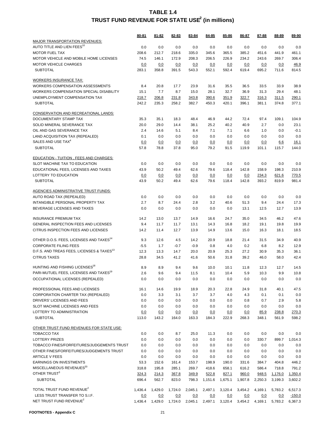|                                                                         | 80-81      | 81-82        | 82-83        | 83-84      | 84-85      | 85-86        | 86-87      | 87-88        | 88-89      | 89-90        |
|-------------------------------------------------------------------------|------------|--------------|--------------|------------|------------|--------------|------------|--------------|------------|--------------|
| MAJOR TRANSPORTATION REVENUES:                                          |            |              |              |            |            |              |            |              |            |              |
| AUTO TITLE AND LIEN FEES <sup>10</sup>                                  | 0.0        | 0.0          | 0.0          | 0.0        | 0.0        | 0.0          | 0.0        | 0.0          | 0.0        | 0.0          |
| <b>MOTOR FUEL TAX</b>                                                   | 208.6      | 212.7        | 218.6        | 335.0      | 345.6      | 365.5        | 385.2      | 451.6        | 441.9      | 461.1        |
| MOTOR VEHICLE AND MOBILE HOME LICENSES                                  | 74.5       | 146.1        | 172.9        | 208.3      | 206.5      | 226.9        | 234.2      | 243.6        | 269.7      | 306.4        |
| <b>MOTOR VEHICLE CHARGES</b>                                            | 0.0        | 0.0          | 0.0          | 0.0        | 0.0        | 0.0          | 0.0        | 0.0          | 0.0        | 46.9         |
| <b>SUBTOTAL</b>                                                         | 283.1      | 358.8        | 391.5        | 543.3      | 552.1      | 592.4        | 619.4      | 695.2        | 711.6      | 814.5        |
| <b>WORKERS INSURANCE TAX:</b>                                           |            |              |              |            |            |              |            |              |            |              |
| <b>WORKERS COMPENSATION ASSESSMENTS</b>                                 | 8.4        | 20.8         | 17.7         | 23.9       | 31.6       | 35.5         | 36.5       | 33.5         | 33.9       | 38.9         |
| WORKERS COMPENSATION SPECIAL DISABILITY                                 | 15.1       | 7.7          | 8.7          | 15.0       | 28.1       | 32.7         | 36.9       | 31.3         | 29.4       | 48.1         |
| UNEMPLOYMENT COMPENSATION TAX                                           | 218.7      | 206.8        | 231.8        | 343.8      | 390.6      | 351.9        | 322.7      | 316.3        | 311.5      | 290.1        |
| <b>SUBTOTAL</b>                                                         | 242.2      | 235.3        | 258.2        | 382.7      | 450.3      | 420.1        | 396.1      | 381.1        | 374.8      | 377.1        |
|                                                                         |            |              |              |            |            |              |            |              |            |              |
| <b>CONSERVATION AND RECREATIONAL LANDS:</b>                             |            |              |              |            |            |              |            |              |            |              |
| DOCUMENTARY STAMP TAX                                                   | 35.3       | 35.1         | 18.3         | 48.4       | 46.9       | 44.2         | 72.4       | 97.4         | 109.1      | 104.9        |
| SOLID MINERAL SEVERANCE TAX                                             | 20.0       | 29.0         | 14.4         | 38.1       | 25.2       | 40.2         | 40.9       | 2.7          | 0.0        | 23.1         |
| OIL AND GAS SEVERANCE TAX                                               | 2.4        | 14.6         | 5.1          | 8.4        | 7.1        | 7.1          | 6.6        | 1.0          | 0.0        | $-0.1$       |
| LAND ACQUISITION TAX (REPEALED)                                         | 0.1        | 0.0          | 0.0          | 0.0        | 0.0        | 0.0          | 0.0        | 0.0          | 0.0        | 0.0          |
| SALES AND USE TAX <sup>4</sup>                                          | 0.0        | 0.0          | 0.0          | 0.0        | 0.0        | 0.0          | 0.0        | 0.0          | 6.6        | 16.1         |
| <b>SUBTOTAL</b>                                                         | 57.8       | 78.8         | 37.8         | 95.0       | 79.2       | 91.5         | 119.9      | 101.1        | 115.7      | 144.0        |
| EDUCATION - TUITION, FEES AND CHARGES:                                  |            |              |              |            |            |              |            |              |            |              |
| SLOT MACHINE TAX TO EDUCATION                                           | 0.0        | 0.0          | 0.0          | 0.0        | 0.0        | 0.0          | 0.0        | 0.0          | 0.0        | 0.0          |
| EDUCATIONAL FEES, LICENSES AND TAXES                                    | 43.9       | 50.2         | 49.4         | 62.6       | 79.6       | 118.4        | 142.8      | 158.9        | 198.3      | 210.9        |
| LOTTERY TO EDUCATION                                                    | 0.0        | 0.0          | 0.0          | 0.0        | 0.0        | 0.0          | 0.0        | 234.3        | 621.6      | 770.5        |
| <b>SUBTOTAL</b>                                                         | 43.9       | 50.2         | 49.4         | 62.6       | 79.6       | 118.4        | 142.8      | 393.2        | 819.9      | 981.4        |
|                                                                         |            |              |              |            |            |              |            |              |            |              |
| <b>AGENCIES ADMINISTRATIVE TRUST FUNDS:</b><br>AUTO ROAD TAX (REPEALED) | 0.0        | 0.0          | 0.0          | 0.0        | 0.0        | 0.0          | 0.0        | 0.0          | 0.0        | 0.0          |
| INTANGIBLE PERSONAL PROPERTY TAX                                        | 2.7        | 8.7          | 24.4         | 2.8        | 3.2        | 40.6         | 51.3       | 9.4          | 24.4       | 17.3         |
| BEVERAGE LICENSES AND TAXES                                             | 0.0        | 0.0          | 0.0          | 0.0        | 0.0        | 0.0          | 13.1       | 12.5         | 12.7       | 13.9         |
|                                                                         |            |              |              |            |            |              |            |              |            |              |
| <b>INSURANCE PREMIUM TAX</b>                                            | 14.2       | 13.0         | 13.7         | 14.9       | 16.6       | 24.7         | 35.0       | 34.5         | 46.2       | 47.6         |
| GENERAL INSPECTION FEES AND LICENSES                                    | 9.4        | 11.7         | 11.7         | 13.1       | 14.3       | 16.8         | 18.2       | 19.1         | 19.8       | 19.9         |
| CITRUS INSPECTION FEES AND LICENSES                                     | 14.2       | 11.4         | 12.7         | 13.9       | 14.9       | 13.6         | 15.0       | 16.3         | 18.1       | 18.5         |
| OTHER D.O.S. FEES, LICENSES AND TAXES <sup>14</sup>                     | 9.3        | 12.6         | 4.5          | 14.2       | 20.9       | 18.8         | 21.4       | 31.5         | 34.9       | 40.9         |
| <b>CORPORATE FILING FEES</b>                                            | $-5.5$     | 1.7          | $-0.7$       | $-0.9$     | 0.8        | 4.0          | 0.2        | 6.8          | 8.2        | 12.9         |
| D.F.S. AND TREAS FEES, LICENSES & TAXES <sup>13</sup>                   | 12.3       | 13.3         | 14.7         | 20.0       | 20.9       | 25.3         | 27.2       | 30.9         | 35.3       | 36.1         |
| <b>CITRUS TAXES</b>                                                     | 28.8       | 34.5         | 41.2         | 41.6       | 50.6       | 31.8         | 39.2       | 46.0         | 58.0       | 42.4         |
|                                                                         |            |              |              |            |            |              |            |              |            |              |
| HUNTING AND FISHING LICENSES <sup>18</sup>                              | 8.9        | 8.9          | 9.4          | 9.6        | 10.0       | 10.1         | 11.8       | 12.3         | 12.7       | 14.5         |
| PARI-MUTUEL FEES, LICENSES AND TAXES <sup>19</sup>                      | 2.6        | 9.6          | 9.4          | 11.5       | 8.1        | 10.4         | 5.9        | 10.3         | 9.9        | 10.8         |
| OCCUPATIONAL LICENSES (REPEALED)                                        | 0.0        | 0.0          | 0.0          | 0.0        | 0.0        | 0.0          | 0.0        | 0.0          | 0.0        | 0.0          |
| PROFESSIONAL FEES AND LICENSES                                          | 16.1       | 14.6         | 19.9         | 18.9       | 20.3       | 22.8         | 24.9       | 31.8         | 40.1       | 47.5         |
| CORPORATION CHARTER TAX (REPEALED)                                      | 0.0        | 3.3          | 3.1          | 3.7        | 3.7        | 4.0          | 4.3        | 0.1          | 0.1        | 0.0          |
| DRIVERS' LICENSES AND FEES                                              | 0.0        | 0.0          | 0.0          | 0.0        | 0.0        | 0.0          | 0.8        | 0.7          | 2.9        | 5.8          |
| SLOT MACHINE LICENSES AND FEES                                          | 0.0        | 0.0          | 0.0          | 0.0        | 0.0        | 0.0          | 0.0        | 0.0          | 0.0        | 0.0          |
| LOTTERY TO ADMINISTRATION                                               | 0.0        | <u>0.0</u>   | 0.0          | 0.0        | 0.0        | 0.0          | 0.0        | 85.9         | 238.8      | 270.3        |
| <b>SUBTOTAL</b>                                                         | 113.0      | 143.2        | 164.0        | 163.3      | 184.3      | 222.9        | 268.3      | 348.1        | 561.9      | 598.2        |
|                                                                         |            |              |              |            |            |              |            |              |            |              |
| OTHER TRUST FUND REVENUES FOR STATE USE:                                |            |              |              |            |            |              |            |              |            |              |
| <b>TOBACCO TAX</b>                                                      | 0.0        | 0.0          | 8.7          | 25.0       | 11.3       | 0.0          | 0.0        | 0.0          | 0.0        | 0.0          |
| <b>LOTTERY PRIZES</b>                                                   | 0.0        | 0.0          | 0.0          | 0.0        | 0.0        | 0.0          | 0.0<br>0.0 | 330.7        | 899.7      | 1,014.3      |
| TOBACCO FINES/FORFEITURES/JUDGEMENTS TRUST                              | 0.0        | 0.0          | 0.0          | 0.0        | 0.0        | 0.0          |            | 0.0          | 0.0        | 0.0          |
| OTHER FINES/FORFEITURES/JUDGEMENTS TRUST<br><b>ARTICLE V FEES</b>       | 0.0<br>0.0 | 0.0          | 0.0          | 0.0<br>0.0 | 0.0<br>0.0 | 0.0          | 0.0<br>0.0 | 0.0          | 0.0<br>0.0 | 0.0          |
| <b>EARNINGS ON INVESTMENTS</b>                                          | 53.3       | 0.0<br>152.6 | 0.0<br>161.4 | 153.7      | 198.9      | 0.0<br>190.0 | 331.6      | 0.0<br>384.7 | 404.8      | 0.0<br>446.2 |
| MISCELLANEOUS REVENUES <sup>20</sup>                                    | 318.8      | 195.8        | 285.1        | 269.7      | 418.6      | 658.1        | 616.2      | 586.4        | 718.8      | 791.2        |
| OTHER TRUST <sup>3</sup>                                                | 324.3      | 214.3        | 367.8        | 349.9      | 522.8      | 827.1        | 960.0      | 948.5        | 1,176.0    | 1,350.4      |
| <b>SUBTOTAL</b>                                                         | 696.4      | 562.7        | 823.0        | 798.3      | 1,151.6    | 1,675.1      | 1,907.8    | 2,250.3      | 3,199.3    | 3,602.2      |
|                                                                         |            |              |              |            |            |              |            |              |            |              |
| TOTAL TRUST FUND REVENUE <sup>2</sup>                                   | 1,436.4    | 1,429.0      | 1,724.0      | 2,045.1    | 2,497.1    | 3,120.4      | 3,454.2    | 4,169.1      | 5,783.2    | 6,517.3      |
| LESS TRUST TRANSFER TO S.I.F.<br>NET TRUST FUND REVENUE <sup>2</sup>    | 0.0        | 0.0          | 0.0          | 0.0        | 0.0        | 0.0          | 0.0        | 0.0          | 0.0        | $-150.0$     |
|                                                                         | 1,436.4    | 1,429.0      | 1,724.0      | 2,045.1    | 2,497.1    | 3,120.4      | 3,454.2    | 4,169.1      | 5,783.2    | 6,367.3      |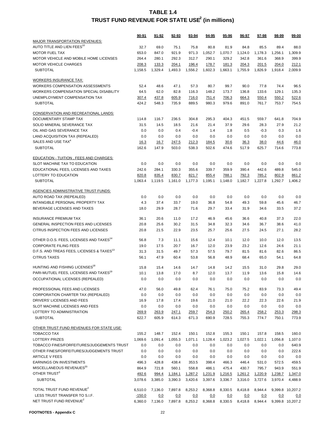|                                                             | 90-91          | 91-92          | 92-93          | 93-94          | 94-95          | 95-96          | 96-97          | 97-98          | 98-99          | 99-00            |
|-------------------------------------------------------------|----------------|----------------|----------------|----------------|----------------|----------------|----------------|----------------|----------------|------------------|
| MAJOR TRANSPORTATION REVENUES:                              |                |                |                |                |                |                |                |                |                |                  |
| AUTO TITLE AND LIEN FEES <sup>10</sup>                      | 32.7           | 69.0           | 75.1           | 75.8           | 80.8           | 81.9           | 84.8           | 85.5           | 89.4           | 88.0             |
| <b>MOTOR FUEL TAX</b>                                       | 653.0          | 847.0          | 921.9          | 971.3          | 1,052.7        | 1,070.7        | 1,124.0        | 1,178.3        | 1,256.1        | 1,309.9          |
| MOTOR VEHICLE AND MOBILE HOME LICENSES                      | 264.4          | 280.1          | 292.3          | 312.7          | 290.1          | 329.2          | 342.8          | 361.6          | 368.9          | 399.9            |
| <b>MOTOR VEHICLE CHARGES</b>                                | 208.3          | 133.3          | 204.1          | 196.4          | 178.7          | 181.3          | 204.3          | 201.5          | 204.0          | 212.1            |
| <b>SUBTOTAL</b>                                             | 1,158.5        | 1,329.4        | 1,493.3        | 1,556.2        | 1,602.3        | 1,663.1        | 1,755.9        | 1,826.9        | 1,918.4        | 2,009.9          |
|                                                             |                |                |                |                |                |                |                |                |                |                  |
| <b>WORKERS INSURANCE TAX:</b>                               |                |                |                |                |                |                |                |                |                |                  |
| <b>WORKERS COMPENSATION ASSESSMENTS</b>                     | 52.4           | 48.6           | 47.1           | 57.3           | 80.7           | 99.7           | 90.0           | 77.8           | 74.4           | 96.5             |
| <b>WORKERS COMPENSATION SPECIAL DISABILITY</b>              | 64.5           | 62.0           | 82.8           | 116.3          | 148.2          | 173.7          | 136.8          | 133.6          | 129.1          | 135.3            |
| UNEMPLOYMENT COMPENSATION TAX                               | 307.4          | 437.8          | 605.9          | 716.0          | 751.4          | 706.3          | 664.3          | 550.4          | 550.2          | 522.6            |
| <b>SUBTOTAL</b>                                             | 424.2          | 548.3          | 735.9          | 889.5          | 980.3          | 979.6          | 891.0          | 761.7          | 753.7          | 754.5            |
| <b>CONSERVATION AND RECREATIONAL LANDS:</b>                 |                |                |                |                |                |                |                |                |                |                  |
| DOCUMENTARY STAMP TAX                                       | 114.8          | 116.7          | 236.5          | 304.8          | 295.3          | 404.3          | 451.5          | 559.7          | 641.8          | 704.9            |
| SOLID MINERAL SEVERANCE TAX                                 | 31.5           | 14.5           | 18.5           | 21.6           | 21.4           | 37.9           | 29.6           | 28.3           | 27.9           | 21.2             |
| OIL AND GAS SEVERANCE TAX                                   | 0.0            | 0.0            | 0.4            | $-0.4$         | 1.4            | 1.8            | 0.5            | $-0.3$         | 0.3            | 1.6              |
| LAND ACQUISITION TAX (REPEALED)                             | 0.0            | 0.0            | 0.0            | 0.0            | 0.0            | 0.0            | 0.0            | 0.0            | 0.0            | 0.0              |
| SALES AND USE TAX <sup>4</sup>                              | 16.3           | 16.7           | 247.5          | 212.3          | 184.5          | 30.6           | 36.3           | 38.0           | 44.6           | 46.0             |
| <b>SUBTOTAL</b>                                             | 162.6          | 147.9          | 503.0          | 538.3          | 502.6          | 474.6          | 517.9          | 625.7          | 714.6          | 773.8            |
|                                                             |                |                |                |                |                |                |                |                |                |                  |
| <b>EDUCATION - TUITION, FEES AND CHARGES:</b>               |                |                |                |                |                |                |                |                |                |                  |
| SLOT MACHINE TAX TO EDUCATION                               | 0.0            | 0.0            | 0.0            | 0.0            | 0.0            | 0.0            | 0.0            | 0.0            | 0.0            | 0.0              |
| EDUCATIONAL FEES, LICENSES AND TAXES                        | 242.6          | 284.1          | 330.3          | 355.6          | 339.7          | 359.9          | 390.4          | 442.6          | 489.8          | 545.0            |
| LOTTERY TO EDUCATION<br><b>SUBTOTAL</b>                     | 820.8          | 835.4          | 830.7          | 821.7          | 855.4          | 788.1          | 792.3          | 785.2          | 802.9          | 861.2            |
|                                                             | 1,063.4        | 1,119.5        | 1,161.0        | 1,177.3        | 1,195.1        | 1,148.0        | 1,182.7        | 1,227.8        | 1,292.7        | 1,406.2          |
| <b>AGENCIES ADMINISTRATIVE TRUST FUNDS:</b>                 |                |                |                |                |                |                |                |                |                |                  |
| AUTO ROAD TAX (REPEALED)                                    | 0.0            | 0.0            | 0.0            | 0.0            | 0.0            | 0.0            | 0.0            | 0.0            | 0.0            | 0.0              |
| INTANGIBLE PERSONAL PROPERTY TAX                            | 4.3            | 37.4           | 33.7           | 19.0           | 36.8           | 54.8           | 49.3           | 59.8           | 45.6           | 46.7             |
| BEVERAGE LICENSES AND TAXES                                 | 18.0           | 29.9           | 28.7           | 71.6           | 29.7           | 33.4           | 31.9           | 34.6           | 33.5           | 37.2             |
|                                                             |                |                |                |                |                |                |                |                |                |                  |
| <b>INSURANCE PREMIUM TAX</b>                                | 36.1           | 20.6           | 11.0           | 17.2           | 46.9           | 45.6           | 36.6           | 40.8           | 37.3           | 22.0             |
| GENERAL INSPECTION FEES AND LICENSES                        | 20.8           | 25.6           | 30.2           | 31.5           | 34.8           | 32.3           | 34.6           | 36.7           | 38.6           | 41.0             |
| CITRUS INSPECTION FEES AND LICENSES                         | 20.8           | 21.5           | 22.9           | 23.5           | 25.7           | 25.6           | 27.5           | 24.5           | 27.1           | 28.2             |
| OTHER D.O.S. FEES, LICENSES AND TAXES <sup>14</sup>         | 56.8           | 7.3            | 11.1           | 15.6           | 12.4           | 10.1           | 12.0           | 10.0           | 12.0           | 13.5             |
| <b>CORPORATE FILING FEES</b>                                | 19.0           | 17.5           | 20.7           | 16.7           | 12.0           | 23.9           | 23.2           | 12.6           | 24.6           | 21.1             |
| D.F.S. AND TREAS FEES, LICENSES & TAXES <sup>13</sup>       | 31.3           | 31.5           | 49.7           | 57.3           | 57.5           | 79.7           | 81.5           | 81.6           | 82.6           | 86.5             |
| <b>CITRUS TAXES</b>                                         | 56.1           | 47.9           | 60.4           | 53.8           | 56.8           | 48.9           | 68.4           | 65.0           | 54.1           | 64.8             |
|                                                             |                |                |                |                |                |                |                |                |                |                  |
| HUNTING AND FISHING LICENSES <sup>18</sup>                  | 15.8           | 15.4           | 14.6           | 14.7           | 14.8           | 14.2           | 15.5           | 31.0           | 29.8           | 29.0             |
| PARI-MUTUEL FEES, LICENSES AND TAXES <sup>19</sup>          | 10.1           | 13.8           | 17.0           | 8.7            | 12.0           | 13.7           | 11.9           | 13.6           | 15.8           | 14.6             |
| OCCUPATIONAL LICENSES (REPEALED)                            | 0.0            | 0.0            | 0.0            | 0.0            | 0.0            | 0.0            | 0.0            | 0.0            | 0.0            | 0.0              |
|                                                             |                |                |                |                |                |                |                |                |                |                  |
| PROFESSIONAL FEES AND LICENSES                              | 47.0           | 56.0           | 49.8           | 62.4           | 76.1           | 75.0           | 75.2           | 83.9           | 73.3           | 49.4             |
| CORPORATION CHARTER TAX (REPEALED)                          | 0.0            | 0.0            | 0.0            | 0.0            | 0.0            | 0.0            | 0.0            | 0.0            | 0.0            | 0.0              |
| DRIVERS' LICENSES AND FEES                                  | 16.9           | 17.8           | 17.4           | 19.6           | 21.0           | 21.0           | 22.2           | 22.3           | 22.6           | 21.9             |
| SLOT MACHINE LICENSES AND FEES<br>LOTTERY TO ADMINISTRATION | 0.0            | 0.0            | 0.0            | 0.0            | 0.0            | 0.0            | 0.0            | 0.0            | 0.0            | 0.0              |
| <b>SUBTOTAL</b>                                             | 269.9<br>622.7 | 263.9<br>605.9 | 247.1<br>614.3 | 259.7<br>671.3 | 254.3<br>690.9 | 250.2<br>728.5 | 265.4<br>755.3 | 258.2<br>774.7 | 253.3<br>750.1 | 298.3<br>773.9   |
|                                                             |                |                |                |                |                |                |                |                |                |                  |
| OTHER TRUST FUND REVENUES FOR STATE USE:                    |                |                |                |                |                |                |                |                |                |                  |
| TOBACCO TAX                                                 | 155.2          | 148.7          | 152.4          | 150.1          | 152.8          | 155.3          | 150.1          | 157.8          | 158.5          | 160.0            |
| <b>LOTTERY PRIZES</b>                                       | 1,069.6        | 1,091.4        | 1,055.3        | 1,071.1        | 1,128.4        | 1,023.2        | 1,027.5        | 1,022.1        | 1,056.8        | 1,107.0          |
| TOBACCO FINES/FORFEITURES/JUDGEMENTS TRUST                  | 0.0            | 0.0            | 0.0            | 0.0            | 0.0            | 0.0            | 0.0            | 0.0            | 0.0            | 640.9            |
| OTHER FINES/FORFEITURES/JUDGEMENTS TRUST                    | 0.0            | 0.0            | 0.0            | 0.0            | 0.0            | 0.0            | 0.0            | 0.0            | 0.0            | 222.6            |
| <b>ARTICLE V FEES</b>                                       | 0.0            | 0.0            | 0.0            | 0.0            | 0.0            | 0.0            | 0.0            | 0.0            | 0.0            | 0.0              |
| EARNINGS ON INVESTMENTS                                     | 496.3          | 428.8          | 438.4          | 353.5          | 398.4          | 466.3          | 446.4          | 531.0          | 572.5          | 459.5            |
| MISCELLANEOUS REVENUES <sup>20</sup>                        | 864.9          | 721.8          | 560.1          | 558.8          | 486.1          | 475.4          | 430.7          | 795.7          | 943.9          | 551.9            |
| OTHER TRUST <sup>3</sup>                                    | 492.6          | 994.4          | 1,184.1        | 1,287.2        | 1,231.9        | 1,216.5        | 1,261.2        | 1,220.9        | 1,238.7        | 1,347.0          |
| <b>SUBTOTAL</b>                                             | 3,078.6        | 3,385.0        | 3,390.3        | 3,420.6        | 3,397.6        | 3,336.7        | 3,316.0        | 3,727.6        | 3,970.4        | 4,488.9          |
| TOTAL TRUST FUND REVENUE <sup>2</sup>                       | 6,510.0        | 7,136.0        | 7,897.8        | 8,253.2        | 8,368.8        | 8,330.5        | 8,418.8        | 8,944.4        |                | 9,399.8 10,207.2 |
| LESS TRUST TRANSFER TO S.I.F.                               | $-150.0$       | 0.0            | 0.0            | 0.0            | 0.0            | 0.0            | 0.0            | 0.0            | 0.0            | 0.0              |
| NET TRUST FUND REVENUE <sup>2</sup>                         | 6,360.0        | 7,136.0        | 7,897.8        | 8,253.2        | 8,368.8        | 8,330.5        | 8,418.8        | 8,944.4        |                | 9,399.8 10,207.2 |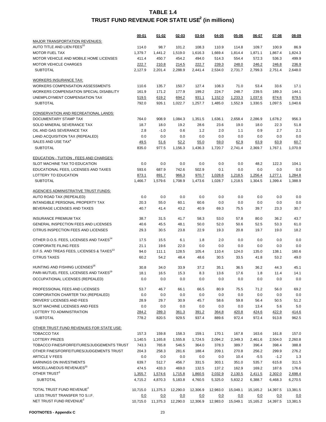|                                                                         | 00-01    | $01 - 02$ | 02-03    | 03-04    | 04-05      | 05-06      | 06-07    | 07-08      | 08-09      |
|-------------------------------------------------------------------------|----------|-----------|----------|----------|------------|------------|----------|------------|------------|
| MAJOR TRANSPORTATION REVENUES:                                          |          |           |          |          |            |            |          |            |            |
| AUTO TITLE AND LIEN FEES <sup>10</sup>                                  | 114.0    | 98.7      | 101.2    | 108.3    | 110.9      | 114.8      | 109.7    | 100.9      | 86.9       |
| <b>MOTOR FUEL TAX</b>                                                   | 1,379.7  | 1,441.2   | 1,519.0  | 1,616.3  | 1,669.4    | 1,814.4    | 1,871.1  | 1,867.4    | 1,824.3    |
| MOTOR VEHICLE AND MOBILE HOME LICENSES                                  | 411.4    | 450.7     | 454.2    | 494.0    | 514.3      | 554.4      | 572.3    | 536.3      | 499.9      |
| <b>MOTOR VEHICLE CHARGES</b>                                            | 222.7    | 210.8     | 214.5    | 222.7    | 239.3      | 248.0      | 246.2    | 246.8      | 236.9      |
| <b>SUBTOTAL</b>                                                         | 2,127.9  | 2,201.4   | 2,288.9  | 2,441.4  | 2,534.0    | 2,731.7    | 2,799.3  | 2,751.4    | 2,648.0    |
|                                                                         |          |           |          |          |            |            |          |            |            |
| <b>WORKERS INSURANCE TAX:</b>                                           |          |           |          |          |            |            |          |            |            |
| <b>WORKERS COMPENSATION ASSESSMENTS</b>                                 | 110.6    | 135.7     | 150.7    | 127.4    | 108.3      | 71.0       | 53.4     | 33.6       | 17.1       |
| WORKERS COMPENSATION SPECIAL DISABILITY                                 | 161.9    | 171.2     | 177.9    | 199.2    | 224.7      | 248.7      | 239.5    | 189.3      | 144.1      |
| UNEMPLOYMENT COMPENSATION TAX                                           | 519.5    | 619.2     | 694.2    | 931.1    | 1,152.0    | 1,233.3    | 1,037.6  | 874.6      | 879.5      |
| <b>SUBTOTAL</b>                                                         | 792.0    | 926.1     | 1,022.7  | 1,257.7  | 1,485.0    | 1,552.9    | 1,330.5  | 1,097.5    | 1,040.6    |
| <b>CONSERVATION AND RECREATIONAL LANDS:</b>                             |          |           |          |          |            |            |          |            |            |
| DOCUMENTARY STAMP TAX                                                   | 764.0    | 908.9     | 1,084.3  | 1,351.5  | 1,636.1    | 2,658.4    | 2,286.9  | 1,678.2    | 956.3      |
| SOLID MINERAL SEVERANCE TAX                                             | 18.7     | 18.0      | 19.2     | 28.6     | 23.6       | 19.0       | 18.0     | 22.3       | 51.8       |
| OIL AND GAS SEVERANCE TAX                                               | 2.8      | $-1.0$    | 0.6      | 1.2      | 2.0        | 1.1        | 0.9      | 2.7        | 2.1        |
| LAND ACQUISITION TAX (REPEALED)                                         | 0.0      | 0.0       | 0.0      | 0.0      | 0.0        | 0.0        | 0.0      | 0.0        | 0.0        |
| SALES AND USE TAX <sup>4</sup>                                          | 49.5     | 51.6      | 52.2     | 55.0     | 59.0       | 62.9       | 63.9     | 63.9       | 60.7       |
| <b>SUBTOTAL</b>                                                         | 835.0    | 977.5     | 1,156.3  | 1,436.3  | 1,720.7    | 2,741.4    | 2,369.7  | 1,767.1    | 1.070.9    |
|                                                                         |          |           |          |          |            |            |          |            |            |
| <b>EDUCATION - TUITION, FEES AND CHARGES:</b>                           |          |           |          |          |            |            |          |            |            |
| SLOT MACHINE TAX TO EDUCATION                                           | 0.0      | 0.0       | 0.0      | 0.0      | 0.0        | 0.0        | 48.2     | 122.3      | 104.1      |
| EDUCATIONAL FEES, LICENSES AND TAXES                                    | 593.6    | 687.9     | 742.6    | 502.9    | 0.1        | 0.0        | 0.0      | 0.0        | 0.0        |
| LOTTERY TO EDUCATION                                                    | 873.1    | 891.7     | 966.3    | 970.7    | 1,028.6    | 1,218.5    | 1,256.4  | 1,277.1    | 1,284.8    |
| <b>SUBTOTAL</b>                                                         | 1,466.7  | 1.579.6   | 1.708.9  | 1,473.6  | 1,028.7    | 1,218.5    | 1,304.5  | 1,399.4    | 1,388.9    |
|                                                                         |          |           |          |          |            |            |          |            |            |
| <b>AGENCIES ADMINISTRATIVE TRUST FUNDS:</b><br>AUTO ROAD TAX (REPEALED) | 0.0      | 0.0       | 0.0      | 0.0      | 0.0        | 0.0        | 0.0      | 0.0        | 0.0        |
| INTANGIBLE PERSONAL PROPERTY TAX                                        | 20.3     | 55.0      | 60.1     | 60.6     | 0.0        | 0.0        | 0.0      | 0.0        | 0.0        |
| BEVERAGE LICENSES AND TAXES                                             | 40.7     | 41.4      | 43.2     | 40.9     | 69.3       | 75.5       | 39.7     | 23.3       | 30.7       |
|                                                                         |          |           |          |          |            |            |          |            |            |
| <b>INSURANCE PREMIUM TAX</b>                                            | 38.7     | 31.5      | 41.7     | 58.3     | 53.0       | 57.8       | 80.0     | 36.2       | 43.7       |
| GENERAL INSPECTION FEES AND LICENSES                                    | 40.6     | 45.5      | 48.1     | 50.0     | 52.0       | 50.6       | 52.5     | 53.3       | 61.0       |
| CITRUS INSPECTION FEES AND LICENSES                                     | 29.3     | 30.5      | 23.8     | 22.9     | 19.3       | 20.8       | 19.7     | 19.0       | 18.2       |
|                                                                         |          |           |          |          |            |            |          |            |            |
| OTHER D.O.S. FEES, LICENSES AND TAXES <sup>14</sup>                     | 17.5     | 15.5      | 6.1      | 1.8      | 2.0        | 0.0        | 0.0      | 0.0        | 0.0        |
| <b>CORPORATE FILING FEES</b>                                            | 21.1     | 19.6      | 22.0     | 0.0      | 0.0        | 0.0        | 0.0      | 0.0        | 0.0        |
| D.F.S. AND TREAS FEES, LICENSES & TAXES <sup>13</sup>                   | 94.0     | 111.1     | 128.5    | 105.4    | 110.4      | 124.0      | 135.0    | 138.1      | 160.6      |
| <b>CITRUS TAXES</b>                                                     | 60.2     | 54.2      | 48.4     | 48.6     | 30.5       | 33.5       | 41.8     | 53.2       | 49.0       |
| HUNTING AND FISHING LICENSES <sup>18</sup>                              | 30.8     | 34.0      | 33.9     | 37.2     | 35.1       | 36.5       | 36.2     | 44.3       | 45.1       |
| PARI-MUTUEL FEES, LICENSES AND TAXES <sup>19</sup>                      | 18.1     | 16.5      | 15.3     | 8.3      | 13.6       | 17.6       | 1.8      | 11.4       | 14.1       |
| OCCUPATIONAL LICENSES (REPEALED)                                        | 0.0      | 0.0       | 0.0      | 0.0      | 0.0        | 0.0        | 0.0      | 0.0        | 0.0        |
|                                                                         |          |           |          |          |            |            |          |            |            |
| PROFESSIONAL FEES AND LICENSES                                          | 53.7     | 46.7      | 66.1     | 66.5     | 80.9       | 75.5       | 71.2     | 56.0       | 69.2       |
| CORPORATION CHARTER TAX (REPEALED)                                      | 0.0      | 0.0       | 0.0      | 0.0      | 0.0        | 0.0        | 0.0      | 0.0        | 0.0        |
| DRIVERS' LICENSES AND FEES                                              | 28.9     | 29.7      | 30.9     | 45.7     | 58.6       | 59.8       | 56.4     | 50.5       | 51.2       |
| SLOT MACHINE LICENSES AND FEES                                          | 0.0      | 0.0       | 0.0      | 0.0      | 0.0        | 0.0        | 13.4     | 5.6        | 5.0        |
| LOTTERY TO ADMINISTRATION                                               | 284.2    | 289.3     | 361.3    | 391.2    | 364.8      | 420.8      | 424.6    | 422.9      | 414.6      |
| <b>SUBTOTAL</b>                                                         | 778.2    | 820.5     | 929.5    | 937.4    | 889.6      | 972.4      | 972.4    | 913.8      | 962.5      |
| OTHER TRUST FUND REVENUES FOR STATE USE:                                |          |           |          |          |            |            |          |            |            |
| TOBACCO TAX                                                             | 157.3    | 159.8     | 158.3    | 159.1    | 170.1      | 167.8      | 163.6    | 161.8      | 157.0      |
| <b>LOTTERY PRIZES</b>                                                   | 1,140.5  | 1,165.8   | 1,555.8  | 1,724.5  | 2,094.2    | 2,349.3    | 2,461.6  | 2,504.0    | 2,260.8    |
| TOBACCO FINES/FORFEITURES/JUDGEMENTS TRUST                              | 743.3    | 765.8     | 546.5    | 364.0    | 378.3      | 389.7      | 396.4    | 398.4      | 388.8      |
| OTHER FINES/FORFEITURES/JUDGEMENTS TRUST                                | 204.3    | 258.3     | 281.6    | 188.4    | 209.1      | 270.8      | 256.2    | 299.9      | 276.2      |
| <b>ARTICLE V FEES</b>                                                   | 0.0      | 0.0       | 0.0      | 0.0      | 0.0        | 10.4       | $-5.5$   | $-1.2$     | 1.3        |
| <b>EARNINGS ON INVESTMENTS</b>                                          | 639.7    | 512.7     | 456.7    | 331.5    | 303.1      | 351.0      | 535.7    | 615.8      | 311.5      |
| MISCELLANEOUS REVENUES <sup>20</sup>                                    | 474.5    | 433.3     | 469.0    | 132.5    | 137.2      | 162.9      | 169.2    | 187.6      | 176.6      |
| OTHER TRUST <sup>3</sup>                                                | 1,355.7  | 1,574.6   | 1,715.8  | 1,860.5  | 2,032.9    | 2,130.5    | 2,411.5  | 2,302.0    | 2,698.4    |
| <b>SUBTOTAL</b>                                                         | 4,715.2  | 4,870.3   | 5,183.8  | 4,760.5  | 5,325.0    | 5,832.2    | 6,388.7  | 6,468.3    | 6,270.5    |
|                                                                         |          |           |          |          |            |            |          |            |            |
| TOTAL TRUST FUND REVENUE <sup>2</sup>                                   | 10,715.0 | 11,375.3  | 12,290.0 | 12,306.9 | 12,983.0   | 15,049.1   | 15,165.2 | 14,397.5   | 13,381.5   |
| LESS TRUST TRANSFER TO S.I.F.                                           | 0.0      | 0.0       | 0.0      | 0.0      | <u>0.0</u> | <u>0.0</u> | 0.0      | <u>0.0</u> | <u>0.0</u> |
| NET TRUST FUND REVENUE <sup>2</sup>                                     | 10,715.0 | 11,375.3  | 12,290.0 | 12,306.9 | 12,983.0   | 15,049.1   | 15,165.2 | 14,397.5   | 13,381.5   |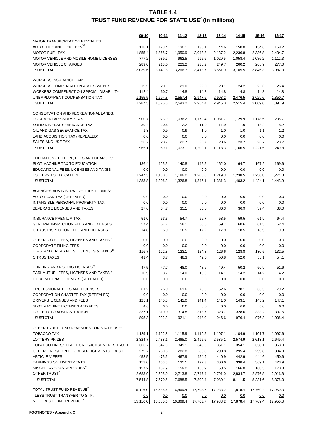|                                                       | 09-10    | 10-11      | 11-12    | 12-13    | 13-14    | 14-15    | $15 - 16$ | 16-17    |
|-------------------------------------------------------|----------|------------|----------|----------|----------|----------|-----------|----------|
| MAJOR TRANSPORTATION REVENUES:                        |          |            |          |          |          |          |           |          |
| AUTO TITLE AND LIEN FEES <sup>10</sup>                | 118.1    | 123.4      | 130.1    | 138.1    | 144.6    | 150.0    | 154.6     | 158.2    |
| <b>MOTOR FUEL TAX</b>                                 | 1,855.4  | 1,865.7    | 1,950.9  | 2,043.8  | 2,137.2  | 2,236.8  | 2,336.8   | 2,434.7  |
| MOTOR VEHICLE AND MOBILE HOME LICENSES                | 777.2    | 939.7      | 962.5    | 995.6    | 1,029.5  | 1,058.4  | 1,086.2   | 1,112.3  |
| <b>MOTOR VEHICLE CHARGES</b>                          | 289.0    | 213.0      | 223.2    | 236.2    | 249.7    | 260.2    | 268.9     | 277.0    |
| <b>SUBTOTAL</b>                                       | 3,039.6  | 3,141.8    | 3,266.7  | 3,413.7  | 3,561.0  | 3,705.5  | 3,846.3   | 3,982.3  |
| <b>WORKERS INSURANCE TAX:</b>                         |          |            |          |          |          |          |           |          |
| <b>WORKERS COMPENSATION ASSESSMENTS</b>               | 19.5     | 20.1       | 21.0     | 22.0     | 23.1     | 24.2     | 25.3      | 26.4     |
| WORKERS COMPENSATION SPECIAL DISABILITY               | 112.4    | 60.7       | 14.8     | 14.8     | 14.8     | 14.8     | 14.8      | 14.8     |
| UNEMPLOYMENT COMPENSATION TAX                         | 1,155.5  | 1,594.8    | 2,557.4  | 2,947.6  | 2,908.2  | 2,476.5  | 2,029.6   | 1,850.7  |
| <b>SUBTOTAL</b>                                       | 1,287.5  | 1,675.6    | 2,593.2  | 2,984.4  | 2,946.0  | 2,515.4  | 2,069.6   | 1,891.9  |
| <b>CONSERVATION AND RECREATIONAL LANDS:</b>           |          |            |          |          |          |          |           |          |
| DOCUMENTARY STAMP TAX                                 | 900.7    | 923.9      | 1,036.2  | 1,172.4  | 1,081.7  | 1,129.9  | 1,178.5   | 1,206.7  |
| SOLID MINERAL SEVERANCE TAX                           | 39.4     | 20.6       | 12.2     | 11.9     | 11.9     | 11.9     | 18.2      | 18.2     |
| OIL AND GAS SEVERANCE TAX                             | 1.3      | 0.9        | 0.9      | 1.0      | 1.0      | 1.0      | 1.1       | 1.2      |
| LAND ACQUISITION TAX (REPEALED)                       | 0.0      | 0.0        | 0.0      | 0.0      | 0.0      | 0.0      | 0.0       | 0.0      |
| SALES AND USE TAX <sup>4</sup>                        | 23.7     | 23.7       | 23.7     | 23.7     | 23.6     | 23.7     | 23.7      | 23.7     |
| <b>SUBTOTAL</b>                                       | 965.1    | 969.1      | 1,073.1  | 1,209.1  | 1,118.3  | 1.166.5  | 1,221.5   | 1,249.8  |
| EDUCATION - TUITION, FEES AND CHARGES:                |          |            |          |          |          |          |           |          |
| SLOT MACHINE TAX TO EDUCATION                         | 136.4    | 125.5      | 140.8    | 145.5    | 162.0    | 164.7    | 167.2     | 169.6    |
| EDUCATIONAL FEES, LICENSES AND TAXES                  | 0.0      | 0.0        | 0.0      | 0.0      | 0.0      | 0.0      | 0.0       | 0.0      |
| LOTTERY TO EDUCATION                                  | 1,247.3  | 1,180.8    | 1,186.0  | 1,200.6  | 1,219.3  | 1,238.5  | 1,256.8   | 1,274.3  |
| <b>SUBTOTAL</b>                                       | 1,383.8  | 1,306.3    | 1,326.8  | 1,346.1  | 1.381.3  | 1.403.2  | 1,424.1   | 1,443.9  |
|                                                       |          |            |          |          |          |          |           |          |
| <b>AGENCIES ADMINISTRATIVE TRUST FUNDS:</b>           |          |            |          |          |          |          |           |          |
| AUTO ROAD TAX (REPEALED)                              | 0.0      | 0.0        | 0.0      | 0.0      | 0.0      | 0.0      | 0.0       | 0.0      |
| INTANGIBLE PERSONAL PROPERTY TAX                      | 0.0      | 0.0        | 0.0      | 0.0      | 0.0      | 0.0      | 0.0       | 0.0      |
| BEVERAGE LICENSES AND TAXES                           | 27.6     | 34.7       | 35.1     | 35.6     | 36.3     | 36.9     | 37.4      | 38.0     |
| <b>INSURANCE PREMIUM TAX</b>                          | 51.0     | 53.3       | 54.7     | 56.7     | 58.5     | 59.5     | 61.9      | 64.4     |
| GENERAL INSPECTION FEES AND LICENSES                  | 57.4     | 57.7       | 58.1     | 58.8     | 59.7     | 60.6     | 61.5      | 62.4     |
| CITRUS INSPECTION FEES AND LICENSES                   | 14.8     | 15.9       | 16.5     | 17.2     | 17.9     | 18.5     | 18.9      | 19.3     |
| OTHER D.O.S. FEES, LICENSES AND TAXES <sup>14</sup>   | 0.0      | 0.0        | 0.0      | 0.0      | 0.0      | 0.0      | 0.0       | 0.0      |
| <b>CORPORATE FILING FEES</b>                          | 0.0      | 0.0        | 0.0      | 0.0      | 0.0      | 0.0      | 0.0       | 0.0      |
| D.F.S. AND TREAS FEES, LICENSES & TAXES <sup>13</sup> | 116.7    | 122.3      | 123.1    | 124.8    | 126.6    | 128.8    | 130.5     | 132.5    |
| <b>CITRUS TAXES</b>                                   | 41.4     | 43.7       | 48.3     | 49.5     | 50.8     | 52.0     | 53.1      | 54.1     |
|                                                       |          |            |          |          |          |          |           |          |
| HUNTING AND FISHING LICENSES <sup>18</sup>            | 47.5     | 47.7       | 48.0     | 48.6     | 49.4     | 50.2     | 50.9      | 51.6     |
| PARI-MUTUEL FEES, LICENSES AND TAXES <sup>19</sup>    | 10.9     | 13.7       | 14.0     | 13.9     | 14.1     | 14.2     | 14.2      | 14.2     |
| OCCUPATIONAL LICENSES (REPEALED)                      | 0.0      | 0.0        | 0.0      | 0.0      | 0.0      | 0.0      | 0.0       | 0.0      |
| PROFESSIONAL FEES AND LICENSES                        | 61.2     | 75.9       | 61.6     | 76.9     | 62.6     | 78.1     | 63.5      | 79.2     |
| CORPORATION CHARTER TAX (REPEALED)                    | 0.0      | 0.0        | 0.0      | 0.0      | 0.0      | 0.0      | 0.0       | 0.0      |
| DRIVERS' LICENSES AND FEES                            | 125.1    | 140.5      | 141.0    | 141.4    | 141.0    | 143.1    | 145.2     | 147.1    |
| SLOT MACHINE LICENSES AND FEES                        | 4.6      | 6.0        | 6.0      | 6.0      | 6.0      | 6.0      | 6.0       | 6.0      |
| LOTTERY TO ADMINISTRATION                             | 337.1    | 310.9      | 314.8    | 318.7    | 323.7    | 328.6    | 333.2     | 337.6    |
| <b>SUBTOTAL</b>                                       | 895.3    | 922.3      | 921.1    | 948.0    | 946.6    | 976.4    | 976.3     | 1,006.4  |
| OTHER TRUST FUND REVENUES FOR STATE USE:              |          |            |          |          |          |          |           |          |
| <b>TOBACCO TAX</b>                                    | 1,129.1  | 1,122.8    | 1,115.9  | 1,110.5  | 1,107.1  | 1,104.9  | 1,101.7   | 1,097.6  |
| <b>LOTTERY PRIZES</b>                                 | 2,324.7  | 2,438.1    | 2,465.0  | 2,495.6  | 2,535.1  | 2,574.9  | 2,613.1   | 2,649.4  |
| TOBACCO FINES/FORFEITURES/JUDGEMENTS TRUST            | 363.7    | 347.0      | 349.1    | 349.5    | 351.1    | 354.1    | 358.1     | 363.0    |
| OTHER FINES/FORFEITURES/JUDGEMENTS TRUST              | 279.7    | 280.8      | 282.8    | 286.3    | 290.8    | 295.4    | 299.8     | 304.0    |
| <b>ARTICLE V FEES</b>                                 | 453.5    | 475.6      | 467.9    | 454.9    | 440.9    | 442.9    | 444.6     | 450.6    |
| EARNINGS ON INVESTMENTS                               | 153.0    | 153.3      | 135.1    | 197.3    | 300.6    | 338.4    | 369.1     | 423.9    |
| MISCELLANEOUS REVENUES <sup>20</sup>                  | 157.2    | 157.9      | 159.0    | 160.9    | 163.5    | 166.0    | 168.5     | 170.8    |
| OTHER TRUST <sup>3</sup>                              | 2,683.9  | 2,695.0    | 2,713.8  | 2,747.4  | 2,791.0  | 2,834.7  | 2,876.8   | 2,916.8  |
| <b>SUBTOTAL</b>                                       | 7,544.8  | 7,670.5    | 7,688.5  | 7,802.4  | 7,980.1  | 8,111.5  | 8,231.6   | 8,376.0  |
| TOTAL TRUST FUND REVENUE <sup>2</sup>                 | 15,116.0 | 15,685.6   | 16,869.4 | 17,703.7 | 17,933.2 | 17,878.4 | 17,769.4  | 17,950.3 |
| LESS TRUST TRANSFER TO S.I.F.                         | 0.0      | <u>0.0</u> | 0.0      | 0.0      | 0.0      | 0.0      | 0.0       | 0.0      |
| NET TRUST FUND REVENUE <sup>2</sup>                   | 15,116.0 | 15,685.6   | 16,869.4 | 17,703.7 | 17,933.2 | 17,878.4 | 17,769.4  | 17,950.3 |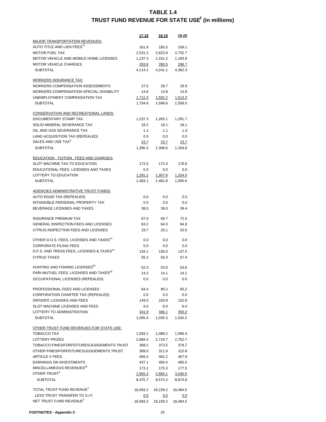|                                                       | 17-18          | 18-19        | 19-20      |
|-------------------------------------------------------|----------------|--------------|------------|
| <u>MAJOR TRANSPORTATION REVENUES:</u>                 |                |              |            |
| AUTO TITLE AND LIEN FEES <sup>10</sup>                | 161.8          | 165.5        | 169.1      |
| <b>MOTOR FUEL TAX</b>                                 | 2,531.2        | 2,623.9      | 2,732.7    |
| MOTOR VEHICLE AND MOBILE HOME LICENSES                | 1,137.3        | 1,161.2      | 1,183.8    |
| <b>MOTOR VEHICLE CHARGES</b>                          | <u> 283.8</u>  | <u>290.5</u> | 296.7      |
| <b>SUBTOTAL</b>                                       | 4.114.1        | 4,241.1      | 4,382.3    |
|                                                       |                |              |            |
| <b>WORKERS INSURANCE TAX:</b>                         |                |              |            |
| <b>WORKERS COMPENSATION ASSESSMENTS</b>               | 27.5           | 28.7         | 29.9       |
| WORKERS COMPENSATION SPECIAL DISABILITY               | 14.8           | 14.8         | 14.8       |
| UNEMPLOYMENT COMPENSATION TAX                         | 1,712.3        | 1,555.2      | 1,513.3    |
| <b>SUBTOTAL</b>                                       | 1,754.6        | 1,598.6      | 1,558.0    |
| <u>CONSERVATION AND RECREATIONAL LANDS:</u>           |                |              |            |
| DOCUMENTARY STAMP TAX                                 | 1,237.3        | 1,265.1      | 1,291.7    |
| SOLID MINERAL SEVERANCE TAX                           | 18.2           | 18.1         | 18.1       |
| OIL AND GAS SEVERANCE TAX                             | 1.1            | 1.1          | 1.3        |
| LAND ACQUISITION TAX (REPEALED)                       | 0.0            | 0.0          | 0.0        |
| SALES AND USE TAX <sup>4</sup>                        | 23.7           | 23.7         | 23.7       |
| <b>SUBTOTAL</b>                                       | 1.280.3        | 1,308.0      | 1,334.8    |
|                                                       |                |              |            |
| <u> EDUCATION - TUITION , FEES AND CHARGES:</u>       |                |              |            |
| SLOT MACHINE TAX TO EDUCATION                         | 172.0          | 174.3        | 176.6      |
| EDUCATIONAL FEES, LICENSES AND TAXES                  | 0.0            | 0.0          | 0.0        |
| LOTTERY TO EDUCATION                                  | 1,291.1        | 1,307.6      | 1,324.0    |
| <b>SUBTOTAL</b>                                       | 1,463.1        | 1,481.9      | 1,500.6    |
|                                                       |                |              |            |
| AGENCIES ADMINISTRATIVE TRUST FUNDS:                  |                |              |            |
| AUTO ROAD TAX (REPEALED)                              | 0.0            | 0.0          | 0.0        |
| INTANGIBLE PERSONAL PROPERTY TAX                      | 0.0            | 0.0          | 0.0        |
| BEVERAGE LICENSES AND TAXES                           | 38.5           | 39.0         | 39.4       |
| <b>INSURANCE PREMIUM TAX</b>                          | 67.0           | 69.7         | 72.5       |
| <b>GENERAL INSPECTION FEES AND LICENSES</b>           | 63.2           | 64.0         | 64.8       |
| CITRUS INSPECTION FEES AND LICENSES                   | 19.7           | 20.1         | 20.5       |
|                                                       |                |              |            |
| OTHER D.O.S. FEES, LICENSES AND TAXES <sup>14</sup>   | 0.0            | 0.0          | 0.0        |
| <b>CORPORATE FILING FEES</b>                          | 0.0            | 0.0          | 0.0        |
| D.F.S. AND TREAS FEES, LICENSES & TAXES <sup>13</sup> | 134.1          | 136.0        | 137.5      |
| <b>CITRUS TAXES</b>                                   | 55.2           | 56.3         | 57.4       |
|                                                       |                |              |            |
| HUNTING AND FISHING LICENSES <sup>18</sup>            | 52.3           | 53.0         | 53.6       |
| PARI-MUTUEL FEES, LICENSES AND TAXES <sup>19</sup>    | 14.2           | 14.1         | 14.1       |
| OCCUPATIONAL LICENSES (REPEALED)                      | 0.0            | 0.0          | 0.0        |
|                                                       |                |              |            |
| PROFESSIONAL FEES AND LICENSES                        | 64.4           | 80.2         | 65.2       |
| CORPORATION CHARTER TAX (REPEALED)                    | 0.0            | 0.0          | 0.0        |
| DRIVERS' LICENSES AND FEES                            | 149.0          | 150.9        | 152.8      |
| SLOT MACHINE LICENSES AND FEES                        | 6.0            | 6.0          | 6.0        |
| LOTTERY TO ADMINISTRATION                             | <u>341.9</u>   | <u>346.1</u> | 350.2      |
| <b>SUBTOTAL</b>                                       | 1,005.4        | 1,035.3      | 1,034.2    |
| <u>OTHER TRUST FUND REVENUES FOR STATE USE:</u>       |                |              |            |
| TOBACCO TAX                                           | 1,093.1        | 1,089.2      | 1,086.4    |
| <b>LOTTERY PRIZES</b>                                 | 2,684.4        | 2,718.7      | 2,752.7    |
| TOBACCO FINES/FORFEITURES/JUDGEMENTS TRUST            | 368.2          | 373.5        | 378.7      |
| OTHER FINES/FORFEITURES/JUDGEMENTS TRUST              | 308.0          | 311.9        | 315.8      |
| <b>ARTICLE V FEES</b>                                 | 456.4          | 462.2        | 467.9      |
| <b>EARNINGS ON INVESTMENTS</b>                        | 437.1          | 450.4        | 465.0      |
| MISCELLANEOUS REVENUES <sup>20</sup>                  | 173.1          | 175.3        | 177.5      |
| OTHER TRUST <sup>3</sup>                              | <u>2,955.3</u> | 2,993.1      | 3,030.5    |
| <b>SUBTOTAL</b>                                       | 8,475.7        | 8,574.2      | 8,674.6    |
|                                                       |                |              |            |
| TOTAL TRUST FUND REVENUE <sup>2</sup>                 | 18,093.2       | 18,239.2     | 18,484.5   |
| LESS TRUST TRANSFER TO S.I.F.                         | <u>0.0</u>     | <u>0.0</u>   | <u>0.0</u> |
| NET TRUST FUND REVENUE <sup>2</sup>                   | 18,093.2       | 18,239.2     | 18,484.5   |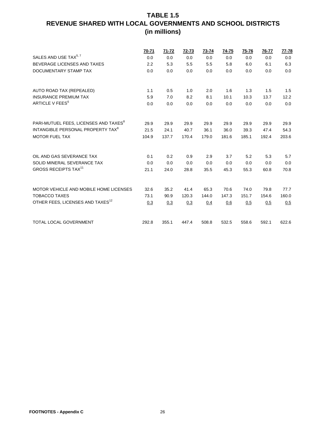|                                                   | 70-71 | 71-72 | 72-73 | 73-74 | 74-75 | 75-76 | 76-77 | <u>77-78</u> |
|---------------------------------------------------|-------|-------|-------|-------|-------|-------|-------|--------------|
| SALES AND USE TAX <sup>5, 7</sup>                 | 0.0   | 0.0   | 0.0   | 0.0   | 0.0   | 0.0   | 0.0   | 0.0          |
| BEVERAGE LICENSES AND TAXES                       | 2.2   | 5.3   | 5.5   | 5.5   | 5.8   | 6.0   | 6.1   | 6.3          |
| DOCUMENTARY STAMP TAX                             | 0.0   | 0.0   | 0.0   | 0.0   | 0.0   | 0.0   | 0.0   | 0.0          |
| AUTO ROAD TAX (REPEALED)                          | 1.1   | 0.5   | 1.0   | 2.0   | 1.6   | 1.3   | 1.5   | 1.5          |
| <b>INSURANCE PREMIUM TAX</b>                      | 5.9   | 7.0   | 8.2   | 8.1   | 10.1  | 10.3  | 13.7  | 12.2         |
| ARTICLE V FEES <sup>6</sup>                       | 0.0   | 0.0   | 0.0   | 0.0   | 0.0   | 0.0   | 0.0   | 0.0          |
| PARI-MUTUEL FEES, LICENSES AND TAXES <sup>8</sup> | 29.9  | 29.9  | 29.9  | 29.9  | 29.9  | 29.9  | 29.9  | 29.9         |
| INTANGIBLE PERSONAL PROPERTY TAX <sup>8</sup>     | 21.5  | 24.1  | 40.7  | 36.1  | 36.0  | 39.3  | 47.4  | 54.3         |
| <b>MOTOR FUEL TAX</b>                             | 104.9 | 137.7 | 170.4 | 179.0 | 181.6 | 185.1 | 192.4 | 203.6        |
| OIL AND GAS SEVERANCE TAX                         | 0.1   | 0.2   | 0.9   | 2.9   | 3.7   | 5.2   | 5.3   | 5.7          |
| SOLID MINERAL SEVERANCE TAX                       | 0.0   | 0.0   | 0.0   | 0.0   | 0.0   | 0.0   | 0.0   | 0.0          |
| <b>GROSS RECEIPTS TAX<sup>11</sup></b>            | 21.1  | 24.0  | 28.8  | 35.5  | 45.3  | 55.3  | 60.8  | 70.8         |
| MOTOR VEHICLE AND MOBILE HOME LICENSES            | 32.6  | 35.2  | 41.4  | 65.3  | 70.6  | 74.0  | 79.8  | 77.7         |
| <b>TOBACCO TAXES</b>                              | 73.1  | 90.9  | 120.3 | 144.0 | 147.3 | 151.7 | 154.6 | 160.0        |
| OTHER FEES, LICENSES AND TAXES <sup>12</sup>      | 0.3   | 0.3   | 0.3   | 0.4   | 0.6   | 0.5   | 0.5   | 0.5          |
| <b>TOTAL LOCAL GOVERNMENT</b>                     | 292.8 | 355.1 | 447.4 | 508.8 | 532.5 | 558.6 | 592.1 | 622.6        |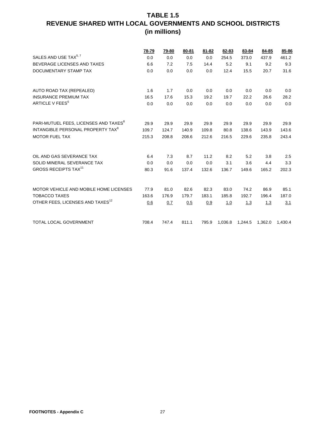|                                                   | <u>78-79</u> | <u>79-80</u> | 80-81 | 81-82 | 82-83   | 83-84   | 84-85   | 85-86   |
|---------------------------------------------------|--------------|--------------|-------|-------|---------|---------|---------|---------|
| SALES AND USE TAX <sup>5, 7</sup>                 | 0.0          | 0.0          | 0.0   | 0.0   | 254.5   | 373.0   | 437.9   | 461.2   |
| BEVERAGE LICENSES AND TAXES                       | 6.6          | 7.2          | 7.5   | 14.4  | 5.2     | 9.1     | 9.2     | 9.3     |
| DOCUMENTARY STAMP TAX                             | 0.0          | 0.0          | 0.0   | 0.0   | 12.4    | 15.5    | 20.7    | 31.6    |
|                                                   |              |              |       |       |         |         |         |         |
| AUTO ROAD TAX (REPEALED)                          | 1.6          | 1.7          | 0.0   | 0.0   | 0.0     | 0.0     | 0.0     | 0.0     |
| <b>INSURANCE PREMIUM TAX</b>                      | 16.5         | 17.6         | 15.3  | 19.2  | 19.7    | 22.2    | 26.6    | 28.2    |
| ARTICLE V FEES <sup>6</sup>                       | 0.0          | 0.0          | 0.0   | 0.0   | 0.0     | 0.0     | 0.0     | 0.0     |
| PARI-MUTUEL FEES, LICENSES AND TAXES <sup>8</sup> |              |              |       |       |         |         |         |         |
| INTANGIBLE PERSONAL PROPERTY TAX <sup>8</sup>     | 29.9         | 29.9         | 29.9  | 29.9  | 29.9    | 29.9    | 29.9    | 29.9    |
|                                                   | 109.7        | 124.7        | 140.9 | 109.8 | 80.8    | 138.6   | 143.9   | 143.6   |
| <b>MOTOR FUEL TAX</b>                             | 215.3        | 208.8        | 208.6 | 212.6 | 216.5   | 229.6   | 235.8   | 243.4   |
| OIL AND GAS SEVERANCE TAX                         | 6.4          | 7.3          | 8.7   | 11.2  | 8.2     | 5.2     | 3.8     | 2.5     |
| SOLID MINERAL SEVERANCE TAX                       | 0.0          | 0.0          | 0.0   | 0.0   | 3.1     | 3.6     | 4.4     | 3.3     |
| <b>GROSS RECEIPTS TAX<sup>11</sup></b>            | 80.3         | 91.6         | 137.4 | 132.6 | 136.7   | 149.6   | 165.2   | 202.3   |
| MOTOR VEHICLE AND MOBILE HOME LICENSES            | 77.9         | 81.0         | 82.6  | 82.3  | 83.0    | 74.2    | 86.9    | 85.1    |
|                                                   |              |              |       |       |         |         |         |         |
| <b>TOBACCO TAXES</b>                              | 163.6        | 176.9        | 179.7 | 183.1 | 185.8   | 192.7   | 196.4   | 187.0   |
| OTHER FEES, LICENSES AND TAXES <sup>12</sup>      | 0.6          | 0.7          | 0.5   | 0.9   | 1.0     | 1.3     | 1.3     | 3.1     |
| <b>TOTAL LOCAL GOVERNMENT</b>                     | 708.4        | 747.4        | 811.1 | 795.9 | 1,036.8 | 1,244.5 | 1,362.0 | 1,430.4 |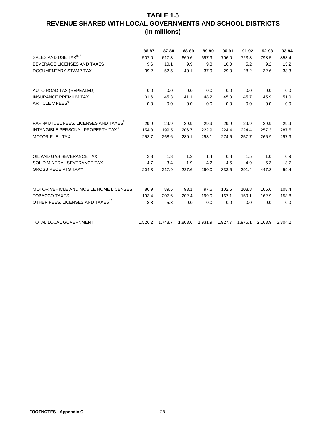|                                                   | 86-87   | 87-88   | 88-89   | 89-90 | 90-91                   | $91 - 92$ | 92-93 | 93-94           |
|---------------------------------------------------|---------|---------|---------|-------|-------------------------|-----------|-------|-----------------|
| SALES AND USE TAX <sup>5, 7</sup>                 | 507.0   | 617.3   | 669.6   | 697.9 | 706.0                   | 723.3     | 798.5 | 853.4           |
| BEVERAGE LICENSES AND TAXES                       | 9.6     | 10.1    | 9.9     | 9.8   | 10.0                    | 5.2       | 9.2   | 15.2            |
| DOCUMENTARY STAMP TAX                             | 39.2    | 52.5    | 40.1    | 37.9  | 29.0                    | 28.2      | 32.6  | 38.3            |
| AUTO ROAD TAX (REPEALED)                          | 0.0     | 0.0     | 0.0     | 0.0   | 0.0                     | 0.0       | 0.0   | 0.0             |
| <b>INSURANCE PREMIUM TAX</b>                      | 31.6    | 45.3    | 41.1    | 48.2  | 45.3                    | 45.7      | 45.9  | 51.0            |
| ARTICLE V FEES <sup>6</sup>                       | 0.0     | 0.0     | 0.0     | 0.0   | 0.0                     | 0.0       | 0.0   | 0.0             |
| PARI-MUTUEL FEES, LICENSES AND TAXES <sup>8</sup> | 29.9    | 29.9    | 29.9    | 29.9  | 29.9                    | 29.9      | 29.9  | 29.9            |
| INTANGIBLE PERSONAL PROPERTY TAX <sup>8</sup>     | 154.8   | 199.5   | 206.7   | 222.9 | 224.4                   | 224.4     | 257.3 | 287.5           |
| <b>MOTOR FUEL TAX</b>                             | 253.7   | 268.6   | 280.1   | 293.1 | 274.6                   | 257.7     | 266.9 | 297.9           |
| OIL AND GAS SEVERANCE TAX                         | 2.3     | 1.3     | 1.2     | 1.4   | 0.8                     | 1.5       | 1.0   | 0.9             |
| SOLID MINERAL SEVERANCE TAX                       | 4.7     | 3.4     | 1.9     | 4.2   | 4.5                     | 4.9       | 5.3   | 3.7             |
| <b>GROSS RECEIPTS TAX<sup>11</sup></b>            | 204.3   | 217.9   | 227.6   | 290.0 | 333.6                   | 391.4     | 447.8 | 459.4           |
| MOTOR VEHICLE AND MOBILE HOME LICENSES            | 86.9    | 89.5    | 93.1    | 97.6  | 102.6                   | 103.8     | 106.6 | 108.4           |
| <b>TOBACCO TAXES</b>                              | 193.4   | 207.6   | 202.4   | 199.0 | 167.1                   | 159.1     | 162.9 | 158.8           |
| OTHER FEES, LICENSES AND TAXES <sup>12</sup>      | 8.8     | 5.8     | 0.0     | 0.0   | 0.0                     | 0.0       | 0.0   | 0.0             |
| TOTAL LOCAL GOVERNMENT                            | 1,526.2 | 1,748.7 | 1,803.6 |       | 1,931.9 1,927.7 1,975.1 |           |       | 2,163.9 2,304.2 |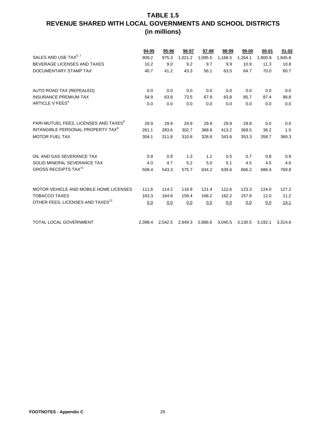|                                                   | 94-95   | 95-96   | 96-97       | 97-98   | 98-99   | 99-00       | 00-01   | $01 - 02$ |
|---------------------------------------------------|---------|---------|-------------|---------|---------|-------------|---------|-----------|
| SALES AND USE TAX <sup>5, 7</sup>                 | 909.2   | 975.3   | 1,021.2     | 1,095.5 | 1,166.5 | 1,264.1     | 1,800.9 | 1,845.8   |
| BEVERAGE LICENSES AND TAXES                       | 10.2    | 9.0     | 9.2         | 9.7     | 9.9     | 10.9        | 11.3    | 10.8      |
| DOCUMENTARY STAMP TAX                             | 40.7    | 41.2    | 43.3        | 56.1    | 63.5    | 64.7        | 70.0    | 60.7      |
| AUTO ROAD TAX (REPEALED)                          |         |         |             |         |         |             | 0.0     | 0.0       |
| <b>INSURANCE PREMIUM TAX</b>                      | 0.0     | 0.0     | 0.0<br>73.5 | 0.0     | 0.0     | 0.0<br>85.7 | 87.4    |           |
| ARTICLE V FEES <sup>6</sup>                       | 54.9    | 63.8    |             | 67.9    | 83.8    |             |         | 98.8      |
|                                                   | 0.0     | 0.0     | 0.0         | 0.0     | 0.0     | 0.0         | 0.0     | 0.0       |
| PARI-MUTUEL FEES, LICENSES AND TAXES <sup>8</sup> | 29.9    | 29.9    | 29.9        | 29.9    | 29.9    | 29.9        | 0.0     | 0.0       |
| INTANGIBLE PERSONAL PROPERTY TAX <sup>8</sup>     | 261.1   | 283.6   | 302.7       | 368.8   | 413.2   | 369.5       | 36.2    | 1.5       |
| <b>MOTOR FUEL TAX</b>                             | 304.1   | 311.8   | 310.8       | 328.8   | 343.6   | 353.3       | 358.7   | 369.3     |
| OIL AND GAS SEVERANCE TAX                         | 0.9     | 0.9     | 1.3         | 1.1     | 0.5     | 0.7         | 0.8     | 0.9       |
| SOLID MINERAL SEVERANCE TAX                       | 4.0     | 4.7     | 5.2         | 5.0     | 5.1     | 4.5         | 4.5     | 4.6       |
| <b>GROSS RECEIPTS TAX<sup>11</sup></b>            | 508.4   | 543.3   | 575.7       | 634.2   | 639.6   | 666.2       | 686.4   | 769.8     |
|                                                   |         |         |             |         |         |             |         |           |
| MOTOR VEHICLE AND MOBILE HOME LICENSES            | 111.6   | 114.2   | 116.9       | 121.4   | 122.6   | 123.3       | 124.0   | 127.2     |
| <b>TOBACCO TAXES</b>                              | 163.3   | 164.8   | 159.4       | 168.2   | 162.2   | 157.8       | 12.0    | 11.2      |
| OTHER FEES, LICENSES AND TAXES <sup>12</sup>      | 0.0     | 0.0     | 0.0         | 0.0     | 0.0     | 0.0         | 0.0     | 14.1      |
| <b>TOTAL LOCAL GOVERNMENT</b>                     | 2,398.4 | 2,542.5 | 2,649.3     | 2,886.6 | 3,040.5 | 3,130.5     | 3,192.1 | 3,314.6   |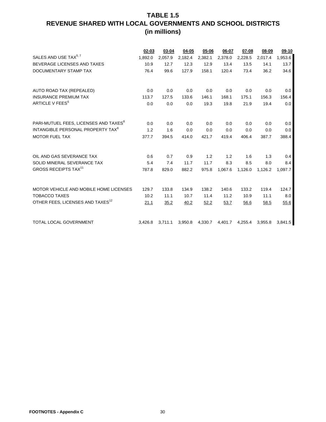|                                                   | 02-03   | 03-04   | 04-05   | 05-06   | 06-07   | 07-08   | 08-09   | 09-10   |
|---------------------------------------------------|---------|---------|---------|---------|---------|---------|---------|---------|
| SALES AND USE TAX <sup>5, 7</sup>                 | 1,892.0 | 2,057.9 | 2,182.4 | 2,382.1 | 2,378.0 | 2,228.5 | 2,017.4 | 1,953.6 |
| BEVERAGE LICENSES AND TAXES                       | 10.9    | 12.7    | 12.3    | 12.9    | 13.4    | 13.5    | 14.1    | 13.7    |
| DOCUMENTARY STAMP TAX                             | 76.4    | 99.6    | 127.9   | 158.1   | 120.4   | 73.4    | 36.2    | 34.6    |
|                                                   |         |         |         |         |         |         |         |         |
|                                                   |         |         |         |         |         |         |         |         |
| AUTO ROAD TAX (REPEALED)                          | 0.0     | 0.0     | 0.0     | 0.0     | 0.0     | 0.0     | 0.0     | 0.0     |
| <b>INSURANCE PREMIUM TAX</b>                      | 113.7   | 127.5   | 133.6   | 146.1   | 168.1   | 175.1   | 156.3   | 156.4   |
| ARTICLE V FEES <sup>6</sup>                       | 0.0     | 0.0     | 0.0     | 19.3    | 19.8    | 21.9    | 19.4    | 0.0     |
|                                                   |         |         |         |         |         |         |         |         |
|                                                   |         |         |         |         |         |         |         |         |
| PARI-MUTUEL FEES, LICENSES AND TAXES <sup>8</sup> | 0.0     | 0.0     | 0.0     | 0.0     | 0.0     | 0.0     | 0.0     | 0.0     |
| INTANGIBLE PERSONAL PROPERTY TAX <sup>8</sup>     | 1.2     | 1.6     | 0.0     | 0.0     | 0.0     | 0.0     | 0.0     | 0.0     |
| <b>MOTOR FUEL TAX</b>                             | 377.7   | 394.5   | 414.0   | 421.7   | 419.4   | 406.4   | 387.7   | 388.4   |
|                                                   |         |         |         |         |         |         |         |         |
|                                                   |         |         |         |         |         |         |         |         |
| OIL AND GAS SEVERANCE TAX                         | 0.6     | 0.7     | 0.9     | 1.2     | 1.2     | 1.6     | 1.3     | 0.4     |
| SOLID MINERAL SEVERANCE TAX                       | 5.4     | 7.4     | 11.7    | 11.7    | 8.3     | 8.5     | 8.0     | 8.4     |
| <b>GROSS RECEIPTS TAX<sup>11</sup></b>            | 787.8   | 829.0   | 882.2   | 975.8   | 1,067.6 | 1,126.0 | 1,126.2 | 1,097.7 |
|                                                   |         |         |         |         |         |         |         |         |
|                                                   |         |         |         |         |         |         |         |         |
| MOTOR VEHICLE AND MOBILE HOME LICENSES            | 129.7   | 133.8   | 134.9   | 138.2   | 140.6   | 133.2   | 119.4   | 124.7   |
| <b>TOBACCO TAXES</b>                              | 10.2    | 11.1    | 10.7    | 11.4    | 11.2    | 10.9    | 11.1    | 8.0     |
| OTHER FEES, LICENSES AND TAXES <sup>12</sup>      | 21.1    | 35.2    | 40.2    | 52.2    | 53.7    | 56.6    | 58.5    | 55.6    |
|                                                   |         |         |         |         |         |         |         |         |
|                                                   |         |         |         |         |         |         |         |         |
| TOTAL LOCAL GOVERNMENT                            | 3,426.8 | 3,711.1 | 3,950.8 | 4,330.7 | 4,401.7 | 4,255.4 | 3,955.8 | 3,841.5 |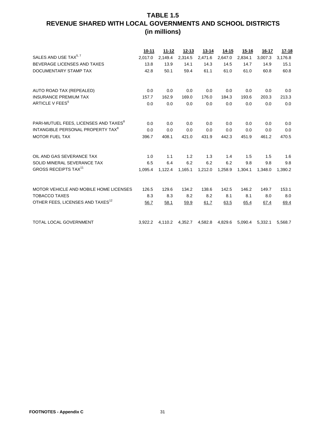#### **TABLE 1.5 REVENUE SHARED WITH LOCAL GOVERNMENTS AND SCHOOL DISTRICTS (in millions)**

|                                                   | $10 - 11$ | 11-12   | $12 - 13$ | $13 - 14$ | 14-15   | $15 - 16$ | 16-17   | <u>17-18</u> |
|---------------------------------------------------|-----------|---------|-----------|-----------|---------|-----------|---------|--------------|
| SALES AND USE TAX <sup>5, 7</sup>                 | 2.017.0   | 2,149.4 | 2,314.5   | 2,471.6   | 2,647.0 | 2,834.1   | 3,007.3 | 3,176.8      |
| BEVERAGE LICENSES AND TAXES                       | 13.8      | 13.9    | 14.1      | 14.3      | 14.5    | 14.7      | 14.9    | 15.1         |
| DOCUMENTARY STAMP TAX                             | 42.8      | 50.1    | 59.4      | 61.1      | 61.0    | 61.0      | 60.8    | 60.8         |
|                                                   |           |         |           |           |         |           |         |              |
| AUTO ROAD TAX (REPEALED)                          | 0.0       | 0.0     | 0.0       | 0.0       | 0.0     | 0.0       | 0.0     | 0.0          |
| <b>INSURANCE PREMIUM TAX</b>                      | 157.7     | 162.9   | 169.0     | 176.0     | 184.3   | 193.6     | 203.3   | 213.3        |
| ARTICLE V FEES <sup>6</sup>                       | 0.0       | 0.0     | 0.0       | 0.0       | 0.0     | 0.0       | 0.0     | 0.0          |
|                                                   |           |         |           |           |         |           |         |              |
| PARI-MUTUEL FEES, LICENSES AND TAXES <sup>8</sup> | 0.0       | 0.0     | 0.0       | 0.0       | 0.0     | 0.0       | 0.0     | 0.0          |
| INTANGIBLE PERSONAL PROPERTY TAX <sup>8</sup>     | 0.0       | 0.0     | 0.0       | 0.0       | 0.0     | 0.0       | 0.0     | 0.0          |
| <b>MOTOR FUEL TAX</b>                             | 396.7     | 408.1   | 421.0     | 431.9     | 442.3   | 451.9     | 461.2   | 470.5        |
|                                                   |           |         |           |           |         |           |         |              |
| OIL AND GAS SEVERANCE TAX                         | 1.0       | 1.1     | 1.2       | 1.3       | 1.4     | 1.5       | 1.5     | 1.6          |
| SOLID MINERAL SEVERANCE TAX                       | 6.5       | 6.4     | 6.2       | 6.2       | 6.2     | 9.8       | 9.8     | 9.8          |
| <b>GROSS RECEIPTS TAX<sup>11</sup></b>            | 1.095.4   | 1.122.4 | 1,165.1   | 1,212.0   | 1,258.9 | 1.304.1   | 1.348.0 | 1.390.2      |
| MOTOR VEHICLE AND MOBILE HOME LICENSES            | 126.5     | 129.6   | 134.2     | 138.6     | 142.5   | 146.2     | 149.7   | 153.1        |
| <b>TOBACCO TAXES</b>                              | 8.3       | 8.3     | 8.2       | 8.2       | 8.1     | 8.1       | 8.0     | 8.0          |
| OTHER FEES, LICENSES AND TAXES <sup>12</sup>      | 56.7      | 58.1    | 59.9      | 61.7      | 63.5    | 65.4      | 67.4    | 69.4         |
|                                                   |           |         |           |           |         |           |         |              |
| TOTAL LOCAL GOVERNMENT                            | 3,922.2   | 4,110.2 | 4,352.7   | 4,582.8   | 4,829.6 | 5,090.4   | 5,332.1 | 5,568.7      |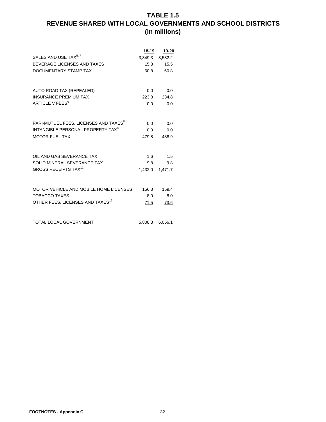#### **TABLE 1.5 REVENUE SHARED WITH LOCAL GOVERNMENTS AND SCHOOL DISTRICTS (in millions)**

|                                                   | 18-19         | 19-20   |
|---------------------------------------------------|---------------|---------|
| SALES AND USE TAX <sup>5, 7</sup>                 | 3,349.3       | 3,532.2 |
| BEVERAGE LICENSES AND TAXES                       | 15.3          | 15.5    |
| DOCUMENTARY STAMP TAX                             | 60.8          | 60.8    |
|                                                   |               |         |
| AUTO ROAD TAX (REPEALED)                          | $0.0^{\circ}$ | 0.0     |
| <b>INSURANCE PREMIUM TAX</b>                      | 223.8         | 234.8   |
| ARTICLE V FEES <sup>6</sup>                       | 0.0           | 0.0     |
|                                                   |               |         |
|                                                   |               |         |
| PARI-MUTUEL FEES. LICENSES AND TAXES <sup>8</sup> | 0.0           | 0.0     |
| INTANGIBLE PERSONAL PROPERTY TAX <sup>8</sup>     | 0.0           | 0.0     |
| <b>MOTOR FUEL TAX</b>                             | 479.8         | 488.9   |
|                                                   |               |         |
| OIL AND GAS SEVERANCE TAX                         | 1.6           | 1.5     |
| SOLID MINERAL SEVERANCE TAX                       | 9.8           | 9.8     |
| <b>GROSS RECEIPTS TAX<sup>11</sup></b>            | 1,432.0       | 1,471.7 |
|                                                   |               |         |
|                                                   |               |         |
| MOTOR VEHICLE AND MOBILE HOME LICENSES            | 156.3         | 159.4   |
| TOBACCO TAXES                                     | 8.0           | 8.0     |
| OTHER FEES, LICENSES AND TAXES <sup>12</sup>      | 71.5          | 73.6    |
|                                                   |               |         |
| TOTAL LOCAL GOVERNMENT                            | 5,808.3       | 6,056.1 |
|                                                   |               |         |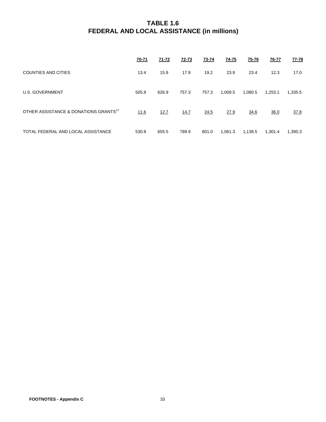|                                                   | <u>70-71</u> | $71 - 72$ | <u>72-73</u> | 73-74 | $74 - 75$ | 75-76   | 76-77   | <b>77-78</b> |
|---------------------------------------------------|--------------|-----------|--------------|-------|-----------|---------|---------|--------------|
| <b>COUNTIES AND CITIES</b>                        | 13.4         | 15.9      | 17.9         | 19.2  | 23.9      | 23.4    | 12.3    | 17.0         |
| <b>U.S. GOVERNMENT</b>                            | 505.8        | 626.9     | 757.3        | 757.3 | 1,009.5   | 1,080.5 | 1,253.1 | 1,335.5      |
| OTHER ASSISTANCE & DONATIONS GRANTS <sup>17</sup> | 11.6         | 12.7      | 14.7         | 24.5  | 27.9      | 34.6    | 36.0    | 37.8         |
| TOTAL FEDERAL AND LOCAL ASSISTANCE                | 530.8        | 655.5     | 789.9        | 801.0 | 1,061.3   | 1,138.5 | 1,301.4 | 1,390.3      |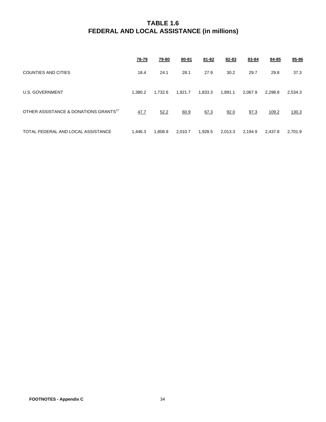|                                                   | 78-79   | <u>79-80</u> | 80-81   | $81 - 82$ | 82-83   | 83-84   | 84-85   | 85-86   |
|---------------------------------------------------|---------|--------------|---------|-----------|---------|---------|---------|---------|
| COUNTIES AND CITIES                               | 18.4    | 24.1         | 28.1    | 27.9      | 30.2    | 29.7    | 29.8    | 37.3    |
| U.S. GOVERNMENT                                   | 1.380.2 | 1.732.6      | 1,921.7 | 1,833.3   | 1,891.1 | 2,067.9 | 2.298.8 | 2,534.3 |
| OTHER ASSISTANCE & DONATIONS GRANTS <sup>17</sup> | 47.7    | 52.2         | 60.9    | 67.3      | 92.0    | 97.3    | 109.2   | 130.3   |
| TOTAL FEDERAL AND LOCAL ASSISTANCE                | 1,446.3 | 1,808.9      | 2,010.7 | 1,928.5   | 2,013.3 | 2,194.9 | 2.437.8 | 2.701.9 |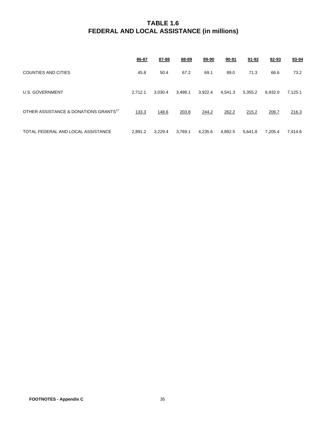|                                                   | 86-87   | 87-88   | 88-89   | 89-90   | 90-91   | 91-92   | 92-93   | 93-94   |
|---------------------------------------------------|---------|---------|---------|---------|---------|---------|---------|---------|
| COUNTIES AND CITIES                               | 45.8    | 50.4    | 67.2    | 69.1    | 89.0    | 71.3    | 66.6    | 73.2    |
| U.S. GOVERNMENT                                   | 2.712.1 | 3.030.4 | 3,498.1 | 3,922.4 | 4,541.3 | 5,355.2 | 6.932.0 | 7,125.1 |
| OTHER ASSISTANCE & DONATIONS GRANTS <sup>17</sup> | 133.3   | 148.6   | 203.8   | 244.2   | 262.2   | 215.2   | 206.7   | 216.3   |
| TOTAL FEDERAL AND LOCAL ASSISTANCE                | 2.891.2 | 3.229.4 | 3.769.1 | 4,235.6 | 4.892.5 | 5,641.8 | 7.205.4 | 7,414.6 |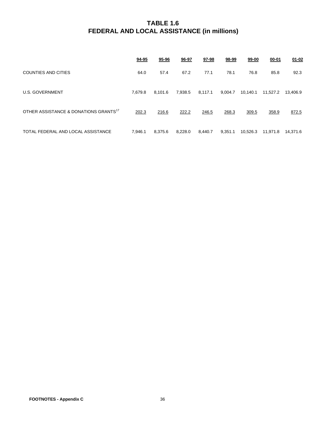|                                                   | <u>94-95</u> | <u>95-96</u> | 96-97   | 97-98   | 98-99   | 99-00    | $00 - 01$ | $01 - 02$ |
|---------------------------------------------------|--------------|--------------|---------|---------|---------|----------|-----------|-----------|
| COUNTIES AND CITIES                               | 64.0         | 57.4         | 67.2    | 77.1    | 78.1    | 76.8     | 85.8      | 92.3      |
| <b>U.S. GOVERNMENT</b>                            | 7,679.8      | 8,101.6      | 7,938.5 | 8,117.1 | 9,004.7 | 10,140.1 | 11,527.2  | 13,406.9  |
| OTHER ASSISTANCE & DONATIONS GRANTS <sup>17</sup> | 202.3        | 216.6        | 222.2   | 246.5   | 268.3   | 309.5    | 358.9     | 872.5     |
| TOTAL FEDERAL AND LOCAL ASSISTANCE                | 7.946.1      | 8,375.6      | 8,228.0 | 8.440.7 | 9,351.1 | 10.526.3 | 11,971.8  | 14.371.6  |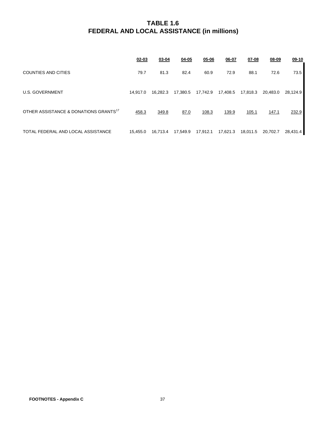|                                                   | $02 - 03$ | $03 - 04$ | $04 - 05$ | $05 - 06$ | 06-07    | $07 - 08$ | $08 - 09$ | $09-10$  |
|---------------------------------------------------|-----------|-----------|-----------|-----------|----------|-----------|-----------|----------|
| <b>COUNTIES AND CITIES</b>                        | 79.7      | 81.3      | 82.4      | 60.9      | 72.9     | 88.1      | 72.6      | 73.5     |
| U.S. GOVERNMENT                                   | 14.917.0  | 16.282.3  | 17,380.5  | 17,742.9  | 17,408.5 | 17,818.3  | 20.483.0  | 28.124.9 |
| OTHER ASSISTANCE & DONATIONS GRANTS <sup>17</sup> | 458.3     | 349.8     | 87.0      | 108.3     | 139.9    | 105.1     | 147.1     | 232.9    |
| TOTAL FEDERAL AND LOCAL ASSISTANCE                | 15.455.0  | 16.713.4  | 17,549.9  | 17.912.1  | 17,621.3 | 18,011.5  | 20.702.7  | 28.431.4 |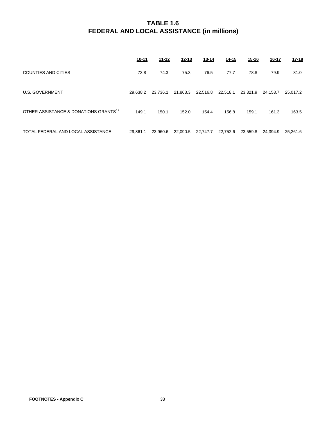|                                                   | <u>10-11</u> | 11-12    | <u>12-13</u> | $13 - 14$ | 14-15    | $15 - 16$ | <u>16-17</u> | $17 - 18$ |
|---------------------------------------------------|--------------|----------|--------------|-----------|----------|-----------|--------------|-----------|
| <b>COUNTIES AND CITIES</b>                        | 73.8         | 74.3     | 75.3         | 76.5      | 77.7     | 78.8      | 79.9         | 81.0      |
| <b>U.S. GOVERNMENT</b>                            | 29.638.2     | 23.736.1 | 21,863.3     | 22,516.8  | 22,518.1 | 23,321.9  | 24.153.7     | 25.017.2  |
| OTHER ASSISTANCE & DONATIONS GRANTS <sup>17</sup> | 149.1        | 150.1    | 152.0        | 154.4     | 156.8    | 159.1     | 161.3        | 163.5     |
| TOTAL FEDERAL AND LOCAL ASSISTANCE                | 29.861.1     | 23.960.6 | 22,090.5     | 22,747.7  | 22,752.6 | 23,559.8  | 24.394.9     | 25.261.6  |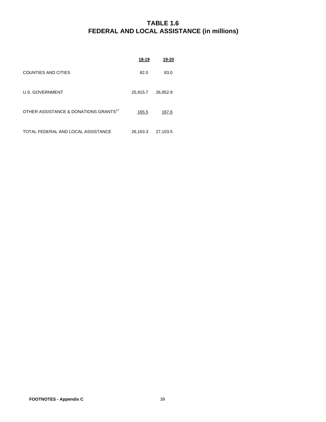|                                                   | <u>18-19</u> | 19-20    |
|---------------------------------------------------|--------------|----------|
| COUNTIES AND CITIES                               | 82.0         | 83.0     |
| <b>U.S. GOVERNMENT</b>                            | 25,915.7     | 26,852.9 |
| OTHER ASSISTANCE & DONATIONS GRANTS <sup>17</sup> | 165.5        | 167.6    |
| TOTAL FEDERAL AND LOCAL ASSISTANCE                | 26,163.3     | 27,103.5 |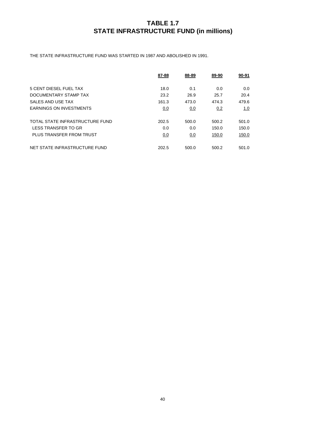#### **TABLE 1.7 STATE INFRASTRUCTURE FUND (in millions)**

THE STATE INFRASTRUCTURE FUND WAS STARTED IN 1987 AND ABOLISHED IN 1991.

|                                 | 87-88 | 88-89 | 89-90 | 90-91 |
|---------------------------------|-------|-------|-------|-------|
| 5 CENT DIESEL FUEL TAX          | 18.0  | 0.1   | 0.0   | 0.0   |
| DOCUMENTARY STAMP TAX           | 23.2  | 26.9  | 25.7  | 20.4  |
| SALES AND USE TAX               | 161.3 | 473.0 | 474.3 | 479.6 |
| <b>EARNINGS ON INVESTMENTS</b>  | 0.0   | 0.0   | 0.2   | 1.0   |
|                                 |       |       |       |       |
| TOTAL STATE INFRASTRUCTURE FUND | 202.5 | 500.0 | 500.2 | 501.0 |
| LESS TRANSFER TO GR             | 0.0   | 0.0   | 150.0 | 150.0 |
| PLUS TRANSFER FROM TRUST        | 0.0   | 0.0   | 150.0 | 150.0 |
|                                 |       |       |       |       |
| NET STATE INFRASTRUCTURE FUND   | 202.5 | 500.0 | 500.2 | 501.0 |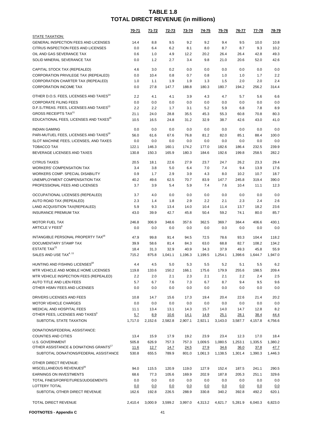|                                                                             | 70-71         | 71-72          | 72-73                | 73-74           | 74-75                  | 75-76           | 76-77                           | 77-78           | 78-79                  |
|-----------------------------------------------------------------------------|---------------|----------------|----------------------|-----------------|------------------------|-----------------|---------------------------------|-----------------|------------------------|
| STATE TAXATION:                                                             |               |                |                      |                 |                        |                 |                                 |                 |                        |
| GENERAL INSPECTION FEES AND LICENSES                                        | 14.4          | 8.8            | 9.5                  | 9.2             | 9.2                    | 9.4             | 9.5                             | 10.0            | 10.8                   |
| CITRUS INSPECTION FEES AND LICENSES                                         | 0.0           | 6.4            | 6.2                  | 8.1             | 8.0                    | 8.7             | 8.7                             | 9.3             | 10.2                   |
| OIL AND GAS SEVERANCE TAX                                                   | 0.6           | 1.0            | 4.9                  | 12.2            | 20.2                   | 26.4            | 26.4                            | 42.8            | 49.3                   |
| SOLID MINERAL SEVERANCE TAX                                                 | 0.0           | 1.2            | 2.7                  | 3.4             | 9.8                    | 21.0            | 20.6                            | 52.0            | 42.6                   |
| CAPITAL STOCK TAX (REPEALED)                                                | 4.6           | 3.0            | 0.2                  | 0.0             | 0.0                    | 0.0             | 0.0                             | 0.0             | 0.0                    |
| CORPORATION PRIVILEGE TAX (REPEALED)                                        | 0.0           | 10.4           | 0.8                  | 0.7             | 0.8                    | 1.0             | 1.0                             | 1.7             | 2.2                    |
| CORPORATION CHARTER TAX (REPEALED)                                          | 1.0           | 1.1            | 1.9                  | 1.9             | 1.3                    | 1.5             | 2.0                             | 2.0             | 2.4                    |
| <b>CORPORATION INCOME TAX</b>                                               | 0.0           | 27.8           | 147.7                | 188.8           | 180.3                  | 180.7           | 194.2                           | 256.2           | 314.4                  |
| OTHER D.O.S. FEES, LICENSES AND TAXES <sup>14</sup>                         | 2.2           | 4.1            | 4.1                  | 3.9             | 4.3                    | 4.7             | 5.7                             | 5.6             | 6.6                    |
| <b>CORPORATE FILING FEES</b>                                                | 0.0           | 0.0            | 0.0                  | 0.0             | 0.0                    | 0.0             | 0.0                             | 0.0             | 0.0                    |
| D.F.S./TREAS. FEES, LICENSES AND TAXES <sup>13</sup>                        | 2.2           | 2.2            | 1.7                  | 3.1             | 5.2                    | 5.9             | 6.8                             | 7.8             | 8.9                    |
| <b>GROSS RECEIPTS TAX<sup>11</sup></b>                                      | 21.1          | 24.0           | 28.8                 | 35.5            | 45.3                   | 55.3            | 60.8                            | 70.8            | 80.3                   |
| EDUCATIONAL FEES, LICENSES AND TAXES <sup>15</sup>                          | 10.5          | 16.5           | 24.8                 | 31.2            | 32.9                   | 38.7            | 42.6                            | 43.0            | 41.0                   |
| <b>INDIAN GAMING</b>                                                        | 0.0           | 0.0            | 0.0                  | 0.0             | 0.0                    | 0.0             | 0.0                             | 0.0             | 0.0                    |
| PARI-MUTUEL FEES, LICENSES AND TAXES <sup>19</sup>                          | 56.0          | 61.6           | 67.6                 | 76.8            | 81.2                   | 82.0            | 85.1                            | 88.4            | 100.0                  |
| SLOT MACHINE FEES, LICENSES, AND TAXES                                      | 0.0           | 0.0            | 0.0                  | 0.0             | 0.0                    | 0.0             | 0.0                             | 0.0             | 0.0                    |
| <b>TOBACCO TAX</b>                                                          | 122.1         | 146.3          | 160.1                | 174.2           | 177.0                  | 182.6           | 186.4                           | 232.5           | 239.9                  |
| BEVERAGE LICENSES AND TAXES                                                 | 130.8         | 150.3          | 165.9                | 180.3           | 184.6                  | 192.6           | 199.8                           | 258.5           | 282.2                  |
| <b>CITRUS TAXES</b>                                                         | 20.5          | 18.1           | 22.6                 | 27.9            | 23.7                   | 24.7            | 26.2                            | 23.3            | 29.4                   |
| <b>WORKERS' COMPENSATION TAX</b>                                            | 3.4           | 3.8            | 5.0                  | 6.4             | 7.0                    | 7.4             | 9.4                             | 13.9            | 17.6                   |
| WORKERS COMP. SPECIAL DISABILITY                                            | 0.9           | 1.7            | 2.9                  | 3.9             | 4.3                    | 8.0             | 10.2                            | 10.7            | 18.7                   |
| UNEMPLOYMENT COMPENSATION TAX                                               | 40.2          | 49.6           | 62.5                 | 70.7            | 83.9                   | 147.7           | 245.8                           | 319.4           | 390.0                  |
| PROFESSIONAL FEES AND LICENSES                                              | 3.7           | 3.9            | 5.4                  | 5.9             | 7.4                    | 7.6             | 10.4                            | 11.1            | 12.3                   |
| OCCUPATIONAL LICENSES (REPEALED)                                            | 3.7           | 4.0            | 0.0                  | 0.0             | 0.0                    | 0.0             | 0.0                             | 0.0             | 0.0                    |
| AUTO ROAD TAX (REPEALED)                                                    | 2.3           | 1.4            | 1.8                  | 2.9             | 2.2                    | 2.1             | 2.3                             | 2.4             | 2.6                    |
| LAND ACQUISITION TAX(REPEALED)                                              | 5.9           | 9.3            | 13.4                 | 14.0            | 10.4                   | 11.4            | 13.7                            | 18.2            | 23.6                   |
| <b>INSURANCE PREMIUM TAX</b>                                                | 43.0          | 39.9           | 42.7                 | 45.8            | 50.4                   | 59.2            | 74.1                            | 80.0            | 85.7                   |
| <b>MOTOR FUEL TAX</b>                                                       | 246.8         | 306.9          | 348.6                | 357.6           | 362.5                  | 369.7           | 384.4                           | 406.6           | 430.1                  |
| ARTICLE V FEES <sup>6</sup>                                                 | 0.0           | 0.0            | 0.0                  | 0.0             | 0.0                    | 0.0             | 0.0                             | 0.0             | 0.0                    |
| INTANGIBLE PERSONAL PROPERTY TAX <sup>16</sup>                              | 47.9          | 99.8           | 91.4                 | 94.5            | 72.5                   | 78.6            | 93.3                            | 104.4           | 118.2                  |
| DOCUMENTARY STAMP TAX                                                       | 39.9          | 58.6           | 81.4                 | 84.3            | 63.0                   | 68.8            | 82.7                            | 108.2           | 134.2                  |
| ESTATE TAX <sup>21</sup>                                                    | 18.4          | 31.3           | 32.9                 | 40.9            | 34.3                   | 37.9            | 49.3                            | 45.8            | 55.9                   |
| SALES AND USE TAX <sup>4, 11</sup>                                          | 715.2         | 875.8          | 1,041.1              | 1,196.3         | 1,199.5                | 1,254.1         | 1,398.6                         | 1,644.7         | 1,947.0                |
| HUNTING AND FISHING LICENSES <sup>18</sup>                                  | 4.4           | 4.5            | 5.0                  | 5.3             | 5.5                    | 5.2             | 5.1                             | 5.5             | 6.2                    |
| MTR VEHICLE AND MOBILE HOME LICENSES                                        | 119.8         | 133.6          | 150.2                | 166.1           | 175.6                  | 179.9           | 255.6                           | 198.5           | 209.4                  |
| MTR VEHICLE INSPECTION FEES (REPEALED)                                      | 2.2           | 2.0            | 2.1                  | 2.3             | 2.1                    | 2.1             | 2.2                             | 2.4             | 2.5                    |
| AUTO TITLE AND LIEN FEES                                                    | 5.7           | 6.7            | 7.6                  | 7.3             | 6.7                    | 8.7             | 9.4                             | 9.5             | 9.6                    |
| OTHER HSMV FEES AND LICENSES                                                | 0.0           | 0.0            | 0.0                  | 0.0             | 0.0                    | 0.0             | 0.0                             | 0.0             | 0.0                    |
| DRIVERS LICENSES AND FEES                                                   | 10.8          | 14.7           | 15.6                 | 17.3            | 19.4                   | 20.4            | 22.6                            | 21.4            | 20.2                   |
| <b>MOTOR VEHICLE CHARGES</b>                                                | 0.0           | 0.0            | 0.0                  | 0.0             | 0.0                    | 0.0             | 0.0                             | 0.0             | 0.0                    |
| MEDICAL AND HOSPITAL FEES                                                   | 11.1          | 13.4           | 13.1                 | 14.3            | 15.7                   | 14.0            | 14.7                            | 12.8            | 8.2                    |
| OTHER FEES, LICENSES AND TAXES <sup>3</sup>                                 | 5.7           |                |                      |                 |                        |                 |                                 |                 |                        |
| SUBTOTAL STATE TAXATION                                                     | 1,717.0       | 8.9<br>2,152.6 | 10.6<br>2,582.8      | 14.1<br>2,907.1 | <u>14.9</u><br>2,921.1 | 25.1<br>3,143.0 | 28.1<br>3,587.7                 | 38.4<br>4,157.8 | 44.4<br>4,756.6        |
|                                                                             |               |                |                      |                 |                        |                 |                                 |                 |                        |
| DONATIONS/FEDERAL ASSISTANCE:                                               |               |                |                      |                 |                        |                 |                                 |                 |                        |
| <b>COUNTIES AND CITIES</b>                                                  | 13.4          | 15.9           | 17.9                 | 19.2            | 23.9                   | 23.4            | 12.3                            | 17.0            | 18.4                   |
| <b>U.S. GOVERNMENT</b><br>OTHER ASSISTANCE & DONATIONS GRANTS <sup>17</sup> | 505.8         | 626.9          | 757.3                | 757.3           | 1,009.5                | 1,080.5         | 1,253.1                         | 1,335.5         | 1,380.2                |
| SUBTOTAL DONATIONS/FEDERAL ASSISTANCE                                       | 11.6<br>530.8 | 12.7<br>655.5  | <u>14.7</u><br>789.9 | 24.5<br>801.0   | 27.9<br>1,061.3        | 34.6<br>1,138.5 | 36.0<br>1,301.4                 | 37.8<br>1,390.3 | <u>47.7</u><br>1,446.3 |
| OTHER DIRECT REVENUE:                                                       |               |                |                      |                 |                        |                 |                                 |                 |                        |
| MISCELLANEOUS REVENUES <sup>20</sup>                                        |               |                |                      |                 | 127.9                  |                 |                                 |                 | 290.5                  |
| <b>EARNINGS ON INVESTMENTS</b>                                              | 94.0<br>68.6  | 115.5<br>77.3  | 120.9<br>105.6       | 119.0<br>169.9  | 202.9                  | 152.4<br>187.8  | 187.5<br>205.3                  | 241.1<br>251.1  | 329.6                  |
| TOTAL FINES/FORFEITURES/JUDGEMENTS                                          | 0.0           | 0.0            | 0.0                  | 0.0             | 0.0                    | 0.0             | 0.0                             | 0.0             | 0.0                    |
| LOTTERY TOTAL                                                               |               |                |                      |                 |                        |                 |                                 |                 |                        |
| SUBTOTAL OTHER DIRECT REVENUE                                               | 0.0<br>162.6  | 0.0<br>192.8   | 0.0<br>226.5         | 0.0<br>288.9    | 0.0<br>330.8           | 0.0<br>340.2    | 0.0<br>392.8                    | 0.0<br>492.2    | 0.0<br>620.1           |
|                                                                             |               |                |                      |                 |                        |                 |                                 |                 |                        |
| TOTAL DIRECT REVENUE                                                        | 2,410.4       | 3,000.9        | 3,599.2              |                 |                        |                 | 3,997.0 4,313.2 4,621.7 5,281.9 | 6,040.3         | 6,823.0                |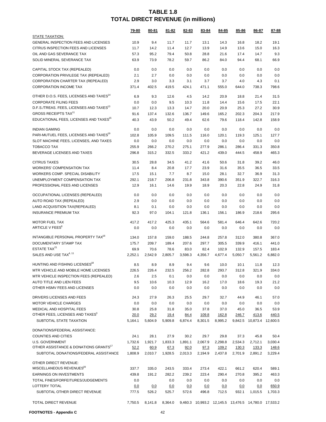|                                                      | <u>79-80</u> | 80-81   | <u>81-82</u> | 82-83   | 83-84   | 84-85      | 85-86                                                        | 86-87                     | 87-88   |
|------------------------------------------------------|--------------|---------|--------------|---------|---------|------------|--------------------------------------------------------------|---------------------------|---------|
| <b>STATE TAXATION:</b>                               |              |         |              |         |         |            |                                                              |                           |         |
| GENERAL INSPECTION FEES AND LICENSES                 | 10.9         | 9.4     | 11.7         | 11.7    | 13.1    | 14.3       | 16.8                                                         | 18.2                      | 19.1    |
| CITRUS INSPECTION FEES AND LICENSES                  | 11.7         | 14.2    | 11.4         | 12.7    | 13.9    | 14.9       | 13.6                                                         | 15.0                      | 16.3    |
| OIL AND GAS SEVERANCE TAX                            | 57.3         | 95.2    | 79.4         | 50.8    | 28.8    | 21.6       | 17.4                                                         | 14.7                      | 9.3     |
| SOLID MINERAL SEVERANCE TAX                          | 63.9         | 73.9    | 78.2         | 59.7    | 86.2    | 84.0       | 94.4                                                         | 68.1                      | 66.9    |
| CAPITAL STOCK TAX (REPEALED)                         | 0.0          | 0.0     | 0.0          | 0.0     | 0.0     | 0.0        | 0.0                                                          | 0.0                       | 0.0     |
| CORPORATION PRIVILEGE TAX (REPEALED)                 | 2.1          | 2.7     | 0.0          | 0.0     | 0.0     | 0.0        | 0.0                                                          | 0.0                       | 0.0     |
| CORPORATION CHARTER TAX (REPEALED)                   | 2.9          | 3.0     | 3.3          | 3.1     | 3.7     | 3.7        | 4.0                                                          | 4.3                       | 0.1     |
| <b>CORPORATION INCOME TAX</b>                        | 371.4        | 402.5   | 419.5        | 424.1   | 471.1   | 555.0      | 644.0                                                        | 738.3                     | 798.6   |
| OTHER D.O.S. FEES, LICENSES AND TAXES <sup>14</sup>  | 6.9          | 9.3     | 12.6         | 4.5     | 14.2    | 20.9       | 18.8                                                         | 21.4                      | 31.5    |
| <b>CORPORATE FILING FEES</b>                         | 0.0          | 0.0     | 9.5          | 10.3    | 11.8    | 14.4       | 15.6                                                         | 17.5                      | 22.1    |
| D.F.S./TREAS. FEES, LICENSES AND TAXES <sup>13</sup> | 10.7         | 12.3    | 13.3         | 14.7    | 20.0    | 20.9       | 25.3                                                         | 27.2                      | 30.9    |
| <b>GROSS RECEIPTS TAX<sup>11</sup></b>               | 91.6         | 137.4   | 132.6        | 136.7   | 149.6   | 165.2      | 202.3                                                        | 204.3                     | 217.9   |
| EDUCATIONAL FEES, LICENSES AND TAXES <sup>15</sup>   | 40.3         | 43.9    | 50.2         | 49.4    | 62.6    | 79.6       | 118.4                                                        | 142.8                     | 158.9   |
| <b>INDIAN GAMING</b>                                 | 0.0          | 0.0     | 0.0          | 0.0     | 0.0     | 0.0        | 0.0                                                          | 0.0                       | 0.0     |
| PARI-MUTUEL FEES, LICENSES AND TAXES <sup>19</sup>   | 102.8        | 105.9   | 109.5        | 111.5   | 116.0   | 120.1      | 119.3                                                        | 125.1                     | 127.7   |
| SLOT MACHINE FEES, LICENSES, AND TAXES               | 0.0          | 0.0     | 0.0          | 0.0     | 0.0     | 0.0        | 0.0                                                          | 0.0                       | 0.0     |
| <b>TOBACCO TAX</b>                                   | 255.9        | 266.2   | 270.2        | 275.1   | 277.9   | 286.1      | 286.4                                                        | 331.3                     | 350.8   |
| BEVERAGE LICENSES AND TAXES                          | 296.8        | 315.2   | 332.5        | 333.2   | 421.2   | 439.0      | 444.5                                                        | 458.9                     | 465.3   |
| <b>CITRUS TAXES</b>                                  | 30.5         | 28.8    | 34.5         | 41.2    | 41.6    | 50.6       | 31.8                                                         | 39.2                      | 46.0    |
| <b>WORKERS' COMPENSATION TAX</b>                     | 11.4         | 8.4     | 20.8         | 17.7    | 23.9    | 31.6       | 35.5                                                         | 36.5                      | 33.5    |
| WORKERS COMP. SPECIAL DISABILITY                     | 17.5         | 15.1    | 7.7          | 8.7     | 15.0    | 28.1       | 32.7                                                         | 36.9                      | 31.3    |
| UNEMPLOYMENT COMPENSATION TAX                        | 292.1        | 218.7   | 206.8        | 231.8   | 343.8   | 390.6      | 351.9                                                        | 322.7                     | 316.3   |
| PROFESSIONAL FEES AND LICENSES                       | 12.9         | 16.1    | 14.6         | 19.9    | 18.9    | 20.3       | 22.8                                                         | 24.9                      | 31.8    |
| OCCUPATIONAL LICENSES (REPEALED)                     | 0.0          | 0.0     | 0.0          | 0.0     | 0.0     | 0.0        | 0.0                                                          | 0.0                       | 0.0     |
| AUTO ROAD TAX (REPEALED)                             | 2.9          | 0.0     | 0.0          | 0.0     | 0.0     | 0.0        | 0.0                                                          | 0.0                       | 0.0     |
| LAND ACQUISITION TAX(REPEALED)                       | 8.1          | 0.1     | 0.0          | 0.0     | 0.0     | 0.0        | 0.0                                                          | 0.0                       | 0.0     |
| <b>INSURANCE PREMIUM TAX</b>                         | 92.3         | 97.0    | 104.1        | 121.8   | 136.1   | 156.1      | 186.9                                                        | 218.6                     | 295.6   |
| <b>MOTOR FUEL TAX</b>                                | 417.2        | 417.2   | 425.3        | 435.1   | 564.6   | 581.4      | 646.4                                                        | 642.6                     | 720.2   |
| ARTICLE V FEES <sup>6</sup>                          | 0.0          | 0.0     | 0.0          | 0.0     | 0.0     | 0.0        | 0.0                                                          | 0.0                       | 0.0     |
| INTANGIBLE PERSONAL PROPERTY TAX <sup>16</sup>       | 134.0        | 157.8   | 159.0        | 188.5   | 244.8   | 257.8      | 312.0                                                        | 380.8                     | 367.0   |
| DOCUMENTARY STAMP TAX                                | 175.7        | 209.7   | 189.4        | 207.6   | 297.7   | 305.5      | 339.9                                                        | 416.1                     | 441.0   |
| ESTATE TAX <sup>21</sup>                             | 69.9         | 70.6    | 78.6         | 83.0    | 82.4    | 102.9      | 132.9                                                        | 157.5                     | 183.4   |
| SALES AND USE TAX <sup>4, 11</sup>                   | 2,252.1      | 2.542.9 | 2,805.7      | 3,598.3 | 4,356.7 | 4,677.4    | 5,050.7                                                      | 5,561.2                   | 6,882.0 |
| HUNTING AND FISHING LICENSES <sup>18</sup>           | 8.5          | 8.9     | 8.9          | 9.4     | 9.6     | 10.0       | 10.1                                                         | 11.8                      | 12.3    |
| MTR VEHICLE AND MOBILE HOME LICENSES                 | 226.5        | 226.4   | 232.5        | 256.2   | 282.8   | 293.7      | 312.8                                                        | 321.9                     | 334.0   |
| MTR VEHICLE INSPECTION FEES (REPEALED)               | 2.6          | 2.5     | 0.1          | 0.0     | 0.0     | 0.0        | 0.0                                                          | 0.0                       | 0.0     |
| AUTO TITLE AND LIEN FEES                             | 9.5          | 10.6    | 10.3         | 12.9    | 16.2    | 17.0       | 18.6                                                         | 19.3                      | 21.2    |
| OTHER HSMV FEES AND LICENSES                         | 0.0          | 0.0     | 0.0          | 0.0     | 0.0     | 0.0        | 0.0                                                          | 0.0                       | 0.0     |
| DRIVERS LICENSES AND FEES                            | 24.3         | 27.9    | 26.3         | 25.5    | 29.7    | 32.7       | 44.9                                                         | 46.1                      | 57.0    |
| <b>MOTOR VEHICLE CHARGES</b>                         | 0.0          | 0.0     | 0.0          | 0.0     | 0.0     | 0.0        | 0.0                                                          | 0.0                       | 0.0     |
| <b>MEDICAL AND HOSPITAL FEES</b>                     | 30.8         | 25.8    | 31.8         | 35.0    | 37.8    | 37.0       | 45.0                                                         | 36.5                      | 53.9    |
| OTHER FEES, LICENSES AND TAXES <sup>3</sup>          | 20.0         | 29.2    | <u>19.4</u>  | 84.4    | 109.8   | 162.8      | 246.7                                                        | 413.6                     | 440.5   |
| SUBTOTAL STATE TAXATION                              | 5,164.1      | 5.604.9 | 5,909.8      | 6,874.4 | 8,301.5 | 8,995.2    |                                                              | 9,842.5 10,873.4 12,600.5 |         |
| DONATIONS/FEDERAL ASSISTANCE:                        |              |         |              |         |         |            |                                                              |                           |         |
| <b>COUNTIES AND CITIES</b>                           | 24.1         | 28.1    | 27.9         | 30.2    | 29.7    | 29.8       | 37.3                                                         | 45.8                      | 50.4    |
| <b>U.S. GOVERNMENT</b>                               | 1,732.6      | 1,921.7 | 1,833.3      | 1,891.1 | 2,067.9 | 2,298.8    | 2,534.3                                                      | 2,712.1                   | 3,030.4 |
| OTHER ASSISTANCE & DONATIONS GRANTS <sup>17</sup>    | 52.2         | 60.9    | 67.3         | 92.0    | 97.3    | 109.2      | 130.3                                                        | 133.3                     | 148.6   |
| SUBTOTAL DONATIONS/FEDERAL ASSISTANCE                | 1,808.9      | 2,010.7 | 1,928.5      | 2,013.3 | 2,194.9 | 2,437.8    | 2,701.9                                                      | 2,891.2                   | 3,229.4 |
| OTHER DIRECT REVENUE:                                |              |         |              |         |         |            |                                                              |                           |         |
| MISCELLANEOUS REVENUES <sup>20</sup>                 | 337.7        | 335.0   | 243.5        | 333.4   | 273.4   | 422.1      | 661.2                                                        | 620.4                     | 589.1   |
| <b>EARNINGS ON INVESTMENTS</b>                       | 439.8        | 191.2   | 282.2        | 239.2   | 223.4   | 290.4      | 270.8                                                        | 395.2                     | 463.3   |
| TOTAL FINES/FORFEITURES/JUDGEMENTS                   | 0.0          |         | 0.0          | 0.0     | 0.0     | 0.0        | 0.0                                                          | 0.0                       | 0.0     |
| LOTTERY TOTAL                                        | 0.0          | 0.0     | 0.0          | 0.0     | 0.0     | <u>0.0</u> | 0.0                                                          | 0.0                       | 650.9   |
| SUBTOTAL OTHER DIRECT REVENUE                        | 777.5        | 526.2   | 525.7        | 572.6   | 496.8   | 712.5      | 932.1                                                        | 1,015.5                   | 1,703.3 |
|                                                      |              |         |              |         |         |            |                                                              |                           |         |
| TOTAL DIRECT REVENUE                                 | 7,750.5      | 8,141.8 |              |         |         |            | 8,364.0 9,460.3 10,993.2 12,145.5 13,476.5 14,780.0 17,533.2 |                           |         |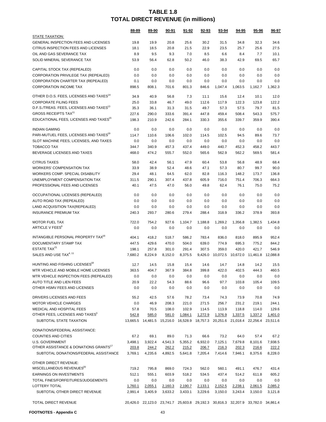|                                                      | 88-89   | 89-90   | 90-91   | 91-92   | <u>92-93</u>                                                                     | <u>93-94</u> | 94-95             | <u>95-96</u> | 96-97    |  |
|------------------------------------------------------|---------|---------|---------|---------|----------------------------------------------------------------------------------|--------------|-------------------|--------------|----------|--|
| <b>STATE TAXATION:</b>                               |         |         |         |         |                                                                                  |              |                   |              |          |  |
| GENERAL INSPECTION FEES AND LICENSES                 | 19.8    | 19.9    | 20.8    | 25.6    | 30.2                                                                             | 31.5         | 34.8              | 32.3         | 34.6     |  |
| CITRUS INSPECTION FEES AND LICENSES                  | 18.1    | 18.5    | 20.8    | 21.5    | 22.9                                                                             | 23.5         | 25.7              | 25.6         | 27.5     |  |
| OIL AND GAS SEVERANCE TAX                            | 8.9     | 9.5     | 9.3     | 7.0     | 8.5                                                                              | 6.6          | 8.4               | 7.7          | 10.1     |  |
| SOLID MINERAL SEVERANCE TAX                          | 53.9    | 56.4    | 62.8    | 50.2    | 46.0                                                                             | 38.3         | 42.9              | 69.5         | 65.7     |  |
| CAPITAL STOCK TAX (REPEALED)                         | 0.0     | 0.0     | 0.0     | 0.0     | 0.0                                                                              | 0.0          | 0.0               | 0.0          | 0.0      |  |
| CORPORATION PRIVILEGE TAX (REPEALED)                 | 0.0     | 0.0     | 0.0     | 0.0     | 0.0                                                                              | 0.0          | 0.0               | 0.0          | 0.0      |  |
| CORPORATION CHARTER TAX (REPEALED)                   | 0.1     | 0.0     | 0.0     | 0.0     | 0.0                                                                              | 0.0          | 0.0               | 0.0          | 0.0      |  |
| <b>CORPORATION INCOME TAX</b>                        | 898.5   | 808.1   | 701.6   | 801.3   | 846.6                                                                            | 1,047.4      | 1,063.5           | 1,162.7      | 1,362.3  |  |
| OTHER D.O.S. FEES, LICENSES AND TAXES <sup>14</sup>  | 34.9    | 40.9    | 56.8    | 7.3     | 11.1                                                                             | 15.6         | 12.4              | 10.1         | 12.0     |  |
| <b>CORPORATE FILING FEES</b>                         | 25.0    | 33.8    | 46.7    | 49.0    | 112.6                                                                            | 117.9        | 122.3             | 123.8        | 122.2    |  |
| D.F.S./TREAS. FEES, LICENSES AND TAXES <sup>13</sup> | 35.3    | 36.1    | 31.3    | 31.5    | 49.7                                                                             | 57.3         | 57.5              | 79.7         | 81.5     |  |
| <b>GROSS RECEIPTS TAX<sup>11</sup></b>               | 227.6   | 290.0   | 333.6   | 391.4   | 447.8                                                                            | 459.4        | 508.4             | 543.3        | 575.7    |  |
| EDUCATIONAL FEES, LICENSES AND TAXES <sup>15</sup>   | 198.3   | 210.9   | 242.6   | 284.1   | 330.3                                                                            | 355.6        | 339.7             | 359.9        | 390.4    |  |
| <b>INDIAN GAMING</b>                                 | 0.0     | 0.0     | 0.0     | 0.0     | 0.0                                                                              | 0.0          | 0.0               | 0.0          | 0.0      |  |
| PARI-MUTUEL FEES, LICENSES AND TAXES <sup>19</sup>   | 114.7   | 110.6   | 106.6   | 102.0   | 114.5                                                                            | 102.5        | 94.5              | 89.6         | 73.7     |  |
| SLOT MACHINE FEES, LICENSES, AND TAXES               | 0.0     | 0.0     | 0.0     | 0.0     | 0.0                                                                              | 0.0          | 0.0               | 0.0          | 0.0      |  |
| <b>TOBACCO TAX</b>                                   | 344.7   | 340.9   | 457.3   | 437.4   | 449.0                                                                            | 440.7        | 452.3             | 458.2        | 443.7    |  |
| BEVERAGE LICENSES AND TAXES                          | 468.0   | 474.2   | 555.7   | 552.0   | 565.6                                                                            | 562.9        | 562.2             | 569.5        | 581.4    |  |
| <b>CITRUS TAXES</b>                                  | 58.0    | 42.4    | 56.1    | 47.9    | 60.4                                                                             | 53.8         | 56.8              | 48.9         | 68.4     |  |
| <b>WORKERS' COMPENSATION TAX</b>                     | 33.9    | 38.9    | 52.4    | 48.6    | 47.1                                                                             | 57.3         | 80.7              | 99.7         | 90.0     |  |
| WORKERS COMP. SPECIAL DISABILITY                     | 29.4    | 48.1    | 64.5    | 62.0    | 82.8                                                                             | 116.3        | 148.2             | 173.7        | 136.8    |  |
| UNEMPLOYMENT COMPENSATION TAX                        | 311.5   | 290.1   | 307.4   | 437.8   | 605.9                                                                            | 716.0        | 751.4             | 706.3        | 664.3    |  |
| PROFESSIONAL FEES AND LICENSES                       | 40.1    | 47.5    | 47.0    | 56.0    | 49.8                                                                             | 62.4         | 76.1              | 75.0         | 75.2     |  |
| OCCUPATIONAL LICENSES (REPEALED)                     | 0.0     | 0.0     | 0.0     | 0.0     | 0.0                                                                              | 0.0          | 0.0               | 0.0          | 0.0      |  |
| AUTO ROAD TAX (REPEALED)                             | 0.0     | 0.0     | 0.0     | 0.0     | 0.0                                                                              | 0.0          | 0.0               | 0.0          | 0.0      |  |
| LAND ACQUISITION TAX(REPEALED)                       | 0.0     | 0.0     | 0.0     | 0.0     | 0.0                                                                              | 0.0          | 0.0               | 0.0          | 0.0      |  |
| <b>INSURANCE PREMIUM TAX</b>                         | 240.3   | 293.7   | 280.6   | 279.4   | 288.4                                                                            | 318.9        | 336.2             | 378.9        | 393.8    |  |
| <b>MOTOR FUEL TAX</b>                                | 722.0   | 754.2   | 927.6   | 1,104.7 | 1,188.8                                                                          | 1,269.2      | 1,356.8           | 1,382.5      | 1,434.8  |  |
| ARTICLE V FEES <sup>6</sup>                          | 0.0     | 0.0     | 0.0     | 0.0     | 0.0                                                                              | 0.0          | 0.0               | 0.0          | 0.0      |  |
| INTANGIBLE PERSONAL PROPERTY TAX <sup>16</sup>       | 404.1   | 418.2   | 518.7   | 586.2   | 783.4                                                                            | 836.0        | 818.0             | 895.9        | 952.4    |  |
| DOCUMENTARY STAMP TAX                                | 447.5   | 429.6   | 470.0   | 504.0   | 639.0                                                                            | 774.9        | 695.3             | 775.2        | 844.2    |  |
| ESTATE TAX <sup>21</sup>                             | 198.1   | 257.8   | 301.0   | 291.4   | 307.5                                                                            | 359.0        | 420.0             | 421.7        | 546.9    |  |
| SALES AND USE TAX <sup>4, 11</sup>                   | 7,680.2 | 8,224.9 | 8,152.0 | 8.375.5 | 9.426.0                                                                          | 10.072.5     | 10,672.0 11,461.8 |              | 12,088.8 |  |
| HUNTING AND FISHING LICENSES <sup>18</sup>           | 12.7    | 14.5    | 15.8    | 15.4    | 14.6                                                                             | 14.7         | 14.8              | 14.2         | 15.5     |  |
| MTR VEHICLE AND MOBILE HOME LICENSES                 | 363.5   | 404.7   | 367.9   | 384.8   | 399.8                                                                            | 422.0        | 402.5             | 444.3        | 460.5    |  |
| MTR VEHICLE INSPECTION FEES (REPEALED)               | 0.0     | 0.0     | 0.0     | 0.0     | 0.0                                                                              | 0.0          | 0.0               | 0.0          | 0.0      |  |
| AUTO TITLE AND LIEN FEES                             | 20.9    | 22.2    | 54.3    | 88.6    | 96.6                                                                             | 97.7         | 103.8             | 105.4        | 109.5    |  |
| OTHER HSMV FEES AND LICENSES                         | 0.0     | 0.0     | 0.0     | 0.0     | 0.0                                                                              | 0.0          | 0.0               | 0.0          | 0.0      |  |
| DRIVERS LICENSES AND FEES                            | 55.2    | 42.5    | 57.6    | 78.2    | 73.4                                                                             | 74.3         | 73.9              | 70.8         | 74.9     |  |
| <b>MOTOR VEHICLE CHARGES</b>                         | 0.0     | 46.9    | 208.3   | 221.0   | 271.5                                                                            | 256.7        | 231.2             | 219.1        | 244.1    |  |
| MEDICAL AND HOSPITAL FEES                            | 57.8    | 70.5    | 108.0   | 102.9   | 114.5                                                                            | 113.9        | 118.8             | 114.0        | 129.6    |  |
| OTHER FEES, LICENSES AND TAXES <sup>3</sup>          | 542.8   | 585.0   | 581.0   | 1,084.1 | 1,272.9                                                                          | 1,376.9      | 1,337.5           | 1,337.2      | 1,401.0  |  |
| SUBTOTAL STATE TAXATION                              |         |         |         |         | 13,665.5 14,481.5 15,216.0 16,528.9 18,757.3 20,251.6 21,018.4 22,256.4 23,511.6 |              |                   |              |          |  |
| DONATIONS/FEDERAL ASSISTANCE:                        |         |         |         |         |                                                                                  |              |                   |              |          |  |
| <b>COUNTIES AND CITIES</b>                           | 67.2    | 69.1    | 89.0    | 71.3    | 66.6                                                                             | 73.2         | 64.0              | 57.4         | 67.2     |  |
| <b>U.S. GOVERNMENT</b>                               | 3,498.1 | 3,922.4 | 4,541.3 | 5,355.2 | 6,932.0                                                                          | 7,125.1      | 7,679.8           | 8,101.6      | 7,938.5  |  |
| OTHER ASSISTANCE & DONATIONS GRANTS <sup>17</sup>    | 203.8   | 244.2   | 262.2   | 215.2   | 206.7                                                                            | 216.3        | 202.3             | 216.6        | 222.2    |  |
| SUBTOTAL DONATIONS/FEDERAL ASSISTANCE                | 3,769.1 | 4,235.6 | 4,892.5 | 5,641.8 | 7,205.4                                                                          | 7,414.6      | 7,946.1           | 8,375.6      | 8,228.0  |  |
| OTHER DIRECT REVENUE:                                |         |         |         |         |                                                                                  |              |                   |              |          |  |
| MISCELLANEOUS REVENUES <sup>20</sup>                 | 719.2   | 795.8   | 869.0   | 724.3   | 562.0                                                                            | 560.1        | 491.1             | 476.7        | 431.4    |  |
| EARNINGS ON INVESTMENTS                              | 512.1   | 555.1   | 603.9   | 518.2   | 534.5                                                                            | 437.4        | 514.2             | 611.8        | 605.2    |  |
| TOTAL FINES/FORFEITURES/JUDGEMENTS                   | 0.0     | 0.0     | 0.0     | 0.0     | 0.0                                                                              | 0.0          | 0.0               | 0.0          | 0.0      |  |
| LOTTERY TOTAL                                        | 1,760.1 | 2,055.1 | 2,160.3 | 2,190.7 | 2,133.1                                                                          | 2,152.5      | 2,238.1           | 2,061.5      | 2,085.2  |  |
| SUBTOTAL OTHER DIRECT REVENUE                        | 2,991.4 | 3,405.9 | 3,633.2 | 3,433.1 | 3,229.6                                                                          | 3,150.0      | 3,243.4           | 3,150.0      | 3,121.8  |  |
| TOTAL DIRECT REVENUE                                 |         |         |         |         | 20,426.0 22,123.0 23,741.7 25,603.8 29,192.3 30,816.3 32,207.9 33,782.0 34,861.4 |              |                   |              |          |  |
|                                                      |         |         |         |         |                                                                                  |              |                   |              |          |  |

**FOOTNOTES - Appendix C** 43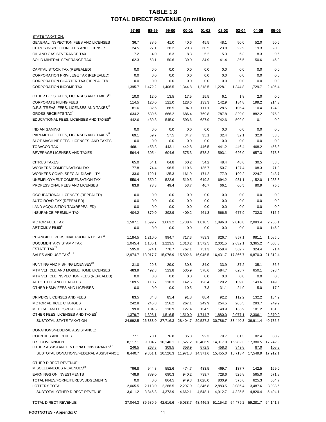|                                                          | 97-98   | 98-99                               | 99-00   | 00-01                                                                            | 01-02   | <u>02-03</u>               | $03 - 04$ | <u>04-05</u>               | $05 - 06$ |
|----------------------------------------------------------|---------|-------------------------------------|---------|----------------------------------------------------------------------------------|---------|----------------------------|-----------|----------------------------|-----------|
| <b>STATE TAXATION:</b>                                   |         |                                     |         |                                                                                  |         |                            |           |                            |           |
| GENERAL INSPECTION FEES AND LICENSES                     | 36.7    | 38.6                                | 41.0    | 40.6                                                                             | 45.5    | 48.1                       | 50.0      | 52.0                       | 50.6      |
| CITRUS INSPECTION FEES AND LICENSES                      | 24.5    | 27.1                                | 28.2    | 29.3                                                                             | 30.5    | 23.8                       | 22.9      | 19.3                       | 20.8      |
| OIL AND GAS SEVERANCE TAX                                | 7.2     | 4.0                                 | 6.3     | 8.3                                                                              | 5.2     | 5.3                        | 6.3       | 8.3                        | 9.6       |
| SOLID MINERAL SEVERANCE TAX                              | 62.3    | 63.1                                | 50.6    | 39.0                                                                             | 34.9    | 41.4                       | 36.5      | 50.6                       | 46.0      |
| CAPITAL STOCK TAX (REPEALED)                             | 0.0     | 0.0                                 | 0.0     | 0.0                                                                              | 0.0     | 0.0                        | 0.0       | 0.0                        | 0.0       |
| CORPORATION PRIVILEGE TAX (REPEALED)                     | 0.0     | 0.0                                 | 0.0     | 0.0                                                                              | 0.0     | 0.0                        | 0.0       | 0.0                        | 0.0       |
| CORPORATION CHARTER TAX (REPEALED)                       | 0.0     | 0.0                                 | 0.0     | 0.0                                                                              | 0.0     | 0.0                        | 0.0       | 0.0                        | 0.0       |
| <b>CORPORATION INCOME TAX</b>                            | 1,395.7 | 1,472.2                             | 1,406.5 | 1,344.8                                                                          | 1,218.5 | 1,228.1                    | 1,344.8   | 1,729.7                    | 2,405.4   |
| OTHER D.O.S. FEES, LICENSES AND TAXES <sup>14</sup>      | 10.0    | 12.0                                | 13.5    | 17.5                                                                             | 15.5    | 6.1                        | 1.8       | 2.0                        | 0.0       |
| <b>CORPORATE FILING FEES</b>                             | 114.5   | 120.0                               | 121.0   | 128.6                                                                            | 133.3   | 142.9                      | 184.8     | 199.2                      | 214.3     |
| D.F.S./TREAS. FEES, LICENSES AND TAXES <sup>13</sup>     | 81.6    | 82.6                                | 86.5    | 94.0                                                                             | 111.1   | 128.5                      | 105.4     | 110.4                      | 124.0     |
| <b>GROSS RECEIPTS TAX<sup>11</sup></b>                   | 634.2   | 639.6                               | 666.2   | 686.4                                                                            | 769.8   | 787.8                      | 829.0     | 882.2                      | 975.8     |
| EDUCATIONAL FEES, LICENSES AND TAXES <sup>15</sup>       | 442.6   | 489.8                               | 545.0   | 593.6                                                                            | 687.9   | 742.6                      | 502.9     | 0.1                        | 0.0       |
| <b>INDIAN GAMING</b>                                     | 0.0     | 0.0                                 | 0.0     | 0.0                                                                              | 0.0     | 0.0                        | 0.0       | 0.0                        | 0.0       |
| PARI-MUTUEL FEES, LICENSES AND TAXES <sup>19</sup>       | 69.1    | 59.7                                | 57.5    | 34.7                                                                             | 35.1    | 32.4                       | 32.1      | 32.0                       | 33.6      |
| SLOT MACHINE FEES, LICENSES, AND TAXES                   | 0.0     | 0.0                                 | 0.0     | 0.0                                                                              | 0.0     | 0.0                        | 0.0       | 0.0                        | 0.0       |
| <b>TOBACCO TAX</b>                                       | 468.1   | 453.3                               | 443.1   | 442.8                                                                            | 446.5   | 441.2                      | 446.4     | 468.2                      | 456.8     |
| BEVERAGE LICENSES AND TAXES                              | 594.4   | 605.4                               | 604.6   | 575.3                                                                            | 578.2   | 593.1                      | 626.0     | 657.3                      | 678.8     |
| <b>CITRUS TAXES</b>                                      | 65.0    | 54.1                                | 64.8    | 60.2                                                                             | 54.2    | 48.4                       | 48.6      | 30.5                       | 33.5      |
| <b>WORKERS' COMPENSATION TAX</b>                         | 77.8    | 74.4                                | 96.5    | 110.6                                                                            | 135.7   | 150.7                      | 127.4     | 108.3                      | 71.0      |
| WORKERS COMP. SPECIAL DISABILITY                         | 133.6   | 129.1                               | 135.3   | 161.9                                                                            | 171.2   | 177.9                      | 199.2     | 224.7                      | 248.7     |
| UNEMPLOYMENT COMPENSATION TAX                            | 550.4   | 550.2                               | 522.6   | 519.5                                                                            | 619.2   | 694.2                      | 931.1     | 1,152.0                    | 1,233.3   |
| PROFESSIONAL FEES AND LICENSES                           | 83.9    | 73.3                                | 49.4    | 53.7                                                                             | 46.7    | 66.1                       | 66.5      | 80.9                       | 75.5      |
| OCCUPATIONAL LICENSES (REPEALED)                         | 0.0     | 0.0                                 | 0.0     | 0.0                                                                              | 0.0     | 0.0                        | 0.0       | 0.0                        | 0.0       |
| AUTO ROAD TAX (REPEALED)                                 | 0.0     | 0.0                                 | 0.0     | 0.0                                                                              | 0.0     | 0.0                        | 0.0       | 0.0                        | 0.0       |
| LAND ACQUISITION TAX(REPEALED)                           | 0.0     | 0.0                                 | 0.0     | 0.0                                                                              | 0.0     | 0.0                        | 0.0       | 0.0                        | 0.0       |
| <b>INSURANCE PREMIUM TAX</b>                             | 404.2   | 379.0                               | 392.9   | 409.2                                                                            | 461.3   | 566.5                      | 677.9     | 732.3                      | 815.6     |
| <b>MOTOR FUEL TAX</b>                                    | 1,507.1 | 1,599.7                             | 1,663.2 | 1,738.4                                                                          | 1,810.5 | 1,896.8                    | 2,010.8   | 2,083.4                    | 2,236.1   |
| ARTICLE V FEES <sup>6</sup>                              | 0.0     | 0.0                                 | 0.0     | 0.0                                                                              | 0.0     | 0.0                        | 0.0       | 0.0                        | 146.9     |
|                                                          |         |                                     |         |                                                                                  |         |                            |           |                            |           |
| INTANGIBLE PERSONAL PROPERTY TAX <sup>16</sup>           | 1,184.5 | 1,210.0                             | 994.7   | 717.3                                                                            | 783.3   | 826.7                      | 857.1     | 981.1                      | 1,085.0   |
| DOCUMENTARY STAMP TAX<br>ESTATE TAX <sup>21</sup>        | 1,045.4 | 1,185.1                             | 1,223.5 | 1,313.2                                                                          | 1,572.5 | 2,001.5                    | 2,632.1   | 3,365.2                    | 4,058.3   |
| SALES AND USE TAX <sup>4, 11</sup>                       | 595.0   | 674.1<br>12,974.7 13,917.7 15,076.9 | 778.7   | 767.1<br>15,802.6 16,045.5                                                       | 751.3   | 558.4<br>16,431.7 17,866.7 | 382.7     | 324.4<br>19,870.3 21,812.4 | 71.4      |
|                                                          |         |                                     |         |                                                                                  |         |                            |           |                            |           |
| HUNTING AND FISHING LICENSES <sup>18</sup>               | 31.0    | 29.8                                | 29.0    | 30.8                                                                             | 34.0    | 33.9                       | 37.2      | 35.1                       | 36.5      |
| MTR VEHICLE AND MOBILE HOME LICENSES                     | 483.9   | 492.3                               | 523.8   | 535.9                                                                            | 578.6   | 584.7                      | 628.7     | 650.1                      | 693.4     |
| MTR VEHICLE INSPECTION FEES (REPEALED)                   | 0.0     | 0.0                                 | 0.0     | 0.0                                                                              | 0.0     | 0.0                        | 0.0       | 0.0                        | 0.0       |
| AUTO TITLE AND LIEN FEES<br>OTHER HSMV FEES AND LICENSES | 109.5   | 113.7                               | 118.3   | 142.6                                                                            | 126.4   | 129.2                      | 139.8     | 143.6                      | 149.3     |
|                                                          | 0.0     | 0.0                                 | 0.0     | 10.5                                                                             | 7.3     | 31.1                       | 24.9      | 15.0                       | 17.9      |
| DRIVERS LICENSES AND FEES                                | 83.5    | 84.8                                | 85.4    | 91.8                                                                             | 88.4    | 92.2                       | 112.2     | 132.2                      | 134.2     |
| <b>MOTOR VEHICLE CHARGES</b>                             | 242.8   | 245.8                               | 256.2   | 267.1                                                                            | 249.9   | 254.5                      | 265.5     | 283.7                      | 249.9     |
| <b>MEDICAL AND HOSPITAL FEES</b>                         | 99.8    | 104.5                               | 118.9   | 127.4                                                                            | 134.5   | 140.9                      | 165.9     | 181.2                      | 181.0     |
| OTHER FEES, LICENSES AND TAXES <sup>3</sup>              | 1,379.7 | 1,398.1                             | 1,516.5 | 1,510.0                                                                          | 1,744.7 | 1,880.0                    | 2,077.1   | 2,306.1                    | 2,370.0   |
| SUBTOTAL STATE TAXATION                                  |         |                                     |         | 24,992.5 26,383.0 27,716.3 28,404.7 29,527.2 30,786.7 33,440.3 36,911.4          |         |                            |           |                            | 40,735.5  |
| DONATIONS/FEDERAL ASSISTANCE:                            |         |                                     |         |                                                                                  |         |                            |           |                            |           |
| <b>COUNTIES AND CITIES</b>                               | 77.1    | 78.1                                | 76.8    | 85.8                                                                             | 92.3    | 79.7                       | 81.3      | 82.4                       | 60.9      |
| <b>U.S. GOVERNMENT</b>                                   | 8,117.1 |                                     |         | 9,004.7 10,140.1 11,527.2 13,406.9 14,917.0                                      |         |                            |           | 16,282.3 17,380.5 17,742.9 |           |
| OTHER ASSISTANCE & DONATIONS GRANTS"                     | 246.5   | 268.3                               | 309.5   | 358.9                                                                            | 872.5   | 458.3                      | 349.8     | 87.0                       | 108.3     |
| SUBTOTAL DONATIONS/FEDERAL ASSISTANCE                    | 8,440.7 |                                     |         | 9,351.1 10,526.3 11,971.8 14,371.6 15,455.0 16,713.4 17,549.9 17,912.1           |         |                            |           |                            |           |
| OTHER DIRECT REVENUE:                                    |         |                                     |         |                                                                                  |         |                            |           |                            |           |
| MISCELLANEOUS REVENUES <sup>40</sup>                     | 796.8   | 944.8                               | 552.6   | 474.7                                                                            | 433.5   | 469.7                      | 137.7     | 142.5                      | 169.0     |
| <b>EARNINGS ON INVESTMENTS</b>                           | 748.9   | 789.0                               | 690.3   | 940.2                                                                            | 739.7   | 728.6                      | 525.8     | 565.0                      | 671.8     |
| TOTAL FINES/FORFEITURES/JUDGEMENTS                       | 0.0     | 0.0                                 | 864.5   | 949.3                                                                            | 1,028.0 | 830.9                      | 575.6     | 625.3                      | 664.7     |
| LOTTERY TOTAL                                            | 2,065.5 | 2,113.0                             | 2,266.5 | 2,297.9                                                                          | 2,346.8 | 2,883.5                    | 3,086.4   | 3,487.6                    | 3,988.6   |
| SUBTOTAL OTHER DIRECT REVENUE                            | 3,611.2 | 3,846.8                             | 4,373.9 | 4,662.1                                                                          | 4,548.1 | 4,912.7                    | 4,325.5   | 4,820.4                    | 5,494.1   |
|                                                          |         |                                     |         |                                                                                  |         |                            |           |                            |           |
| TOTAL DIRECT REVENUE                                     |         |                                     |         | 37,044.3 39,580.9 42,616.6 45,038.7 48,446.8 51,154.3 54,479.2 59,281.7 64,141.7 |         |                            |           |                            |           |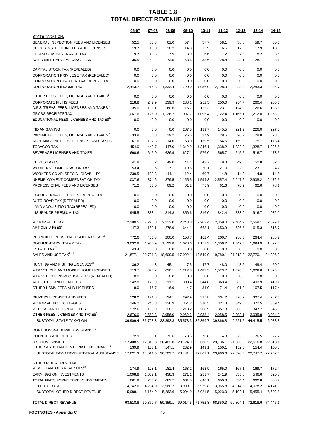|                                                      | 06-07    | 07-08                      | 08-09             | 09-10                                  | 10-11    | 11-12             | <u>12-13</u>               | <u>13-14</u>                                          | 14-15    |
|------------------------------------------------------|----------|----------------------------|-------------------|----------------------------------------|----------|-------------------|----------------------------|-------------------------------------------------------|----------|
| <b>STATE TAXATION:</b>                               |          |                            |                   |                                        |          |                   |                            |                                                       |          |
| GENERAL INSPECTION FEES AND LICENSES                 | 52.5     | 53.3                       | 61.0              | 57.4                                   | 57.7     | 58.1              | 58.8                       | 59.7                                                  | 60.6     |
| CITRUS INSPECTION FEES AND LICENSES                  | 19.7     | 19.0                       | 18.2              | 14.8                                   | 15.9     | 16.5              | 17.2                       | 17.9                                                  | 18.5     |
| OIL AND GAS SEVERANCE TAX                            | 9.3      | 13.3                       | 7.9               | 3.9                                    | 6.6      | 7.2               | 7.8                        | 8.2                                                   | 8.6      |
| SOLID MINERAL SEVERANCE TAX                          | 36.5     | 43.2                       | 73.5              | 58.6                                   | 38.6     | 28.8              | 28.1                       | 28.1                                                  | 28.1     |
| CAPITAL STOCK TAX (REPEALED)                         | 0.0      | 0.0                        | 0.0               | 0.0                                    | 0.0      | 0.0               | 0.0                        | 0.0                                                   | 0.0      |
| CORPORATION PRIVILEGE TAX (REPEALED)                 | 0.0      | 0.0                        | 0.0               | 0.0                                    | 0.0      | 0.0               | 0.0                        | 0.0                                                   | 0.0      |
| CORPORATION CHARTER TAX (REPEALED)                   | 0.0      | 0.0                        | 0.0               | 0.0                                    | 0.0      | 0.0               | 0.0                        | 0.0                                                   | 0.0      |
| <b>CORPORATION INCOME TAX</b>                        | 2,443.7  | 2,216.8                    | 1,833.4           | 1,790.0                                | 1,986.9  | 2,198.9           | 2,228.4                    | 2,283.3                                               | 2,335.7  |
| OTHER D.O.S. FEES, LICENSES AND TAXES <sup>14</sup>  | 0.0      | 0.0                        | 0.0               | 0.0                                    | 0.0      | 0.0               | 0.0                        | 0.0                                                   | 0.0      |
| <b>CORPORATE FILING FEES</b>                         | 218.8    | 242.9                      | 239.9             | 238.1                                  | 252.5    | 250.0             | 254.7                      | 260.4                                                 | 265.6    |
| D.F.S./TREAS. FEES, LICENSES AND TAXES <sup>13</sup> | 135.0    | 138.1                      | 160.6             | 116.7                                  | 122.3    | 123.1             | 124.8                      | 126.6                                                 | 128.8    |
| <b>GROSS RECEIPTS TAX<sup>11</sup></b>               | 1,067.6  | 1,126.0                    | 1,126.2           | 1,097.7                                | 1,095.4  | 1,122.4           | 1,165.1                    | 1,212.0                                               | 1,258.9  |
| EDUCATIONAL FEES, LICENSES AND TAXES <sup>15</sup>   | 0.0      | 0.0                        | 0.0               | 0.0                                    | 0.0      | 0.0               | 0.0                        | 0.0                                                   | 0.0      |
| <b>INDIAN GAMING</b>                                 | 0.0      | 0.0                        | 0.0               | 287.5                                  | 139.7    | 145.5             | 221.2                      | 226.0                                                 | 227.0    |
| PARI-MUTUEL FEES, LICENSES AND TAXES <sup>19</sup>   | 33.9     | 33.8                       | 29.2              | 26.6                                   | 27.9     | 28.5              | 26.7                       | 28.8                                                  | 28.8     |
| SLOT MACHINE FEES, LICENSES, AND TAXES               | 61.6     | 132.3                      | 114.0             | 153.0                                  | 139.5    | 154.6             | 159.3                      | 175.7                                                 | 178.4    |
| <b>TOBACCO TAX</b>                                   | 454.0    | 443.7                      | 447.0             | 1,342.9                                | 1,346.1  | 1,338.2           | 1,332.2                    | 1,328.7                                               | 1,326.5  |
| BEVERAGE LICENSES AND TAXES                          | 690.6    | 646.0                      | 626.9             | 627.1                                  | 576.0    | 565.7             | 545.2                      | 516.7                                                 | 473.5    |
| <b>CITRUS TAXES</b>                                  | 41.8     | 53.2                       | 49.0              | 41.4                                   | 43.7     | 48.3              | 49.5                       | 50.8                                                  | 52.0     |
| <b>WORKERS' COMPENSATION TAX</b>                     | 53.4     | 33.6                       | 17.1              | 19.5                                   | 20.1     | 21.0              | 22.0                       | 23.1                                                  | 24.2     |
| WORKERS COMP. SPECIAL DISABILITY                     | 239.5    | 189.3                      | 144.1             | 112.4                                  | 60.7     | 14.8              | 14.8                       | 14.8                                                  | 14.8     |
| UNEMPLOYMENT COMPENSATION TAX                        | 1.037.6  | 874.6                      | 879.5             | 1,155.5                                | 1,594.8  | 2,557.4           | 2,947.6                    | 2,908.2                                               | 2.476.5  |
| PROFESSIONAL FEES AND LICENSES                       | 71.2     | 56.0                       | 69.2              | 61.2                                   | 75.9     | 61.6              | 76.9                       | 62.6                                                  | 78.1     |
| OCCUPATIONAL LICENSES (REPEALED)                     | 0.0      | 0.0                        | 0.0               | 0.0                                    | 0.0      | 0.0               | 0.0                        | 0.0                                                   | 0.0      |
| AUTO ROAD TAX (REPEALED)                             | 0.0      | 0.0                        | 0.0               | 0.0                                    | 0.0      | 0.0               | 0.0                        | 0.0                                                   | 0.0      |
| LAND ACQUISITION TAX(REPEALED)                       | 0.0      | 0.0                        | 0.0               | 0.0                                    | 0.0      | 0.0               | 0.0                        | 0.0                                                   | 0.0      |
| <b>INSURANCE PREMIUM TAX</b>                         | 945.5    | 883.4                      | 814.8             | 856.6                                  | 816.0    | 842.4             | 883.0                      | 916.7                                                 | 932.2    |
| <b>MOTOR FUEL TAX</b>                                | 2,290.5  | 2,273.8                    | 2,212.0           | 2,243.8                                | 2,262.4  | 2,359.0           | 2,464.7                    | 2,569.1                                               | 2,679.1  |
| ARTICLE V FEES <sup>6</sup>                          | 147.3    | 163.1                      | 278.9             | 644.1                                  | 663.1    | 653.9             | 636.5                      | 615.3                                                 | 616.7    |
| INTANGIBLE PERSONAL PROPERTY TAX <sup>16</sup>       | 772.6    | 436.3                      | 200.0             | 158.7                                  | 162.4    | 200.7             | 236.5                      | 264.4                                                 | 288.7    |
| DOCUMENTARY STAMP TAX                                | 3,032.8  | 1,954.9                    | 1,122.8           | 1,078.6                                | 1,117.3  | 1,306.2           | 1,547.5                    | 1,694.9                                               | 1,822.5  |
| ESTATE TAX <sup>21</sup>                             | 43.4     | 0.0                        | 0.0               | 0.0                                    | 0.0      | 0.0               | 0.0                        | 0.0                                                   | 0.0      |
| SALES AND USE TAX <sup>4, 11</sup>                   | 21,877.1 | 20,721.3                   | 18,609.5          | 17,992.1                               | 18,549.9 | 19.780.1          | 21,313.3                   | 22,770.1                                              | 24,395.2 |
| HUNTING AND FISHING LICENSES <sup>18</sup>           | 36.2     | 44.3                       | 45.1              | 47.5                                   | 47.7     | 48.0              | 48.6                       | 49.4                                                  | 50.2     |
| MTR VEHICLE AND MOBILE HOME LICENSES                 | 713.7    | 670.2                      | 620.1             | 1,212.8                                | 1,487.5  | 1,523.7           | 1,576.6                    | 1,629.6                                               | 1,675.4  |
| MTR VEHICLE INSPECTION FEES (REPEALED)               | 0.0      | 0.0                        | 0.0               | 0.0                                    | 0.0      | 0.0               | 0.0                        | 0.0                                                   | 0.0      |
| AUTO TITLE AND LIEN FEES                             | 142.8    | 129.9                      | 111.1             | 300.4                                  | 344.8    | 363.4             | 385.8                      | 403.9                                                 | 419.1    |
| OTHER HSMV FEES AND LICENSES                         | 18.0     | 16.7                       | 16.9              | 4.7                                    | 34.9     | 71.4              | 91.8                       | 107.5                                                 | 117.4    |
| DRIVERS LICENSES AND FEES                            | 128.0    | 121.8                      | 134.1             | 297.9                                  | 325.8    | 334.2             | 328.2                      | 307.4                                                 | 287.5    |
| <b>MOTOR VEHICLE CHARGES</b>                         | 246.2    | 246.8                      | 236.9             | 364.2                                  | 310.5    | 327.3             | 349.6                      | 372.5                                                 | 389.4    |
| <b>MEDICAL AND HOSPITAL FEES</b>                     | 172.6    | 165.9                      | 138.1             | 210.2                                  | 208.9    | 357.3             | 386.0                      | 347.7                                                 | 346.6    |
| OTHER FEES, LICENSES AND TAXES <sup>3</sup>          | 2,676.0  | 2,559.8                    | 2,956.0           | 2,962.2                                | 2,938.4  | 2,958.5           | 2,993.1                    | 3,035.8                                               | 3,084.2  |
| SUBTOTAL STATE TAXATION                              | 39,909.4 |                            | 36,703.3 33,392.8 | 35,578.3                               | 36,869.7 |                   | 39,866.8 42,521.5 44,415.5 |                                                       | 46,088.8 |
| DONATIONS/FEDERAL ASSISTANCE:                        |          |                            |                   |                                        |          |                   |                            |                                                       |          |
| <b>COUNTIES AND CITIES</b>                           | 72.9     | 88.1                       | 72.6              | 73.5                                   | 73.8     | 74.3              | 75.3                       | 76.5                                                  | 77.7     |
| <b>U.S. GOVERNMENT</b>                               |          |                            |                   | 17,408.5  17,818.3  20,483.0  28,124.9 |          | 29,638.2 23,736.1 |                            | 21,863.3 22,516.8 22,518.1                            |          |
| OTHER ASSISTANCE & DONATIONS GRANTS"                 | 139.9    | 105.1                      | 147.1             | 232.9                                  | 149.1    | 150.1             | 152.0                      | 154.4                                                 | 156.8    |
| SUBTOTAL DONATIONS/FEDERAL ASSISTANCE                |          |                            |                   | 17,621.3 18,011.5 20,702.7 28,431.4    | 29,861.1 |                   |                            | 23,960.6 22,090.5 22,747.7 22,752.6                   |          |
| OTHER DIRECT REVENUE:                                |          |                            |                   |                                        |          |                   |                            |                                                       |          |
| MISCELLANEOUS REVENUES <sup>20</sup>                 | 174.9    | 193.1                      | 181.4             | 163.2                                  | 163.9    | 165.0             | 167.1                      | 169.7                                                 | 172.4    |
| <b>EARNINGS ON INVESTMENTS</b>                       | 1,008.8  | 1,062.1                    | 438.3             | 271.1                                  | 281.7    | 241.9             | 355.8                      | 546.6                                                 | 620.8    |
| TOTAL FINES/FORFEITURES/JUDGEMENTS                   | 661.8    | 705.7                      | 683.7             | 661.5                                  | 646.1    | 650.3             | 654.4                      | 660.8                                                 | 668.7    |
| LOTTERY TOTAL                                        | 4,142.6  | 4,204.0                    | 3,960.2           | 3,909.1                                | 3,929.8  | 3,965.8           | 4,014.8                    | 4,078.2                                               | 4,141.9  |
| SUBTOTAL OTHER DIRECT REVENUE                        | 5,988.1  | 6,164.9                    | 5,263.6           | 5,004.9                                | 5,021.5  | 5,023.0           | 5,192.1                    | 5,455.4                                               | 5,603.8  |
|                                                      |          |                            |                   |                                        |          |                   |                            |                                                       |          |
| TOTAL DIRECT REVENUE                                 |          | 63,518.8 60,879.7 59,359.1 |                   |                                        |          |                   |                            | 69,014.5 71,752.3 68,850.3 69,804.1 72,618.6 74,445.1 |          |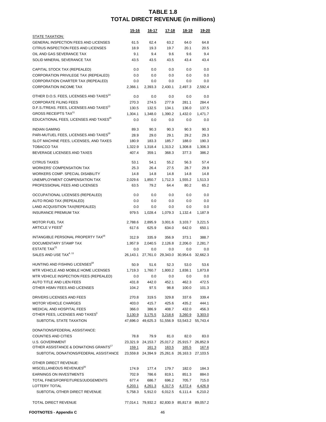|                                                                             | <u>15-16</u>   | 16-17        | 17-18             | 18-19                                                        | 19-20          |
|-----------------------------------------------------------------------------|----------------|--------------|-------------------|--------------------------------------------------------------|----------------|
| STATE TAXATION:<br>GENERAL INSPECTION FEES AND LICENSES                     | 61.5           | 62.4         | 63.2              | 64.0                                                         | 64.8           |
| CITRUS INSPECTION FEES AND LICENSES                                         | 18.9           | 19.3         | 19.7              | 20.1                                                         | 20.5           |
|                                                                             |                |              |                   |                                                              |                |
| OIL AND GAS SEVERANCE TAX<br>SOLID MINERAL SEVERANCE TAX                    | 9.1            | 9.4          | 9.6               | 9.6<br>43.4                                                  | 9.4<br>43.4    |
|                                                                             | 43.5           | 43.5         | 43.5              |                                                              |                |
| CAPITAL STOCK TAX (REPEALED)                                                | 0.0            | 0.0          | 0.0               | 0.0                                                          | 0.0            |
| CORPORATION PRIVILEGE TAX (REPEALED)                                        | 0.0            | 0.0          | 0.0               | 0.0                                                          | 0.0            |
| CORPORATION CHARTER TAX (REPEALED)                                          | 0.0            | 0.0          | 0.0               | 0.0                                                          | 0.0            |
| <b>CORPORATION INCOME TAX</b>                                               | 2,366.1        | 2,393.3      | 2,430.1           | 2,497.3                                                      | 2,592.4        |
| OTHER D.O.S. FEES, LICENSES AND TAXES <sup>14</sup>                         | 0.0            | 0.0          | 0.0               | 0.0                                                          | 0.0            |
| <b>CORPORATE FILING FEES</b>                                                | 270.3          | 274.5        | 277.9             | 281.1                                                        | 284.4          |
| D.F.S./TREAS. FEES, LICENSES AND TAXES <sup>13</sup>                        | 130.5          | 132.5        | 134.1             | 136.0                                                        | 137.5          |
| <b>GROSS RECEIPTS TAX<sup>11</sup></b>                                      | 1,304.1        | 1,348.0      | 1,390.2           | 1,432.0                                                      | 1,471.7        |
| EDUCATIONAL FEES, LICENSES AND TAXES <sup>15</sup>                          | 0.0            | $0.0\,$      | 0.0               | 0.0                                                          | 0.0            |
| <b>INDIAN GAMING</b>                                                        | 89.3           | 90.3         | 90.3              | 90.3                                                         | 90.3           |
| PARI-MUTUEL FEES, LICENSES AND TAXES <sup>19</sup>                          | 28.9           | 29.0         | 29.1              | 29.2                                                         | 29.3           |
| SLOT MACHINE FEES, LICENSES, AND TAXES                                      | 180.9          | 183.3        | 185.7             | 188.0                                                        | 190.3          |
| <b>TOBACCO TAX</b>                                                          | 1,322.9        | 1,318.4      | 1,313.2           | 1,308.8                                                      | 1,306.3        |
| BEVERAGE LICENSES AND TAXES                                                 | 407.4          | 359.1        | 368.3             | 377.3                                                        | 386.2          |
|                                                                             |                |              |                   |                                                              |                |
| <b>CITRUS TAXES</b>                                                         | 53.1           | 54.1         | 55.2              | 56.3                                                         | 57.4           |
| <b>WORKERS' COMPENSATION TAX</b>                                            | 25.3           | 26.4         | 27.5              | 28.7                                                         | 29.9           |
| WORKERS COMP. SPECIAL DISABILITY                                            | 14.8           | 14.8         | 14.8              | 14.8                                                         | 14.8           |
| UNEMPLOYMENT COMPENSATION TAX                                               | 2,029.6        | 1,850.7      | 1,712.3           | 1,555.2                                                      | 1,513.3        |
| PROFESSIONAL FEES AND LICENSES                                              | 63.5           | 79.2         | 64.4              | 80.2                                                         | 65.2           |
| OCCUPATIONAL LICENSES (REPEALED)                                            | 0.0            | $0.0\,$      | 0.0               | 0.0                                                          | 0.0            |
| AUTO ROAD TAX (REPEALED)                                                    | 0.0            | 0.0          | 0.0               | 0.0                                                          | 0.0            |
| LAND ACQUISITION TAX(REPEALED)                                              | 0.0            | $0.0\,$      | 0.0               | 0.0                                                          | 0.0            |
| <b>INSURANCE PREMIUM TAX</b>                                                | 979.5          | 1,028.4      | 1,079.3           | 1,132.4                                                      | 1,187.9        |
| <b>MOTOR FUEL TAX</b>                                                       | 2,788.6        | 2,895.9      | 3,001.6           | 3,103.7                                                      | 3,221.5        |
| ARTICLE V FEES <sup>6</sup>                                                 | 617.6          | 625.9        | 634.0             | 642.0                                                        | 650.1          |
| INTANGIBLE PERSONAL PROPERTY TAX <sup>16</sup>                              | 312.9          | 335.9        | 356.9             | 373.1                                                        | 388.7          |
| DOCUMENTARY STAMP TAX                                                       | 1,957.9        | 2,040.5      |                   | 2,206.0                                                      | 2,281.7        |
| ESTATE TAX <sup>21</sup>                                                    | 0.0            | $0.0\,$      | 2,126.8<br>0.0    | 0.0                                                          | $0.0\,$        |
| SALES AND USE TAX <sup>4, 11</sup>                                          | 26,143.1       |              | 27,761.0 29,343.0 |                                                              | 32,662.3       |
|                                                                             |                |              |                   | 30,954.6                                                     |                |
| HUNTING AND FISHING LICENSES <sup>18</sup>                                  | 50.9           | 51.6         | 52.3              | 53.0                                                         | 53.6           |
| MTR VEHICLE AND MOBILE HOME LICENSES                                        | 1,719.3        |              | 1,760.7 1,800.2   | 1,838.1                                                      | 1,873.8        |
| MTR VEHICLE INSPECTION FEES (REPEALED)                                      | 0.0            | 0.0          | 0.0               | 0.0                                                          | 0.0            |
| AUTO TITLE AND LIEN FEES                                                    | 431.8          | 442.0        | 452.1             | 462.3                                                        | 472.5          |
| OTHER HSMV FEES AND LICENSES                                                | 104.2          | 97.5         | 98.8              | 100.0                                                        | 101.3          |
| DRIVERS LICENSES AND FEES                                                   | 270.8          |              | 319.5 329.8       | 337.6                                                        | 339.4          |
| <b>MOTOR VEHICLE CHARGES</b>                                                | 403.0          | 415.7        | 425.6             | 435.2                                                        | 444.1          |
| MEDICAL AND HOSPITAL FEES                                                   | 366.0          |              | 386.9 408.7       |                                                              | 432.0 456.3    |
| OTHER FEES, LICENSES AND TAXES <sup>3</sup>                                 |                |              |                   | <u>3,130.9 3,175.5 3,218.6 3,260.9</u>                       | 3,303.0        |
| SUBTOTAL STATE TAXATION                                                     |                |              |                   | 47,696.0 49,625.3 51,556.9 53,543.2 55,743.4                 |                |
|                                                                             |                |              |                   |                                                              |                |
| DONATIONS/FEDERAL ASSISTANCE:                                               |                |              |                   |                                                              |                |
| <b>COUNTIES AND CITIES</b>                                                  | 78.8           | 79.9         | 81.0              | 82.0                                                         | 83.0           |
| <b>U.S. GOVERNMENT</b><br>OTHER ASSISTANCE & DONATIONS GRANTS <sup>1/</sup> |                |              |                   | 23,321.9 24,153.7 25,017.2 25,915.7 26,852.9                 |                |
| SUBTOTAL DONATIONS/FEDERAL ASSISTANCE                                       | <u>159.1</u>   | <u>161.3</u> | <u> 163.5</u>     | <u>165.5</u><br>23,559.8 24,394.9 25,261.6 26,163.3 27,103.5 | <u>167.6</u>   |
|                                                                             |                |              |                   |                                                              |                |
| OTHER DIRECT REVENUE:                                                       |                |              |                   |                                                              |                |
| MISCELLANEOUS REVENUES <sup>20</sup>                                        | 174.9          |              | 177.4 179.7       | 182.0                                                        | 184.3          |
| <b>EARNINGS ON INVESTMENTS</b>                                              | 702.9          | 786.6        | 819.1             | 851.3                                                        | 884.0          |
| TOTAL FINES/FORFEITURES/JUDGEMENTS                                          | 677.4          | 686.7        | 696.2             | 705.7                                                        | 715.0          |
| LOTTERY TOTAL<br>SUBTOTAL OTHER DIRECT REVENUE                              | <u>4,203.1</u> |              | 4,261.3 4,317.5   | <u>4,372.4</u>                                               | <u>4,426.9</u> |
|                                                                             | 5,758.3        |              | 5,912.0 6,012.5   | 6,111.4                                                      | 6,210.2        |
| TOTAL DIRECT REVENUE                                                        |                |              |                   | 77,014.1 79,932.2 82,830.9 85,817.8 89,057.2                 |                |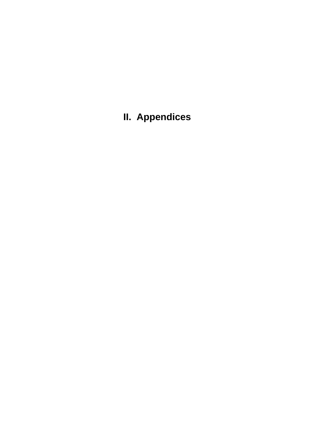**II. Appendices**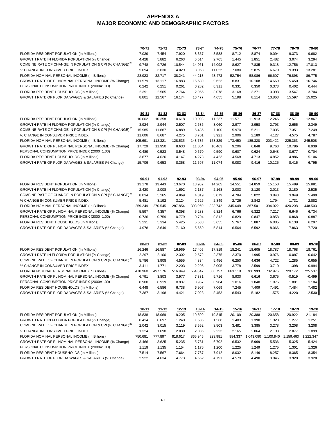#### **APPENDIX A MAJOR ECONOMIC AND DEMOGRAPHIC FACTORS**

|                                                                     | 70-71     | 71-72     | $72 - 73$ | <u>73-74</u> | $74 - 75$    | 75-76     | 76-77                       | 77-78     | 78-79        | 79-80                    |
|---------------------------------------------------------------------|-----------|-----------|-----------|--------------|--------------|-----------|-----------------------------|-----------|--------------|--------------------------|
| FLORIDA RESIDENT POPULATION (In Millions)                           | 7.039     | 7.454     | 7.920     | 8.357        | 8.588        | 8.712     | 8.874                       | 9.094     | 9.373        | 9.682                    |
| GROWTH RATE IN FLORIDA POPULATION (% Change)                        | 4.428     | 5.882     | 6.263     | 5.514        | 2.765        | 1.445     | 1.851                       | 2.482     | 3.074        | 3.294                    |
| COMBINE RATE OF CHANGE IN POPULATION & CPI (% CHANGE) <sup>25</sup> | 9.748     | 9.726     | 10.544    | 14.961       | 14.092       | 8.627     | 7.835                       | 9.318     | 12.756       | 17.013                   |
| % CHANGE IN CONSUMER PRICE INDEX                                    | 5.094     | 3.630     | 4.029     | 8.953        | 11.022       | 7.080     | 5.875                       | 6.670     | 9.393        | 13.281                   |
| FLORIDA NOMINAL PERSONAL INCOME (In Billions)                       | 28.923    | 32.717    | 38.241    | 44.218       | 48.473       | 52.754    | 58.086                      | 66.607    | 76.898       | 89.775                   |
| GROWTH RATE OF FL NOMINAL PERSONAL INCOME (% Change)                | 11.579    | 13.117    | 16.883    | 15.630       | 9.623        | 8.831     | 10.108                      | 14.669    | 15.450       | 16.746                   |
| PERSONAL CONSUMPTION PRICE INDEX (2000=1.00)                        | 0.242     | 0.251     | 0.261     | 0.282        | 0.311        | 0.331     | 0.350                       | 0.373     | 0.402        | 0.444                    |
| FLORIDA RESIDENT HOUSEHOLDS (In Millions)                           | 2.391     | 2.565     | 2.764     | 2.955        | 3.078        | 3.168     | 3.271                       | 3.398     | 3.547        | 3.704                    |
| GROWTH RATE OF FLORIDA WAGES & SALARIES (% Change)                  | 8.801     | 12.567    | 16.174    | 16.477       | 4.655        | 5.198     | 8.114                       | 13.863    | 15.597       | 15.025                   |
|                                                                     | 80-81     | $81 - 82$ | $82 - 83$ | 83-84        | 84-85        | 85-86     | 86-87                       | 87-88     | 88-89        | 89-90                    |
| FLORIDA RESIDENT POPULATION (In Millions)                           | 10.062    | 10.358    | 10.618    | 10.903       | 11.237       | 11.571    | 11.913                      | 12.246    | 12.571       | 12.867                   |
| GROWTH RATE IN FLORIDA POPULATION (% Change)                        | 3.924     | 2.944     | 2.507     | 2.686        | 3.060        | 2.977     | 2.958                       | 2.793     | 2.655        | 2.349                    |
| COMBINE RATE OF CHANGE IN POPULATION & CPI (% CHANGE) <sup>25</sup> | 15.985    | 11.887    | 6.889     | 6.486        | 7.100        | 5.970     | 5.211                       | 7.035     | 7.351        | 7.249                    |
| % CHANGE IN CONSUMER PRICE INDEX                                    | 11.606    | 8.687     | 4.275     | 3.701        | 3.921        | 2.906     | 2.189                       | 4.127     | 4.575        | 4.787                    |
| FLORIDA NOMINAL PERSONAL INCOME (In Billions)                       | 105.691   | 118.321   | 128.535   | 143.785      | 158.829      | 173.450   | 185.328                     | 203.422   | 225.363      | 245.508                  |
| GROWTH RATE OF FL NOMINAL PERSONAL INCOME (% Change)                | 17.729    | 11.950    | 8.633     | 11.864       | 10.463       | 9.206     | 6.848                       | 9.763     | 10.786       | 8.939                    |
| PERSONAL CONSUMPTION PRICE INDEX (2000=1.00)                        | 0.489     | 0.523     | 0.548     | 0.570        | 0.590        | 0.607     | 0.624                       | 0.648     | 0.677        | 0.704                    |
| FLORIDA RESIDENT HOUSEHOLDS (In Millions)                           | 3.877     | 4.026     | 4.147     | 4.278        | 4.423        | 4.568     | 4.713                       | 4.852     | 4.986        | 5.106                    |
| GROWTH RATE OF FLORIDA WAGES & SALARIES (% Change)                  | 15.706    | 9.653     | 8.358     | 11.597       | 11.074       | 9.083     | 9.416                       | 10.125    | 8.415        | 6.795                    |
|                                                                     | $90 - 91$ | 91-92     | 92-93     | 93-94        | 94-95        | 95-96     | 96-97                       | 97-98     | 98-99        | 99-00                    |
| FLORIDA RESIDENT POPULATION (In Millions)                           | 13.178    | 13.443    | 13.670    | 13.962       | 14.265       | 14.551    | 14.859                      | 15.158    | 15.489       | 15.881                   |
| GROWTH RATE IN FLORIDA POPULATION (% Change)                        | 2.420     | 2.008     | 1.692     | 2.137        | 2.168        | 2.003     | 2.120                       | 2.013     | 2.180        | 2.535                    |
| COMBINE RATE OF CHANGE IN POPULATION & CPI (% CHANGE) <sup>25</sup> | 8.034     | 5.265     | 4.869     | 4.819        | 5.079        | 4.784     | 5.022                       | 3.843     | 3.949        | 5.490                    |
| % CHANGE IN CONSUMER PRICE INDEX                                    | 5.481     | 3.192     | 3.124     | 2.626        | 2.849        | 2.726     | 2.842                       | 1.794     | 1.731        | 2.882                    |
| FLORIDA NOMINAL PERSONAL INCOME (In Billions)                       | 259.249   | 270.545   | 287.854   | 303.060      | 323.742      | 345.648   | 367.501                     | 394.022   | 420.208      | 448.503                  |
| GROWTH RATE OF FL NOMINAL PERSONAL INCOME (% Change)                | 5.597     | 4.357     | 6.398     | 5.283        | 6.824        | 6.766     | 6.322                       | 7.217     | 6.646        | 6.734                    |
| PERSONAL CONSUMPTION PRICE INDEX (2000=1.00)                        | 0.736     | 0.759     | 0.779     | 0.794        | 0.812        | 0.829     | 0.847                       | 0.858     | 0.868        | 0.887                    |
| FLORIDA RESIDENT HOUSEHOLDS (In Millions)                           | 5.231     | 5.334     | 5.425     | 5.538        | 5.655        | 5.767     | 5.887                       | 6.005     | 6.138        | 6.297                    |
| GROWTH RATE OF FLORIDA WAGES & SALARIES (% Change)                  | 4.978     | 3.649     | 7.160     | 5.669        | 5.814        | 6.564     | 6.592                       | 8.066     | 7.863        | 7.720                    |
|                                                                     | 00-01     | $01 - 02$ | $02 - 03$ | 03-04        | 04-05        | 05-06     | 06-07                       | 07-08     | 08-09        | 09-10                    |
| FLORIDA RESIDENT POPULATION (In Millions)                           | 16.246    | 16.587    | 16.969    | 17.405       | 17.819       | 18.241    | 18.605                      | 18.787    | 18.768       | 18.761                   |
| GROWTH RATE IN FLORIDA POPULATION (% Change)                        | 2.297     | 2.100     | 2.302     | 2.572        | 2.375        | 2.370     | 1.995                       | 0.976     | $-0.097$     | $-0.042$                 |
| COMBINE RATE OF CHANGE IN POPULATION & CPI (% CHANGE) <sup>25</sup> | 5.786     | 3.908     | 4.555     | 4.834        | 5.456        | 6.250     | 4.636                       | 4.722     | 1.285        | 0.655                    |
| % CHANGE IN CONSUMER PRICE INDEX                                    | 3.411     | 1.771     | 2.203     | 2.206        | 3.005        | 3.778     | 2.599                       | 3.710     | 1.398        | 0.994                    |
| FLORIDA NOMINAL PERSONAL INCOME (In Billions)                       | 478.960   | 497.176   | 516.949   | 554.847      | 608.757      | 663.118   | 706.993                     | 732.976   | 729.172      | 725.537                  |
| GROWTH RATE OF FL NOMINAL PERSONAL INCOME (% Change)                | 6.791     | 3.803     | 3.977     | 7.331        | 9.716        | 8.930     | 6.616                       | 3.675     | $-0.519$     | $-0.499$                 |
| PERSONAL CONSUMPTION PRICE INDEX (2000=1.00)                        | 0.908     | 0.919     | 0.937     | 0.957        | 0.984        | 1.016     | 1.040                       | 1.075     | 1.091        | 1.104                    |
| FLORIDA RESIDENT HOUSEHOLDS (In Millions)                           | 6.448     | 6.586     | 6.738     | 6.907        | 7.069        | 7.245     | 7.409                       | 7.491     | 7.484        | 7.482                    |
| GROWTH RATE OF FLORIDA WAGES & SALARIES (% Change)                  | 7.387     | 3.198     | 4.421     | 7.023        | 8.453        | 8.543     | 5.182                       | 1.575     | $-4.220$     | $-2.530$                 |
|                                                                     | $10 - 11$ | $11 - 12$ | $12 - 13$ | $13 - 14$    | <u>14-15</u> | $15 - 16$ | <u>16-17</u>                | $17 - 18$ | <u>18-19</u> | 19-20                    |
| FLORIDA RESIDENT POPULATION (In Millions)                           | 18.838    | 18.969    | 19.205    | 19.509       | 19.815       | 20.109    | 20.388                      | 20.658    | 20.922       | 21.184                   |
| GROWTH RATE IN FLORIDA POPULATION (% Change)                        | 0.414     | 0.697     | 1.240     | 1.585        | 1.568        | 1.483     | 1.390                       | 1.323     | 1.277        | 1.251                    |
| COMBINE RATE OF CHANGE IN POPULATION & CPI (% CHANGE) <sup>25</sup> | 2.042     | 3.015     | 3.119     | 3.552        | 3.503        | 3.481     | 3.385                       | 3.278     | 3.208        | 3.208                    |
| % CHANGE IN CONSUMER PRICE INDEX                                    | 1.324     | 1.698     | 2.030     | 2.086        | 2.223        | 2.165     | 2.064                       | 2.133     | 2.077        | 1.899                    |
| FLORIDA NOMINAL PERSONAL INCOME (In Billions)                       | 750.681   | 777.897   | 818.617   | 865.945      | 923.981      |           | 984.337 1,043.090 1,100.840 |           | 1,159.463    | ,222.347<br>$\mathbf{1}$ |
| GROWTH RATE OF FL NOMINAL PERSONAL INCOME (% Change)                | 3.466     | 3.625     | 5.235     | 5.781        | 6.702        | 6.532     | 5.969                       | 5.536     | 5.325        | 5.424                    |
| PERSONAL CONSUMPTION PRICE INDEX (2000=1.00)                        | 1.119     | 1.135     | 1.154     | 1.176        | 1.200        | 1.225     | 1.249                       | 1.275     | 1.301        | 1.326                    |
| FLORIDA RESIDENT HOUSEHOLDS (In Millions)                           | 7.514     | 7.567     | 7.664     | 7.787        | 7.912        | 8.032     | 8.146                       | 8.257     | 8.365        | 8.354                    |
| GROWTH RATE OF FLORIDA WAGES & SALARIES (% Change)                  | 2.922     | 4.634     | 4.773     | 4.662        | 4.791        | 4.579     | 4.490                       | 3.946     | 3.928        | 3.928                    |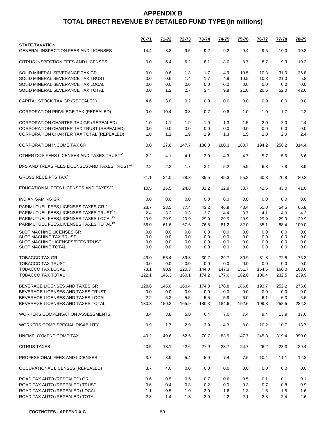|                                                                | <u>70-71</u> | <u>71-72</u> | <u>72-73</u> | <u>73-74</u> | <u>74-75</u> | <u>75-76</u> | <u>76-77</u> | <u>77-78</u>   | 78-79      |
|----------------------------------------------------------------|--------------|--------------|--------------|--------------|--------------|--------------|--------------|----------------|------------|
| STATE TAXATION:<br><b>GENERAL INSPECTION FEES AND LICENSES</b> | 14.4         | 8.8          | 9.5          | 9.2          | 9.2          | 9.4          | 9.5          | 10.0           | 10.8       |
| CITRUS INSPECTION FEES AND LICENSES                            | 0.0          | 6.4          | 6.2          | 8.1          | 8.0          | 8.7          | 8.7          | 9.3            | 10.2       |
| SOLID MINERAL SEVERANCE TAX GR                                 | 0.0          | 0.6          | 1.3          | 1.7          | 4.9          | 10.5         | 10.3         | 31.0           | 36.8       |
| SOLID MINERAL SEVERANCE TAX TRUST                              | 0.0          | 0.6          | 1.4          | 1.7          | 4.9          | 10.5         | 10.3         | 21.0           | 5.8        |
| SOLID MINERAL SEVERANCE TAX LOCAL                              | 0.0          | 0.0          | 0.0          | 0.0          | 0.0          | 0.0          | 0.0          | 0.0            | 0.0        |
| SOLID MINERAL SEVERANCE TAX TOTAL                              | 0.0          | 1.2          | 2.7          | 3.4          | 9.8          | 21.0         | 20.6         | 52.0           | 42.6       |
| CAPITAL STOCK TAX GR (REPEALED)                                | 4.6          | 3.0          | 0.2          | 0.0          | 0.0          | 0.0          | 0.0          | 0.0            | 0.0        |
| CORPORATION PRIVILEGE TAX (REPEALED)                           | 0.0          | 10.4         | 0.8          | 0.7          | 0.8          | 1.0          | 1.0          | 1.7            | 2.2        |
| CORPORATION CHARTER TAX GR (REPEALED)                          | 1.0          | 1.1          | 1.9          | 1.9          | 1.3          | 1.5          | 2.0          | 2.0            | 2.4        |
| CORPORATION CHARTER TAX TRUST (REPEALED)                       | 0.0          | 0.0          | 0.0          | 0.0          | 0.0          | 0.0          | 0.0          | 0.0            | 0.0        |
| CORPORATION CHARTER TAX TOTAL (REPEALED)                       | 1.0          | 1.1          | 1.9          | 1.9          | 1.3          | 1.5          | 2.0          | 2.0            | 2.4        |
| <b>CORPORATION INCOME TAX GR</b>                               | 0.0          | 27.8         | 147.7        | 188.8        | 180.3        | 180.7        | 194.2        | 256.2          | 314.4      |
| OTHER DOS FEES LICENSES AND TAXES TRUST <sup>14</sup>          | 2.2          | 4.1          | 4.1          | 3.9          | 4.3          | 4.7          | 5.7          | 5.6            | 6.6        |
| DFS AND TREAS FEES LICENSES AND TAXES TRUST <sup>13</sup>      | 2.2          | 2.2          | 1.7          | 3.1          | 5.2          | 5.9          | 6.8          | 7.8            | 8.9        |
| <b>GROSS RECEIPTS TAX<sup>11</sup></b>                         | 21.1         | 24.0         | 28.8         | 35.5         | 45.3         | 55.3         | 60.8         | 70.8           | 80.3       |
| EDUCATIONAL FEES LICENSES AND TAXES <sup>15</sup>              | 10.5         | 16.5         | 24.8         | 31.2         | 32.9         | 38.7         | 42.6         | 43.0           | 41.0       |
| <b>INDIAN GAMING GR</b>                                        | 0.0          | 0.0          | 0.0          | 0.0          | 0.0          | 0.0          | 0.0          | 0.0            | 0.0        |
| PARIMUTUEL FEES, LICENSES, TAXES GR <sup>19</sup>              | 23.7         | 28.5         | 37.4         | 43.2         | 46.9         | 48.4         | 51.0         | 54.5           | 65.8       |
| PARIMUTUEL FEES, LICENSES, TAXES TRUST <sup>19</sup>           | 2.4          | 3.2          | 0.3          | 3.7          | 4.4          | 3.7          | 4.1          | 4.0            | 4.3        |
| PARIMUTUEL FEES, LICENSES, TAXES LOCAL <sup>19</sup>           | 29.9         | 29.9         | 29.9         | 29.9         | 29.9         | 29.9         | 29.9         | 29.9           | 29.9       |
| PARIMUTUEL FEES, LICENSES, TAXES TOTAL <sup>19</sup>           | 56.0         | 61.6         | 67.6         | 76.8         | 81.2         | 82.0         | 85.1         | 88.4           | 100.0      |
| SLOT MACHINE LICENSES GR                                       | 0.0          | 0.0          | 0.0          | 0.0          | 0.0          | 0.0          | 0.0          | 0.0            | 0.0        |
| SLOT MACHINE TAX TRUST<br>SLOT MACHINE LICENSES/FEES TRUST     | 0.0<br>0.0   | 0.0<br>0.0   | 0.0<br>0.0   | 0.0<br>0.0   | 0.0<br>0.0   | 0.0<br>0.0   | 0.0<br>0.0   | 0.0<br>$0.0\,$ | 0.0<br>0.0 |
| <b>SLOT MACHINE TOTAL</b>                                      | 0.0          | 0.0          | 0.0          | 0.0          | 0.0          | 0.0          | 0.0          | 0.0            | 0.0        |
| <b>TOBACCO TAX GR</b>                                          | 49.0         | 55.4         | 39.8         | 30.2         | 29.7         | 30.9         | 31.8         | 72.5           | 76.3       |
| <b>TOBACCO TAX TRUST</b>                                       | 0.0          | 0.0          | 0.0          | 0.0          | 0.0          | 0.0          | 0.0          | 0.0            | 0.0        |
| <b>TOBACCO TAX LOCAL</b>                                       | 73.1         | 90.9         | 120.3        | 144.0        | 147.3        | 151.7        | 154.6        | 160.0          | 163.6      |
| <b>TOBACCO TAX TOTAL</b>                                       | 122.1        | 146.3        | 160.1        | 174.2        | 177.0        | 182.6        | 186.4        | 232.5          | 239.9      |
| BEVERAGE LICENSES AND TAXES GR                                 | 128.6        | 145.0        | 160.4        | 174.8        | 178.8        | 186.6        | 193.7        | 252.2          | 275.6      |
| BEVERAGE LICENSES AND TAXES TRUST                              | 0.0          | 0.0          | 0.0          | 0.0          | 0.0          | 0.0          | 0.0          | 0.0            | 0.0        |
| BEVERAGE LICENSES AND TAXES LOCAL                              | 2.2          | 5.3          | 5.5          | 5.5          | 5.8          | 6.0          | 6.1          | 6.3            | 6.6        |
| BEVERAGE LICENSES AND TAXES TOTAL                              | 130.8        | 150.3        | 165.9        | 180.3        | 184.6        | 192.6        | 199.8        | 258.5          | 282.2      |
| WORKERS COMPENSATION ASSESSMENTS                               | 3.4          | 3.8          | 5.0          | 6.4          | 7.0          | 7.4          | 9.4          | 13.9           | 17.6       |
| WORKERS COMP SPECIAL DISABILITY                                | 0.9          | 1.7          | 2.9          | 3.9          | 4.3          | 8.0          | 10.2         | 10.7           | 18.7       |
| UNEMPLOYMENT COMP TAX                                          | 40.2         | 49.6         | 62.5         | 70.7         | 83.9         | 147.7        | 245.8        | 319.4          | 390.0      |
| <b>CITRUS TAXES</b>                                            | 20.5         | 18.1         | 22.6         | 27.9         | 23.7         | 24.7         | 26.2         | 23.3           | 29.4       |
| PROFESSIONAL FEES AND LICENSES                                 | 3.7          | 3.9          | 5.4          | 5.9          | 7.4          | 7.6          | 10.4         | 11.1           | 12.3       |
| OCCUPATIONAL LICENSES (REPEALED)                               | 3.7          | 4.0          | 0.0          | 0.0          | 0.0          | 0.0          | 0.0          | 0.0            | $0.0\,$    |
| ROAD TAX AUTO (REPEALED) GR                                    | 0.6          | 0.5          | 0.5          | 0.7          | 0.6          | 0.5          | 0.1          | 0.1            | 0.1        |
| ROAD TAX AUTO (REPEALED) TRUST                                 | 0.6          | 0.4          | 0.3          | 0.2          | 0.0          | 0.3          | 0.7          | 0.8            | 0.9        |
| ROAD TAX AUTO (REPEALED) LOCAL                                 | 1.1          | 0.5          | 1.0          | 2.0          | 1.6          | 1.3          | 1.5          | 1.5            | 1.6        |
| ROAD TAX AUTO (REPEALED) TOTAL                                 | 2.3          | 1.4          | 1.8          | 2.9          | 2.2          | 2.1          | 2.3          | 2.4            | 2.6        |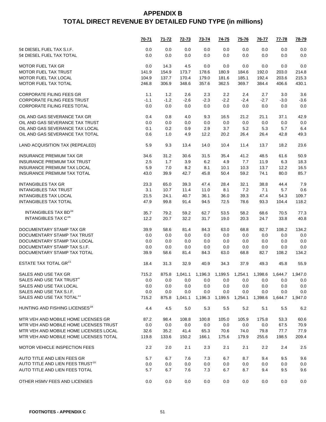|                                              | <u>70-71</u> | <u>71-72</u> | <u>72-73</u> | <u>73-74</u>                                                         | <u>74-75</u> | <u>75-76</u> | <u>76-77</u> | <u>77-78</u> | 78-79   |
|----------------------------------------------|--------------|--------------|--------------|----------------------------------------------------------------------|--------------|--------------|--------------|--------------|---------|
| 5¢ DIESEL FUEL TAX S.I.F.                    | 0.0          | 0.0          | 0.0          | 0.0                                                                  | 0.0          | 0.0          | 0.0          | 0.0          | 0.0     |
| 5¢ DIESEL FUEL TAX TOTAL                     | 0.0          | 0.0          | 0.0          | 0.0                                                                  | 0.0          | 0.0          | 0.0          | 0.0          | 0.0     |
| <b>MOTOR FUEL TAX GR</b>                     | 0.0          | 14.3         | 4.5          | 0.0                                                                  | 0.0          | 0.0          | 0.0          | 0.0          | 0.0     |
| <b>MOTOR FUEL TAX TRUST</b>                  | 141.9        | 154.9        | 173.7        | 178.6                                                                | 180.9        | 184.6        | 192.0        | 203.0        | 214.8   |
| MOTOR FUEL TAX LOCAL                         | 104.9        | 137.7        | 170.4        | 179.0                                                                | 181.6        | 185.1        | 192.4        | 203.6        | 215.3   |
| MOTOR FUEL TAX TOTAL                         | 246.8        | 306.9        | 348.6        | 357.6                                                                | 362.5        | 369.7        | 384.4        | 406.6        | 430.1   |
| <b>CORPORATE FILING FEES GR</b>              | 1.1          | 1.2          | 2.6          | 2.3                                                                  | $2.2\,$      | 2.4          | 2.7          | 3.0          | 3.6     |
| <b>CORPORATE FILING FEES TRUST</b>           | $-1.1$       | $-1.2$       | $-2.6$       | $-2.3$                                                               | $-2.2$       | $-2.4$       | $-2.7$       | $-3.0$       | $-3.6$  |
| CORPORATE FILING FEES TOTAL                  | 0.0          | 0.0          | 0.0          | 0.0                                                                  | 0.0          | 0.0          | 0.0          | 0.0          | 0.0     |
| OIL AND GAS SEVERANCE TAX GR                 | 0.4          | 0.8          | 4.0          | 9.3                                                                  | 16.5         | 21.2         | 21.1         | 37.1         | 42.9    |
| OIL AND GAS SEVERANCE TAX TRUST              | 0.0          | 0.0          | 0.0          | 0.0                                                                  | 0.0          | 0.0          | 0.0          | 0.0          | 0.0     |
| OIL AND GAS SEVERANCE TAX LOCAL              | 0.1          | 0.2          | 0.9          | 2.9                                                                  | 3.7          | 5.2          | 5.3          | 5.7          | 6.4     |
| OIL AND GAS SEVERANCE TAX TOTAL              | 0.6          | 1.0          | 4.9          | 12.2                                                                 | 20.2         | 26.4         | 26.4         | 42.8         | 49.3    |
| LAND ACQUISITION TAX (REPEALED)              | 5.9          | 9.3          | 13.4         | 14.0                                                                 | 10.4         | 11.4         | 13.7         | 18.2         | 23.6    |
| <b>INSURANCE PREMIUM TAX GR</b>              | 34.6         | 31.2         | 30.6         | 31.5                                                                 | 35.4         | 41.2         | 48.5         | 61.6         | 50.9    |
| <b>INSURANCE PREMIUM TAX TRUST</b>           | 2.5          | 1.7          | 3.9          | 6.2                                                                  | 4.9          | 7.7          | 11.9         | 6.3          | 18.3    |
| INSURANCE PREMIUM TAX LOCAL                  | 5.9          | 7.0          | 8.2          | 8.1                                                                  | 10.1         | 10.3         | 13.7         | 12.2         | 16.5    |
| <b>INSURANCE PREMIUM TAX TOTAL</b>           | 43.0         | 39.9         | 42.7         | 45.8                                                                 | 50.4         | 59.2         | 74.1         | 80.0         | 85.7    |
| <b>INTANGIBLES TAX GR</b>                    | 23.3         | 65.0         | 39.3         | 47.4                                                                 | 28.4         | 32.1         | 38.8         | 44.4         | 7.9     |
| <b>INTANGIBLES TAX TRUST</b>                 | 3.1          | 10.7         | 11.4         | 11.0                                                                 | 8.1          | 7.2          | 7.1          | 5.7          | 0.6     |
| <b>INTANGIBLES TAX LOCAL</b>                 | 21.5         | 24.1         | 40.7         | 36.1                                                                 | 36.0         | 39.3         | 47.4         | 54.3         | 109.7   |
| <b>INTANGIBLES TAX TOTAL</b>                 | 47.9         | 99.8         | 91.4         | 94.5                                                                 | 72.5         | 78.6         | 93.3         | 104.4        | 118.2   |
| INTANGIBLES TAX BD <sup>16</sup>             | 35.7         | 79.2         | 59.2         | 62.7                                                                 | 53.5         | 58.2         | 68.6         | 70.5         | 77.3    |
| INTANGIBLES TAX C <sup>16</sup>              | 12.2         | 20.7         | 32.2         | 31.7                                                                 | 19.0         | 20.3         | 24.7         | 33.8         | 40.8    |
| DOCUMENTARY STAMP TAX GR                     | 39.9         | 58.6         | 81.4         | 84.3                                                                 | 63.0         | 68.8         | 82.7         | 108.2        | 134.2   |
| DOCUMENTARY STAMP TAX TRUST                  | 0.0          | 0.0          | 0.0          | 0.0                                                                  | 0.0          | 0.0          | 0.0          | 0.0          | 0.0     |
| DOCUMENTARY STAMP TAX LOCAL                  | 0.0          | 0.0          | 0.0          | 0.0                                                                  | 0.0          | 0.0          | 0.0          | 0.0          | 0.0     |
| DOCUMENTARY STAMP TAX S.I.F.                 | 0.0          | 0.0          | 0.0          | 0.0                                                                  | 0.0          | 0.0          | 0.0          | 0.0          | 0.0     |
| DOCUMENTARY STAMP TAX TOTAL                  | 39.9         | 58.6         | 81.4         | 84.3                                                                 | 63.0         | 68.8         | 82.7         | 108.2        | 134.2   |
| ESTATE TAX TOTAL GR <sup>21</sup>            | 18.4         | 31.3         | 32.9         | 40.9                                                                 | 34.3         | 37.9         | 49.3         | 45.8         | 55.9    |
| SALES AND USE TAX GR                         | 715.2        |              |              | 875.8  1,041.1  1,196.3  1,199.5  1,254.1  1,398.6  1,644.7  1,947.0 |              |              |              |              |         |
| SALES AND USE TAX TRUST <sup>4</sup>         | 0.0          | 0.0          | 0.0          | 0.0                                                                  | 0.0          | 0.0          | 0.0          | 0.0          | 0.0     |
| SALES AND USE TAX LOCAL                      | 0.0          | 0.0          | 0.0          | 0.0                                                                  | 0.0          | 0.0          | 0.0          | 0.0          | 0.0     |
| SALES AND USE TAX S.I.F.                     | 0.0          | 0.0          | 0.0          | 0.0                                                                  | 0.0          | $0.0\,$      | 0.0          | 0.0          | 0.0     |
| SALES AND USE TAX TOTAL <sup>11</sup>        | 715.2        | 875.8        | 1,041.1      | 1,196.3                                                              | 1,199.5      | 1,254.1      | 1,398.6      | 1,644.7      | 1,947.0 |
| HUNTING AND FISHING LICENSES <sup>18</sup>   | 4.4          | 4.5          | 5.0          | 5.3                                                                  | 5.5          | 5.2          | 5.1          | 5.5          | 6.2     |
| MTR VEH AND MOBILE HOME LICENSES GR          | 87.2         | 98.4         | 108.8        | 100.8                                                                | 105.0        | 105.9        | 175.8        | 53.3         | 60.6    |
| MTR VEH AND MOBILE HOME LICENSES TRUST       | 0.0          | 0.0          | 0.0          | 0.0                                                                  | 0.0          | 0.0          | 0.0          | 67.5         | 70.9    |
| MTR VEH AND MOBILE HOME LICENSES LOCAL       | 32.6         | 35.2         | 41.4         | 65.3                                                                 | 70.6         | 74.0         | 79.8         | 77.7         | 77.9    |
| MTR VEH AND MOBILE HOME LICENSES TOTAL       | 119.8        | 133.6        | 150.2        | 166.1                                                                | 175.6        | 179.9        | 255.6        | 198.5        | 209.4   |
| <b>MOTOR VEHICLE INSPECTION FEES</b>         | 2.2          | 2.0          | 2.1          | 2.3                                                                  | 2.1          | 2.1          | 2.2          | 2.4          | 2.5     |
| AUTO TITLE AND LIEN FEES GR                  | 5.7          | 6.7          | 7.6          | 7.3                                                                  | 6.7          | 8.7          | 9.4          | 9.5          | 9.6     |
| AUTO TITLE AND LIEN FEES TRUST <sup>10</sup> | 0.0          | 0.0          | 0.0          | 0.0                                                                  | 0.0          | 0.0          | 0.0          | 0.0          | 0.0     |
| AUTO TITLE AND LIEN FEES TOTAL               | 5.7          | 6.7          | 7.6          | 7.3                                                                  | 6.7          | 8.7          | 9.4          | 9.5          | 9.6     |
| OTHER HSMV FEES AND LICENSES                 | 0.0          | 0.0          | 0.0          | 0.0                                                                  | 0.0          | 0.0          | 0.0          | 0.0          | 0.0     |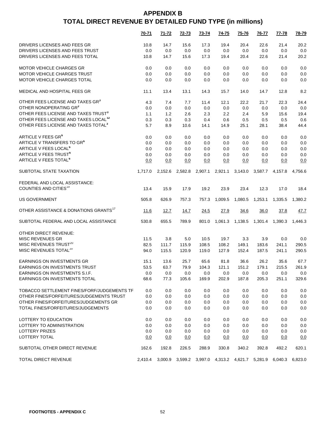|                                                   | 70-71   | 71-72   | 72-73                                           | 73-74   | 74-75   | 75-76   | 76-77   | 77-78   | 78-79   |
|---------------------------------------------------|---------|---------|-------------------------------------------------|---------|---------|---------|---------|---------|---------|
| DRIVERS LICENSES AND FEES GR                      | 10.8    | 14.7    | 15.6                                            | 17.3    | 19.4    | 20.4    | 22.6    | 21.4    | 20.2    |
| DRIVERS LICENSES AND FEES TRUST                   | 0.0     | 0.0     | 0.0                                             | 0.0     | 0.0     | 0.0     | 0.0     | 0.0     | 0.0     |
| DRIVERS LICENSES AND FEES TOTAL                   | 10.8    | 14.7    | 15.6                                            | 17.3    | 19.4    | 20.4    | 22.6    | 21.4    | 20.2    |
| <b>MOTOR VEHICLE CHARGES GR</b>                   | 0.0     | 0.0     | 0.0                                             | 0.0     | 0.0     | 0.0     | 0.0     | 0.0     | 0.0     |
| MOTOR VEHICLE CHARGES TRUST                       | 0.0     | 0.0     | 0.0                                             | 0.0     | 0.0     | 0.0     | 0.0     | 0.0     | 0.0     |
| MOTOR VEHICLE CHARGES TOTAL                       | 0.0     | 0.0     | 0.0                                             | 0.0     | 0.0     | 0.0     | 0.0     | 0.0     | 0.0     |
| MEDICAL AND HOSPITAL FEES GR                      | 11.1    | 13.4    | 13.1                                            | 14.3    | 15.7    | 14.0    | 14.7    | 12.8    | 8.2     |
| OTHER FEES LICENSE AND TAXES GR <sup>3</sup>      | 4.3     | 7.4     | 7.7                                             | 11.4    | 12.1    | 22.2    | 21.7    | 22.3    | 24.4    |
| OTHER NONOPERATING GR3                            | 0.0     | 0.0     | 0.0                                             | 0.0     | 0.0     | 0.0     | 0.0     | 0.0     | 0.0     |
| OTHER FEES LICENSE AND TAXES TRUST <sup>3</sup>   | 1.1     | 1.2     | 2.6                                             | 2.3     | 2.2     | 2.4     | 5.9     | 15.6    | 19.4    |
| OTHER FEES LICENSE AND TAXES LOCAL <sup>12</sup>  | 0.3     | 0.3     | 0.3                                             | 0.4     | 0.6     | 0.5     | 0.5     | 0.5     | 0.6     |
| OTHER FEES LICENSE AND TAXES TOTAL <sup>3</sup>   | 5.7     | 8.9     | 10.6                                            | 14.1    | 14.9    | 25.1    | 28.1    | 38.4    | 44.4    |
| ARTICLE V FEES GR <sup>6</sup>                    | 0.0     | 0.0     | 0.0                                             | 0.0     | 0.0     | 0.0     | 0.0     | 0.0     | 0.0     |
| ARTICLE V TRANSFERS TO GR <sup>6</sup>            | 0.0     | 0.0     | 0.0                                             | 0.0     | 0.0     | 0.0     | 0.0     | 0.0     | 0.0     |
| ARTICLE V FEES LOCAL <sup>6</sup>                 | 0.0     | 0.0     | 0.0                                             | 0.0     | 0.0     | 0.0     | 0.0     | 0.0     | 0.0     |
| ARTICLE V FEES TRUST <sup>6</sup>                 | 0.0     | 0.0     | 0.0                                             | 0.0     | 0.0     | 0.0     | 0.0     | 0.0     | 0.0     |
| ARTICLE V FEES TOTAL <sup>6</sup>                 | 0.0     | 0.0     | 0.0                                             | 0.0     | 0.0     | 0.0     | 0.0     | 0.0     | 0.0     |
| SUBTOTAL STATE TAXATION                           | 1,717.0 | 2,152.6 | 2,582.8                                         | 2,907.1 | 2,921.1 | 3,143.0 | 3,587.7 | 4.157.8 | 4,756.6 |
| FEDERAL AND LOCAL ASSISTANCE:                     |         |         |                                                 |         |         |         |         |         |         |
| COUNTIES AND CITIES <sup>19</sup>                 | 13.4    | 15.9    | 17.9                                            | 19.2    | 23.9    | 23.4    | 12.3    | 17.0    | 18.4    |
| <b>US GOVERNMENT</b>                              | 505.8   | 626.9   | 757.3                                           | 757.3   | 1,009.5 | 1,080.5 | 1,253.1 | 1,335.5 | 1,380.2 |
| OTHER ASSISTANCE & DONATIONS GRANTS <sup>17</sup> | 11.6    | 12.7    | 14.7                                            | 24.5    | 27.9    | 34.6    | 36.0    | 37.8    | 47.7    |
| SUBTOTAL FEDERAL AND LOCAL ASSISTANCE             | 530.8   | 655.5   | 789.9                                           | 801.0   | 1,061.3 | 1,138.5 | 1,301.4 | 1,390.3 | 1,446.3 |
| OTHER DIRECT REVENUE:                             |         |         |                                                 |         |         |         |         |         |         |
| <b>MISC REVENUES GR</b>                           | 11.5    | 3.8     | 5.0                                             | 10.5    | 19.7    | 3.3     | 3.9     | 0.0     | 0.0     |
| MISC REVENUES TRUST <sup>20</sup>                 | 82.5    | 111.7   | 115.9                                           | 108.5   | 108.2   | 149.1   | 183.6   | 241.1   | 290.5   |
| MISC REVENUES TOTAL <sup>20</sup>                 | 94.0    | 115.5   | 120.9                                           | 119.0   | 127.9   | 152.4   | 187.5   | 241.1   | 290.5   |
| EARNINGS ON INVESTMENTS GR                        | 15.1    | 13.6    | 25.7                                            | 65.6    | 81.8    | 36.6    | 26.2    | 35.6    | 67.7    |
| <b>EARNINGS ON INVESTMENTS TRUST</b>              | 53.5    | 63.7    | 79.9                                            | 104.3   | 121.1   | 151.2   | 179.1   | 215.5   | 261.9   |
| <b>EARNINGS ON INVESTMENTS S.I.F.</b>             | 0.0     | 0.0     | 0.0                                             | 0.0     | 0.0     | 0.0     | 0.0     | 0.0     | 0.0     |
| EARNINGS ON INVESTMENTS TOTAL                     | 68.6    | 77.3    | 105.6                                           | 169.9   | 202.9   | 187.8   | 205.3   | 251.1   | 329.6   |
| TOBACCO SETTLEMENT FINES/FORF/JUDGEMENTS TF       | 0.0     | 0.0     | 0.0                                             | 0.0     | 0.0     | 0.0     | 0.0     | 0.0     | 0.0     |
| OTHER FINES/FORFEITURES/JUDGEMENTS TRUST          | 0.0     | 0.0     | 0.0                                             | 0.0     | 0.0     | 0.0     | 0.0     | 0.0     | 0.0     |
| OTHER FINES/FORFEITURES/JUDGEMENTS GR             | 0.0     | 0.0     | 0.0                                             | 0.0     | 0.0     | 0.0     | 0.0     | 0.0     | 0.0     |
| TOTAL FINES/FORFEITURES/JUDGEMENTS                | 0.0     | 0.0     | 0.0                                             | 0.0     | 0.0     | 0.0     | 0.0     | 0.0     | 0.0     |
| LOTTERY TO EDUCATION                              | 0.0     | 0.0     | 0.0                                             | 0.0     | 0.0     | 0.0     | 0.0     | 0.0     | 0.0     |
| LOTTERY TO ADMINISTRATION                         | 0.0     | 0.0     | 0.0                                             | 0.0     | 0.0     | 0.0     | 0.0     | 0.0     | 0.0     |
| LOTTERY PRIZES                                    | 0.0     | 0.0     | 0.0                                             | 0.0     | 0.0     | 0.0     | 0.0     | 0.0     | 0.0     |
| LOTTERY TOTAL                                     | 0.0     | 0.0     | 0.0                                             | 0.0     | 0.0     | 0.0     | 0.0     | 0.0     | 0.0     |
| SUBTOTAL OTHER DIRECT REVENUE                     | 162.6   | 192.8   | 226.5                                           | 288.9   | 330.8   | 340.2   | 392.8   | 492.2   | 620.1   |
| <b>TOTAL DIRECT REVENUE</b>                       | 2,410.4 |         | 3,000.9 3,599.2 3,997.0 4,313.2 4,621.7 5,281.9 |         |         |         |         | 6,040.3 | 6,823.0 |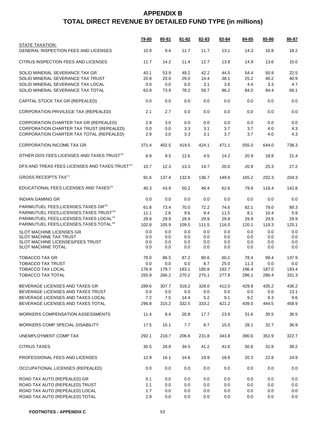|                                                           | <u>79-80</u> | 80-81 | 81-82 | 82-83   | 83-84 | 84-85 | 85-86 | 86-87 |
|-----------------------------------------------------------|--------------|-------|-------|---------|-------|-------|-------|-------|
| STATE TAXATION:<br>GENERAL INSPECTION FEES AND LICENSES   | 10.9         | 9.4   | 11.7  | 11.7    | 13.1  | 14.3  | 16.8  | 18.2  |
| CITRUS INSPECTION FEES AND LICENSES                       | 11.7         | 14.2  | 11.4  | 12.7    | 13.9  | 14.9  | 13.6  | 15.0  |
| SOLID MINERAL SEVERANCE TAX GR                            | 43.1         | 53.9  | 49.2  | 42.2    | 44.5  | 54.4  | 50.9  | 22.5  |
| SOLID MINERAL SEVERANCE TAX TRUST                         | 20.8         | 20.0  | 29.0  | 14.4    | 38.1  | 25.2  | 40.2  | 40.9  |
| SOLID MINERAL SEVERANCE TAX LOCAL                         | 0.0          | 0.0   | 0.0   | 3.1     | 3.6   | 4.4   | 3.3   | 4.7   |
| SOLID MINERAL SEVERANCE TAX TOTAL                         | 63.9         | 73.9  | 78.2  | 59.7    | 86.2  | 84.0  | 94.4  | 68.1  |
| CAPITAL STOCK TAX GR (REPEALED)                           | 0.0          | 0.0   | 0.0   | 0.0     | 0.0   | 0.0   | 0.0   | 0.0   |
| CORPORATION PRIVILEGE TAX (REPEALED)                      | 2.1          | 2.7   | 0.0   | 0.0     | 0.0   | 0.0   | 0.0   | 0.0   |
| CORPORATION CHARTER TAX GR (REPEALED)                     | 2.9          | 3.0   | 0.0   | 0.0     | 0.0   | 0.0   | 0.0   | 0.0   |
| CORPORATION CHARTER TAX TRUST (REPEALED)                  | 0.0          | 0.0   | 3.3   | 3.1     | 3.7   | 3.7   | 4.0   | 4.3   |
| CORPORATION CHARTER TAX TOTAL (REPEALED)                  | 2.9          | 3.0   | 3.3   | 3.1     | 3.7   | 3.7   | 4.0   | 4.3   |
| <b>CORPORATION INCOME TAX GR</b>                          | 371.4        | 402.5 | 419.5 | 424.1   | 471.1 | 555.0 | 644.0 | 738.3 |
| OTHER DOS FEES LICENSES AND TAXES TRUST <sup>14</sup>     | 6.9          | 9.3   | 12.6  | 4.5     | 14.2  | 20.9  | 18.8  | 21.4  |
| DFS AND TREAS FEES LICENSES AND TAXES TRUST <sup>13</sup> | 10.7         | 12.3  | 13.3  | 14.7    | 20.0  | 20.9  | 25.3  | 27.2  |
| <b>GROSS RECEIPTS TAX<sup>11</sup></b>                    | 91.6         | 137.4 | 132.6 | 136.7   | 149.6 | 165.2 | 202.3 | 204.3 |
| EDUCATIONAL FEES LICENSES AND TAXES <sup>15</sup>         | 40.3         | 43.9  | 50.2  | 49.4    | 62.6  | 79.6  | 118.4 | 142.8 |
| <b>INDIAN GAMING GR</b>                                   | 0.0          | 0.0   | 0.0   | 0.0     | 0.0   | 0.0   | 0.0   | 0.0   |
| PARIMUTUEL FEES, LICENSES, TAXES GR <sup>19</sup>         | 61.8         | 73.4  | 70.0  | 72.2    | 74.6  | 82.1  | 79.0  | 89.3  |
| PARIMUTUEL FEES, LICENSES, TAXES TRUST <sup>19</sup>      | 11.1         | 2.6   | 9.6   | 9.4     | 11.5  | 8.1   | 10.4  | 5.9   |
| PARIMUTUEL FEES, LICENSES, TAXES LOCAL <sup>19</sup>      | 29.9         | 29.9  | 29.9  | 29.9    | 29.9  | 29.9  | 29.9  | 29.9  |
| PARIMUTUEL FEES, LICENSES, TAXES TOTAL <sup>19</sup>      | 102.8        | 105.9 | 109.5 | 111.5   | 116.0 | 120.1 | 119.3 | 125.1 |
| <b>SLOT MACHINE LICENSES GR</b>                           | 0.0          | 0.0   | 0.0   | 0.0     | 0.0   | 0.0   | 0.0   | 0.0   |
| SLOT MACHINE TAX TRUST                                    | 0.0          | 0.0   | 0.0   | 0.0     | 0.0   | 0.0   | 0.0   | 0.0   |
| SLOT MACHINE LICENSES/FEES TRUST                          | 0.0          | 0.0   | 0.0   | 0.0     | 0.0   | 0.0   | 0.0   | 0.0   |
| <b>SLOT MACHINE TOTAL</b>                                 | 0.0          | 0.0   | 0.0   | 0.0     | 0.0   | 0.0   | 0.0   | 0.0   |
| TOBACCO TAX GR                                            | 79.0         | 86.5  | 87.2  | 80.6    | 60.2  | 78.4  | 99.4  | 137.9 |
| <b>TOBACCO TAX TRUST</b>                                  | 0.0          | 0.0   | 0.0   | 8.7     | 25.0  | 11.3  | 0.0   | 0.0   |
| <b>TOBACCO TAX LOCAL</b>                                  | 176.9        | 179.7 | 183.1 | 185.8   | 192.7 | 196.4 | 187.0 | 193.4 |
| TOBACCO TAX TOTAL                                         | 255.9        | 266.2 | 270.2 | 275.1   | 277.9 | 286.1 | 286.4 | 331.3 |
|                                                           |              |       |       |         |       |       |       |       |
| BEVERAGE LICENSES AND TAXES GR                            | 289.6        | 307.7 | 318.2 | 328.0   | 412.0 | 429.8 | 435.2 | 436.2 |
| BEVERAGE LICENSES AND TAXES TRUST                         | 0.0          | 0.0   | 0.0   | 0.0     | 0.0   | 0.0   | 0.0   | 13.1  |
| BEVERAGE LICENSES AND TAXES LOCAL                         | 7.2          | 7.5   | 14.4  | 5.2     | 9.1   | 9.2   | 9.3   | 9.6   |
| BEVERAGE LICENSES AND TAXES TOTAL                         | 296.8        | 315.2 | 332.5 | 333.2   | 421.2 | 439.0 | 444.5 | 458.9 |
| <b>WORKERS COMPENSATION ASSESSMENTS</b>                   | 11.4         | 8.4   | 20.8  | 17.7    | 23.9  | 31.6  | 35.5  | 36.5  |
| WORKERS COMP SPECIAL DISABILITY                           | 17.5         | 15.1  | 7.7   | 8.7     | 15.0  | 28.1  | 32.7  | 36.9  |
| UNEMPLOYMENT COMP TAX                                     | 292.1        | 218.7 | 206.8 | 231.8   | 343.8 | 390.6 | 351.9 | 322.7 |
| <b>CITRUS TAXES</b>                                       | 30.5         | 28.8  | 34.5  | 41.2    | 41.6  | 50.6  | 31.8  | 39.2  |
| PROFESSIONAL FEES AND LICENSES                            | 12.9         | 16.1  | 14.6  | 19.9    | 18.9  | 20.3  | 22.8  | 24.9  |
| OCCUPATIONAL LICENSES (REPEALED)                          | 0.0          | 0.0   | 0.0   | 0.0     | 0.0   | 0.0   | 0.0   | 0.0   |
| ROAD TAX AUTO (REPEALED) GR                               | 0.1          | 0.0   | 0.0   | $0.0\,$ | 0.0   | 0.0   | 0.0   | 0.0   |
| ROAD TAX AUTO (REPEALED) TRUST                            | 1.1          | 0.0   | 0.0   | 0.0     | 0.0   | 0.0   | 0.0   | 0.0   |
| ROAD TAX AUTO (REPEALED) LOCAL                            | 1.7          | 0.0   | 0.0   | 0.0     | 0.0   | 0.0   | 0.0   | 0.0   |
| ROAD TAX AUTO (REPEALED) TOTAL                            | 2.9          | 0.0   | 0.0   | 0.0     | 0.0   | 0.0   | 0.0   | 0.0   |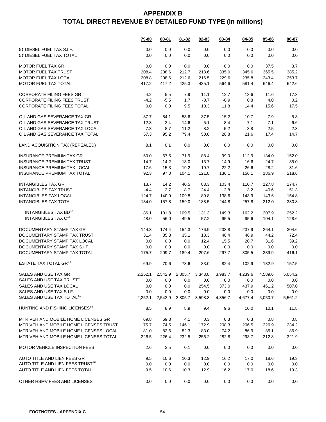|                                              | <b>79-80</b> | 80-81   | $81 - 82$ | 82-83                   | 83-84   | 84-85   | 85-86           | 86-87   |
|----------------------------------------------|--------------|---------|-----------|-------------------------|---------|---------|-----------------|---------|
| 5¢ DIESEL FUEL TAX S.I.F.                    | 0.0          | 0.0     | 0.0       | 0.0                     | 0.0     | 0.0     | 0.0             | 0.0     |
| 5¢ DIESEL FUEL TAX TOTAL                     | 0.0          | 0.0     | 0.0       | 0.0                     | 0.0     | 0.0     | 0.0             | 0.0     |
| <b>MOTOR FUEL TAX GR</b>                     | 0.0          | 0.0     | 0.0       | 0.0                     | 0.0     | 0.0     | 37.5            | 3.7     |
| <b>MOTOR FUEL TAX TRUST</b>                  | 208.4        | 208.6   | 212.7     | 218.6                   | 335.0   | 345.6   | 365.5           | 385.2   |
| <b>MOTOR FUEL TAX LOCAL</b>                  | 208.8        | 208.6   | 212.6     | 216.5                   | 229.6   | 235.8   | 243.4           | 253.7   |
| MOTOR FUEL TAX TOTAL                         | 417.2        | 417.2   | 425.3     | 435.1                   | 564.6   | 581.4   | 646.4           | 642.6   |
|                                              |              |         |           |                         |         |         |                 |         |
| <b>CORPORATE FILING FEES GR</b>              | 4.2          | 5.5     | 7.9       | 11.1                    | 12.7    | 13.6    | 11.6            | 17.3    |
| <b>CORPORATE FILING FEES TRUST</b>           | $-4.2$       | $-5.5$  | 1.7       | $-0.7$                  | $-0.9$  | 0.8     | 4.0             | 0.2     |
| <b>CORPORATE FILING FEES TOTAL</b>           | 0.0          | 0.0     | 9.5       | 10.3                    | 11.8    | 14.4    | 15.6            | 17.5    |
| OIL AND GAS SEVERANCE TAX GR                 | 37.7         | 84.1    | 53.6      | 37.5                    | 15.2    | 10.7    | 7.9             | 5.8     |
| OIL AND GAS SEVERANCE TAX TRUST              | 12.3         | 2.4     | 14.6      | 5.1                     | 8.4     | 7.1     | 7.1             | 6.6     |
| OIL AND GAS SEVERANCE TAX LOCAL              | 7.3          | 8.7     | 11.2      | 8.2                     | 5.2     | 3.8     | 2.5             | 2.3     |
| OIL AND GAS SEVERANCE TAX TOTAL              | 57.3         | 95.2    | 79.4      | 50.8                    | 28.8    | 21.6    | 17.4            | 14.7    |
| LAND ACQUISITION TAX (REPEALED)              | 8.1          | 0.1     | 0.0       | 0.0                     | 0.0     | 0.0     | 0.0             | 0.0     |
| <b>INSURANCE PREMIUM TAX GR</b>              | 60.0         | 67.5    | 71.9      | 88.4                    | 99.0    | 112.9   | 134.0           | 152.0   |
| <b>INSURANCE PREMIUM TAX TRUST</b>           | 14.7         | 14.2    | 13.0      | 13.7                    | 14.9    | 16.6    | 24.7            | 35.0    |
| <b>INSURANCE PREMIUM TAX LOCAL</b>           | 17.6         | 15.3    | 19.2      | 19.7                    | 22.2    | 26.6    | 28.2            | 31.6    |
| <b>INSURANCE PREMIUM TAX TOTAL</b>           | 92.3         | 97.0    | 104.1     | 121.8                   | 136.1   | 156.1   | 186.9           | 218.6   |
|                                              |              |         |           |                         |         |         |                 |         |
| <b>INTANGIBLES TAX GR</b>                    | 13.7         | 14.2    | 40.5      | 83.3                    | 103.4   | 110.7   | 127.8           | 174.7   |
| <b>INTANGIBLES TAX TRUST</b>                 | $-4.4$       | 2.7     | 8.7       | 24.4                    | 2.8     | 3.2     | 40.6            | 51.3    |
| <b>INTANGIBLES TAX LOCAL</b>                 | 124.7        | 140.9   | 109.8     | 80.8                    | 138.6   | 143.9   | 143.6           | 154.8   |
| <b>INTANGIBLES TAX TOTAL</b>                 | 134.0        | 157.8   | 159.0     | 188.5                   | 244.8   | 257.8   | 312.0           | 380.8   |
| INTANGIBLES TAX BD <sup>16</sup>             | 86.1         | 101.8   | 109.5     | 131.3                   | 149.3   | 162.2   | 207.9           | 252.2   |
| INTANGIBLES TAX C <sup>16</sup>              | 48.0         | 56.0    | 49.5      | 57.2                    | 95.5    | 95.6    | 104.1           | 128.6   |
|                                              |              |         |           |                         |         |         |                 |         |
| DOCUMENTARY STAMP TAX GR                     | 144.3        | 174.4   | 154.3     | 176.9                   | 233.8   | 237.9   | 264.1           | 304.6   |
| DOCUMENTARY STAMP TAX TRUST                  | 31.4         | 35.3    | 35.1      | 18.3                    | 48.4    | 46.9    | 44.2            | 72.4    |
| DOCUMENTARY STAMP TAX LOCAL                  | 0.0          | 0.0     | 0.0       | 12.4                    | 15.5    | 20.7    | 31.6            | 39.2    |
| DOCUMENTARY STAMP TAX S.I.F.                 | 0.0          | 0.0     | 0.0       | 0.0                     | 0.0     | 0.0     | 0.0             | 0.0     |
| DOCUMENTARY STAMP TAX TOTAL                  | 175.7        | 209.7   | 189.4     | 207.6                   | 297.7   | 305.5   | 339.9           | 416.1   |
| ESTATE TAX TOTAL GR <sup>21</sup>            | 69.9         | 70.6    | 78.6      | 83.0                    | 82.4    | 102.9   | 132.9           | 157.5   |
| SALES AND USE TAX GR                         | 2,252.1      |         |           | 2,542.9 2,805.7 3,343.8 | 3,983.7 |         | 4,239.6 4,589.6 | 5,054.2 |
| SALES AND USE TAX TRUST <sup>4</sup>         | 0.0          | 0.0     | 0.0       | 0.0                     | 0.0     | 0.0     | 0.0             | 0.0     |
| SALES AND USE TAX LOCAL                      | 0.0          | 0.0     | 0.0       | 254.5                   | 373.0   | 437.9   | 461.2           | 507.0   |
| SALES AND USE TAX S.I.F.                     | 0.0          | 0.0     | 0.0       | 0.0                     | 0.0     | 0.0     | 0.0             | 0.0     |
| SALES AND USE TAX TOTAL <sup>11</sup>        | 2,252.1      | 2,542.9 | 2,805.7   | 3,598.3                 | 4,356.7 | 4,677.4 | 5,050.7         | 5,561.2 |
| HUNTING AND FISHING LICENSES <sup>18</sup>   | 8.5          | 8.9     | 8.9       | 9.4                     | 9.6     | 10.0    | 10.1            | 11.8    |
| MTR VEH AND MOBILE HOME LICENSES GR          | 69.8         | 69.3    | 4.1       | 0.3                     | 0.3     | 0.3     | 0.8             | 0.8     |
| MTR VEH AND MOBILE HOME LICENSES TRUST       | 75.7         | 74.5    | 146.1     | 172.9                   | 208.3   | 206.5   | 226.9           | 234.2   |
| MTR VEH AND MOBILE HOME LICENSES LOCAL       | 81.0         | 82.6    | 82.3      | 83.0                    | 74.2    | 86.9    | 85.1            | 86.9    |
| MTR VEH AND MOBILE HOME LICENSES TOTAL       | 226.5        | 226.4   | 232.5     | 256.2                   | 282.8   | 293.7   | 312.8           | 321.9   |
| <b>MOTOR VEHICLE INSPECTION FEES</b>         | 2.6          | 2.5     | 0.1       | 0.0                     | 0.0     | 0.0     | 0.0             | 0.0     |
| AUTO TITLE AND LIEN FEES GR                  | 9.5          | 10.6    | 10.3      | 12.9                    | 16.2    | 17.0    | 18.6            | 19.3    |
| AUTO TITLE AND LIEN FEES TRUST <sup>10</sup> | 0.0          | 0.0     | 0.0       | 0.0                     | 0.0     | 0.0     | 0.0             | 0.0     |
| AUTO TITLE AND LIEN FEES TOTAL               |              |         |           |                         |         |         |                 |         |
|                                              | 9.5          | 10.6    | 10.3      | 12.9                    | 16.2    | 17.0    | 18.6            | 19.3    |
| OTHER HSMV FEES AND LICENSES                 | 0.0          | 0.0     | 0.0       | 0.0                     | 0.0     | 0.0     | 0.0             | 0.0     |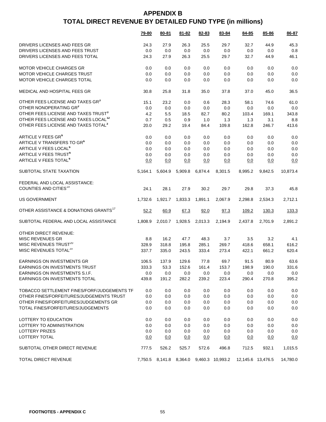|                                                   | 79-80   | 80-81   | $81 - 82$ | $82 - 83$ | 83-84                                    | 84-85             | $85 - 86$ | 86-87    |
|---------------------------------------------------|---------|---------|-----------|-----------|------------------------------------------|-------------------|-----------|----------|
| DRIVERS LICENSES AND FEES GR                      | 24.3    | 27.9    | 26.3      | 25.5      | 29.7                                     | 32.7              | 44.9      | 45.3     |
| DRIVERS LICENSES AND FEES TRUST                   | 0.0     | 0.0     | 0.0       | 0.0       | 0.0                                      | 0.0               | 0.0       | 0.8      |
| DRIVERS LICENSES AND FEES TOTAL                   | 24.3    | 27.9    | 26.3      | 25.5      | 29.7                                     | 32.7              | 44.9      | 46.1     |
|                                                   |         |         |           |           |                                          |                   |           |          |
| <b>MOTOR VEHICLE CHARGES GR</b>                   | 0.0     | 0.0     | 0.0       | 0.0       | 0.0                                      | 0.0               | 0.0       | 0.0      |
| <b>MOTOR VEHICLE CHARGES TRUST</b>                | 0.0     | 0.0     | 0.0       | 0.0       | 0.0                                      | 0.0               | 0.0       | 0.0      |
| MOTOR VEHICLE CHARGES TOTAL                       | 0.0     | 0.0     | 0.0       | 0.0       | 0.0                                      | 0.0               | 0.0       | 0.0      |
| MEDICAL AND HOSPITAL FEES GR                      | 30.8    | 25.8    | 31.8      | 35.0      | 37.8                                     | 37.0              | 45.0      | 36.5     |
| OTHER FEES LICENSE AND TAXES GR <sup>3</sup>      | 15.1    | 23.2    | 0.0       | 0.6       | 28.3                                     | 58.1              | 74.6      | 61.0     |
| OTHER NONOPERATING GR3                            | 0.0     | 0.0     | 0.0       | 0.0       | 0.0                                      | 0.0               | 0.0       | 0.0      |
| OTHER FEES LICENSE AND TAXES TRUST <sup>3</sup>   | 4.2     | 5.5     | 18.5      | 82.7      | 80.2                                     | 103.4             | 169.1     | 343.8    |
| OTHER FEES LICENSE AND TAXES LOCAL <sup>12</sup>  | 0.7     | 0.5     | 0.9       | 1.0       | 1.3                                      | 1.3               | 3.1       | 8.8      |
| OTHER FEES LICENSE AND TAXES TOTAL <sup>3</sup>   | 20.0    | 29.2    | 19.4      | 84.4      | 109.8                                    | 162.8             | 246.7     | 413.6    |
| ARTICLE V FEES GR <sup>6</sup>                    | 0.0     | 0.0     | 0.0       | 0.0       | 0.0                                      | 0.0               | 0.0       | 0.0      |
| ARTICLE V TRANSFERS TO GR <sup>6</sup>            | 0.0     | 0.0     | 0.0       | 0.0       | 0.0                                      | 0.0               | 0.0       | 0.0      |
| ARTICLE V FEES LOCAL <sup>6</sup>                 | 0.0     | 0.0     | 0.0       | 0.0       | 0.0                                      | 0.0               | 0.0       | 0.0      |
| ARTICLE V FEES TRUST <sup>6</sup>                 | 0.0     | 0.0     | 0.0       | 0.0       | 0.0                                      | 0.0               | 0.0       | 0.0      |
| ARTICLE V FEES TOTAL <sup>6</sup>                 | 0.0     | 0.0     | 0.0       | 0.0       | 0.0                                      | 0.0               | 0.0       | 0.0      |
|                                                   |         |         |           |           |                                          |                   |           |          |
| SUBTOTAL STATE TAXATION                           | 5,164.1 | 5.604.9 | 5,909.8   | 6,874.4   | 8,301.5                                  | 8,995.2           | 9,842.5   | 10,873.4 |
| FEDERAL AND LOCAL ASSISTANCE:                     |         |         |           |           |                                          |                   |           |          |
| COUNTIES AND CITIES <sup>19</sup>                 | 24.1    | 28.1    | 27.9      | 30.2      | 29.7                                     | 29.8              | 37.3      | 45.8     |
|                                                   |         |         |           |           |                                          |                   |           |          |
| <b>US GOVERNMENT</b>                              | 1,732.6 | 1,921.7 | 1,833.3   | 1,891.1   | 2,067.9                                  | 2,298.8           | 2,534.3   | 2,712.1  |
| OTHER ASSISTANCE & DONATIONS GRANTS <sup>17</sup> | 52.2    | 60.9    | 67.3      | 92.0      | 97.3                                     | 109.2             | 130.3     | 133.3    |
| SUBTOTAL FEDERAL AND LOCAL ASSISTANCE             | 1,808.9 | 2,010.7 | 1,928.5   | 2,013.3   | 2,194.9                                  | 2,437.8           | 2,701.9   | 2,891.2  |
| OTHER DIRECT REVENUE:                             |         |         |           |           |                                          |                   |           |          |
| <b>MISC REVENUES GR</b>                           | 8.8     | 16.2    | 47.7      | 48.3      | 3.7                                      | 3.5               | 3.2       | 4.1      |
| MISC REVENUES TRUST <sup>20</sup>                 | 328.9   | 318.8   | 195.8     | 285.1     | 269.7                                    | 418.6             | 658.1     | 616.2    |
| MISC REVENUES TOTAL <sup>20</sup>                 | 337.7   | 335.0   | 243.5     | 333.4     | 273.4                                    | 422.1             | 661.2     | 620.4    |
| <b>EARNINGS ON INVESTMENTS GR</b>                 | 106.5   | 137.9   | 129.6     | 77.8      | 69.7                                     | 91.5              | 80.9      | 63.6     |
| <b>EARNINGS ON INVESTMENTS TRUST</b>              | 333.3   | 53.3    | 152.6     | 161.4     | 153.7                                    | 198.9             | 190.0     | 331.6    |
| EARNINGS ON INVESTMENTS S.I.F.                    | 0.0     | 0.0     | 0.0       | 0.0       | 0.0                                      | 0.0               | $0.0\,$   | $0.0\,$  |
| EARNINGS ON INVESTMENTS TOTAL                     | 439.8   | 191.2   | 282.2     | 239.2     | 223.4                                    | 290.4             | 270.8     | 395.2    |
|                                                   |         |         |           |           |                                          |                   |           |          |
| TOBACCO SETTLEMENT FINES/FORF/JUDGEMENTS TF       | 0.0     | 0.0     | 0.0       | 0.0       | 0.0                                      | 0.0               | 0.0       | 0.0      |
| OTHER FINES/FORFEITURES/JUDGEMENTS TRUST          | 0.0     | 0.0     | 0.0       | 0.0       | 0.0                                      | 0.0               | 0.0       | 0.0      |
| OTHER FINES/FORFEITURES/JUDGEMENTS GR             | 0.0     | 0.0     | 0.0       | 0.0       | 0.0                                      | 0.0               | 0.0       | 0.0      |
| TOTAL FINES/FORFEITURES/JUDGEMENTS                | 0.0     | 0.0     | 0.0       | 0.0       | 0.0                                      | 0.0               | 0.0       | 0.0      |
| LOTTERY TO EDUCATION                              | 0.0     | 0.0     | 0.0       | 0.0       | 0.0                                      | 0.0               | 0.0       | 0.0      |
| LOTTERY TO ADMINISTRATION                         | 0.0     | 0.0     | 0.0       | 0.0       | 0.0                                      | 0.0               | 0.0       | 0.0      |
| LOTTERY PRIZES                                    | 0.0     | 0.0     | 0.0       | 0.0       | 0.0                                      | 0.0               | 0.0       | 0.0      |
| LOTTERY TOTAL                                     | 0.0     | 0.0     | 0.0       | 0.0       | 0.0                                      | 0.0               | 0.0       | 0.0      |
|                                                   |         |         |           |           |                                          |                   |           |          |
| SUBTOTAL OTHER DIRECT REVENUE                     | 777.5   | 526.2   | 525.7     | 572.6     | 496.8                                    | 712.5             | 932.1     | 1,015.5  |
| TOTAL DIRECT REVENUE                              |         |         |           |           | 7,750.5 8,141.8 8,364.0 9,460.3 10,993.2 | 12,145.6 13,476.5 |           | 14,780.0 |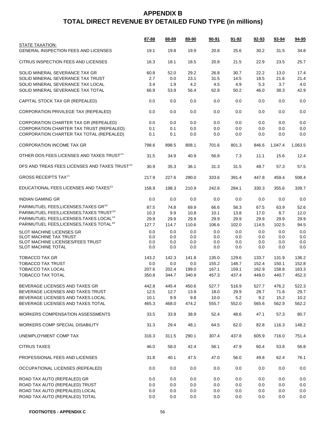|                                                                | 87-88 | 88-89 | 89-90   | $90 - 91$ | <u>91-92</u> | $92 - 93$ | 93-94   | 94-95   |
|----------------------------------------------------------------|-------|-------|---------|-----------|--------------|-----------|---------|---------|
| STATE TAXATION:<br><b>GENERAL INSPECTION FEES AND LICENSES</b> | 19.1  | 19.8  | 19.9    | 20.8      | 25.6         | 30.2      | 31.5    | 34.8    |
| CITRUS INSPECTION FEES AND LICENSES                            | 16.3  | 18.1  | 18.5    | 20.8      | 21.5         | 22.9      | 23.5    | 25.7    |
| SOLID MINERAL SEVERANCE TAX GR                                 | 60.8  | 52.0  | 29.2    | 26.8      | 30.7         | 22.2      | 13.0    | 17.4    |
| SOLID MINERAL SEVERANCE TAX TRUST                              | 2.7   | 0.0   | 23.1    | 31.5      | 14.5         | 18.5      | 21.6    | 21.4    |
| SOLID MINERAL SEVERANCE TAX LOCAL                              | 3.4   | 1.9   | 4.2     | 4.5       | 4.9          | 5.3       | 3.7     | 4.0     |
| SOLID MINERAL SEVERANCE TAX TOTAL                              | 66.9  | 53.9  | 56.4    | 62.8      | 50.2         | 46.0      | 38.3    | 42.9    |
| CAPITAL STOCK TAX GR (REPEALED)                                | 0.0   | 0.0   | 0.0     | 0.0       | 0.0          | 0.0       | 0.0     | 0.0     |
| CORPORATION PRIVILEGE TAX (REPEALED)                           | 0.0   | 0.0   | 0.0     | 0.0       | 0.0          | 0.0       | 0.0     | 0.0     |
| CORPORATION CHARTER TAX GR (REPEALED)                          | 0.0   | 0.0   | 0.0     | 0.0       | 0.0          | 0.0       | 0.0     | 0.0     |
| CORPORATION CHARTER TAX TRUST (REPEALED)                       | 0.1   | 0.1   | 0.0     | 0.0       | 0.0          | 0.0       | 0.0     | 0.0     |
| CORPORATION CHARTER TAX TOTAL (REPEALED)                       | 0.1   | 0.1   | 0.0     | 0.0       | 0.0          | 0.0       | 0.0     | 0.0     |
| <b>CORPORATION INCOME TAX GR</b>                               | 798.6 | 898.5 | 808.1   | 701.6     | 801.3        | 846.6     | 1,047.4 | 1,063.5 |
| OTHER DOS FEES LICENSES AND TAXES TRUST <sup>14</sup>          | 31.5  | 34.9  | 40.9    | 56.8      | 7.3          | 11.1      | 15.6    | 12.4    |
| DFS AND TREAS FEES LICENSES AND TAXES TRUST <sup>13</sup>      | 30.9  | 35.3  | 36.1    | 31.3      | 31.5         | 49.7      | 57.3    | 57.5    |
| <b>GROSS RECEIPTS TAX<sup>11</sup></b>                         | 217.9 | 227.6 | 290.0   | 333.6     | 391.4        | 447.8     | 459.4   | 508.4   |
| EDUCATIONAL FEES LICENSES AND TAXES <sup>15</sup>              | 158.9 | 198.3 | 210.9   | 242.6     | 284.1        | 330.3     | 355.6   | 339.7   |
| <b>INDIAN GAMING GR</b>                                        | 0.0   | 0.0   | 0.0     | 0.0       | 0.0          | 0.0       | 0.0     | 0.0     |
| PARIMUTUEL FEES, LICENSES, TAXES GR <sup>19</sup>              | 87.5  | 74.8  | 69.9    | 66.6      | 58.3         | 67.5      | 63.9    | 52.6    |
| PARIMUTUEL FEES, LICENSES, TAXES TRUST <sup>19</sup>           | 10.3  | 9.9   | 10.8    | 10.1      | 13.8         | 17.0      | 8.7     | 12.0    |
| PARIMUTUEL FEES, LICENSES, TAXES LOCAL <sup>19</sup>           | 29.9  | 29.9  | 29.9    | 29.9      | 29.9         | 29.9      | 29.9    | 29.9    |
| PARIMUTUEL FEES, LICENSES, TAXES TOTAL <sup>19</sup>           | 127.7 | 114.7 | 110.6   | 106.6     | 102.0        | 114.5     | 102.5   | 94.5    |
| SLOT MACHINE LICENSES GR                                       | 0.0   | 0.0   | 0.0     | 0.0       | 0.0          | 0.0       | 0.0     | 0.0     |
| <b>SLOT MACHINE TAX TRUST</b>                                  | 0.0   | 0.0   | 0.0     | 0.0       | 0.0          | 0.0       | 0.0     | 0.0     |
| SLOT MACHINE LICENSES/FEES TRUST                               | 0.0   | 0.0   | 0.0     | 0.0       | 0.0          | 0.0       | 0.0     | 0.0     |
| SLOT MACHINE TOTAL                                             | 0.0   | 0.0   | 0.0     | 0.0       | 0.0          | 0.0       | 0.0     | 0.0     |
| TOBACCO TAX GR                                                 | 143.2 | 142.3 | 141.8   | 135.0     | 129.6        | 133.7     | 131.9   | 136.2   |
| <b>TOBACCO TAX TRUST</b>                                       | 0.0   | 0.0   | $0.0\,$ | 155.2     | 148.7        | 152.4     | 150.1   | 152.8   |
| <b>TOBACCO TAX LOCAL</b>                                       | 207.6 | 202.4 | 199.0   | 167.1     | 159.1        | 162.9     | 158.8   | 163.3   |
| TOBACCO TAX TOTAL                                              | 350.8 | 344.7 | 340.9   | 457.3     | 437.4        | 449.0     | 440.7   | 452.3   |
| BEVERAGE LICENSES AND TAXES GR                                 | 442.8 | 445.4 | 450.6   | 527.7     | 516.9        | 527.7     | 476.2   | 522.3   |
| BEVERAGE LICENSES AND TAXES TRUST                              | 12.5  | 12.7  | 13.9    | 18.0      | 29.9         | 28.7      | 71.6    | 29.7    |
| BEVERAGE LICENSES AND TAXES LOCAL                              | 10.1  | 9.9   | 9.8     | 10.0      | 5.2          | 9.2       | 15.2    | 10.2    |
| BEVERAGE LICENSES AND TAXES TOTAL                              | 465.3 | 468.0 | 474.2   | 555.7     | 552.0        | 565.6     | 562.9   | 562.2   |
| <b>WORKERS COMPENSATION ASSESSMENTS</b>                        | 33.5  | 33.9  | 38.9    | 52.4      | 48.6         | 47.1      | 57.3    | 80.7    |
| WORKERS COMP SPECIAL DISABILITY                                | 31.3  | 29.4  | 48.1    | 64.5      | 62.0         | 82.8      | 116.3   | 148.2   |
| UNEMPLOYMENT COMP TAX                                          | 316.3 | 311.5 | 290.1   | 307.4     | 437.8        | 605.9     | 716.0   | 751.4   |
| <b>CITRUS TAXES</b>                                            | 46.0  | 58.0  | 42.4    | 56.1      | 47.9         | 60.4      | 53.8    | 56.8    |
| PROFESSIONAL FEES AND LICENSES                                 | 31.8  | 40.1  | 47.5    | 47.0      | 56.0         | 49.8      | 62.4    | 76.1    |
| OCCUPATIONAL LICENSES (REPEALED)                               | 0.0   | 0.0   | 0.0     | 0.0       | 0.0          | 0.0       | 0.0     | $0.0\,$ |
| ROAD TAX AUTO (REPEALED) GR                                    | 0.0   | 0.0   | 0.0     | 0.0       | 0.0          | 0.0       | 0.0     | 0.0     |
| ROAD TAX AUTO (REPEALED) TRUST                                 | 0.0   | 0.0   | 0.0     | 0.0       | 0.0          | 0.0       | 0.0     | 0.0     |
| ROAD TAX AUTO (REPEALED) LOCAL                                 | 0.0   | 0.0   | 0.0     | 0.0       | 0.0          | 0.0       | 0.0     | 0.0     |
| ROAD TAX AUTO (REPEALED) TOTAL                                 | 0.0   | 0.0   | 0.0     | 0.0       | 0.0          | 0.0       | 0.0     | 0.0     |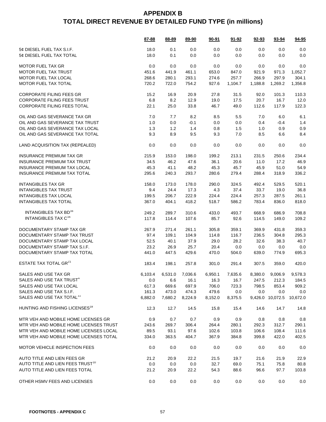|                                              | 87-88   | 88-89   | 89-90           | 90-91   | $91 - 92$       | 92-93   | 93-94            | 94-95    |
|----------------------------------------------|---------|---------|-----------------|---------|-----------------|---------|------------------|----------|
| 5¢ DIESEL FUEL TAX S.I.F.                    | 18.0    | 0.1     | 0.0             | 0.0     | 0.0             | 0.0     | 0.0              | 0.0      |
| 5¢ DIESEL FUEL TAX TOTAL                     | 18.0    | 0.1     | 0.0             | 0.0     | 0.0             | 0.0     | 0.0              | 0.0      |
| <b>MOTOR FUEL TAX GR</b>                     | 0.0     | 0.0     | 0.0             | 0.0     | 0.0             | 0.0     | 0.0              | 0.0      |
| <b>MOTOR FUEL TAX TRUST</b>                  | 451.6   | 441.9   | 461.1           | 653.0   | 847.0           | 921.9   | 971.3            | 1,052.7  |
| MOTOR FUEL TAX LOCAL                         | 268.6   | 280.1   | 293.1           | 274.6   | 257.7           | 266.9   | 297.9            | 304.1    |
| MOTOR FUEL TAX TOTAL                         | 720.2   | 722.0   | 754.2           | 927.6   | 1,104.7         | 1,188.8 | 1,269.2          | 1,356.8  |
| <b>CORPORATE FILING FEES GR</b>              | 15.2    | 16.9    | 20.9            | 27.8    | 31.5            | 92.0    | 101.3            | 110.3    |
| <b>CORPORATE FILING FEES TRUST</b>           | 6.8     | 8.2     | 12.9            | 19.0    | 17.5            | 20.7    | 16.7             | 12.0     |
| <b>CORPORATE FILING FEES TOTAL</b>           | 22.1    | 25.0    | 33.8            | 46.7    | 49.0            | 112.6   | 117.9            | 122.3    |
| OIL AND GAS SEVERANCE TAX GR                 | 7.0     | 7.7     | 8.2             | 8.5     | 5.5             | 7.0     | 6.0              | 6.1      |
| OIL AND GAS SEVERANCE TAX TRUST              | 1.0     | 0.0     | $-0.1$          | 0.0     | 0.0             | 0.4     | $-0.4$           | 1.4      |
| OIL AND GAS SEVERANCE TAX LOCAL              | 1.3     | 1.2     | 1.4             | 0.8     | 1.5             | 1.0     | 0.9              | 0.9      |
| OIL AND GAS SEVERANCE TAX TOTAL              | 9.3     | 8.9     | 9.5             | 9.3     | 7.0             | 8.5     | 6.6              | 8.4      |
| LAND ACQUISITION TAX (REPEALED)              | 0.0     | 0.0     | 0.0             | 0.0     | 0.0             | 0.0     | 0.0              | 0.0      |
| <b>INSURANCE PREMIUM TAX GR</b>              | 215.9   | 153.0   | 198.0           | 199.2   | 213.1           | 231.5   | 250.6            | 234.4    |
| <b>INSURANCE PREMIUM TAX TRUST</b>           | 34.5    | 46.2    | 47.6            | 36.1    | 20.6            | 11.0    | 17.2             | 46.9     |
| <b>INSURANCE PREMIUM TAX LOCAL</b>           | 45.3    | 41.1    | 48.2            | 45.3    | 45.7            | 45.9    | 51.0             | 54.9     |
| <b>INSURANCE PREMIUM TAX TOTAL</b>           | 295.6   | 240.3   | 293.7           | 280.6   | 279.4           | 288.4   | 318.9            | 336.2    |
| <b>INTANGIBLES TAX GR</b>                    | 158.0   | 173.0   | 178.0           | 290.0   | 324.5           | 492.4   | 529.5            | 520.1    |
| <b>INTANGIBLES TAX TRUST</b>                 | 9.4     | 24.4    | 17.3            | 4.3     | 37.4            | 33.7    | 19.0             | 36.8     |
| <b>INTANGIBLES TAX LOCAL</b>                 | 199.5   | 206.7   | 222.9           | 224.4   | 224.4           | 257.3   | 287.5            | 261.1    |
| <b>INTANGIBLES TAX TOTAL</b>                 | 367.0   | 404.1   | 418.2           | 518.7   | 586.2           | 783.4   | 836.0            | 818.0    |
| INTANGIBLES TAX BD <sup>16</sup>             | 249.2   | 289.7   | 310.6           | 433.0   | 493.7           | 668.9   | 686.9            | 708.8    |
| INTANGIBLES TAX C <sup>16</sup>              | 117.8   | 114.4   | 107.6           | 85.7    | 92.6            | 114.5   | 149.0            | 109.2    |
| DOCUMENTARY STAMP TAX GR                     | 267.9   | 271.4   | 261.1           | 305.8   | 359.1           | 369.9   | 431.8            | 359.3    |
| DOCUMENTARY STAMP TAX TRUST                  | 97.4    | 109.1   | 104.9           | 114.8   | 116.7           | 236.5   | 304.8            | 295.3    |
| DOCUMENTARY STAMP TAX LOCAL                  | 52.5    | 40.1    | 37.9            | 29.0    | 28.2            | 32.6    | 38.3             | 40.7     |
| DOCUMENTARY STAMP TAX S.I.F.                 | 23.2    | 26.9    | 25.7            | 20.4    | 0.0             | 0.0     | 0.0              | 0.0      |
| DOCUMENTARY STAMP TAX TOTAL                  | 441.0   | 447.5   | 429.6           | 470.0   | 504.0           | 639.0   | 774.9            | 695.3    |
| ESTATE TAX TOTAL GR <sup>21</sup>            | 183.4   | 198.1   | 257.8           | 301.0   | 291.4           | 307.5   | 359.0            | 420.0    |
|                                              |         |         |                 |         |                 |         |                  |          |
| SALES AND USE TAX GR                         | 6,103.4 |         | 6,531.0 7,036.6 |         | 6,950.1 7,635.6 |         | 8,380.0 9,006.9  | 9,578.3  |
| SALES AND USE TAX TRUST <sup>4</sup>         | 0.0     | 6.6     | 16.1            | 16.3    | 16.7            | 247.5   | 212.3            | 184.5    |
| SALES AND USE TAX LOCAL                      | 617.3   | 669.6   | 697.9           | 706.0   | 723.3           | 798.5   | 853.4            | 909.2    |
| SALES AND USE TAX S.I.F.                     | 161.3   | 473.0   | 474.3           | 479.6   | 0.0             | 0.0     | 0.0              | 0.0      |
| SALES AND USE TAX TOTAL <sup>11</sup>        | 6,882.0 | 7,680.2 | 8,224.9         | 8,152.0 | 8,375.5         |         | 9,426.0 10,072.5 | 10,672.0 |
| HUNTING AND FISHING LICENSES <sup>18</sup>   | 12.3    | 12.7    | 14.5            | 15.8    | 15.4            | 14.6    | 14.7             | 14.8     |
| MTR VEH AND MOBILE HOME LICENSES GR          | 0.9     | 0.7     | 0.7             | 0.9     | 0.9             | 0.8     | 0.8              | 0.8      |
| MTR VEH AND MOBILE HOME LICENSES TRUST       | 243.6   | 269.7   | 306.4           | 264.4   | 280.1           | 292.3   | 312.7            | 290.1    |
| MTR VEH AND MOBILE HOME LICENSES LOCAL       | 89.5    | 93.1    | 97.6            | 102.6   | 103.8           | 106.6   | 108.4            | 111.6    |
| MTR VEH AND MOBILE HOME LICENSES TOTAL       | 334.0   | 363.5   | 404.7           | 367.9   | 384.8           | 399.8   | 422.0            | 402.5    |
| <b>MOTOR VEHICLE INSPECTION FEES</b>         | 0.0     | 0.0     | 0.0             | 0.0     | 0.0             | 0.0     | 0.0              | 0.0      |
| AUTO TITLE AND LIEN FEES GR                  | 21.2    | 20.9    | 22.2            | 21.5    | 19.7            | 21.6    | 21.9             | 22.9     |
| AUTO TITLE AND LIEN FEES TRUST <sup>10</sup> | 0.0     | 0.0     | 0.0             | 32.7    | 69.0            | 75.1    | 75.8             | 80.8     |
| AUTO TITLE AND LIEN FEES TOTAL               | 21.2    | 20.9    | 22.2            | 54.3    | 88.6            | 96.6    | 97.7             | 103.8    |
| OTHER HSMV FEES AND LICENSES                 | 0.0     | 0.0     | 0.0             | 0.0     | 0.0             | 0.0     | 0.0              | 0.0      |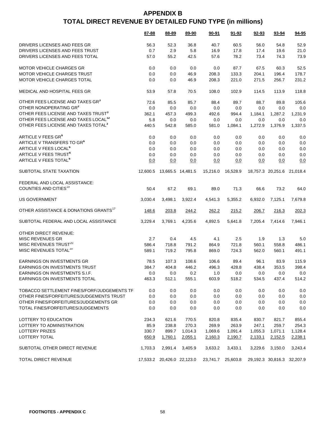|                                                   | 87-88    | 88-89                      | 89-90             | 90-91    | 91-92    | 92-93   | 93-94                      | 94-95   |
|---------------------------------------------------|----------|----------------------------|-------------------|----------|----------|---------|----------------------------|---------|
| DRIVERS LICENSES AND FEES GR                      | 56.3     | 52.3                       | 36.8              | 40.7     | 60.5     | 56.0    | 54.8                       | 52.9    |
| DRIVERS LICENSES AND FEES TRUST                   | 0.7      | 2.9                        | 5.8               | 16.9     | 17.8     | 17.4    | 19.6                       | 21.0    |
| DRIVERS LICENSES AND FEES TOTAL                   | 57.0     | 55.2                       | 42.5              | 57.6     | 78.2     | 73.4    | 74.3                       | 73.9    |
|                                                   |          |                            |                   |          |          |         |                            |         |
| <b>MOTOR VEHICLE CHARGES GR</b>                   | 0.0      | 0.0                        | 0.0               | 0.0      | 87.7     | 67.5    | 60.3                       | 52.5    |
| MOTOR VEHICLE CHARGES TRUST                       | 0.0      | 0.0                        | 46.9              | 208.3    | 133.3    | 204.1   | 196.4                      | 178.7   |
| MOTOR VEHICLE CHARGES TOTAL                       | 0.0      | 0.0                        | 46.9              | 208.3    | 221.0    | 271.5   | 256.7                      | 231.2   |
| MEDICAL AND HOSPITAL FEES GR                      | 53.9     | 57.8                       | 70.5              | 108.0    | 102.9    | 114.5   | 113.9                      | 118.8   |
| OTHER FEES LICENSE AND TAXES GR <sup>3</sup>      | 72.6     | 85.5                       | 85.7              | 88.4     | 89.7     | 88.7    | 89.8                       | 105.6   |
| OTHER NONOPERATING GR3                            | 0.0      | 0.0                        | 0.0               | 0.0      | 0.0      | 0.0     | 0.0                        | 0.0     |
| OTHER FEES LICENSE AND TAXES TRUST <sup>3</sup>   | 362.1    | 457.3                      | 499.3             | 492.6    | 994.4    | 1,184.1 | 1,287.2                    | 1,231.9 |
| OTHER FEES LICENSE AND TAXES LOCAL <sup>12</sup>  | 5.8      | 0.0                        | 0.0               | 0.0      | 0.0      | 0.0     | 0.0                        | 0.0     |
| OTHER FEES LICENSE AND TAXES TOTAL <sup>3</sup>   | 440.5    | 542.8                      | 585.0             | 581.0    | 1,084.1  | 1,272.9 | 1,376.9                    | 1,337.5 |
| ARTICLE V FEES GR <sup>6</sup>                    | 0.0      | 0.0                        | 0.0               | 0.0      | 0.0      | 0.0     | 0.0                        | 0.0     |
| ARTICLE V TRANSFERS TO GR <sup>6</sup>            | 0.0      | 0.0                        | 0.0               | 0.0      | 0.0      | 0.0     | 0.0                        | 0.0     |
| ARTICLE V FEES LOCAL <sup>6</sup>                 | 0.0      | 0.0                        | 0.0               | 0.0      | 0.0      | 0.0     | 0.0                        | 0.0     |
| ARTICLE V FEES TRUST <sup>6</sup>                 | 0.0      | 0.0                        | 0.0               | 0.0      | 0.0      | 0.0     | 0.0                        | 0.0     |
| ARTICLE V FEES TOTAL <sup>6</sup>                 | 0.0      | 0.0                        | 0.0               | 0.0      | 0.0      | 0.0     | 0.0                        | 0.0     |
| SUBTOTAL STATE TAXATION                           | 12,600.5 |                            | 13,665.5 14,481.5 | 15,216.0 | 16.528.9 |         | 18,757.3 20,251.6 21,018.4 |         |
| FEDERAL AND LOCAL ASSISTANCE:                     |          |                            |                   |          |          |         |                            |         |
| COUNTIES AND CITIES <sup>19</sup>                 | 50.4     | 67.2                       | 69.1              | 89.0     | 71.3     | 66.6    | 73.2                       | 64.0    |
| <b>US GOVERNMENT</b>                              | 3,030.4  | 3,498.1                    | 3,922.4           | 4,541.3  | 5,355.2  | 6,932.0 | 7,125.1                    | 7,679.8 |
| OTHER ASSISTANCE & DONATIONS GRANTS <sup>17</sup> | 148.6    | 203.8                      | 244.2             | 262.2    | 215.2    | 206.7   | 216.3                      | 202.3   |
| SUBTOTAL FEDERAL AND LOCAL ASSISTANCE             | 3,229.4  | 3,769.1                    | 4,235.6           | 4,892.5  | 5,641.8  | 7,205.4 | 7,414.6                    | 7,946.1 |
| OTHER DIRECT REVENUE:                             |          |                            |                   |          |          |         |                            |         |
| <b>MISC REVENUES GR</b>                           | 2.7      | 0.4                        | 4.5               | 4.1      | 2.5      | 1.9     | 1.3                        | 5.0     |
| MISC REVENUES TRUST <sup>20</sup>                 | 586.4    | 718.8                      | 791.2             | 864.9    | 721.8    | 560.1   | 558.8                      | 486.1   |
| MISC REVENUES TOTAL <sup>20</sup>                 | 589.1    | 719.2                      | 795.8             | 869.0    | 724.3    | 562.0   | 560.1                      | 491.1   |
| EARNINGS ON INVESTMENTS GR                        | 78.5     | 107.3                      | 108.6             | 106.6    | 89.4     | 96.1    | 83.9                       | 115.9   |
| <b>FARNINGS ON INVESTMENTS TRUST</b>              | 384.7    | 404.8                      | 446.2             | 496.3    | 428.8    | 438.4   | 353.5                      | 398.4   |
| EARNINGS ON INVESTMENTS S.I.F.                    | 0.0      | 0.0                        | 0.2               | 1.0      | 0.0      | 0.0     | 0.0                        | 0.0     |
| EARNINGS ON INVESTMENTS TOTAL                     | 463.3    | 512.1                      | 555.1             | 603.9    | 518.2    | 534.5   | 437.4                      | 514.2   |
| TOBACCO SETTLEMENT FINES/FORF/JUDGEMENTS TF       | 0.0      | 0.0                        | 0.0               | 0.0      | 0.0      | 0.0     | 0.0                        | 0.0     |
| OTHER FINES/FORFEITURES/JUDGEMENTS TRUST          | 0.0      | 0.0                        | 0.0               | 0.0      | 0.0      | 0.0     | 0.0                        | 0.0     |
| OTHER FINES/FORFEITURES/JUDGEMENTS GR             | 0.0      | 0.0                        | 0.0               | 0.0      | 0.0      | 0.0     | 0.0                        | 0.0     |
| TOTAL FINES/FORFEITURES/JUDGEMENTS                | 0.0      | 0.0                        | 0.0               | 0.0      | 0.0      | 0.0     | 0.0                        | 0.0     |
|                                                   |          |                            |                   |          |          |         |                            |         |
| LOTTERY TO EDUCATION                              | 234.3    | 621.6                      | 770.5             | 820.8    | 835.4    | 830.7   | 821.7                      | 855.4   |
| LOTTERY TO ADMINISTRATION                         | 85.9     | 238.8                      | 270.3             | 269.9    | 263.9    | 247.1   | 259.7                      | 254.3   |
| <b>LOTTERY PRIZES</b>                             | 330.7    | 899.7                      | 1,014.3           | 1,069.6  | 1,091.4  | 1,055.3 | 1,071.1                    | 1,128.4 |
| LOTTERY TOTAL                                     | 650.9    | 1,760.1                    | 2,055.1           | 2,160.3  | 2,190.7  | 2,133.1 | 2,152.5                    | 2,238.1 |
| SUBTOTAL OTHER DIRECT REVENUE                     | 1,703.3  | 2,991.4                    | 3,405.9           | 3,633.2  | 3,433.1  | 3,229.6 | 3,150.0                    | 3,243.4 |
| TOTAL DIRECT REVENUE                              |          | 17,533.2 20,426.0 22,123.0 |                   | 23,741.7 | 25,603.8 |         | 29,192.3 30,816.3 32,207.9 |         |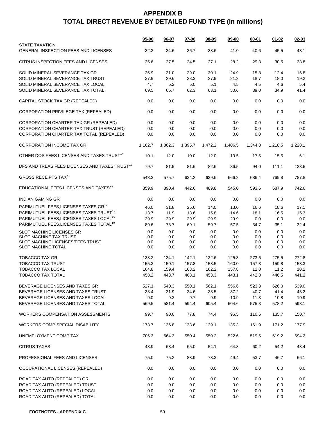|                                                                | <u>95-96</u> | 96-97   | 97-98   | 98-99   | 99-00   | $00 - 01$ | $01 - 02$ | $02 - 03$ |
|----------------------------------------------------------------|--------------|---------|---------|---------|---------|-----------|-----------|-----------|
| STATE TAXATION:<br><b>GENERAL INSPECTION FEES AND LICENSES</b> | 32.3         | 34.6    | 36.7    | 38.6    | 41.0    | 40.6      | 45.5      | 48.1      |
| CITRUS INSPECTION FEES AND LICENSES                            | 25.6         | 27.5    | 24.5    | 27.1    | 28.2    | 29.3      | 30.5      | 23.8      |
| SOLID MINERAL SEVERANCE TAX GR                                 | 26.9         | 31.0    | 29.0    | 30.1    | 24.9    | 15.8      | 12.4      | 16.8      |
| SOLID MINERAL SEVERANCE TAX TRUST                              | 37.9         | 29.6    | 28.3    | 27.9    | 21.2    | 18.7      | 18.0      | 19.2      |
| SOLID MINERAL SEVERANCE TAX LOCAL                              | 4.7          | 5.2     | $5.0\,$ | 5.1     | 4.5     | 4.5       | 4.6       | 5.4       |
| SOLID MINERAL SEVERANCE TAX TOTAL                              | 69.5         | 65.7    | 62.3    | 63.1    | 50.6    | 39.0      | 34.9      | 41.4      |
| CAPITAL STOCK TAX GR (REPEALED)                                | 0.0          | 0.0     | 0.0     | 0.0     | 0.0     | 0.0       | 0.0       | 0.0       |
| CORPORATION PRIVILEGE TAX (REPEALED)                           | 0.0          | 0.0     | 0.0     | 0.0     | 0.0     | 0.0       | 0.0       | 0.0       |
| CORPORATION CHARTER TAX GR (REPEALED)                          | 0.0          | 0.0     | 0.0     | 0.0     | 0.0     | 0.0       | 0.0       | 0.0       |
| CORPORATION CHARTER TAX TRUST (REPEALED)                       | 0.0          | 0.0     | 0.0     | 0.0     | 0.0     | 0.0       | 0.0       | 0.0       |
| CORPORATION CHARTER TAX TOTAL (REPEALED)                       | 0.0          | 0.0     | 0.0     | 0.0     | 0.0     | 0.0       | 0.0       | 0.0       |
| <b>CORPORATION INCOME TAX GR</b>                               | 1,162.7      | 1,362.3 | 1,395.7 | 1,472.2 | 1,406.5 | 1,344.8   | 1,218.5   | 1.228.1   |
| OTHER DOS FEES LICENSES AND TAXES TRUST <sup>14</sup>          | 10.1         | 12.0    | 10.0    | 12.0    | 13.5    | 17.5      | 15.5      | 6.1       |
| DFS AND TREAS FEES LICENSES AND TAXES TRUST <sup>13</sup>      | 79.7         | 81.5    | 81.6    | 82.6    | 86.5    | 94.0      | 111.1     | 128.5     |
| <b>GROSS RECEIPTS TAX<sup>11</sup></b>                         | 543.3        | 575.7   | 634.2   | 639.6   | 666.2   | 686.4     | 769.8     | 787.8     |
| EDUCATIONAL FEES LICENSES AND TAXES <sup>15</sup>              | 359.9        | 390.4   | 442.6   | 489.8   | 545.0   | 593.6     | 687.9     | 742.6     |
| <b>INDIAN GAMING GR</b>                                        | 0.0          | 0.0     | 0.0     | 0.0     | 0.0     | 0.0       | 0.0       | 0.0       |
| PARIMUTUEL FEES, LICENSES, TAXES GR <sup>19</sup>              | 46.0         | 31.8    | 25.6    | 14.0    | 13.0    | 16.6      | 18.6      | 17.1      |
| PARIMUTUEL FEES, LICENSES, TAXES TRUST <sup>19</sup>           | 13.7         | 11.9    | 13.6    | 15.8    | 14.6    | 18.1      | 16.5      | 15.3      |
| PARIMUTUEL FEES, LICENSES, TAXES LOCAL <sup>19</sup>           | 29.9         | 29.9    | 29.9    | 29.9    | 29.9    | 0.0       | 0.0       | 0.0       |
| PARIMUTUEL FEES, LICENSES, TAXES TOTAL <sup>19</sup>           | 89.6         | 73.7    | 69.1    | 59.7    | 57.5    | 34.7      | 35.1      | 32.4      |
| <b>SLOT MACHINE LICENSES GR</b>                                | 0.0          | 0.0     | 0.0     | 0.0     | 0.0     | 0.0       | 0.0       | 0.0       |
| SLOT MACHINE TAX TRUST                                         | 0.0          | 0.0     | 0.0     | 0.0     | 0.0     | 0.0       | 0.0       | 0.0       |
| SLOT MACHINE LICENSES/FEES TRUST                               | 0.0          | 0.0     | 0.0     | 0.0     | 0.0     | 0.0       | 0.0       | 0.0       |
| <b>SLOT MACHINE TOTAL</b>                                      | 0.0          | 0.0     | 0.0     | 0.0     | $0.0\,$ | 0.0       | 0.0       | 0.0       |
| TOBACCO TAX GR                                                 | 138.2        | 134.1   | 142.1   | 132.6   | 125.3   | 273.5     | 275.5     | 272.8     |
| <b>TOBACCO TAX TRUST</b>                                       | 155.3        | 150.1   | 157.8   | 158.5   | 160.0   | 157.3     | 159.8     | 158.3     |
| <b>TOBACCO TAX LOCAL</b>                                       | 164.8        | 159.4   | 168.2   | 162.2   | 157.8   | 12.0      | 11.2      | 10.2      |
| <b>TOBACCO TAX TOTAL</b>                                       | 458.2        | 443.7   | 468.1   | 453.3   | 443.1   | 442.8     | 446.5     | 441.2     |
| BEVERAGE LICENSES AND TAXES GR                                 | 527.1        | 540.3   | 550.1   | 562.1   | 556.6   | 523.3     | 526.0     | 539.0     |
| BEVERAGE LICENSES AND TAXES TRUST                              | 33.4         | 31.9    | 34.6    | 33.5    | 37.2    | 40.7      | 41.4      | 43.2      |
| BEVERAGE LICENSES AND TAXES LOCAL                              | 9.0          | 9.2     | 9.7     | 9.9     | 10.9    | 11.3      | 10.8      | 10.9      |
| BEVERAGE LICENSES AND TAXES TOTAL                              | 569.5        | 581.4   | 594.4   | 605.4   | 604.6   | 575.3     | 578.2     | 593.1     |
| <b>WORKERS COMPENSATION ASSESSMENTS</b>                        | 99.7         | 90.0    | 77.8    | 74.4    | 96.5    | 110.6     | 135.7     | 150.7     |
| WORKERS COMP SPECIAL DISABILITY                                | 173.7        | 136.8   | 133.6   | 129.1   | 135.3   | 161.9     | 171.2     | 177.9     |
| UNEMPLOYMENT COMP TAX                                          | 706.3        | 664.3   | 550.4   | 550.2   | 522.6   | 519.5     | 619.2     | 694.2     |
| <b>CITRUS TAXES</b>                                            | 48.9         | 68.4    | 65.0    | 54.1    | 64.8    | 60.2      | 54.2      | 48.4      |
| PROFESSIONAL FEES AND LICENSES                                 | 75.0         | 75.2    | 83.9    | 73.3    | 49.4    | 53.7      | 46.7      | 66.1      |
| OCCUPATIONAL LICENSES (REPEALED)                               | 0.0          | 0.0     | 0.0     | 0.0     | 0.0     | 0.0       | 0.0       | $0.0\,$   |
| ROAD TAX AUTO (REPEALED) GR                                    | 0.0          | 0.0     | 0.0     | 0.0     | 0.0     | 0.0       | 0.0       | 0.0       |
| ROAD TAX AUTO (REPEALED) TRUST                                 | 0.0          | 0.0     | 0.0     | 0.0     | 0.0     | 0.0       | 0.0       | 0.0       |
| ROAD TAX AUTO (REPEALED) LOCAL                                 | 0.0          | 0.0     | 0.0     | 0.0     | 0.0     | 0.0       | 0.0       | 0.0       |
| ROAD TAX AUTO (REPEALED) TOTAL                                 | 0.0          | 0.0     | 0.0     | 0.0     | 0.0     | 0.0       | 0.0       | 0.0       |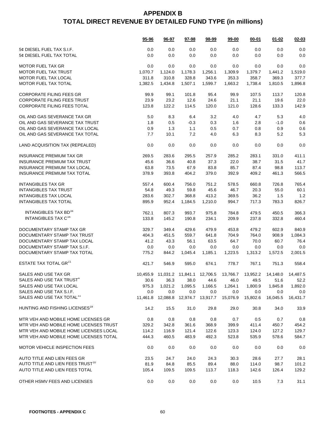|                                              | 95-96    | 96-97                        | 97-98   | 98-99   | $99 - 00$ | $00 - 01$ | $01 - 02$                                                               | $02 - 03$ |
|----------------------------------------------|----------|------------------------------|---------|---------|-----------|-----------|-------------------------------------------------------------------------|-----------|
| 5¢ DIESEL FUEL TAX S.I.F.                    | 0.0      | 0.0                          | 0.0     | 0.0     | 0.0       | 0.0       | 0.0                                                                     | 0.0       |
| 5¢ DIESEL FUEL TAX TOTAL                     | 0.0      | 0.0                          | 0.0     | 0.0     | 0.0       | 0.0       | 0.0                                                                     | 0.0       |
| <b>MOTOR FUEL TAX GR</b>                     | 0.0      | 0.0                          | 0.0     | 0.0     | 0.0       | 0.0       | 0.0                                                                     | 0.0       |
| <b>MOTOR FUEL TAX TRUST</b>                  | 1,070.7  | 1,124.0                      | 1,178.3 | 1,256.1 | 1,309.9   | 1,379.7   | 1,441.2                                                                 | 1,519.0   |
| <b>MOTOR FUEL TAX LOCAL</b>                  | 311.8    | 310.8                        | 328.8   | 343.6   | 353.3     | 358.7     | 369.3                                                                   | 377.7     |
| MOTOR FUEL TAX TOTAL                         | 1,382.5  | 1,434.8                      | 1,507.1 | 1,599.7 | 1,663.2   | 1,738.4   | 1,810.5                                                                 | 1,896.8   |
| <b>CORPORATE FILING FEES GR</b>              | 99.9     | 99.1                         | 101.8   | 95.4    | 99.9      | 107.5     | 113.7                                                                   | 120.8     |
| <b>CORPORATE FILING FEES TRUST</b>           | 23.9     | 23.2                         | 12.6    | 24.6    | 21.1      | 21.1      | 19.6                                                                    | 22.0      |
| CORPORATE FILING FEES TOTAL                  | 123.8    | 122.2                        | 114.5   | 120.0   | 121.0     | 128.6     | 133.3                                                                   | 142.9     |
| OIL AND GAS SEVERANCE TAX GR                 | 5.0      | 8.3                          | 6.4     | 3.2     | 4.0       | 4.7       | 5.3                                                                     | 4.0       |
| OIL AND GAS SEVERANCE TAX TRUST              | 1.8      | 0.5                          | $-0.3$  | 0.3     | 1.6       | 2.8       | $-1.0$                                                                  | 0.6       |
| OIL AND GAS SEVERANCE TAX LOCAL              | 0.9      | 1.3                          | 1.1     | 0.5     | 0.7       | 0.8       | 0.9                                                                     | 0.6       |
| OIL AND GAS SEVERANCE TAX TOTAL              | 7.7      | 10.1                         | 7.2     | 4.0     | 6.3       | 8.3       | 5.2                                                                     | 5.3       |
| LAND ACQUISITION TAX (REPEALED)              | 0.0      | 0.0                          | 0.0     | 0.0     | 0.0       | 0.0       | 0.0                                                                     | 0.0       |
| <b>INSURANCE PREMIUM TAX GR</b>              | 269.5    | 283.6                        | 295.5   | 257.9   | 285.2     | 283.1     | 331.0                                                                   | 411.1     |
| <b>INSURANCE PREMIUM TAX TRUST</b>           | 45.6     | 36.6                         | 40.8    | 37.3    | 22.0      | 38.7      | 31.5                                                                    | 41.7      |
| INSURANCE PREMIUM TAX LOCAL                  | 63.8     | 73.5                         | 67.9    | 83.8    | 85.7      | 87.4      | 98.8                                                                    | 113.7     |
| <b>INSURANCE PREMIUM TAX TOTAL</b>           | 378.9    | 393.8                        | 404.2   | 379.0   | 392.9     | 409.2     | 461.3                                                                   | 566.5     |
| <b>INTANGIBLES TAX GR</b>                    | 557.4    | 600.4                        | 756.0   | 751.2   | 578.5     | 660.8     | 726.8                                                                   | 765.4     |
| <b>INTANGIBLES TAX TRUST</b>                 | 54.8     | 49.3                         | 59.8    | 45.6    | 46.7      | 20.3      | 55.0                                                                    | 60.1      |
| <b>INTANGIBLES TAX LOCAL</b>                 | 283.6    | 302.7                        | 368.8   | 413.2   | 369.5     | 36.2      | 1.5                                                                     | 1.2       |
| <b>INTANGIBLES TAX TOTAL</b>                 | 895.9    | 952.4                        | 1,184.5 | 1,210.0 | 994.7     | 717.3     | 783.3                                                                   | 826.7     |
| INTANGIBLES TAX BD <sup>16</sup>             | 762.1    | 807.3                        | 993.7   | 975.8   | 784.8     | 479.5     | 450.5                                                                   | 366.3     |
| INTANGIBLES TAX C <sup>16</sup>              | 133.8    | 145.2                        | 190.8   | 234.1   | 209.9     | 237.8     | 332.8                                                                   | 460.4     |
| DOCUMENTARY STAMP TAX GR                     | 329.7    | 349.4                        | 429.6   | 479.9   | 453.8     | 479.2     | 602.9                                                                   | 840.9     |
| DOCUMENTARY STAMP TAX TRUST                  | 404.3    | 451.5                        | 559.7   | 641.8   | 704.9     | 764.0     | 908.9                                                                   | 1,084.3   |
| DOCUMENTARY STAMP TAX LOCAL                  | 41.2     | 43.3                         | 56.1    | 63.5    | 64.7      | 70.0      | 60.7                                                                    | 76.4      |
| DOCUMENTARY STAMP TAX S.I.F.                 | 0.0      | 0.0                          | 0.0     | 0.0     | 0.0       | 0.0       | 0.0                                                                     | 0.0       |
| DOCUMENTARY STAMP TAX TOTAL                  | 775.2    | 844.2                        | 1,045.4 | 1,185.1 | 1,223.5   | 1,313.2   | 1,572.5                                                                 | 2,001.5   |
| ESTATE TAX TOTAL GR <sup>21</sup>            | 421.7    | 546.9                        | 595.0   | 674.1   | 778.7     | 767.1     | 751.3                                                                   | 558.4     |
| SALES AND USE TAX GR                         |          |                              |         |         |           |           | 10,455.9 11,031.2 11,841.1 12,706.5 13,766.7 13,952.2 14,148.0 14,487.5 |           |
| SALES AND USE TAX TRUST <sup>4</sup>         | 30.6     | 36.3                         | 38.0    | 44.6    | 46.0      | 49.5      | 51.6                                                                    | 52.2      |
| SALES AND USE TAX LOCAL                      | 975.3    | 1,021.2                      | 1,095.5 | 1,166.5 | 1,264.1   | 1,800.9   | 1,845.8                                                                 | 1,892.0   |
| SALES AND USE TAX S.I.F.                     | 0.0      | 0.0                          | $0.0\,$ | 0.0     | 0.0       | 0.0       | 0.0                                                                     | 0.0       |
| SALES AND USE TAX TOTAL <sup>11</sup>        | 11,461.8 | 12,088.8  12,974.7  13,917.7 |         |         | 15,076.9  | 15,802.6  | 16,045.5                                                                | 16,431.7  |
| HUNTING AND FISHING LICENSES <sup>18</sup>   | 14.2     | 15.5                         | 31.0    | 29.8    | 29.0      | 30.8      | 34.0                                                                    | 33.9      |
| MTR VEH AND MOBILE HOME LICENSES GR          | 0.8      | 0.8                          | 0.8     | 0.8     | 0.7       | 0.5       | 0.7                                                                     | 0.8       |
| MTR VEH AND MOBILE HOME LICENSES TRUST       | 329.2    | 342.8                        | 361.6   | 368.9   | 399.9     | 411.4     | 450.7                                                                   | 454.2     |
| MTR VEH AND MOBILE HOME LICENSES LOCAL       | 114.2    | 116.9                        | 121.4   | 122.6   | 123.3     | 124.0     | 127.2                                                                   | 129.7     |
| MTR VEH AND MOBILE HOME LICENSES TOTAL       | 444.3    | 460.5                        | 483.9   | 492.3   | 523.8     | 535.9     | 578.6                                                                   | 584.7     |
| MOTOR VEHICLE INSPECTION FEES                | 0.0      | 0.0                          | 0.0     | 0.0     | 0.0       | 0.0       | 0.0                                                                     | 0.0       |
| AUTO TITLE AND LIEN FEES GR                  | 23.5     | 24.7                         | 24.0    | 24.3    | 30.3      | 28.6      | 27.7                                                                    | 28.1      |
| AUTO TITLE AND LIEN FEES TRUST <sup>10</sup> | 81.9     | 84.8                         | 85.5    | 89.4    | 88.0      | 114.0     | 98.7                                                                    | 101.2     |
| AUTO TITLE AND LIEN FEES TOTAL               | 105.4    | 109.5                        | 109.5   | 113.7   | 118.3     | 142.6     | 126.4                                                                   | 129.2     |
| OTHER HSMV FEES AND LICENSES                 | 0.0      | 0.0                          | 0.0     | 0.0     | 0.0       | 10.5      | 7.3                                                                     | 31.1      |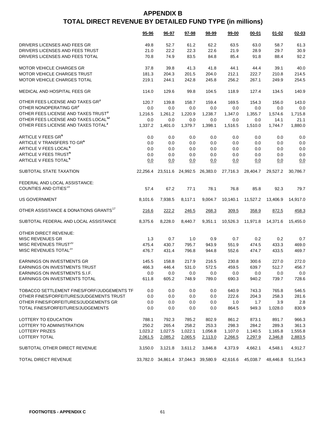|                                                   | 95-96    | 96-97                               | 97-98                      | 98-99   | 99-00    | $00 - 01$ | $01 - 02$ | $02 - 03$ |
|---------------------------------------------------|----------|-------------------------------------|----------------------------|---------|----------|-----------|-----------|-----------|
| DRIVERS LICENSES AND FEES GR                      | 49.8     | 52.7                                | 61.2                       | 62.2    | 63.5     | 63.0      | 58.7      | 61.3      |
| DRIVERS LICENSES AND FEES TRUST                   | 21.0     | 22.2                                | 22.3                       | 22.6    | 21.9     | 28.9      | 29.7      | 30.9      |
| DRIVERS LICENSES AND FEES TOTAL                   | 70.8     | 74.9                                | 83.5                       | 84.8    | 85.4     | 91.8      | 88.4      | 92.2      |
| <b>MOTOR VEHICLE CHARGES GR</b>                   | 37.8     | 39.8                                | 41.3                       | 41.8    | 44.1     | 44.4      | 39.1      | 40.0      |
| MOTOR VEHICLE CHARGES TRUST                       | 181.3    | 204.3                               | 201.5                      | 204.0   | 212.1    | 222.7     | 210.8     | 214.5     |
| MOTOR VEHICLE CHARGES TOTAL                       | 219.1    | 244.1                               | 242.8                      | 245.8   | 256.2    | 267.1     | 249.9     | 254.5     |
| MEDICAL AND HOSPITAL FEES GR                      | 114.0    | 129.6                               | 99.8                       | 104.5   | 118.9    | 127.4     | 134.5     | 140.9     |
| OTHER FEES LICENSE AND TAXES GR <sup>3</sup>      | 120.7    | 139.8                               | 158.7                      | 159.4   | 169.5    | 154.3     | 156.0     | 143.0     |
| OTHER NONOPERATING GR3                            | 0.0      | 0.0                                 | 0.0                        | 0.0     | 0.0      | 0.0       | 0.0       | 0.0       |
| OTHER FEES LICENSE AND TAXES TRUST <sup>3</sup>   | 1,216.5  | 1,261.2                             | 1,220.9                    | 1,238.7 | 1,347.0  | 1,355.7   | 1,574.6   | 1,715.8   |
| OTHER FEES LICENSE AND TAXES LOCAL <sup>12</sup>  | 0.0      | 0.0                                 | 0.0                        | 0.0     | 0.0      | 0.0       | 14.1      | 21.1      |
| OTHER FEES LICENSE AND TAXES TOTAL <sup>3</sup>   | 1,337.2  | 1,401.0                             | 1,379.7                    | 1,398.1 | 1,516.5  | 1,510.0   | 1,744.7   | 1,880.0   |
| ARTICLE V FEES GR <sup>6</sup>                    | 0.0      | 0.0                                 | 0.0                        | 0.0     | 0.0      | 0.0       | 0.0       | 0.0       |
| ARTICLE V TRANSFERS TO GR <sup>6</sup>            | 0.0      | 0.0                                 | 0.0                        | 0.0     | 0.0      | 0.0       | 0.0       | 0.0       |
| ARTICLE V FEES LOCAL <sup>6</sup>                 | 0.0      | 0.0                                 | 0.0                        | 0.0     | 0.0      | 0.0       | 0.0       | 0.0       |
| ARTICLE V FEES TRUST <sup>6</sup>                 | 0.0      | 0.0                                 | 0.0                        | 0.0     | 0.0      | 0.0       | 0.0       | 0.0       |
| ARTICLE V FEES TOTAL <sup>6</sup>                 | 0.0      | 0.0                                 | 0.0                        | 0.0     | 0.0      | 0.0       | 0.0       | 0.0       |
| SUBTOTAL STATE TAXATION                           | 22,256.4 |                                     | 23,511.6 24,992.5 26,383.0 |         | 27,716.3 | 28,404.7  | 29,527.2  | 30,786.7  |
| FEDERAL AND LOCAL ASSISTANCE:                     |          |                                     |                            |         |          |           |           |           |
| COUNTIES AND CITIES <sup>19</sup>                 | 57.4     | 67.2                                | 77.1                       | 78.1    | 76.8     | 85.8      | 92.3      | 79.7      |
| <b>US GOVERNMENT</b>                              | 8,101.6  | 7,938.5                             | 8,117.1                    | 9,004.7 | 10,140.1 | 11,527.2  | 13,406.9  | 14,917.0  |
| OTHER ASSISTANCE & DONATIONS GRANTS <sup>17</sup> | 216.6    | 222.2                               | 246.5                      | 268.3   | 309.5    | 358.9     | 872.5     | 458.3     |
| SUBTOTAL FEDERAL AND LOCAL ASSISTANCE             | 8,375.6  | 8,228.0                             | 8,440.7                    | 9,351.1 | 10,526.3 | 11,971.8  | 14,371.6  | 15,455.0  |
| OTHER DIRECT REVENUE:                             |          |                                     |                            |         |          |           |           |           |
| <b>MISC REVENUES GR</b>                           | 1.3      | 0.7                                 | 1.0                        | 0.9     | 0.7      | 0.2       | 0.2       | 0.7       |
| MISC REVENUES TRUST <sup>20</sup>                 | 475.4    | 430.7                               | 795.7                      | 943.9   | 551.9    | 474.5     | 433.3     | 469.0     |
| MISC REVENUES TOTAL <sup>20</sup>                 | 476.7    | 431.4                               | 796.8                      | 944.8   | 552.6    | 474.7     | 433.5     | 469.7     |
| EARNINGS ON INVESTMENTS GR                        | 145.5    | 158.8                               | 217.9                      | 216.5   | 230.8    | 300.6     | 227.0     | 272.0     |
| <b>EARNINGS ON INVESTMENTS TRUST</b>              | 466.3    | 446.4                               | 531.0                      | 572.5   | 459.5    | 639.7     | 512.7     | 456.7     |
| EARNINGS ON INVESTMENTS S.I.F.                    | 0.0      | 0.0                                 | 0.0                        | 0.0     | 0.0      | 0.0       | 0.0       | 0.0       |
| EARNINGS ON INVESTMENTS TOTAL                     | 611.8    | 605.2                               | 748.9                      | 789.0   | 690.3    | 940.2     | 739.7     | 728.6     |
| TOBACCO SETTLEMENT FINES/FORF/JUDGEMENTS TF       | 0.0      | 0.0                                 | 0.0                        | 0.0     | 640.9    | 743.3     | 765.8     | 546.5     |
| OTHER FINES/FORFEITURES/JUDGEMENTS TRUST          | 0.0      | 0.0                                 | 0.0                        | 0.0     | 222.6    | 204.3     | 258.3     | 281.6     |
| OTHER FINES/FORFEITURES/JUDGEMENTS GR             | 0.0      | 0.0                                 | 0.0                        | 0.0     | 1.0      | 1.7       | 3.9       | 2.8       |
| TOTAL FINES/FORFEITURES/JUDGEMENTS                | 0.0      | 0.0                                 | 0.0                        | 0.0     | 864.5    | 949.3     | 1,028.0   | 830.9     |
| LOTTERY TO EDUCATION                              | 788.1    | 792.3                               | 785.2                      | 802.9   | 861.2    | 873.1     | 891.7     | 966.3     |
| LOTTERY TO ADMINISTRATION                         | 250.2    | 265.4                               | 258.2                      | 253.3   | 298.3    | 284.2     | 289.3     | 361.3     |
| LOTTERY PRIZES                                    | 1,023.2  | 1,027.5                             | 1,022.1                    | 1,056.8 | 1,107.0  | 1,140.5   | 1,165.8   | 1,555.8   |
| LOTTERY TOTAL                                     | 2,061.5  | 2,085.2                             | 2,065.5                    | 2,113.0 | 2,266.5  | 2,297.9   | 2,346.8   | 2,883.5   |
| SUBTOTAL OTHER DIRECT REVENUE                     | 3,150.0  | 3,121.8                             | 3,611.2                    | 3,846.8 | 4,373.9  | 4,662.1   | 4,548.1   | 4,912.7   |
| <b>TOTAL DIRECT REVENUE</b>                       |          | 33,782.0 34,861.4 37,044.3 39,580.9 |                            |         | 42,616.6 | 45,038.7  | 48,446.8  | 51,154.3  |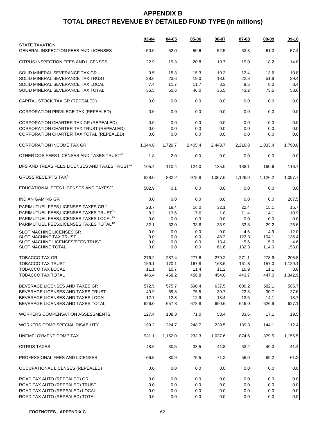|                                                                | $03 - 04$ | $04 - 05$ | $05 - 06$ | 06-07   | 07-08   | $08 - 09$ | $09-10$ |
|----------------------------------------------------------------|-----------|-----------|-----------|---------|---------|-----------|---------|
| STATE TAXATION:<br><b>GENERAL INSPECTION FEES AND LICENSES</b> | 50.0      | 52.0      | 50.6      | 52.5    | 53.3    | 61.0      | 57.4    |
| CITRUS INSPECTION FEES AND LICENSES                            | 22.9      | 19.3      | 20.8      | 19.7    | 19.0    | 18.2      | 14.8    |
| SOLID MINERAL SEVERANCE TAX GR                                 | 0.5       | 15.3      | 15.3      | 10.3    | 12.4    | 13.6      | 10.8    |
| SOLID MINERAL SEVERANCE TAX TRUST                              | 28.6      | 23.6      | 19.0      | 18.0    | 22.3    | 51.8      | 39.4    |
| SOLID MINERAL SEVERANCE TAX LOCAL                              | 7.4       | 11.7      | 11.7      | 8.3     | 8.5     | 8.0       | 8.4     |
| SOLID MINERAL SEVERANCE TAX TOTAL                              | 36.5      | 50.6      | 46.0      | 36.5    | 43.2    | 73.5      | 58.6    |
| CAPITAL STOCK TAX GR (REPEALED)                                | 0.0       | 0.0       | 0.0       | 0.0     | 0.0     | 0.0       | 0.0     |
| CORPORATION PRIVILEGE TAX (REPEALED)                           | 0.0       | 0.0       | 0.0       | 0.0     | 0.0     | 0.0       | 0.0     |
| CORPORATION CHARTER TAX GR (REPEALED)                          | 0.0       | 0.0       | 0.0       | 0.0     | 0.0     | 0.0       | 0.0     |
| CORPORATION CHARTER TAX TRUST (REPEALED)                       | 0.0       | 0.0       | 0.0       | 0.0     | 0.0     | 0.0       | 0.0     |
| CORPORATION CHARTER TAX TOTAL (REPEALED)                       | 0.0       | 0.0       | 0.0       | 0.0     | 0.0     | 0.0       | 0.0     |
| <b>CORPORATION INCOME TAX GR</b>                               | 1,344.8   | 1,729.7   | 2,405.4   | 2,443.7 | 2,216.8 | 1,833.4   | 1,790.0 |
| OTHER DOS FEES LICENSES AND TAXES TRUST <sup>14</sup>          | 1.8       | 2.0       | 0.0       | 0.0     | 0.0     | 0.0       | 0.0     |
| DFS AND TREAS FEES LICENSES AND TAXES TRUST <sup>13</sup>      | 105.4     | 110.4     | 124.0     | 135.0   | 138.1   | 160.6     | 116.7   |
| <b>GROSS RECEIPTS TAX<sup>11</sup></b>                         | 829.0     | 882.2     | 975.8     | 1,067.6 | 1,126.0 | 1.126.2   | 1,097.7 |
| EDUCATIONAL FEES LICENSES AND TAXES <sup>15</sup>              | 502.9     | 0.1       | 0.0       | 0.0     | 0.0     | 0.0       | 0.0     |
| <b>INDIAN GAMING GR</b>                                        | 0.0       | 0.0       | 0.0       | 0.0     | 0.0     | 0.0       | 287.5   |
| PARIMUTUEL FEES, LICENSES, TAXES GR <sup>19</sup>              | 23.7      | 18.4      | 16.0      | 32.1    | 22.4    | 15.1      | 15.7    |
| PARIMUTUEL FEES, LICENSES, TAXES TRUST <sup>19</sup>           | 8.3       | 13.6      | 17.6      | 1.8     | 11.4    | 14.1      | 10.9    |
| PARIMUTUEL FEES, LICENSES, TAXES LOCAL <sup>19</sup>           | 0.0       | 0.0       | 0.0       | 0.0     | 0.0     | 0.0       | 0.0     |
| PARIMUTUEL FEES, LICENSES, TAXES TOTAL <sup>19</sup>           | 32.1      | 32.0      | 33.6      | 33.9    | 33.8    | 29.2      | 26.6    |
| SLOT MACHINE LICENSES GR                                       | 0.0       | 0.0       | 0.0       | 0.0     | 4.5     | 4.9       | 12.0    |
| <b>SLOT MACHINE TAX TRUST</b>                                  | 0.0       | 0.0       | 0.0       | 48.2    | 122.3   | 104.1     | 136.4   |
| SLOT MACHINE LICENSES/FEES TRUST                               | 0.0       | 0.0       | 0.0       | 13.4    | 5.6     | 5.0       | 4.6     |
| SLOT MACHINE TOTAL                                             | 0.0       | 0.0       | 0.0       | 61.6    | 132.3   | 114.0     | 153.0   |
| <b>TOBACCO TAX GR</b>                                          | 276.2     | 287.4     | 277.6     | 279.2   | 271.1   | 278.9     | 205.8   |
| <b>TOBACCO TAX TRUST</b>                                       | 159.1     | 170.1     | 167.8     | 163.6   | 161.8   | 157.0     | 1,129.1 |
| <b>TOBACCO TAX LOCAL</b>                                       | 11.1      | 10.7      | 11.4      | 11.2    | 10.9    | 11.1      | 8.0     |
| TOBACCO TAX TOTAL                                              | 446.4     | 468.2     | 456.8     | 454.0   | 443.7   | 447.0     | 1,342.9 |
|                                                                |           |           |           |         |         |           |         |
| BEVERAGE LICENSES AND TAXES GR                                 | 572.5     | 575.7     | 590.4     | 637.5   | 609.2   | 582.1     | 585.7   |
| BEVERAGE LICENSES AND TAXES TRUST                              | 40.9      | 69.3      | 75.5      | 39.7    | 23.3    | 30.7      | 27.6    |
| BEVERAGE LICENSES AND TAXES LOCAL                              | 12.7      | 12.3      | 12.9      | 13.4    | 13.5    | 14.1      | 13.7    |
| BEVERAGE LICENSES AND TAXES TOTAL                              | 626.0     | 657.3     | 678.8     | 690.6   | 646.0   | 626.9     | 627.1   |
| <b>WORKERS COMPENSATION ASSESSMENTS</b>                        | 127.4     | 108.3     | 71.0      | 53.4    | 33.6    | 17.1      | 19.5    |
| <b>WORKERS COMP SPECIAL DISABILITY</b>                         | 199.2     | 224.7     | 248.7     | 239.5   | 189.3   | 144.1     | 112.4   |
| UNEMPLOYMENT COMP TAX                                          | 931.1     | 1,152.0   | 1,233.3   | 1,037.6 | 874.6   | 879.5     | 1,155.5 |
| <b>CITRUS TAXES</b>                                            | 48.6      | 30.5      | 33.5      | 41.8    | 53.2    | 49.0      | 41.4    |
| PROFESSIONAL FEES AND LICENSES                                 | 66.5      | 80.9      | 75.5      | 71.2    | 56.0    | 69.2      | 61.2    |
| OCCUPATIONAL LICENSES (REPEALED)                               | 0.0       | 0.0       | 0.0       | 0.0     | 0.0     | 0.0       | 0.0     |
| ROAD TAX AUTO (REPEALED) GR                                    | 0.0       | 0.0       | 0.0       | 0.0     | 0.0     | 0.0       | 0.0     |
| ROAD TAX AUTO (REPEALED) TRUST                                 | 0.0       | 0.0       | 0.0       | 0.0     | 0.0     | 0.0       | 0.0     |
| ROAD TAX AUTO (REPEALED) LOCAL                                 | 0.0       | 0.0       | 0.0       | 0.0     | 0.0     | 0.0       | 0.0     |
| ROAD TAX AUTO (REPEALED) TOTAL                                 | 0.0       | 0.0       | 0.0       | 0.0     | 0.0     | 0.0       | 0.0     |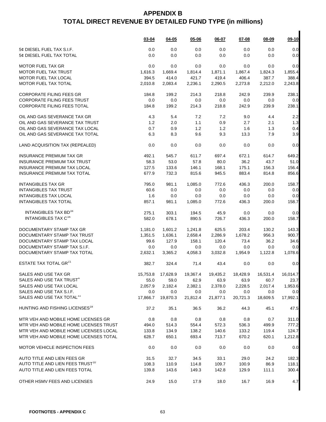|                                              | $03 - 04$ | $04 - 05$ | 05-06    | 06-07    | 07-08                                                                | $08 - 09$ | $09-10$  |
|----------------------------------------------|-----------|-----------|----------|----------|----------------------------------------------------------------------|-----------|----------|
| 5¢ DIESEL FUEL TAX S.I.F.                    | 0.0       | 0.0       | 0.0      | 0.0      | 0.0                                                                  | 0.0       | 0.0      |
| 5¢ DIESEL FUEL TAX TOTAL                     | 0.0       | 0.0       | 0.0      | 0.0      | 0.0                                                                  | 0.0       | 0.0      |
| <b>MOTOR FUEL TAX GR</b>                     | 0.0       | 0.0       | 0.0      | 0.0      | 0.0                                                                  | 0.0       | 0.0      |
| <b>MOTOR FUEL TAX TRUST</b>                  | 1,616.3   | 1,669.4   | 1,814.4  | 1,871.1  | 1,867.4                                                              | 1,824.3   | 1,855.4  |
| MOTOR FUEL TAX LOCAL                         | 394.5     | 414.0     | 421.7    | 419.4    | 406.4                                                                | 387.7     | 388.4    |
| MOTOR FUEL TAX TOTAL                         | 2,010.8   | 2,083.4   | 2,236.1  | 2,290.5  | 2,273.8                                                              | 2,212.0   | 2,243.8  |
| <b>CORPORATE FILING FEES GR</b>              | 184.8     | 199.2     | 214.3    | 218.8    | 242.9                                                                | 239.9     | 238.1    |
| <b>CORPORATE FILING FEES TRUST</b>           | 0.0       | 0.0       | 0.0      | 0.0      | 0.0                                                                  | 0.0       | 0.0      |
| <b>CORPORATE FILING FEES TOTAL</b>           | 184.8     | 199.2     | 214.3    | 218.8    | 242.9                                                                | 239.9     | 238.1    |
| OIL AND GAS SEVERANCE TAX GR                 | 4.3       | 5.4       | 7.2      | 7.2      | 9.0                                                                  | 4.4       | 2.2      |
| OIL AND GAS SEVERANCE TAX TRUST              | 1.2       | 2.0       | 1.1      | 0.9      | 2.7                                                                  | 2.1       | 1.3      |
| OIL AND GAS SEVERANCE TAX LOCAL              | 0.7       | 0.9       | 1.2      | 1.2      | 1.6                                                                  | 1.3       | 0.4      |
| OIL AND GAS SEVERANCE TAX TOTAL              | 6.3       | 8.3       | 9.6      | 9.3      | 13.3                                                                 | 7.9       | 3.9      |
| LAND ACQUISITION TAX (REPEALED)              | 0.0       | 0.0       | 0.0      | 0.0      | 0.0                                                                  | 0.0       | 0.0      |
| <b>INSURANCE PREMIUM TAX GR</b>              | 492.1     | 545.7     | 611.7    | 697.4    | 672.1                                                                | 614.7     | 649.2    |
| <b>INSURANCE PREMIUM TAX TRUST</b>           | 58.3      | 53.0      | 57.8     | 80.0     | 36.2                                                                 | 43.7      | 51.0     |
| INSURANCE PREMIUM TAX LOCAL                  | 127.5     | 133.6     | 146.1    | 168.1    | 175.1                                                                | 156.3     | 156.4    |
| INSURANCE PREMIUM TAX TOTAL                  | 677.9     | 732.3     | 815.6    | 945.5    | 883.4                                                                | 814.8     | 856.6    |
| <b>INTANGIBLES TAX GR</b>                    | 795.0     | 981.1     | 1,085.0  | 772.6    | 436.3                                                                | 200.0     | 158.7    |
| <b>INTANGIBLES TAX TRUST</b>                 | 60.6      | 0.0       | 0.0      | 0.0      | 0.0                                                                  | 0.0       | 0.0      |
| <b>INTANGIBLES TAX LOCAL</b>                 | 1.6       | 0.0       | 0.0      | 0.0      | 0.0                                                                  | 0.0       | 0.0      |
| <b>INTANGIBLES TAX TOTAL</b>                 | 857.1     | 981.1     | 1,085.0  | 772.6    | 436.3                                                                | 200.0     | 158.7    |
| INTANGIBLES TAX BD <sup>16</sup>             | 275.1     | 303.1     | 194.5    | 45.9     | 0.0                                                                  | 0.0       | 0.0      |
| <b>INTANGIBLES TAX C<sup>16</sup></b>        | 582.0     | 678.1     | 890.5    | 726.7    | 436.3                                                                | 200.0     | 158.7    |
| DOCUMENTARY STAMP TAX GR                     | 1,181.0   | 1,601.2   | 1,241.8  | 625.5    | 203.4                                                                | 130.2     | 143.3    |
| DOCUMENTARY STAMP TAX TRUST                  | 1,351.5   | 1,636.1   | 2,658.4  | 2,286.9  | 1,678.2                                                              | 956.3     | 900.7    |
| DOCUMENTARY STAMP TAX LOCAL                  | 99.6      | 127.9     | 158.1    | 120.4    | 73.4                                                                 | 36.2      | 34.6     |
| DOCUMENTARY STAMP TAX S.I.F.                 | 0.0       | 0.0       | 0.0      | 0.0      | 0.0                                                                  | 0.0       | 0.0      |
| DOCUMENTARY STAMP TAX TOTAL                  | 2,632.1   | 3,365.2   | 4,058.3  | 3,032.8  | 1,954.9                                                              | 1,122.8   | 1,078.6  |
| ESTATE TAX TOTAL GR <sup>21</sup>            | 382.7     | 324.4     | 71.4     | 43.4     | 0.0                                                                  | 0.0       | 0.0      |
| SALES AND USE TAX GR                         |           |           |          |          | 15,753.8  17,628.9  19,367.4  19,435.2  18,428.9  16,531.4  16,014.7 |           |          |
| SALES AND USE TAX TRUST <sup>4</sup>         | 55.0      | 59.0      | 62.9     | 63.9     | 63.9                                                                 | 60.7      | 23.7     |
| SALES AND USE TAX LOCAL                      | 2,057.9   | 2,182.4   | 2,382.1  | 2,378.0  | 2,228.5                                                              | 2,017.4   | 1,953.6  |
| SALES AND USE TAX S.I.F.                     | 0.0       | 0.0       | 0.0      | 0.0      | 0.0                                                                  | 0.0       | 0.0      |
| SALES AND USE TAX TOTAL <sup>11</sup>        | 17,866.7  | 19,870.3  | 21,812.4 | 21,877.1 | 20,721.3                                                             | 18,609.5  | 17,992.1 |
| HUNTING AND FISHING LICENSES <sup>18</sup>   | 37.2      | 35.1      | 36.5     | 36.2     | 44.3                                                                 | 45.1      | 47.5     |
| MTR VEH AND MOBILE HOME LICENSES GR          | 0.8       | 0.8       | 0.8      | 0.8      | 0.8                                                                  | 0.7       | 311.0    |
| MTR VEH AND MOBILE HOME LICENSES TRUST       | 494.0     | 514.3     | 554.4    | 572.3    | 536.3                                                                | 499.9     | 777.2    |
| MTR VEH AND MOBILE HOME LICENSES LOCAL       | 133.8     | 134.9     | 138.2    | 140.6    | 133.2                                                                | 119.4     | 124.7    |
| MTR VEH AND MOBILE HOME LICENSES TOTAL       | 628.7     | 650.1     | 693.4    | 713.7    | 670.2                                                                | 620.1     | 1,212.8  |
| <b>MOTOR VEHICLE INSPECTION FEES</b>         | 0.0       | 0.0       | 0.0      | 0.0      | 0.0                                                                  | 0.0       | 0.0      |
| AUTO TITLE AND LIEN FEES GR                  | 31.5      | 32.7      | 34.5     | 33.1     | 29.0                                                                 | 24.2      | 182.3    |
| AUTO TITLE AND LIEN FEES TRUST <sup>10</sup> | 108.3     | 110.9     | 114.8    | 109.7    | 100.9                                                                | 86.9      | 118.1    |
| AUTO TITLE AND LIEN FEES TOTAL               | 139.8     | 143.6     | 149.3    | 142.8    | 129.9                                                                | 111.1     | 300.4    |
| OTHER HSMV FEES AND LICENSES                 | 24.9      | 15.0      | 17.9     | 18.0     | 16.7                                                                 | 16.9      | 4.7      |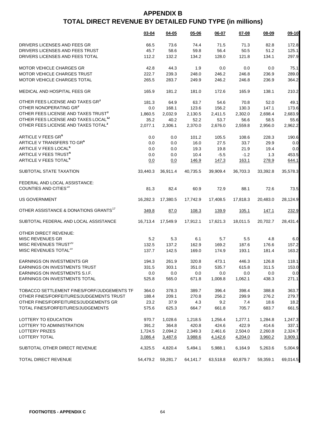|                                                   | $03 - 04$ | 04-05    | $05 - 06$ | $06 - 07$ | $07 - 08$ | 08-09    | 09-10    |
|---------------------------------------------------|-----------|----------|-----------|-----------|-----------|----------|----------|
| DRIVERS LICENSES AND FEES GR                      | 66.5      | 73.6     | 74.4      | 71.5      | 71.3      | 82.8     | 172.8    |
| DRIVERS LICENSES AND FEES TRUST                   | 45.7      | 58.6     | 59.8      | 56.4      | 50.5      | 51.2     | 125.1    |
| DRIVERS LICENSES AND FEES TOTAL                   | 112.2     | 132.2    | 134.2     | 128.0     | 121.8     | 134.1    | 297.9    |
|                                                   |           |          |           |           |           |          |          |
| <b>MOTOR VEHICLE CHARGES GR</b>                   | 42.8      | 44.3     | 1.9       | 0.0       | 0.0       | 0.0      | 75.1     |
| MOTOR VEHICLE CHARGES TRUST                       | 222.7     | 239.3    | 248.0     | 246.2     | 246.8     | 236.9    | 289.0    |
| MOTOR VEHICLE CHARGES TOTAL                       | 265.5     | 283.7    | 249.9     | 246.2     | 246.8     | 236.9    | 364.2    |
| MEDICAL AND HOSPITAL FEES GR                      | 165.9     | 181.2    | 181.0     | 172.6     | 165.9     | 138.1    | 210.2    |
| OTHER FEES LICENSE AND TAXES GR <sup>3</sup>      | 181.3     | 64.9     | 63.7      | 54.6      | 70.8      | 52.0     | 49.1     |
| OTHER NONOPERATING GR3                            | 0.0       | 168.1    | 123.6     | 156.2     | 130.3     | 147.1    | 173.6    |
| OTHER FEES LICENSE AND TAXES TRUST <sup>3</sup>   | 1,860.5   | 2,032.9  | 2,130.5   | 2,411.5   | 2,302.0   | 2,698.4  | 2,683.9  |
| OTHER FEES LICENSE AND TAXES LOCAL <sup>12</sup>  | 35.2      | 40.2     | 52.2      | 53.7      | 56.6      | 58.5     | 55.6     |
| OTHER FEES LICENSE AND TAXES TOTAL <sup>3</sup>   | 2,077.1   | 2,306.1  | 2,370.0   | 2,676.0   | 2,559.8   | 2,956.0  | 2,962.2  |
|                                                   |           |          |           |           |           |          |          |
| ARTICLE V FEES GR <sup>6</sup>                    | 0.0       | 0.0      | 101.2     | 105.5     | 108.6     | 228.3    | 190.6    |
| ARTICLE V TRANSFERS TO GR <sup>6</sup>            | 0.0       | 0.0      | 16.0      | 27.5      | 33.7      | 29.9     | 0.0      |
| ARTICLE V FEES LOCAL <sup>6</sup>                 | 0.0       | 0.0      | 19.3      | 19.8      | 21.9      | 19.4     | 0.0      |
| ARTICLE V FEES TRUST <sup>6</sup>                 | 0.0       | 0.0      | 10.4      | $-5.5$    | $-1.2$    | 1.3      | 453.5    |
| ARTICLE V FEES TOTAL <sup>6</sup>                 | 0.0       | 0.0      | 146.9     | 147.3     | 163.1     | 278.9    | 644.1    |
|                                                   |           |          |           |           |           |          |          |
| SUBTOTAL STATE TAXATION                           | 33,440.3  | 36,911.4 | 40,735.5  | 39,909.4  | 36,703.3  | 33,392.8 | 35,578.3 |
| FEDERAL AND LOCAL ASSISTANCE:                     |           |          |           |           |           |          |          |
| COUNTIES AND CITIES <sup>19</sup>                 | 81.3      | 82.4     | 60.9      | 72.9      | 88.1      | 72.6     | 73.5     |
|                                                   |           |          |           |           |           |          |          |
| <b>US GOVERNMENT</b>                              | 16,282.3  | 17,380.5 | 17,742.9  | 17,408.5  | 17,818.3  | 20,483.0 | 28,124.9 |
| OTHER ASSISTANCE & DONATIONS GRANTS <sup>17</sup> | 349.8     | 87.0     | 108.3     | 139.9     | 105.1     | 147.1    | 232.9    |
| SUBTOTAL FEDERAL AND LOCAL ASSISTANCE             | 16,713.4  | 17,549.9 | 17,912.1  | 17,621.3  | 18,011.5  | 20,702.7 | 28,431.4 |
| OTHER DIRECT REVENUE:                             |           |          |           |           |           |          |          |
| <b>MISC REVENUES GR</b>                           | 5.2       | 5.3      | 6.1       | 5.7       | 5.5       | 4.8      | 6.0      |
| MISC REVENUES TRUST <sup>20</sup>                 | 132.5     | 137.2    | 162.9     | 169.2     | 187.6     | 176.6    | 157.2    |
| MISC REVENUES TOTAL <sup>20</sup>                 | 137.7     | 142.5    | 169.0     | 174.9     | 193.1     | 181.4    | 163.2    |
|                                                   |           |          |           |           |           |          |          |
| <b>EARNINGS ON INVESTMENTS GR</b>                 | 194.3     | 261.9    | 320.8     | 473.1     | 446.3     | 126.8    | 118.1    |
| <b>EARNINGS ON INVESTMENTS TRUST</b>              | 331.5     | 303.1    | 351.0     | 535.7     | 615.8     | 311.5    | 153.0    |
| EARNINGS ON INVESTMENTS S.I.F.                    | 0.0       | 0.0      | 0.0       | 0.0       | 0.0       | 0.0      | 0.0      |
| EARNINGS ON INVESTMENTS TOTAL                     | 525.8     | 565.0    | 671.8     | 1,008.8   | 1,062.1   | 438.3    | 271.1    |
| TOBACCO SETTLEMENT FINES/FORF/JUDGEMENTS TF       | 364.0     | 378.3    | 389.7     | 396.4     | 398.4     | 388.8    | 363.7    |
| OTHER FINES/FORFEITURES/JUDGEMENTS TRUST          | 188.4     | 209.1    | 270.8     | 256.2     | 299.9     | 276.2    | 279.7    |
|                                                   |           |          |           |           |           |          |          |
| OTHER FINES/FORFEITURES/JUDGEMENTS GR             | 23.2      | 37.9     | 4.3       | 9.2       | 7.4       | 18.6     | 18.2     |
| TOTAL FINES/FORFEITURES/JUDGEMENTS                | 575.6     | 625.3    | 664.7     | 661.8     | 705.7     | 683.7    | 661.5    |
| LOTTERY TO EDUCATION                              | 970.7     | 1,028.6  | 1,218.5   | 1,256.4   | 1,277.1   | 1,284.8  | 1,247.3  |
| LOTTERY TO ADMINISTRATION                         | 391.2     | 364.8    | 420.8     | 424.6     | 422.9     | 414.6    | 337.1    |
| <b>LOTTERY PRIZES</b>                             | 1,724.5   | 2,094.2  | 2,349.3   | 2,461.6   | 2,504.0   | 2,260.8  | 2,324.7  |
| LOTTERY TOTAL                                     | 3,086.4   |          |           |           |           |          | 3,909.1  |
|                                                   |           | 3,487.6  | 3,988.6   | 4,142.6   | 4,204.0   | 3,960.2  |          |
| SUBTOTAL OTHER DIRECT REVENUE                     | 4,325.5   | 4,820.4  | 5,494.1   | 5,988.1   | 6,164.9   | 5,263.6  | 5,004.9  |
| TOTAL DIRECT REVENUE                              | 54,479.2  | 59,281.7 | 64,141.7  | 63,518.8  | 60,879.7  | 59,359.1 | 69,014.5 |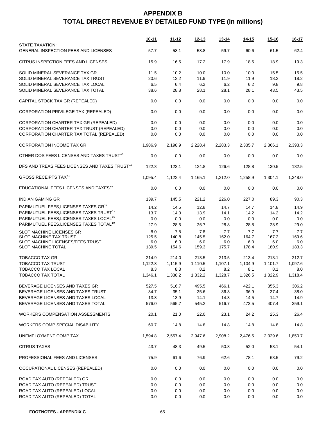|                                                           | <u>10-11</u> | <u> 11-12</u> | <u>12-13</u> | $13 - 14$ | <u>14-15</u> | <u>15-16</u> | <u>16-17</u> |
|-----------------------------------------------------------|--------------|---------------|--------------|-----------|--------------|--------------|--------------|
| STATE TAXATION:<br>GENERAL INSPECTION FEES AND LICENSES   | 57.7         | 58.1          | 58.8         | 59.7      | 60.6         | 61.5         | 62.4         |
| CITRUS INSPECTION FEES AND LICENSES                       | 15.9         | 16.5          | 17.2         | 17.9      | 18.5         | 18.9         | 19.3         |
| SOLID MINERAL SEVERANCE TAX GR                            | 11.5         | 10.2          | 10.0         | 10.0      | 10.0         | 15.5         | 15.5         |
| SOLID MINERAL SEVERANCE TAX TRUST                         | 20.6         | 12.2          | 11.9         | 11.9      | 11.9         | 18.2         | 18.2         |
| SOLID MINERAL SEVERANCE TAX LOCAL                         | 6.5          | 6.4           | 6.2          | 6.2       | 6.2          | 9.8          | 9.8          |
| SOLID MINERAL SEVERANCE TAX TOTAL                         | 38.6         | 28.8          | 28.1         | 28.1      | 28.1         | 43.5         | 43.5         |
| CAPITAL STOCK TAX GR (REPEALED)                           | 0.0          | 0.0           | 0.0          | 0.0       | 0.0          | 0.0          | 0.0          |
| CORPORATION PRIVILEGE TAX (REPEALED)                      | 0.0          | 0.0           | 0.0          | 0.0       | 0.0          | 0.0          | 0.0          |
| CORPORATION CHARTER TAX GR (REPEALED)                     | 0.0          | 0.0           | 0.0          | 0.0       | 0.0          | 0.0          | 0.0          |
| CORPORATION CHARTER TAX TRUST (REPEALED)                  | 0.0          | 0.0           | 0.0          | 0.0       | 0.0          | 0.0          | 0.0          |
| CORPORATION CHARTER TAX TOTAL (REPEALED)                  | 0.0          | 0.0           | 0.0          | 0.0       | 0.0          | 0.0          | 0.0          |
| <b>CORPORATION INCOME TAX GR</b>                          | 1,986.9      | 2,198.9       | 2,228.4      | 2.283.3   | 2,335.7      | 2,366.1      | 2,393.3      |
| OTHER DOS FEES LICENSES AND TAXES TRUST <sup>14</sup>     | 0.0          | 0.0           | 0.0          | 0.0       | 0.0          | 0.0          | 0.0          |
| DFS AND TREAS FEES LICENSES AND TAXES TRUST <sup>13</sup> | 122.3        | 123.1         | 124.8        | 126.6     | 128.8        | 130.5        | 132.5        |
| <b>GROSS RECEIPTS TAX<sup>11</sup></b>                    | 1,095.4      | 1,122.4       | 1,165.1      | 1,212.0   | 1,258.9      | 1,304.1      | 1,348.0      |
| EDUCATIONAL FEES LICENSES AND TAXES <sup>15</sup>         | 0.0          | 0.0           | 0.0          | 0.0       | 0.0          | 0.0          | 0.0          |
| <b>INDIAN GAMING GR</b>                                   | 139.7        | 145.5         | 221.2        | 226.0     | 227.0        | 89.3         | 90.3         |
| PARIMUTUEL FEES, LICENSES, TAXES GR <sup>19</sup>         | 14.2         | 14.5          | 12.8         | 14.7      | 14.7         | 14.8         | 14.9         |
| PARIMUTUEL FEES, LICENSES, TAXES TRUST <sup>19</sup>      | 13.7         | 14.0          | 13.9         | 14.1      | 14.2         | 14.2         | 14.2         |
| PARIMUTUEL FEES, LICENSES, TAXES LOCAL <sup>19</sup>      | 0.0          | 0.0           | 0.0          | 0.0       | 0.0          | 0.0          | 0.0          |
| PARIMUTUEL FEES, LICENSES, TAXES TOTAL <sup>19</sup>      | 27.9         | 28.5          | 26.7         | 28.8      | 28.8         | 28.9         | 29.0         |
| SLOT MACHINE LICENSES GR                                  | 8.0          | 7.8           | 7.8          | 7.7       | 7.7          | 7.7          | 7.7          |
| SLOT MACHINE TAX TRUST                                    | 125.5        | 140.8         | 145.5        | 162.0     | 164.7        | 167.2        | 169.6        |
| SLOT MACHINE LICENSES/FEES TRUST                          | 6.0          | 6.0           | 6.0          | 6.0       | 6.0          | 6.0          | 6.0          |
| SLOT MACHINE TOTAL                                        | 139.5        | 154.6         | 159.3        | 175.7     | 178.4        | 180.9        | 183.3        |
| TOBACCO TAX GR                                            | 214.9        | 214.0         | 213.5        | 213.5     | 213.4        | 213.1        | 212.7        |
| <b>TOBACCO TAX TRUST</b>                                  | 1,122.8      | 1,115.9       | 1,110.5      | 1,107.1   | 1,104.9      | 1,101.7      | 1,097.6      |
| TOBACCO TAX LOCAL                                         | 8.3          | 8.3           | 8.2          | 8.2       | 8.1          | 8.1          | 8.0          |
| TOBACCO TAX TOTAL                                         | 1,346.1      | 1,338.2       | 1,332.2      | 1,328.7   | 1,326.5      | 1,322.9      | 1,318.4      |
| BEVERAGE LICENSES AND TAXES GR                            | 527.5        | 516.7         | 495.5        | 466.1     | 422.1        | 355.3        | 306.2        |
| BEVERAGE LICENSES AND TAXES TRUST                         | 34.7         | 35.1          | 35.6         | 36.3      | 36.9         | 37.4         | 38.0         |
| BEVERAGE LICENSES AND TAXES LOCAL                         | 13.8         | 13.9          | 14.1         | 14.3      | 14.5         | 14.7         | 14.9         |
| BEVERAGE LICENSES AND TAXES TOTAL                         | 576.0        | 565.7         | 545.2        | 516.7     | 473.5        | 407.4        | 359.1        |
| WORKERS COMPENSATION ASSESSMENTS                          | 20.1         | 21.0          | 22.0         | 23.1      | 24.2         | 25.3         | 26.4         |
| <b>WORKERS COMP SPECIAL DISABILITY</b>                    | 60.7         | 14.8          | 14.8         | 14.8      | 14.8         | 14.8         | 14.8         |
| UNEMPLOYMENT COMP TAX                                     | 1,594.8      | 2,557.4       | 2,947.6      | 2,908.2   | 2,476.5      | 2,029.6      | 1,850.7      |
| <b>CITRUS TAXES</b>                                       | 43.7         | 48.3          | 49.5         | 50.8      | 52.0         | 53.1         | 54.1         |
| PROFESSIONAL FEES AND LICENSES                            | 75.9         | 61.6          | 76.9         | 62.6      | 78.1         | 63.5         | 79.2         |
| OCCUPATIONAL LICENSES (REPEALED)                          | 0.0          | 0.0           | 0.0          | 0.0       | 0.0          | 0.0          | 0.0          |
| ROAD TAX AUTO (REPEALED) GR                               | 0.0          | 0.0           | 0.0          | 0.0       | 0.0          | 0.0          | 0.0          |
| ROAD TAX AUTO (REPEALED) TRUST                            | 0.0          | 0.0           | 0.0          | 0.0       | 0.0          | 0.0          | 0.0          |
| ROAD TAX AUTO (REPEALED) LOCAL                            | 0.0          | 0.0           | 0.0          | 0.0       | 0.0          | 0.0          | 0.0          |
| ROAD TAX AUTO (REPEALED) TOTAL                            | 0.0          | 0.0           | 0.0          | 0.0       | 0.0          | 0.0          | 0.0          |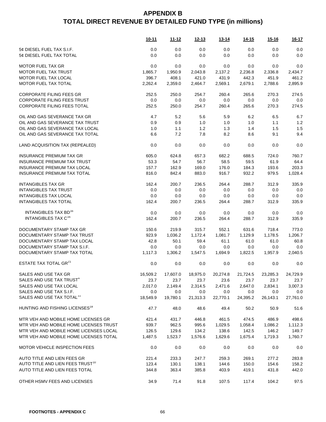|                                              | <u>10-11</u> | <u>11-12</u> | <u>12-13</u>       | <u>13-14</u> | <u>14-15</u> | <u>15-16</u> | $16 - 17$ |
|----------------------------------------------|--------------|--------------|--------------------|--------------|--------------|--------------|-----------|
| 5¢ DIESEL FUEL TAX S.I.F.                    | 0.0          | 0.0          | 0.0                | 0.0          | 0.0          | 0.0          | 0.0       |
| 5¢ DIESEL FUEL TAX TOTAL                     | 0.0          | 0.0          | 0.0                | 0.0          | 0.0          | 0.0          | 0.0       |
| <b>MOTOR FUEL TAX GR</b>                     | 0.0          | 0.0          | 0.0                | 0.0          | 0.0          | 0.0          | 0.0       |
| <b>MOTOR FUEL TAX TRUST</b>                  | 1,865.7      | 1,950.9      | 2,043.8            | 2,137.2      | 2,236.8      | 2,336.8      | 2,434.7   |
|                                              |              |              |                    |              |              |              |           |
| MOTOR FUEL TAX LOCAL                         | 396.7        | 408.1        | 421.0              | 431.9        | 442.3        | 451.9        | 461.2     |
| MOTOR FUEL TAX TOTAL                         | 2,262.4      | 2,359.0      | 2,464.7            | 2,569.1      | 2,679.1      | 2,788.6      | 2,895.9   |
| <b>CORPORATE FILING FEES GR</b>              | 252.5        | 250.0        | 254.7              | 260.4        | 265.6        | 270.3        | 274.5     |
| <b>CORPORATE FILING FEES TRUST</b>           | 0.0          | 0.0          | 0.0                | 0.0          | 0.0          | 0.0          | 0.0       |
| <b>CORPORATE FILING FEES TOTAL</b>           | 252.5        | 250.0        | 254.7              | 260.4        | 265.6        | 270.3        | 274.5     |
| OIL AND GAS SEVERANCE TAX GR                 | 4.7          | 5.2          | 5.6                | 5.9          | 6.2          | 6.5          | 6.7       |
| OIL AND GAS SEVERANCE TAX TRUST              | 0.9          | 0.9          | 1.0                | 1.0          | 1.0          | 1.1          | 1.2       |
| OIL AND GAS SEVERANCE TAX LOCAL              | 1.0          | 1.1          | 1.2                | 1.3          | 1.4          | 1.5          | 1.5       |
| OIL AND GAS SEVERANCE TAX TOTAL              | 6.6          | 7.2          | 7.8                | 8.2          | 8.6          | 9.1          | 9.4       |
|                                              |              |              |                    |              |              |              |           |
| LAND ACQUISITION TAX (REPEALED)              | 0.0          | 0.0          | 0.0                | 0.0          | 0.0          | 0.0          | 0.0       |
| <b>INSURANCE PREMIUM TAX GR</b>              | 605.0        | 624.8        | 657.3              | 682.2        | 688.5        | 724.0        | 760.7     |
| <b>INSURANCE PREMIUM TAX TRUST</b>           | 53.3         | 54.7         | 56.7               | 58.5         | 59.5         | 61.9         | 64.4      |
| INSURANCE PREMIUM TAX LOCAL                  | 157.7        | 162.9        | 169.0              | 176.0        | 184.3        | 193.6        | 203.3     |
|                                              |              |              |                    |              |              |              |           |
| <b>INSURANCE PREMIUM TAX TOTAL</b>           | 816.0        | 842.4        | 883.0              | 916.7        | 932.2        | 979.5        | 1,028.4   |
| <b>INTANGIBLES TAX GR</b>                    | 162.4        | 200.7        | 236.5              | 264.4        | 288.7        | 312.9        | 335.9     |
| <b>INTANGIBLES TAX TRUST</b>                 | 0.0          | 0.0          | 0.0                | 0.0          | 0.0          | 0.0          | 0.0       |
| <b>INTANGIBLES TAX LOCAL</b>                 | 0.0          | 0.0          | 0.0                | 0.0          | 0.0          | 0.0          | 0.0       |
| <b>INTANGIBLES TAX TOTAL</b>                 | 162.4        | 200.7        | 236.5              | 264.4        | 288.7        | 312.9        | 335.9     |
|                                              |              |              |                    |              |              |              |           |
| INTANGIBLES TAX BD <sup>16</sup>             | 0.0          | 0.0          | 0.0                | 0.0          | 0.0          | 0.0          | 0.0       |
| INTANGIBLES TAX C <sup>16</sup>              | 162.4        | 200.7        | 236.5              | 264.4        | 288.7        | 312.9        | 335.9     |
| DOCUMENTARY STAMP TAX GR                     | 150.6        | 219.9        | 315.7              | 552.1        | 631.6        | 718.4        | 773.0     |
| DOCUMENTARY STAMP TAX TRUST                  | 923.9        | 1,036.2      | 1,172.4            | 1,081.7      | 1,129.9      | 1,178.5      | 1,206.7   |
| DOCUMENTARY STAMP TAX LOCAL                  | 42.8         | 50.1         | 59.4               | 61.1         | 61.0         | 61.0         | 60.8      |
|                                              |              |              |                    |              |              |              |           |
| DOCUMENTARY STAMP TAX S.I.F.                 | 0.0          | 0.0          | 0.0                | 0.0          | 0.0          | 0.0          | 0.0       |
| DOCUMENTARY STAMP TAX TOTAL                  | 1,117.3      | 1,306.2      | 1,547.5            | 1,694.9      | 1,822.5      | 1,957.9      | 2,040.5   |
| ESTATE TAX TOTAL GR <sup>21</sup>            | 0.0          | 0.0          | 0.0                | 0.0          | 0.0          | 0.0          | 0.0       |
| SALES AND USE TAX GR                         | 16,509.2     |              | 17,607.0  18,975.0 | 20,274.8     | 21,724.5     | 23,285.3     | 24,729.9  |
| SALES AND USE TAX TRUST <sup>4</sup>         | 23.7         | 23.7         | 23.7               | 23.6         | 23.7         | 23.7         | 23.7      |
| SALES AND USE TAX LOCAL                      | 2,017.0      | 2,149.4      | 2,314.5            | 2,471.6      | 2,647.0      | 2,834.1      | 3,007.3   |
| SALES AND USE TAX S.I.F.                     | 0.0          | 0.0          | 0.0                | 0.0          | 0.0          | 0.0          | $0.0\,$   |
| SALES AND USE TAX TOTAL <sup>11</sup>        | 18,549.9     | 19,780.1     | 21,313.3           | 22,770.1     | 24,395.2     | 26,143.1     | 27,761.0  |
|                                              |              |              |                    |              |              |              |           |
| HUNTING AND FISHING LICENSES <sup>18</sup>   | 47.7         | 48.0         | 48.6               | 49.4         | 50.2         | 50.9         | 51.6      |
| MTR VEH AND MOBILE HOME LICENSES GR          | 421.4        | 431.7        | 446.8              | 461.5        | 474.5        | 486.9        | 498.6     |
| MTR VEH AND MOBILE HOME LICENSES TRUST       | 939.7        | 962.5        | 995.6              | 1,029.5      | 1,058.4      | 1,086.2      | 1,112.3   |
| MTR VEH AND MOBILE HOME LICENSES LOCAL       | 126.5        | 129.6        | 134.2              | 138.6        | 142.5        | 146.2        | 149.7     |
| MTR VEH AND MOBILE HOME LICENSES TOTAL       | 1,487.5      | 1,523.7      | 1,576.6            | 1,629.6      | 1,675.4      | 1,719.3      | 1,760.7   |
|                                              |              |              |                    |              |              |              |           |
| <b>MOTOR VEHICLE INSPECTION FEES</b>         | 0.0          | 0.0          | 0.0                | 0.0          | 0.0          | 0.0          | 0.0       |
| AUTO TITLE AND LIEN FEES GR                  | 221.4        | 233.3        | 247.7              | 259.3        | 269.1        | 277.2        | 283.8     |
| AUTO TITLE AND LIEN FEES TRUST <sup>10</sup> | 123.4        | 130.1        | 138.1              | 144.6        | 150.0        | 154.6        | 158.2     |
| AUTO TITLE AND LIEN FEES TOTAL               | 344.8        | 363.4        | 385.8              | 403.9        | 419.1        | 431.8        | 442.0     |
|                                              |              |              |                    |              |              |              |           |
| OTHER HSMV FEES AND LICENSES                 | 34.9         | 71.4         | 91.8               | 107.5        | 117.4        | 104.2        | 97.5      |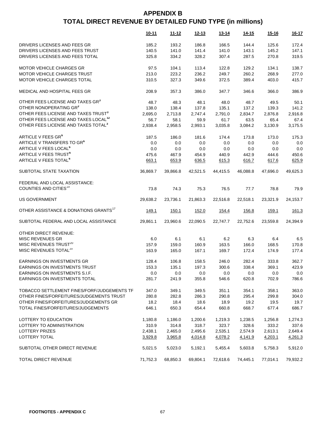|                                                   | 10-11    | $11 - 12$ | $12 - 13$ | <u>13-14</u> | <u>14-15</u> | <u>15-16</u> | $16 - 17$ |
|---------------------------------------------------|----------|-----------|-----------|--------------|--------------|--------------|-----------|
| DRIVERS LICENSES AND FEES GR                      | 185.2    | 193.2     | 186.8     | 166.5        | 144.4        | 125.6        | 172.4     |
| DRIVERS LICENSES AND FEES TRUST                   | 140.5    | 141.0     | 141.4     | 141.0        | 143.1        | 145.2        | 147.1     |
| DRIVERS LICENSES AND FEES TOTAL                   | 325.8    | 334.2     | 328.2     | 307.4        | 287.5        | 270.8        | 319.5     |
|                                                   |          |           |           |              |              |              |           |
| MOTOR VEHICLE CHARGES GR                          | 97.5     | 104.1     | 113.4     | 122.8        | 129.2        | 134.1        | 138.7     |
| MOTOR VEHICLE CHARGES TRUST                       | 213.0    | 223.2     | 236.2     | 249.7        | 260.2        | 268.9        | 277.0     |
| MOTOR VEHICLE CHARGES TOTAL                       | 310.5    | 327.3     | 349.6     | 372.5        | 389.4        | 403.0        | 415.7     |
| MEDICAL AND HOSPITAL FEES GR                      | 208.9    | 357.3     | 386.0     | 347.7        | 346.6        | 366.0        | 386.9     |
| OTHER FEES LICENSE AND TAXES GR <sup>3</sup>      | 48.7     | 48.3      | 48.1      | 48.0         | 48.7         | 49.5         | 50.1      |
| OTHER NONOPERATING GR3                            | 138.0    | 138.4     | 137.8     | 135.1        | 137.2        | 139.3        | 141.2     |
| OTHER FEES LICENSE AND TAXES TRUST <sup>3</sup>   | 2,695.0  | 2,713.8   | 2,747.4   | 2,791.0      | 2,834.7      | 2,876.8      | 2,916.8   |
| OTHER FEES LICENSE AND TAXES LOCAL <sup>12</sup>  | 56.7     | 58.1      | 59.9      | 61.7         | 63.5         | 65.4         | 67.4      |
| OTHER FEES LICENSE AND TAXES TOTAL <sup>3</sup>   | 2,938.4  | 2,958.5   | 2,993.1   | 3,035.8      | 3,084.2      | 3,130.9      | 3,175.5   |
| ARTICLE V FEES GR <sup>6</sup>                    | 187.5    |           |           |              |              | 173.0        | 175.3     |
| ARTICLE V TRANSFERS TO GR <sup>6</sup>            |          | 186.0     | 181.6     | 174.4        | 173.8        |              |           |
| ARTICLE V FEES LOCAL <sup>6</sup>                 | 0.0      | 0.0       | 0.0       | 0.0          | $0.0\,$      | 0.0          | 0.0       |
| <b>ARTICLE V FEES TRUST<sup>6</sup></b>           | 0.0      | 0.0       | 0.0       | 0.0          | 0.0          | 0.0          | 0.0       |
|                                                   | 475.6    | 467.9     | 454.9     | 440.9        | 442.9        | 444.6        | 450.6     |
| ARTICLE V FEES TOTAL <sup>6</sup>                 | 663.1    | 653.9     | 636.5     | 615.3        | 616.7        | 617.6        | 625.9     |
| SUBTOTAL STATE TAXATION                           | 36,869.7 | 39,866.8  | 42,521.5  | 44,415.5     | 46,088.8     | 47,696.0     | 49,625.3  |
| FEDERAL AND LOCAL ASSISTANCE:                     |          |           |           |              |              |              |           |
| COUNTIES AND CITIES <sup>19</sup>                 | 73.8     | 74.3      | 75.3      | 76.5         | 77.7         | 78.8         | 79.9      |
| <b>US GOVERNMENT</b>                              | 29,638.2 | 23,736.1  | 21,863.3  | 22,516.8     | 22,518.1     | 23,321.9     | 24,153.7  |
| OTHER ASSISTANCE & DONATIONS GRANTS <sup>17</sup> | 149.1    | 150.1     | 152.0     | 154.4        | 156.8        | 159.1        | 161.3     |
| SUBTOTAL FEDERAL AND LOCAL ASSISTANCE             | 29,861.1 | 23,960.6  | 22,090.5  | 22,747.7     | 22,752.6     | 23,559.8     | 24,394.9  |
| OTHER DIRECT REVENUE:                             |          |           |           |              |              |              |           |
| MISC REVENUES GR                                  | 6.0      | 6.1       | 6.1       | 6.2          | 6.3          | 6.4          | 6.5       |
| MISC REVENUES TRUST <sup>20</sup>                 | 157.9    | 159.0     | 160.9     | 163.5        | 166.0        | 168.5        | 170.8     |
| MISC REVENUES TOTAL <sup>20</sup>                 | 163.9    | 165.0     | 167.1     | 169.7        | 172.4        | 174.9        | 177.4     |
|                                                   |          |           |           |              |              |              |           |
| EARNINGS ON INVESTMENTS GR                        | 128.4    | 106.8     | 158.5     | 246.0        | 282.4        | 333.8        | 362.7     |
| EARNINGS ON INVESTMENTS TRUST                     | 153.3    | 135.1     | 197.3     | 300.6        | 338.4        | 369.1        | 423.9     |
| EARNINGS ON INVESTMENTS S.I.F.                    | 0.0      | 0.0       | 0.0       | 0.0          | 0.0          | 0.0          | $0.0\,$   |
| EARNINGS ON INVESTMENTS TOTAL                     | 281.7    | 241.9     | 355.8     | 546.6        | 620.8        | 702.9        | 786.6     |
| TOBACCO SETTLEMENT FINES/FORF/JUDGEMENTS TF       | 347.0    | 349.1     | 349.5     | 351.1        | 354.1        | 358.1        | 363.0     |
| OTHER FINES/FORFEITURES/JUDGEMENTS TRUST          | 280.8    | 282.8     | 286.3     | 290.8        | 295.4        | 299.8        | 304.0     |
| OTHER FINES/FORFEITURES/JUDGEMENTS GR             | 18.2     | 18.4      | 18.6      | 18.9         | 19.2         | 19.5         | 19.7      |
| TOTAL FINES/FORFEITURES/JUDGEMENTS                | 646.1    | 650.3     | 654.4     | 660.8        | 668.7        | 677.4        | 686.7     |
|                                                   |          |           |           |              |              |              |           |
| LOTTERY TO EDUCATION                              | 1,180.8  | 1,186.0   | 1,200.6   | 1,219.3      | 1,238.5      | 1,256.8      | 1,274.3   |
| LOTTERY TO ADMINISTRATION                         | 310.9    | 314.8     | 318.7     | 323.7        | 328.6        | 333.2        | 337.6     |
| <b>LOTTERY PRIZES</b>                             | 2,438.1  | 2,465.0   | 2,495.6   | 2,535.1      | 2,574.9      | 2,613.1      | 2,649.4   |
| LOTTERY TOTAL                                     | 3,929.8  | 3,965.8   | 4,014.8   | 4,078.2      | 4,141.9      | 4,203.1      | 4,261.3   |
| SUBTOTAL OTHER DIRECT REVENUE                     | 5,021.5  | 5,023.0   | 5,192.1   | 5,455.4      | 5,603.8      | 5,758.3      | 5,912.0   |
| <b>TOTAL DIRECT REVENUE</b>                       | 71,752.3 | 68,850.3  | 69,804.1  | 72,618.6     | 74,445.1     | 77,014.1     | 79,932.2  |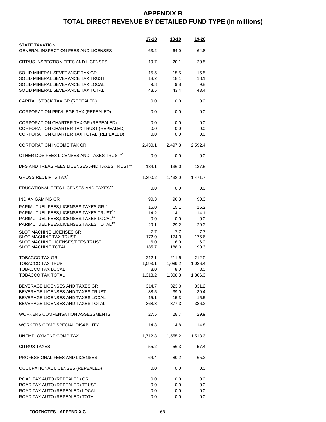|                                                                                                                                                                                                                           | $17 - 18$                          | <u>18-19</u>                       | 19-20                              |
|---------------------------------------------------------------------------------------------------------------------------------------------------------------------------------------------------------------------------|------------------------------------|------------------------------------|------------------------------------|
| <b>STATE TAXATION:</b><br><b>GENERAL INSPECTION FEES AND LICENSES</b>                                                                                                                                                     | 63.2                               | 64.0                               | 64.8                               |
| CITRUS INSPECTION FEES AND LICENSES                                                                                                                                                                                       | 19.7                               | 20.1                               | 20.5                               |
| SOLID MINERAL SEVERANCE TAX GR<br>SOLID MINERAL SEVERANCE TAX TRUST<br>SOLID MINERAL SEVERANCE TAX LOCAL<br>SOLID MINERAL SEVERANCE TAX TOTAL                                                                             | 15.5<br>18.2<br>9.8<br>43.5        | 15.5<br>18.1<br>9.8<br>43.4        | 15.5<br>18.1<br>9.8<br>43.4        |
| CAPITAL STOCK TAX GR (REPEALED)                                                                                                                                                                                           | 0.0                                | 0.0                                | 0.0                                |
| CORPORATION PRIVILEGE TAX (REPEALED)                                                                                                                                                                                      | 0.0                                | 0.0                                | 0.0                                |
| CORPORATION CHARTER TAX GR (REPEALED)<br>CORPORATION CHARTER TAX TRUST (REPEALED)<br>CORPORATION CHARTER TAX TOTAL (REPEALED)                                                                                             | 0.0<br>0.0<br>0.0                  | 0.0<br>0.0<br>0.0                  | 0.0<br>0.0<br>0.0                  |
| <b>CORPORATION INCOME TAX GR</b>                                                                                                                                                                                          | 2,430.1                            | 2,497.3                            | 2,592.4                            |
| OTHER DOS FEES LICENSES AND TAXES TRUST <sup>14</sup>                                                                                                                                                                     | 0.0                                | 0.0                                | 0.0                                |
| DFS AND TREAS FEES LICENSES AND TAXES TRUST <sup>13</sup>                                                                                                                                                                 | 134.1                              | 136.0                              | 137.5                              |
| <b>GROSS RECEIPTS TAX<sup>11</sup></b>                                                                                                                                                                                    | 1,390.2                            | 1,432.0                            | 1,471.7                            |
| EDUCATIONAL FEES LICENSES AND TAXES <sup>15</sup>                                                                                                                                                                         | 0.0                                | 0.0                                | 0.0                                |
| <b>INDIAN GAMING GR</b>                                                                                                                                                                                                   | 90.3                               | 90.3                               | 90.3                               |
| PARIMUTUEL FEES, LICENSES, TAXES GR <sup>19</sup><br>PARIMUTUEL FEES, LICENSES, TAXES TRUST <sup>19</sup><br>PARIMUTUEL FEES, LICENSES, TAXES LOCAL <sup>19</sup><br>PARIMUTUEL FEES, LICENSES, TAXES TOTAL <sup>19</sup> | 15.0<br>14.2<br>0.0<br>29.1        | 15.1<br>14.1<br>0.0<br>29.2        | 15.2<br>14.1<br>0.0<br>29.3        |
| SLOT MACHINE LICENSES GR<br><b>SLOT MACHINE TAX TRUST</b><br>SLOT MACHINE LICENSES/FEES TRUST<br><b>SLOT MACHINE TOTAL</b>                                                                                                | 7.7<br>172.0<br>6.0<br>185.7       | 7.7<br>174.3<br>6.0<br>188.0       | 7.7<br>176.6<br>6.0<br>190.3       |
| TOBACCO TAX GR<br><b>TOBACCO TAX TRUST</b><br><b>TOBACCO TAX LOCAL</b><br><b>TOBACCO TAX TOTAL</b>                                                                                                                        | 212.1<br>1,093.1<br>8.0<br>1,313.2 | 211.6<br>1,089.2<br>8.0<br>1,308.8 | 212.0<br>1,086.4<br>8.0<br>1,306.3 |
| BEVERAGE LICENSES AND TAXES GR<br>BEVERAGE LICENSES AND TAXES TRUST<br>BEVERAGE LICENSES AND TAXES LOCAL<br>BEVERAGE LICENSES AND TAXES TOTAL                                                                             | 314.7<br>38.5<br>15.1<br>368.3     | 323.0<br>39.0<br>15.3<br>377.3     | 331.2<br>39.4<br>15.5<br>386.2     |
| <b>WORKERS COMPENSATION ASSESSMENTS</b>                                                                                                                                                                                   | 27.5                               | 28.7                               | 29.9                               |
| <b>WORKERS COMP SPECIAL DISABILITY</b>                                                                                                                                                                                    | 14.8                               | 14.8                               | 14.8                               |
| UNEMPLOYMENT COMP TAX                                                                                                                                                                                                     | 1,712.3                            | 1,555.2                            | 1,513.3                            |
| <b>CITRUS TAXES</b>                                                                                                                                                                                                       | 55.2                               | 56.3                               | 57.4                               |
| PROFESSIONAL FEES AND LICENSES                                                                                                                                                                                            | 64.4                               | 80.2                               | 65.2                               |
| OCCUPATIONAL LICENSES (REPEALED)                                                                                                                                                                                          | 0.0                                | 0.0                                | 0.0                                |
| ROAD TAX AUTO (REPEALED) GR<br>ROAD TAX AUTO (REPEALED) TRUST<br>ROAD TAX AUTO (REPEALED) LOCAL<br>ROAD TAX AUTO (REPEALED) TOTAL                                                                                         | 0.0<br>$0.0\,$<br>$0.0\,$<br>0.0   | 0.0<br>0.0<br>0.0<br>0.0           | 0.0<br>0.0<br>0.0<br>0.0           |

**FOOTNOTES - APPENDIX C** 68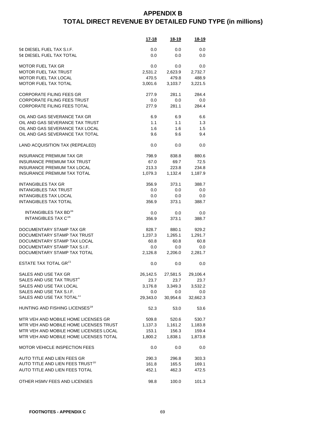|                                              | <u>17-18</u> | <u>18-19</u> | <u>18-19</u> |
|----------------------------------------------|--------------|--------------|--------------|
| 5¢ DIESEL FUEL TAX S.I.F.                    | 0.0          | 0.0          | 0.0          |
| 5¢ DIESEL FUEL TAX TOTAL                     | 0.0          | 0.0          | 0.0          |
| <b>MOTOR FUEL TAX GR</b>                     | 0.0          | 0.0          | 0.0          |
| <b>MOTOR FUEL TAX TRUST</b>                  | 2,531.2      | 2,623.9      | 2,732.7      |
| MOTOR FUEL TAX LOCAL                         | 470.5        | 479.8        | 488.9        |
| MOTOR FUEL TAX TOTAL                         | 3,001.6      | 3,103.7      | 3,221.5      |
| <b>CORPORATE FILING FEES GR</b>              | 277.9        | 281.1        | 284.4        |
| <b>CORPORATE FILING FEES TRUST</b>           | 0.0          | 0.0          | 0.0          |
| <b>CORPORATE FILING FEES TOTAL</b>           | 277.9        | 281.1        | 284.4        |
| OIL AND GAS SEVERANCE TAX GR                 | 6.9          | 6.9          | 6.6          |
| OIL AND GAS SEVERANCE TAX TRUST              | 1.1          | 1.1          | 1.3          |
| OIL AND GAS SEVERANCE TAX LOCAL              | 1.6          | 1.6          | 1.5          |
| OIL AND GAS SEVERANCE TAX TOTAL              | 9.6          | 9.6          | 9.4          |
| LAND ACQUISITION TAX (REPEALED)              | 0.0          | 0.0          | 0.0          |
| <b>INSURANCE PREMIUM TAX GR</b>              | 798.9        | 838.8        | 880.6        |
| <b>INSURANCE PREMIUM TAX TRUST</b>           | 67.0         | 69.7         | 72.5         |
| <b>INSURANCE PREMIUM TAX LOCAL</b>           | 213.3        | 223.8        | 234.8        |
| <b>INSURANCE PREMIUM TAX TOTAL</b>           | 1,079.3      | 1,132.4      | 1,187.9      |
| <b>INTANGIBLES TAX GR</b>                    | 356.9        | 373.1        | 388.7        |
| <b>INTANGIBLES TAX TRUST</b>                 | 0.0          | 0.0          | 0.0          |
| <b>INTANGIBLES TAX LOCAL</b>                 | 0.0          | 0.0          | 0.0          |
| <b>INTANGIBLES TAX TOTAL</b>                 | 356.9        | 373.1        | 388.7        |
| <b>INTANGIBLES TAX BD</b> <sup>16</sup>      | 0.0          | 0.0          | 0.0          |
| INTANGIBLES TAX C <sup>16</sup>              | 356.9        | 373.1        | 388.7        |
| DOCUMENTARY STAMP TAX GR                     | 828.7        | 880.1        | 929.2        |
| DOCUMENTARY STAMP TAX TRUST                  | 1,237.3      | 1,265.1      | 1,291.7      |
| DOCUMENTARY STAMP TAX LOCAL                  | 60.8         | 60.8         | 60.8         |
| DOCUMENTARY STAMP TAX S.I.F.                 | 0.0          | 0.0          | 0.0          |
| DOCUMENTARY STAMP TAX TOTAL                  | 2,126.8      | 2,206.0      | 2,281.7      |
| <b>ESTATE TAX TOTAL GR<sup>21</sup></b>      | 0.0          | 0.0          | 0.0          |
| SALES AND USE TAX GR                         | 26,142.5     | 27,581.5     | 29,106.4     |
| SALES AND USE TAX TRUST <sup>4</sup>         | 23.7         | 23.7         | 23.7         |
| SALES AND USE TAX LOCAL                      | 3,176.8      | 3,349.3      | 3,532.2      |
| SALES AND USE TAX S.I.F.                     | 0.0          | $0.0\,$      | 0.0          |
| SALES AND USE TAX TOTAL <sup>11</sup>        | 29,343.0     | 30,954.6     | 32,662.3     |
| HUNTING AND FISHING LICENSES <sup>18</sup>   | 52.3         | 53.0         | 53.6         |
| MTR VEH AND MOBILE HOME LICENSES GR          | 509.8        | 520.6        | 530.7        |
| MTR VEH AND MOBILE HOME LICENSES TRUST       | 1,137.3      | 1,161.2      | 1,183.8      |
| MTR VEH AND MOBILE HOME LICENSES LOCAL       | 153.1        | 156.3        | 159.4        |
| MTR VEH AND MOBILE HOME LICENSES TOTAL       | 1,800.2      | 1,838.1      | 1,873.8      |
| <b>MOTOR VEHICLE INSPECTION FEES</b>         | 0.0          | 0.0          | 0.0          |
| AUTO TITLE AND LIEN FEES GR                  | 290.3        | 296.8        | 303.3        |
| AUTO TITLE AND LIEN FEES TRUST <sup>10</sup> | 161.8        | 165.5        | 169.1        |
| AUTO TITLE AND LIEN FEES TOTAL               | 452.1        | 462.3        | 472.5        |
| OTHER HSMV FEES AND LICENSES                 | 98.8         | 100.0        | 101.3        |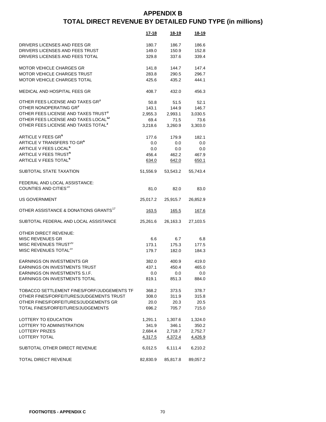|                                                   | 17-18         | 18-19         | 18-19        |
|---------------------------------------------------|---------------|---------------|--------------|
|                                                   |               |               |              |
| DRIVERS LICENSES AND FEES GR                      | 180.7         | 186.7         | 186.6        |
| DRIVERS LICENSES AND FEES TRUST                   | 149.0         | 150.9         | 152.8        |
| DRIVERS LICENSES AND FEES TOTAL                   | 329.8         | 337.6         | 339.4        |
| <b>MOTOR VEHICLE CHARGES GR</b>                   | 141.8         | 144.7         | 147.4        |
| <b>MOTOR VEHICLE CHARGES TRUST</b>                | 283.8         | 290.5         | 296.7        |
| <b>MOTOR VEHICLE CHARGES TOTAL</b>                | 425.6         | 435.2         | 444.1        |
|                                                   |               |               |              |
| MEDICAL AND HOSPITAL FEES GR                      | 408.7         | 432.0         | 456.3        |
| OTHER FEES LICENSE AND TAXES GR <sup>3</sup>      | 50.8          | 51.5          | 52.1         |
| OTHER NONOPERATING GR <sup>3</sup>                | 143.1         | 144.9         | 146.7        |
| OTHER FEES LICENSE AND TAXES TRUST <sup>3</sup>   | 2,955.3       | 2,993.1       | 3,030.5      |
| OTHER FEES LICENSE AND TAXES LOCAL <sup>12</sup>  | 69.4          | 71.5          | 73.6         |
| OTHER FEES LICENSE AND TAXES TOTAL <sup>3</sup>   | 3,218.6       | 3,260.9       | 3,303.0      |
| ARTICLE V FEES GR <sup>6</sup>                    | 177.6         | 179.9         | 182.1        |
| ARTICLE V TRANSFERS TO GR <sup>6</sup>            | 0.0           | 0.0           | 0.0          |
| <b>ARTICLE V FEES LOCAL<sup>6</sup></b>           | 0.0           | 0.0           | 0.0          |
| ARTICLE V FEES TRUST <sup>6</sup>                 | 456.4         | 462.2         | 467.9        |
| ARTICLE V FEES TOTAL <sup>6</sup>                 |               |               | 650.1        |
|                                                   | 634.0         | 642.0         |              |
| SUBTOTAL STATE TAXATION                           | 51,556.9      | 53,543.2      | 55,743.4     |
| FEDERAL AND LOCAL ASSISTANCE:                     |               |               |              |
| COUNTIES AND CITIES <sup>19</sup>                 | 81.0          | 82.0          | 83.0         |
|                                                   |               |               |              |
| <b>US GOVERNMENT</b>                              | 25,017.2      | 25,915.7      | 26,852.9     |
| OTHER ASSISTANCE & DONATIONS GRANTS <sup>17</sup> | <u> 163.5</u> | <u> 165.5</u> | <u>167.6</u> |
| SUBTOTAL FEDERAL AND LOCAL ASSISTANCE             | 25,261.6      | 26,163.3      | 27,103.5     |
|                                                   |               |               |              |
| OTHER DIRECT REVENUE:                             |               |               |              |
| <b>MISC REVENUES GR</b>                           | 6.6           | 6.7           | 6.8          |
| MISC REVENUES TRUST <sup>20</sup>                 | 173.1         | 175.3         | 177.5        |
| MISC REVENUES TOTAL <sup>20</sup>                 | 179.7         | 182.0         | 184.3        |
| <b>EARNINGS ON INVESTMENTS GR</b>                 | 382.0         | 400.9         | 419.0        |
| <b>EARNINGS ON INVESTMENTS TRUST</b>              | 437.1         | 450.4         | 465.0        |
| EARNINGS ON INVESTMENTS S.I.F.                    | 0.0           | 0.0           | 0.0          |
| EARNINGS ON INVESTMENTS TOTAL                     | 819.1         | 851.3         | 884.0        |
|                                                   |               |               |              |
| TOBACCO SETTLEMENT FINES/FORF/JUDGEMENTS TF       | 368.2         | 373.5         | 378.7        |
| OTHER FINES/FORFEITURES/JUDGEMENTS TRUST          | 308.0         | 311.9         | 315.8        |
| OTHER FINES/FORFEITURES/JUDGEMENTS GR             | 20.0          | 20.3          | 20.5         |
| TOTAL FINES/FORFEITURES/JUDGEMENTS                | 696.2         | 705.7         | 715.0        |
| LOTTERY TO EDUCATION                              | 1,291.1       | 1,307.6       | 1,324.0      |
| LOTTERY TO ADMINISTRATION                         | 341.9         | 346.1         | 350.2        |
| <b>LOTTERY PRIZES</b>                             | 2,684.4       | 2,718.7       | 2,752.7      |
| <b>LOTTERY TOTAL</b>                              |               |               | 4,426.9      |
|                                                   | 4,317.5       | 4,372.4       |              |
| SUBTOTAL OTHER DIRECT REVENUE                     | 6,012.5       | 6,111.4       | 6,210.2      |
| TOTAL DIRECT REVENUE                              | 82,830.9      | 85,817.8      | 89,057.2     |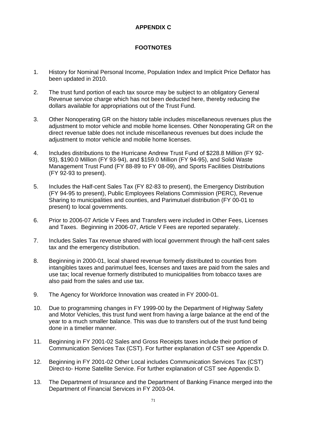### **APPENDIX C**

## **FOOTNOTES**

- 1. History for Nominal Personal Income, Population Index and Implicit Price Deflator has been updated in 2010.
- 2. The trust fund portion of each tax source may be subject to an obligatory General Revenue service charge which has not been deducted here, thereby reducing the dollars available for appropriations out of the Trust Fund.
- 3. Other Nonoperating GR on the history table includes miscellaneous revenues plus the adjustment to motor vehicle and mobile home licenses. Other Nonoperating GR on the direct revenue table does not include miscellaneous revenues but does include the adjustment to motor vehicle and mobile home licenses.
- 4. Includes distributions to the Hurricane Andrew Trust Fund of \$228.8 Million (FY 92- 93), \$190.0 Million (FY 93-94), and \$159.0 Million (FY 94-95), and Solid Waste Management Trust Fund (FY 88-89 to FY 08-09), and Sports Facilities Distributions (FY 92-93 to present).
- 5. Includes the Half-cent Sales Tax (FY 82-83 to present), the Emergency Distribution (FY 94-95 to present), Public Employees Relations Commission (PERC), Revenue Sharing to municipalities and counties, and Parimutuel distribution (FY 00-01 to present) to local governments.
- 6. Prior to 2006-07 Article V Fees and Transfers were included in Other Fees, Licenses and Taxes. Beginning in 2006-07, Article V Fees are reported separately.
- 7. Includes Sales Tax revenue shared with local government through the half-cent sales tax and the emergency distribution.
- 8. Beginning in 2000-01, local shared revenue formerly distributed to counties from intangibles taxes and parimutuel fees, licenses and taxes are paid from the sales and use tax; local revenue formerly distributed to municipalities from tobacco taxes are also paid from the sales and use tax.
- 9. The Agency for Workforce Innovation was created in FY 2000-01.
- 10. Due to programming changes in FY 1999-00 by the Department of Highway Safety and Motor Vehicles, this trust fund went from having a large balance at the end of the year to a much smaller balance. This was due to transfers out of the trust fund being done in a timelier manner.
- 11. Beginning in FY 2001-02 Sales and Gross Receipts taxes include their portion of Communication Services Tax (CST). For further explanation of CST see Appendix D.
- 12. Beginning in FY 2001-02 Other Local includes Communication Services Tax (CST) Direct-to- Home Satellite Service. For further explanation of CST see Appendix D.
- 13. The Department of Insurance and the Department of Banking Finance merged into the Department of Financial Services in FY 2003-04.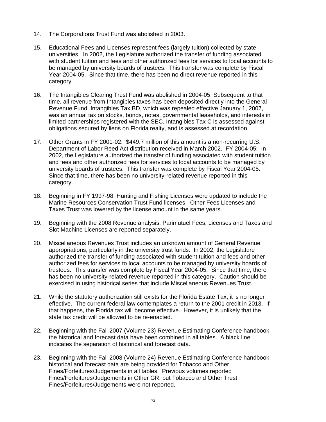- 14. The Corporations Trust Fund was abolished in 2003.
- 15. Educational Fees and Licenses represent fees (largely tuition) collected by state universities. In 2002, the Legislature authorized the transfer of funding associated with student tuition and fees and other authorized fees for services to local accounts to be managed by university boards of trustees. This transfer was complete by Fiscal Year 2004-05. Since that time, there has been no direct revenue reported in this category.
- 16. The Intangibles Clearing Trust Fund was abolished in 2004-05. Subsequent to that time, all revenue from Intangibles taxes has been deposited directly into the General Revenue Fund. Intangibles Tax BD, which was repealed effective January 1, 2007, was an annual tax on stocks, bonds, notes, governmental leaseholds, and interests in limited partnerships registered with the SEC. Intangibles Tax C is assessed against obligations secured by liens on Florida realty, and is assessed at recordation.
- 17. Other Grants in FY 2001-02: \$449.7 million of this amount is a non-recurring U.S. Department of Labor Reed Act distribution received in March 2002. FY 2004-05: In 2002, the Legislature authorized the transfer of funding associated with student tuition and fees and other authorized fees for services to local accounts to be managed by university boards of trustees. This transfer was complete by Fiscal Year 2004-05. Since that time, there has been no university-related revenue reported in this category.
- 18. Beginning in FY 1997-98, Hunting and Fishing Licenses were updated to include the Marine Resources Conservation Trust Fund licenses. Other Fees Licenses and Taxes Trust was lowered by the license amount in the same years.
- 19. Beginning with the 2008 Revenue analysis, Parimutuel Fees, Licenses and Taxes and Slot Machine Licenses are reported separately.
- 20. Miscellaneous Revenues Trust includes an unknown amount of General Revenue appropriations, particularly in the university trust funds. In 2002, the Legislature authorized the transfer of funding associated with student tuition and fees and other authorized fees for services to local accounts to be managed by university boards of trustees. This transfer was complete by Fiscal Year 2004-05. Since that time, there has been no university-related revenue reported in this category. Caution should be exercised in using historical series that include Miscellaneous Revenues Trust.
- 21. While the statutory authorization still exists for the Florida Estate Tax, it is no longer effective. The current federal law contemplates a return to the 2001 credit in 2013. If that happens, the Florida tax will become effective. However, it is unlikely that the state tax credit will be allowed to be re-enacted.
- 22. Beginning with the Fall 2007 (Volume 23) Revenue Estimating Conference handbook, the historical and forecast data have been combined in all tables. A black line indicates the separation of historical and forecast data.
- 23. Beginning with the Fall 2008 (Volume 24) Revenue Estimating Conference handbook, historical and forecast data are being provided for Tobacco and Other Fines/Forfeitures/Judgements in all tables. Previous volumes reported Fines/Forfeitures/Judgements in Other GR, but Tobacco and Other Trust Fines/Forfeitures/Judgements were not reported.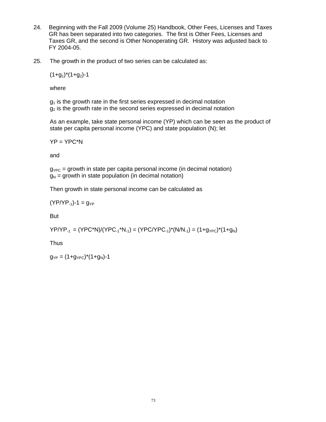- 24. Beginning with the Fall 2009 (Volume 25) Handbook, Other Fees, Licenses and Taxes GR has been separated into two categories. The first is Other Fees, Licenses and Taxes GR, and the second is Other Nonoperating GR. History was adjusted back to FY 2004-05.
- 25. The growth in the product of two series can be calculated as:

 $(1+g_1)^*(1+g_2)$ -1

where

 $g_1$  is the growth rate in the first series expressed in decimal notation  $g<sub>2</sub>$  is the growth rate in the second series expressed in decimal notation

 As an example, take state personal income (YP) which can be seen as the product of state per capita personal income (YPC) and state population (N); let

 $YP = YPC^*N$ 

and

 $g_{YPC}$  = growth in state per capita personal income (in decimal notation)  $g_N$  = growth in state population (in decimal notation)

Then growth in state personal income can be calculated as

 $(YP/YP_{-1})-1 = q_{YP}$ 

But

 $YP/YP_{-1} = (YPC*N)/(YPC_{-1}*N_{-1}) = (YPC/YPC_{-1})*(N/N_{-1}) = (1+g_{YPC})*(1+g_N)$ 

**Thus** 

 $g_{YP} = (1+g_{YPC})^*(1+g_N)$ -1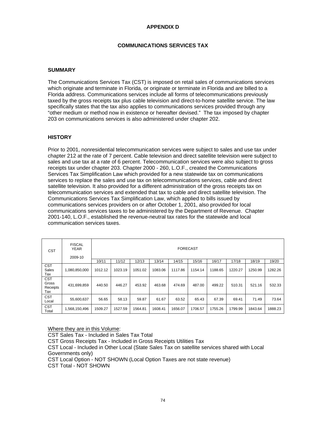### **APPENDIX D**

### **COMMUNICATIONS SERVICES TAX**

#### **SUMMARY**

The Communications Services Tax (CST) is imposed on retail sales of communications services which originate and terminate in Florida, or originate or terminate in Florida and are billed to a Florida address. Communications services include all forms of telecommunications previously taxed by the gross receipts tax plus cable television and direct-to-home satellite service. The law specifically states that the tax also applies to communications services provided through any "other medium or method now in existence or hereafter devised." The tax imposed by chapter 203 on communications services is also administered under chapter 202.

#### **HISTORY**

Prior to 2001, nonresidential telecommunication services were subject to sales and use tax under chapter 212 at the rate of 7 percent. Cable television and direct satellite television were subject to sales and use tax at a rate of 6 percent. Telecommunication services were also subject to gross receipts tax under chapter 203. Chapter 2000 - 260, L.O.F., created the Communications Services Tax Simplification Law which provided for a new statewide tax on communications services to replace the sales and use tax on telecommunications services, cable and direct satellite television. It also provided for a different administration of the gross receipts tax on telecommunication services and extended that tax to cable and direct satellite television. The Communications Services Tax Simplification Law, which applied to bills issued by communications services providers on or after October 1, 2001, also provided for local communications services taxes to be administered by the Department of Revenue. Chapter 2001-140, L.O.F., established the revenue-neutral tax rates for the statewide and local communication services taxes.

| <b>CST</b>                             | <b>FISCAL</b><br><b>YEAR</b><br>2009-10 | <b>FORECAST</b> |         |         |         |         |         |         |         |         |         |
|----------------------------------------|-----------------------------------------|-----------------|---------|---------|---------|---------|---------|---------|---------|---------|---------|
|                                        |                                         | 10/11           | 11/12   | 12/13   | 13/14   | 14/15   | 15/16   | 16/17   | 17/18   | 18/19   | 19/20   |
| <b>CST</b><br><b>Sales</b><br>Tax      | 1,080,850,000                           | 1012.12         | 1023.19 | 1051.02 | 1083.06 | 1117.86 | 1154.14 | 1188.65 | 1220.27 | 1250.99 | 1282.26 |
| <b>CST</b><br>Gross<br>Receipts<br>Tax | 431,699,859                             | 440.50          | 446.27  | 453.92  | 463.68  | 474.69  | 487.00  | 499.22  | 510.31  | 521.16  | 532.33  |
| <b>CST</b><br>Local                    | 55,600,637                              | 56.65           | 58.13   | 59.87   | 61.67   | 63.52   | 65.43   | 67.39   | 69.41   | 71.49   | 73.64   |
| <b>CST</b><br>Total                    | 1,568,150,496                           | 1509.27         | 1527.59 | 1564.81 | 1608.41 | 1656.07 | 1706.57 | 1755.26 | 1799.99 | 1843.64 | 1888.23 |

Where they are in this Volume:

CST Sales Tax - Included in Sales Tax Total

CST Gross Receipts Tax - Included in Gross Receipts Utilities Tax

CST Local - Included in Other Local (State Sales Tax on satellite services shared with Local Governments only)

CST Local Option - NOT SHOWN (Local Option Taxes are not state revenue)

CST Total - NOT SHOWN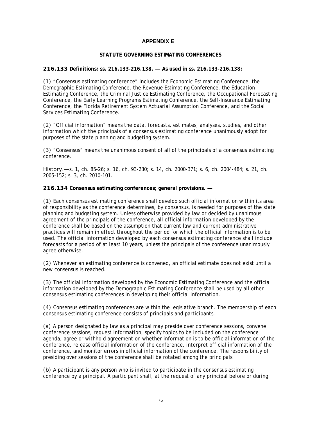### **APPENDIX E**

#### **STATUTE GOVERNING ESTIMATING CONFERENCES**

### **216.133 Definitions; ss. 216.133-216.138. — As used in ss. 216.133-216.138:**

(1) "Consensus estimating conference" includes the Economic Estimating Conference, the Demographic Estimating Conference, the Revenue Estimating Conference, the Education Estimating Conference, the Criminal Justice Estimating Conference, the Occupational Forecasting Conference, the Early Learning Programs Estimating Conference, the Self-Insurance Estimating Conference, the Florida Retirement System Actuarial Assumption Conference, and the Social Services Estimating Conference.

(2) "Official information" means the data, forecasts, estimates, analyses, studies, and other information which the principals of a consensus estimating conference unanimously adopt for purposes of the state planning and budgeting system.

(3) "Consensus" means the unanimous consent of all of the principals of a consensus estimating conference.

History.—s. 1, ch. 85-26; s. 16, ch. 93-230; s. 14, ch. 2000-371; s. 6, ch. 2004-484; s. 21, ch. 2005-152; s. 3, ch. 2010-101.

**216.134 Consensus estimating conferences; general provisions. —** 

(1) Each consensus estimating conference shall develop such official information within its area of responsibility as the conference determines, by consensus, is needed for purposes of the state planning and budgeting system. Unless otherwise provided by law or decided by unanimous agreement of the principals of the conference, all official information developed by the conference shall be based on the assumption that current law and current administrative practices will remain in effect throughout the period for which the official information is to be used. The official information developed by each consensus estimating conference shall include forecasts for a period of at least 10 years, unless the principals of the conference unanimously agree otherwise.

(2) Whenever an estimating conference is convened, an official estimate does not exist until a new consensus is reached.

(3) The official information developed by the Economic Estimating Conference and the official information developed by the Demographic Estimating Conference shall be used by all other consensus estimating conferences in developing their official information.

(4) Consensus estimating conferences are within the legislative branch. The membership of each consensus estimating conference consists of principals and participants.

(a) A person designated by law as a principal may preside over conference sessions, convene conference sessions, request information, specify topics to be included on the conference agenda, agree or withhold agreement on whether information is to be official information of the conference, release official information of the conference, interpret official information of the conference, and monitor errors in official information of the conference. The responsibility of presiding over sessions of the conference shall be rotated among the principals.

(b) A participant is any person who is invited to participate in the consensus estimating conference by a principal. A participant shall, at the request of any principal before or during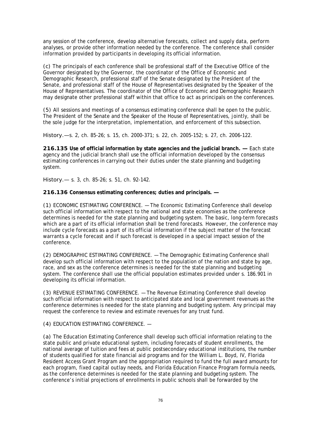any session of the conference, develop alternative forecasts, collect and supply data, perform analyses, or provide other information needed by the conference. The conference shall consider information provided by participants in developing its official information.

(c) The principals of each conference shall be professional staff of the Executive Office of the Governor designated by the Governor, the coordinator of the Office of Economic and Demographic Research, professional staff of the Senate designated by the President of the Senate, and professional staff of the House of Representatives designated by the Speaker of the House of Representatives. The coordinator of the Office of Economic and Demographic Research may designate other professional staff within that office to act as principals on the conferences.

(5) All sessions and meetings of a consensus estimating conference shall be open to the public. The President of the Senate and the Speaker of the House of Representatives, jointly, shall be the sole judge for the interpretation, implementation, and enforcement of this subsection.

History.—s. 2, ch. 85-26; s. 15, ch. 2000-371; s. 22, ch. 2005-152; s. 27, ch. 2006-122.

**216.135 Use of official information by state agencies and the judicial branch. —** Each state agency and the judicial branch shall use the official information developed by the consensus estimating conferences in carrying out their duties under the state planning and budgeting system.

History.— s. 3, ch. 85-26; s. 51, ch. 92-142.

**216.136 Consensus estimating conferences; duties and principals. —** 

(1) ECONOMIC ESTIMATING CONFERENCE. — The Economic Estimating Conference shall develop such official information with respect to the national and state economies as the conference determines is needed for the state planning and budgeting system. The basic, long-term forecasts which are a part of its official information shall be trend forecasts. However, the conference may include cycle forecasts as a part of its official information if the subject matter of the forecast warrants a cycle forecast and if such forecast is developed in a special impact session of the conference.

(2) DEMOGRAPHIC ESTIMATING CONFERENCE. — The Demographic Estimating Conference shall develop such official information with respect to the population of the nation and state by age, race, and sex as the conference determines is needed for the state planning and budgeting system. The conference shall use the official population estimates provided under s. 186.901 in developing its official information.

(3) REVENUE ESTIMATING CONFERENCE. — The Revenue Estimating Conference shall develop such official information with respect to anticipated state and local government revenues as the conference determines is needed for the state planning and budgeting system. Any principal may request the conference to review and estimate revenues for any trust fund.

(4) EDUCATION ESTIMATING CONFERENCE. —

(a) The Education Estimating Conference shall develop such official information relating to the state public and private educational system, including forecasts of student enrollments, the national average of tuition and fees at public postsecondary educational institutions, the number of students qualified for state financial aid programs and for the William L. Boyd, IV, Florida Resident Access Grant Program and the appropriation required to fund the full award amounts for each program, fixed capital outlay needs, and Florida Education Finance Program formula needs, as the conference determines is needed for the state planning and budgeting system. The conference's initial projections of enrollments in public schools shall be forwarded by the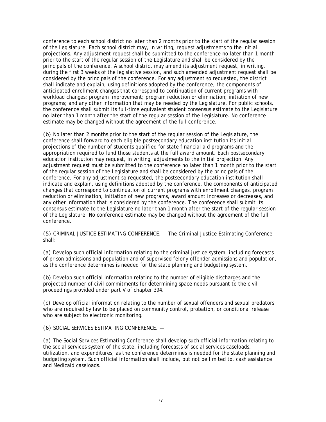conference to each school district no later than 2 months prior to the start of the regular session of the Legislature. Each school district may, in writing, request adjustments to the initial projections. Any adjustment request shall be submitted to the conference no later than 1 month prior to the start of the regular session of the Legislature and shall be considered by the principals of the conference. A school district may amend its adjustment request, in writing, during the first 3 weeks of the legislative session, and such amended adjustment request shall be considered by the principals of the conference. For any adjustment so requested, the district shall indicate and explain, using definitions adopted by the conference, the components of anticipated enrollment changes that correspond to continuation of current programs with workload changes; program improvement; program reduction or elimination; initiation of new programs; and any other information that may be needed by the Legislature. For public schools, the conference shall submit its full-time equivalent student consensus estimate to the Legislature no later than 1 month after the start of the regular session of the Legislature. No conference estimate may be changed without the agreement of the full conference.

(b) No later than 2 months prior to the start of the regular session of the Legislature, the conference shall forward to each eligible postsecondary education institution its initial projections of the number of students qualified for state financial aid programs and the appropriation required to fund those students at the full award amount. Each postsecondary education institution may request, in writing, adjustments to the initial projection. Any adjustment request must be submitted to the conference no later than 1 month prior to the start of the regular session of the Legislature and shall be considered by the principals of the conference. For any adjustment so requested, the postsecondary education institution shall indicate and explain, using definitions adopted by the conference, the components of anticipated changes that correspond to continuation of current programs with enrollment changes, program reduction or elimination, initiation of new programs, award amount increases or decreases, and any other information that is considered by the conference. The conference shall submit its consensus estimate to the Legislature no later than 1 month after the start of the regular session of the Legislature. No conference estimate may be changed without the agreement of the full conference.

(5) CRIMINAL JUSTICE ESTIMATING CONFERENCE. — The Criminal Justice Estimating Conference shall:

(a) Develop such official information relating to the criminal justice system, including forecasts of prison admissions and population and of supervised felony offender admissions and population, as the conference determines is needed for the state planning and budgeting system.

(b) Develop such official information relating to the number of eligible discharges and the projected number of civil commitments for determining space needs pursuant to the civil proceedings provided under part V of chapter 394.

(c) Develop official information relating to the number of sexual offenders and sexual predators who are required by law to be placed on community control, probation, or conditional release who are subject to electronic monitoring.

(6) SOCIAL SERVICES ESTIMATING CONFERENCE. —

(a) The Social Services Estimating Conference shall develop such official information relating to the social services system of the state, including forecasts of social services caseloads, utilization, and expenditures, as the conference determines is needed for the state planning and budgeting system. Such official information shall include, but not be limited to, cash assistance and Medicaid caseloads.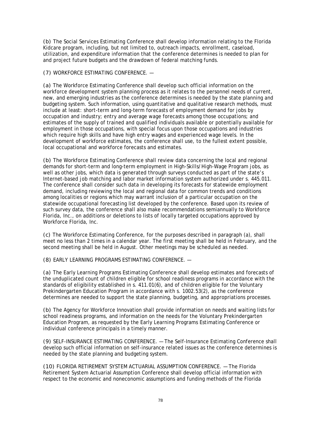(b) The Social Services Estimating Conference shall develop information relating to the Florida Kidcare program, including, but not limited to, outreach impacts, enrollment, caseload, utilization, and expenditure information that the conference determines is needed to plan for and project future budgets and the drawdown of federal matching funds.

(7) WORKFORCE ESTIMATING CONFERENCE. —

(a) The Workforce Estimating Conference shall develop such official information on the workforce development system planning process as it relates to the personnel needs of current, new, and emerging industries as the conference determines is needed by the state planning and budgeting system. Such information, using quantitative and qualitative research methods, must include at least: short-term and long-term forecasts of employment demand for jobs by occupation and industry; entry and average wage forecasts among those occupations; and estimates of the supply of trained and qualified individuals available or potentially available for employment in those occupations, with special focus upon those occupations and industries which require high skills and have high entry wages and experienced wage levels. In the development of workforce estimates, the conference shall use, to the fullest extent possible, local occupational and workforce forecasts and estimates.

(b) The Workforce Estimating Conference shall review data concerning the local and regional demands for short-term and long-term employment in High-Skills/High-Wage Program jobs, as well as other jobs, which data is generated through surveys conducted as part of the state's Internet-based job matching and labor market information system authorized under s. 445.011. The conference shall consider such data in developing its forecasts for statewide employment demand, including reviewing the local and regional data for common trends and conditions among localities or regions which may warrant inclusion of a particular occupation on the statewide occupational forecasting list developed by the conference. Based upon its review of such survey data, the conference shall also make recommendations semiannually to Workforce Florida, Inc., on additions or deletions to lists of locally targeted occupations approved by Workforce Florida, Inc.

(c) The Workforce Estimating Conference, for the purposes described in paragraph (a), shall meet no less than 2 times in a calendar year. The first meeting shall be held in February, and the second meeting shall be held in August. Other meetings may be scheduled as needed.

(8) EARLY LEARNING PROGRAMS ESTIMATING CONFERENCE. —

(a) The Early Learning Programs Estimating Conference shall develop estimates and forecasts of the unduplicated count of children eligible for school readiness programs in accordance with the standards of eligibility established in s. 411.01(6), and of children eligible for the Voluntary Prekindergarten Education Program in accordance with s. 1002.53(2), as the conference determines are needed to support the state planning, budgeting, and appropriations processes.

(b) The Agency for Workforce Innovation shall provide information on needs and waiting lists for school readiness programs, and information on the needs for the Voluntary Prekindergarten Education Program, as requested by the Early Learning Programs Estimating Conference or individual conference principals in a timely manner.

(9) SELF-INSURANCE ESTIMATING CONFERENCE. — The Self-Insurance Estimating Conference shall develop such official information on self-insurance related issues as the conference determines is needed by the state planning and budgeting system.

(10) FLORIDA RETIREMENT SYSTEM ACTUARIAL ASSUMPTION CONFERENCE. — The Florida Retirement System Actuarial Assumption Conference shall develop official information with respect to the economic and noneconomic assumptions and funding methods of the Florida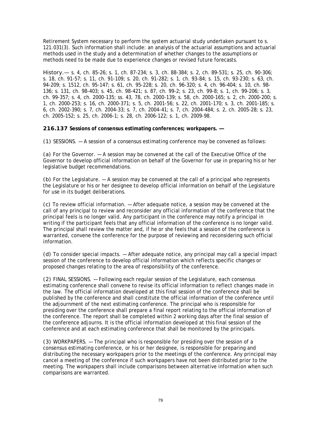Retirement System necessary to perform the system actuarial study undertaken pursuant to s. 121.031(3). Such information shall include: an analysis of the actuarial assumptions and actuarial methods used in the study and a determination of whether changes to the assumptions or methods need to be made due to experience changes or revised future forecasts.

History.— s. 4, ch. 85-26; s. 1, ch. 87-234; s. 3, ch. 88-384; s. 2, ch. 89-531; s. 25, ch. 90-306; s. 18, ch. 91-57; s. 11, ch. 91-109; s. 20, ch. 91-282; s. 1, ch. 93-84; s. 15, ch. 93-230; s. 63, ch. 94-209; s. 1512, ch. 95-147; s. 61, ch. 95-228; s. 20, ch. 96-320; s. 4, ch. 96-404; s. 10, ch. 98- 136; s. 131, ch. 98-403; s. 45, ch. 98-421; s. 87, ch. 99-2; s. 23, ch. 99-8; s. 1, ch. 99-206; s. 3, ch. 99-357; s. 4, ch. 2000-135; ss. 43, 78, ch. 2000-139; s. 58, ch. 2000-165; s. 2, ch. 2000-200; s. 1, ch. 2000-253; s. 16, ch. 2000-371; s. 5, ch. 2001-56; s. 22, ch. 2001-170; s. 3, ch. 2001-185; s. 6, ch. 2002-390; s. 7, ch. 2004-33; s. 7, ch. 2004-41; s. 7, ch. 2004-484; s. 2, ch. 2005-28; s. 23, ch. 2005-152; s. 25, ch. 2006-1; s. 28, ch. 2006-122; s. 1, ch. 2009-98.

**216.137 Sessions of consensus estimating conferences; workpapers. —** 

(1) SESSIONS. — A session of a consensus estimating conference may be convened as follows:

(a) For the Governor. — A session may be convened at the call of the Executive Office of the Governor to develop official information on behalf of the Governor for use in preparing his or her legislative budget recommendations.

(b) For the Legislature.  $-$  A session may be convened at the call of a principal who represents the Legislature or his or her designee to develop official information on behalf of the Legislature for use in its budget deliberations.

(c) To review official information. — After adequate notice, a session may be convened at the call of any principal to review and reconsider any official information of the conference that the principal feels is no longer valid. Any participant in the conference may notify a principal in writing if the participant feels that any official information of the conference is no longer valid. The principal shall review the matter and, if he or she feels that a session of the conference is warranted, convene the conference for the purpose of reviewing and reconsidering such official information.

(d) To consider special impacts. — After adequate notice, any principal may call a special impact session of the conference to develop official information which reflects specific changes or proposed changes relating to the area of responsibility of the conference.

(2) FINAL SESSIONS. — Following each regular session of the Legislature, each consensus estimating conference shall convene to revise its official information to reflect changes made in the law. The official information developed at this final session of the conference shall be published by the conference and shall constitute the official information of the conference until the adjournment of the next estimating conference. The principal who is responsible for presiding over the conference shall prepare a final report relating to the official information of the conference. The report shall be completed within 2 working days after the final session of the conference adjourns. It is the official information developed at this final session of the conference and at each estimating conference that shall be monitored by the principals.

(3) WORKPAPERS. — The principal who is responsible for presiding over the session of a consensus estimating conference, or his or her designee, is responsible for preparing and distributing the necessary workpapers prior to the meetings of the conference. Any principal may cancel a meeting of the conference if such workpapers have not been distributed prior to the meeting. The workpapers shall include comparisons between alternative information when such comparisons are warranted.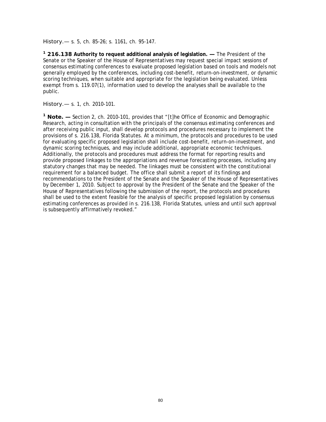History.— s. 5, ch. 85-26; s. 1161, ch. 95-147.

**1 216.138 Authority to request additional analysis of legislation. —** The President of the Senate or the Speaker of the House of Representatives may request special impact sessions of consensus estimating conferences to evaluate proposed legislation based on tools and models not generally employed by the conferences, including cost-benefit, return-on-investment, or dynamic scoring techniques, when suitable and appropriate for the legislation being evaluated. Unless exempt from s. 119.07(1), information used to develop the analyses shall be available to the public.

History.— s. 1, ch. 2010-101.

**1 Note. —** Section 2, ch. 2010-101, provides that "[t]he Office of Economic and Demographic Research, acting in consultation with the principals of the consensus estimating conferences and after receiving public input, shall develop protocols and procedures necessary to implement the provisions of s. 216.138, Florida Statutes. At a minimum, the protocols and procedures to be used for evaluating specific proposed legislation shall include cost-benefit, return-on-investment, and dynamic scoring techniques, and may include additional, appropriate economic techniques. Additionally, the protocols and procedures must address the format for reporting results and provide proposed linkages to the appropriations and revenue forecasting processes, including any statutory changes that may be needed. The linkages must be consistent with the constitutional requirement for a balanced budget. The office shall submit a report of its findings and recommendations to the President of the Senate and the Speaker of the House of Representatives by December 1, 2010. Subject to approval by the President of the Senate and the Speaker of the House of Representatives following the submission of the report, the protocols and procedures shall be used to the extent feasible for the analysis of specific proposed legislation by consensus estimating conferences as provided in s. 216.138, Florida Statutes, unless and until such approval is subsequently affirmatively revoked."